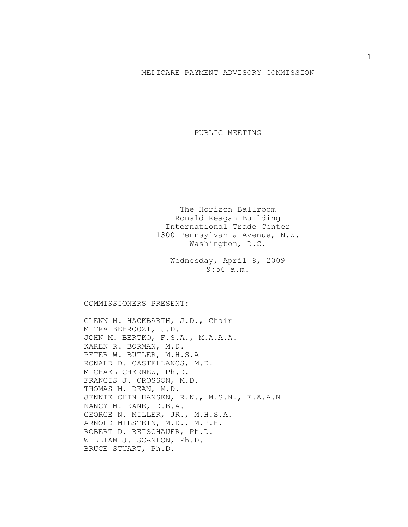## MEDICARE PAYMENT ADVISORY COMMISSION

PUBLIC MEETING

The Horizon Ballroom Ronald Reagan Building International Trade Center 1300 Pennsylvania Avenue, N.W. Washington, D.C.

Wednesday, April 8, 2009 9:56 a.m.

COMMISSIONERS PRESENT:

GLENN M. HACKBARTH, J.D., Chair MITRA BEHROOZI, J.D. JOHN M. BERTKO, F.S.A., M.A.A.A. KAREN R. BORMAN, M.D. PETER W. BUTLER, M.H.S.A RONALD D. CASTELLANOS, M.D. MICHAEL CHERNEW, Ph.D. FRANCIS J. CROSSON, M.D. THOMAS M. DEAN, M.D. JENNIE CHIN HANSEN, R.N., M.S.N., F.A.A.N NANCY M. KANE, D.B.A. GEORGE N. MILLER, JR., M.H.S.A. ARNOLD MILSTEIN, M.D., M.P.H. ROBERT D. REISCHAUER, Ph.D. WILLIAM J. SCANLON, Ph.D. BRUCE STUART, Ph.D.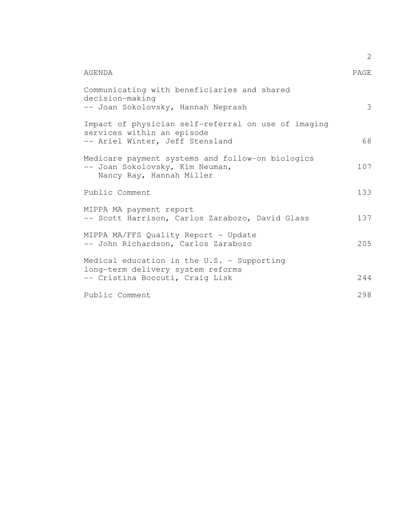|                                                                                                                      | 2    |
|----------------------------------------------------------------------------------------------------------------------|------|
| AGENDA                                                                                                               | PAGE |
| Communicating with beneficiaries and shared<br>decision-making<br>-- Joan Sokolovsky, Hannah Neprash                 | 3    |
| Impact of physician self-referral on use of imaging<br>services within an episode<br>-- Ariel Winter, Jeff Stensland | 68   |
| Medicare payment systems and follow-on biologics<br>-- Joan Sokolovsky, Kim Neuman,<br>Nancy Ray, Hannah Miller      | 107  |
| Public Comment                                                                                                       | 133  |
| MIPPA MA payment report<br>-- Scott Harrison, Carlos Zarabozo, David Glass                                           | 137  |
| MIPPA MA/FFS Quality Report - Update<br>-- John Richardson, Carlos Zarabozo                                          | 205  |
| Medical education in the U.S. - Supporting<br>long-term delivery system reforms<br>-- Cristina Boccuti, Craig Lisk   | 244  |
| Public Comment                                                                                                       | 298  |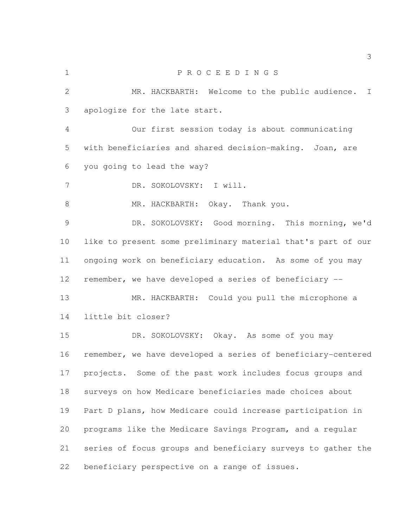P R O C E E D I N G S MR. HACKBARTH: Welcome to the public audience. I apologize for the late start. Our first session today is about communicating with beneficiaries and shared decision-making. Joan, are you going to lead the way? DR. SOKOLOVSKY: I will. 8 MR. HACKBARTH: Okay. Thank you. DR. SOKOLOVSKY: Good morning. This morning, we'd like to present some preliminary material that's part of our ongoing work on beneficiary education. As some of you may remember, we have developed a series of beneficiary -- MR. HACKBARTH: Could you pull the microphone a little bit closer? 15 DR. SOKOLOVSKY: Okay. As some of you may remember, we have developed a series of beneficiary-centered projects. Some of the past work includes focus groups and surveys on how Medicare beneficiaries made choices about Part D plans, how Medicare could increase participation in programs like the Medicare Savings Program, and a regular series of focus groups and beneficiary surveys to gather the beneficiary perspective on a range of issues.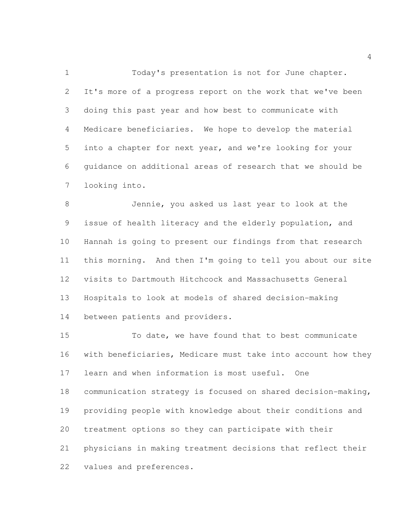Today's presentation is not for June chapter. It's more of a progress report on the work that we've been doing this past year and how best to communicate with Medicare beneficiaries. We hope to develop the material into a chapter for next year, and we're looking for your guidance on additional areas of research that we should be looking into.

 Jennie, you asked us last year to look at the issue of health literacy and the elderly population, and Hannah is going to present our findings from that research this morning. And then I'm going to tell you about our site visits to Dartmouth Hitchcock and Massachusetts General Hospitals to look at models of shared decision-making between patients and providers.

 To date, we have found that to best communicate with beneficiaries, Medicare must take into account how they learn and when information is most useful. One communication strategy is focused on shared decision-making, providing people with knowledge about their conditions and treatment options so they can participate with their physicians in making treatment decisions that reflect their values and preferences.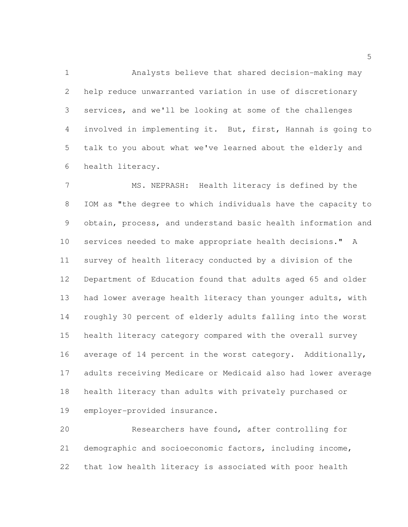Analysts believe that shared decision-making may help reduce unwarranted variation in use of discretionary services, and we'll be looking at some of the challenges involved in implementing it. But, first, Hannah is going to talk to you about what we've learned about the elderly and health literacy.

 MS. NEPRASH: Health literacy is defined by the IOM as "the degree to which individuals have the capacity to obtain, process, and understand basic health information and services needed to make appropriate health decisions." A survey of health literacy conducted by a division of the Department of Education found that adults aged 65 and older had lower average health literacy than younger adults, with roughly 30 percent of elderly adults falling into the worst health literacy category compared with the overall survey average of 14 percent in the worst category. Additionally, adults receiving Medicare or Medicaid also had lower average health literacy than adults with privately purchased or employer-provided insurance.

 Researchers have found, after controlling for demographic and socioeconomic factors, including income, that low health literacy is associated with poor health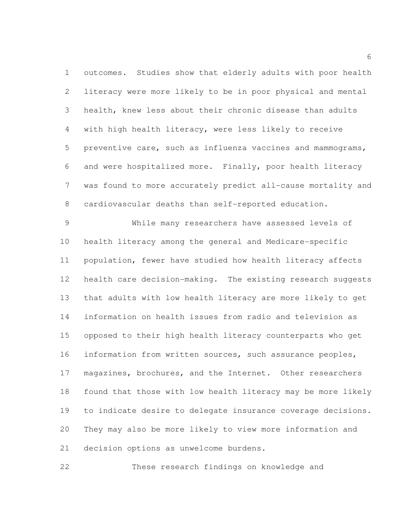outcomes. Studies show that elderly adults with poor health literacy were more likely to be in poor physical and mental health, knew less about their chronic disease than adults with high health literacy, were less likely to receive preventive care, such as influenza vaccines and mammograms, and were hospitalized more. Finally, poor health literacy was found to more accurately predict all-cause mortality and cardiovascular deaths than self-reported education.

 While many researchers have assessed levels of health literacy among the general and Medicare-specific population, fewer have studied how health literacy affects health care decision-making. The existing research suggests that adults with low health literacy are more likely to get information on health issues from radio and television as opposed to their high health literacy counterparts who get information from written sources, such assurance peoples, 17 magazines, brochures, and the Internet. Other researchers found that those with low health literacy may be more likely to indicate desire to delegate insurance coverage decisions. They may also be more likely to view more information and decision options as unwelcome burdens.

These research findings on knowledge and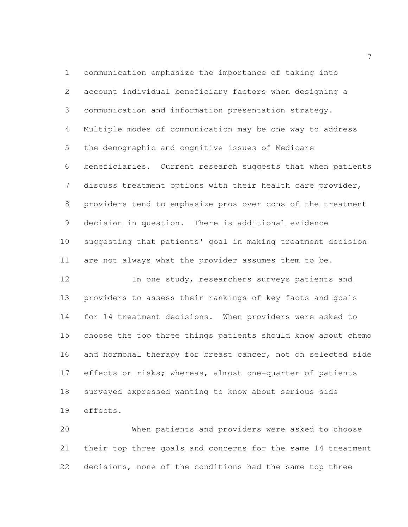communication emphasize the importance of taking into account individual beneficiary factors when designing a communication and information presentation strategy. Multiple modes of communication may be one way to address the demographic and cognitive issues of Medicare beneficiaries. Current research suggests that when patients discuss treatment options with their health care provider, providers tend to emphasize pros over cons of the treatment decision in question. There is additional evidence suggesting that patients' goal in making treatment decision are not always what the provider assumes them to be. In one study, researchers surveys patients and providers to assess their rankings of key facts and goals for 14 treatment decisions. When providers were asked to choose the top three things patients should know about chemo and hormonal therapy for breast cancer, not on selected side 17 effects or risks; whereas, almost one-quarter of patients

surveyed expressed wanting to know about serious side

effects.

 When patients and providers were asked to choose their top three goals and concerns for the same 14 treatment decisions, none of the conditions had the same top three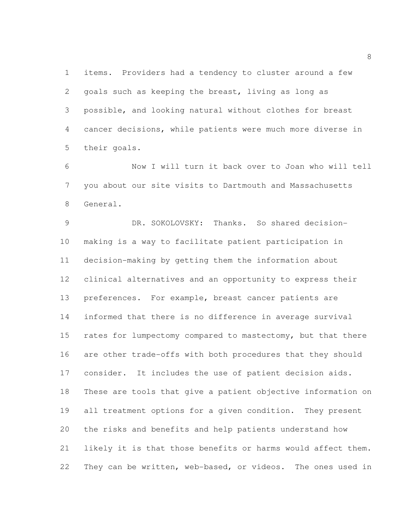items. Providers had a tendency to cluster around a few goals such as keeping the breast, living as long as possible, and looking natural without clothes for breast cancer decisions, while patients were much more diverse in their goals.

 Now I will turn it back over to Joan who will tell you about our site visits to Dartmouth and Massachusetts General.

 DR. SOKOLOVSKY: Thanks. So shared decision- making is a way to facilitate patient participation in decision-making by getting them the information about clinical alternatives and an opportunity to express their preferences. For example, breast cancer patients are informed that there is no difference in average survival 15 rates for lumpectomy compared to mastectomy, but that there are other trade-offs with both procedures that they should consider. It includes the use of patient decision aids. These are tools that give a patient objective information on all treatment options for a given condition. They present the risks and benefits and help patients understand how likely it is that those benefits or harms would affect them. They can be written, web-based, or videos. The ones used in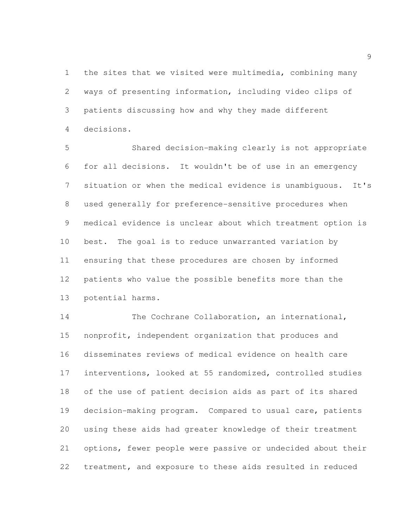the sites that we visited were multimedia, combining many ways of presenting information, including video clips of patients discussing how and why they made different decisions.

 Shared decision-making clearly is not appropriate for all decisions. It wouldn't be of use in an emergency situation or when the medical evidence is unambiguous. It's used generally for preference-sensitive procedures when medical evidence is unclear about which treatment option is best. The goal is to reduce unwarranted variation by ensuring that these procedures are chosen by informed patients who value the possible benefits more than the potential harms.

14 The Cochrane Collaboration, an international, nonprofit, independent organization that produces and disseminates reviews of medical evidence on health care interventions, looked at 55 randomized, controlled studies of the use of patient decision aids as part of its shared decision-making program. Compared to usual care, patients using these aids had greater knowledge of their treatment options, fewer people were passive or undecided about their treatment, and exposure to these aids resulted in reduced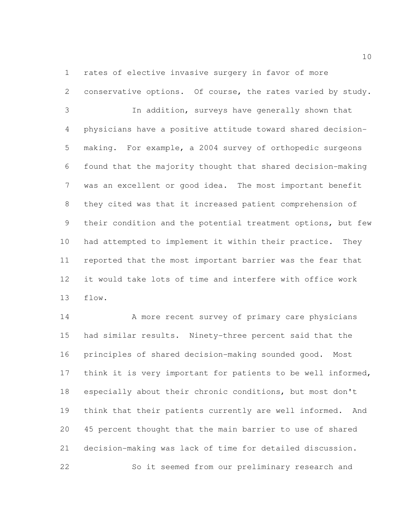rates of elective invasive surgery in favor of more

conservative options. Of course, the rates varied by study.

 In addition, surveys have generally shown that physicians have a positive attitude toward shared decision- making. For example, a 2004 survey of orthopedic surgeons found that the majority thought that shared decision-making was an excellent or good idea. The most important benefit they cited was that it increased patient comprehension of their condition and the potential treatment options, but few had attempted to implement it within their practice. They reported that the most important barrier was the fear that it would take lots of time and interfere with office work flow.

14 A more recent survey of primary care physicians had similar results. Ninety-three percent said that the principles of shared decision-making sounded good. Most think it is very important for patients to be well informed, especially about their chronic conditions, but most don't think that their patients currently are well informed. And 45 percent thought that the main barrier to use of shared decision-making was lack of time for detailed discussion. So it seemed from our preliminary research and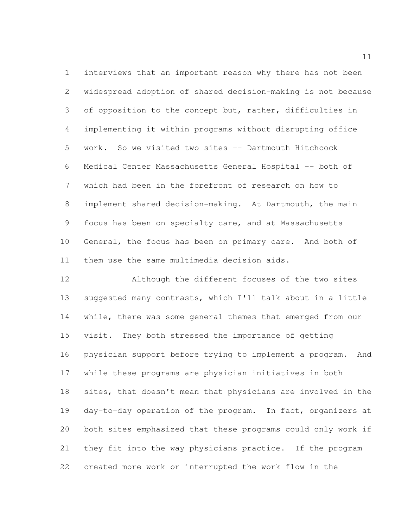interviews that an important reason why there has not been widespread adoption of shared decision-making is not because 3 of opposition to the concept but, rather, difficulties in implementing it within programs without disrupting office work. So we visited two sites -- Dartmouth Hitchcock Medical Center Massachusetts General Hospital -- both of which had been in the forefront of research on how to implement shared decision-making. At Dartmouth, the main focus has been on specialty care, and at Massachusetts General, the focus has been on primary care. And both of them use the same multimedia decision aids.

 Although the different focuses of the two sites suggested many contrasts, which I'll talk about in a little while, there was some general themes that emerged from our visit. They both stressed the importance of getting physician support before trying to implement a program. And while these programs are physician initiatives in both sites, that doesn't mean that physicians are involved in the day-to-day operation of the program. In fact, organizers at both sites emphasized that these programs could only work if they fit into the way physicians practice. If the program created more work or interrupted the work flow in the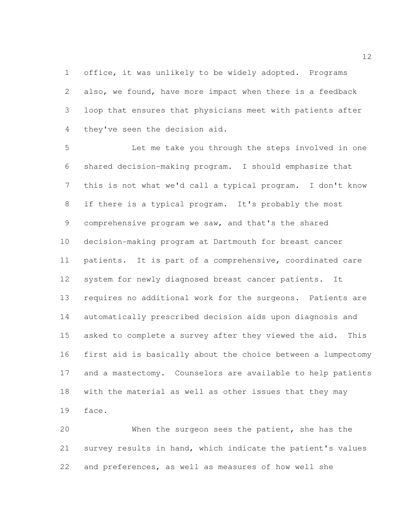office, it was unlikely to be widely adopted. Programs also, we found, have more impact when there is a feedback loop that ensures that physicians meet with patients after they've seen the decision aid.

 Let me take you through the steps involved in one shared decision-making program. I should emphasize that this is not what we'd call a typical program. I don't know if there is a typical program. It's probably the most comprehensive program we saw, and that's the shared decision-making program at Dartmouth for breast cancer patients. It is part of a comprehensive, coordinated care system for newly diagnosed breast cancer patients. It requires no additional work for the surgeons. Patients are automatically prescribed decision aids upon diagnosis and asked to complete a survey after they viewed the aid. This first aid is basically about the choice between a lumpectomy and a mastectomy. Counselors are available to help patients with the material as well as other issues that they may face.

 When the surgeon sees the patient, she has the survey results in hand, which indicate the patient's values and preferences, as well as measures of how well she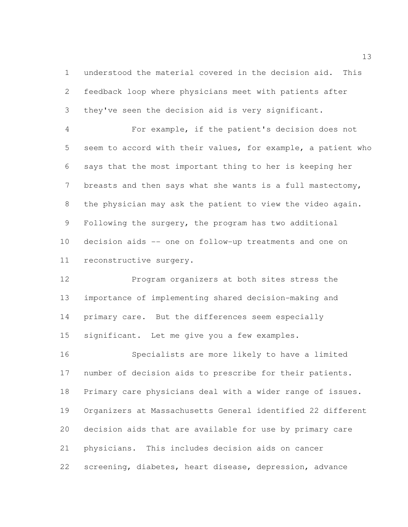understood the material covered in the decision aid. This feedback loop where physicians meet with patients after they've seen the decision aid is very significant.

 For example, if the patient's decision does not seem to accord with their values, for example, a patient who says that the most important thing to her is keeping her breasts and then says what she wants is a full mastectomy, the physician may ask the patient to view the video again. Following the surgery, the program has two additional decision aids -- one on follow-up treatments and one on reconstructive surgery.

 Program organizers at both sites stress the importance of implementing shared decision-making and primary care. But the differences seem especially significant. Let me give you a few examples.

 Specialists are more likely to have a limited number of decision aids to prescribe for their patients. Primary care physicians deal with a wider range of issues. Organizers at Massachusetts General identified 22 different decision aids that are available for use by primary care physicians. This includes decision aids on cancer screening, diabetes, heart disease, depression, advance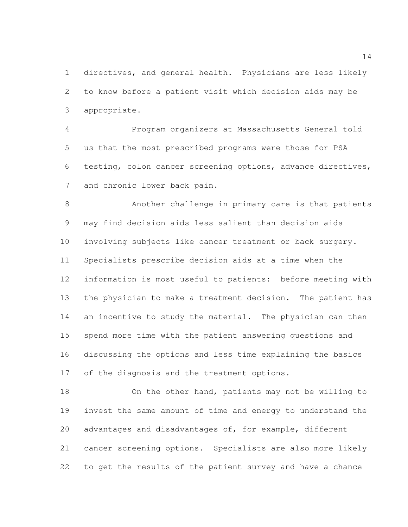directives, and general health. Physicians are less likely to know before a patient visit which decision aids may be appropriate.

 Program organizers at Massachusetts General told us that the most prescribed programs were those for PSA testing, colon cancer screening options, advance directives, and chronic lower back pain.

 Another challenge in primary care is that patients may find decision aids less salient than decision aids involving subjects like cancer treatment or back surgery. Specialists prescribe decision aids at a time when the information is most useful to patients: before meeting with the physician to make a treatment decision. The patient has 14 an incentive to study the material. The physician can then spend more time with the patient answering questions and discussing the options and less time explaining the basics of the diagnosis and the treatment options.

 On the other hand, patients may not be willing to invest the same amount of time and energy to understand the advantages and disadvantages of, for example, different cancer screening options. Specialists are also more likely to get the results of the patient survey and have a chance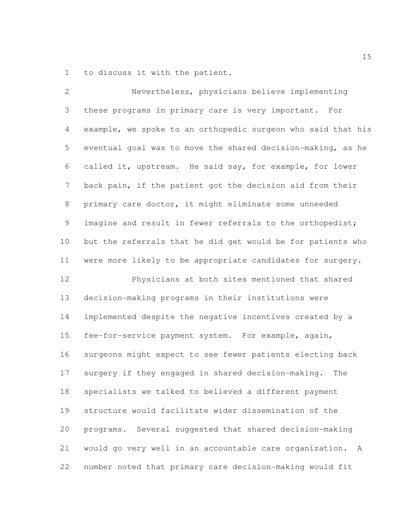to discuss it with the patient.

| $\mathbf{2}$   | Nevertheless, physicians believe implementing                |
|----------------|--------------------------------------------------------------|
| 3              | these programs in primary care is very important. For        |
| $\overline{4}$ | example, we spoke to an orthopedic surgeon who said that his |
| 5              | eventual goal was to move the shared decision-making, as he  |
| 6              | called it, upstream. He said say, for example, for lower     |
| 7              | back pain, if the patient got the decision aid from their    |
| 8              | primary care doctor, it might eliminate some unneeded        |
| $\mathsf 9$    | imagine and result in fewer referrals to the orthopedist;    |
| 10             | but the referrals that he did get would be for patients who  |
| 11             | were more likely to be appropriate candidates for surgery.   |
| 12             | Physicians at both sites mentioned that shared               |
| 13             | decision-making programs in their institutions were          |
| 14             | implemented despite the negative incentives created by a     |
| 15             | fee-for-service payment system. For example, again,          |
| 16             | surgeons might expect to see fewer patients electing back    |
| 17             | surgery if they engaged in shared decision-making.<br>The    |
| 18             | specialists we talked to believed a different payment        |
| 19             | structure would facilitate wider dissemination of the        |
| 20             | programs. Several suggested that shared decision-making      |
| 21             | would go very well in an accountable care organization.<br>A |
| 22             | number noted that primary care decision-making would fit     |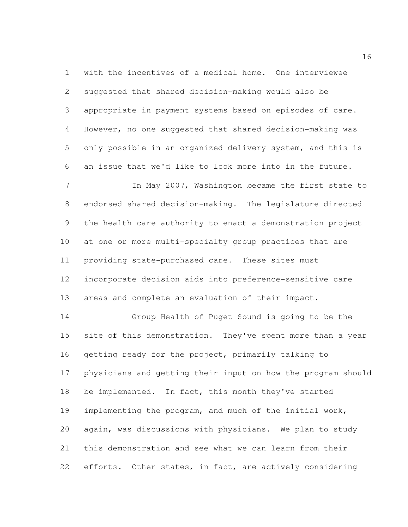with the incentives of a medical home. One interviewee suggested that shared decision-making would also be appropriate in payment systems based on episodes of care. However, no one suggested that shared decision-making was only possible in an organized delivery system, and this is an issue that we'd like to look more into in the future.

7 In May 2007, Washington became the first state to endorsed shared decision-making. The legislature directed the health care authority to enact a demonstration project at one or more multi-specialty group practices that are providing state-purchased care. These sites must incorporate decision aids into preference-sensitive care areas and complete an evaluation of their impact.

 Group Health of Puget Sound is going to be the 15 site of this demonstration. They've spent more than a year getting ready for the project, primarily talking to physicians and getting their input on how the program should 18 be implemented. In fact, this month they've started implementing the program, and much of the initial work, again, was discussions with physicians. We plan to study this demonstration and see what we can learn from their 22 efforts. Other states, in fact, are actively considering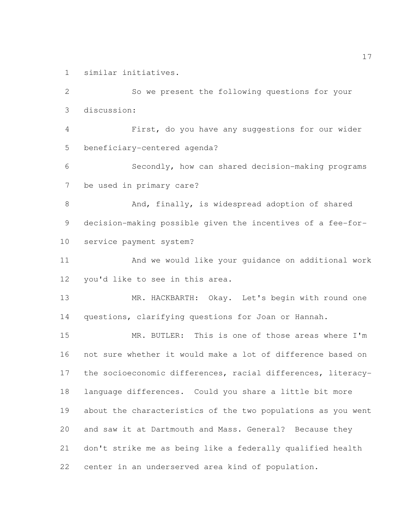similar initiatives.

 So we present the following questions for your discussion: First, do you have any suggestions for our wider beneficiary-centered agenda? Secondly, how can shared decision-making programs be used in primary care? 8 And, finally, is widespread adoption of shared decision-making possible given the incentives of a fee-for- service payment system? And we would like your guidance on additional work you'd like to see in this area. MR. HACKBARTH: Okay. Let's begin with round one questions, clarifying questions for Joan or Hannah. MR. BUTLER: This is one of those areas where I'm not sure whether it would make a lot of difference based on the socioeconomic differences, racial differences, literacy- language differences. Could you share a little bit more about the characteristics of the two populations as you went and saw it at Dartmouth and Mass. General? Because they don't strike me as being like a federally qualified health center in an underserved area kind of population.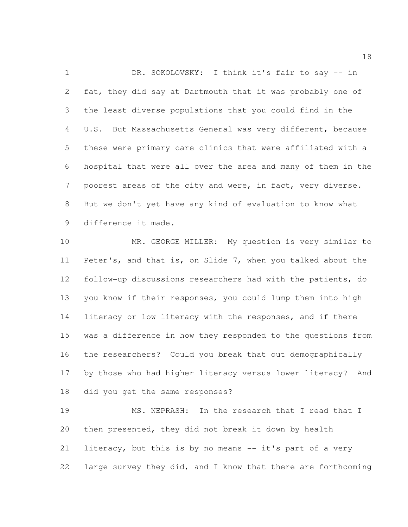1 DR. SOKOLOVSKY: I think it's fair to say -- in fat, they did say at Dartmouth that it was probably one of the least diverse populations that you could find in the U.S. But Massachusetts General was very different, because these were primary care clinics that were affiliated with a hospital that were all over the area and many of them in the poorest areas of the city and were, in fact, very diverse. But we don't yet have any kind of evaluation to know what difference it made.

 MR. GEORGE MILLER: My question is very similar to Peter's, and that is, on Slide 7, when you talked about the follow-up discussions researchers had with the patients, do you know if their responses, you could lump them into high literacy or low literacy with the responses, and if there was a difference in how they responded to the questions from the researchers? Could you break that out demographically by those who had higher literacy versus lower literacy? And did you get the same responses?

 MS. NEPRASH: In the research that I read that I then presented, they did not break it down by health literacy, but this is by no means -- it's part of a very large survey they did, and I know that there are forthcoming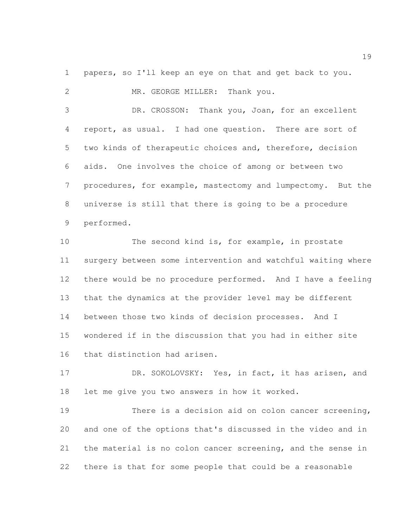papers, so I'll keep an eye on that and get back to you.

2 MR. GEORGE MILLER: Thank you. DR. CROSSON: Thank you, Joan, for an excellent report, as usual. I had one question. There are sort of two kinds of therapeutic choices and, therefore, decision aids. One involves the choice of among or between two procedures, for example, mastectomy and lumpectomy. But the universe is still that there is going to be a procedure performed. The second kind is, for example, in prostate surgery between some intervention and watchful waiting where there would be no procedure performed. And I have a feeling that the dynamics at the provider level may be different between those two kinds of decision processes. And I wondered if in the discussion that you had in either site

that distinction had arisen.

17 DR. SOKOLOVSKY: Yes, in fact, it has arisen, and let me give you two answers in how it worked.

 There is a decision aid on colon cancer screening, and one of the options that's discussed in the video and in the material is no colon cancer screening, and the sense in there is that for some people that could be a reasonable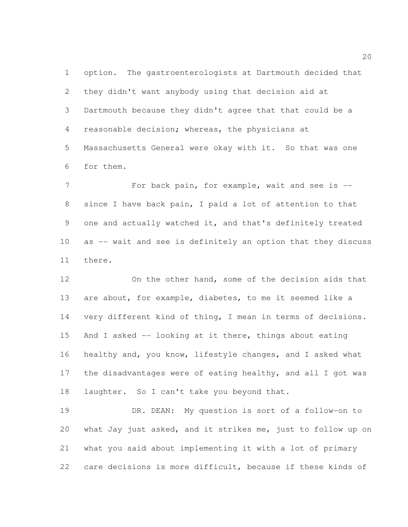option. The gastroenterologists at Dartmouth decided that they didn't want anybody using that decision aid at Dartmouth because they didn't agree that that could be a reasonable decision; whereas, the physicians at Massachusetts General were okay with it. So that was one for them.

7 For back pain, for example, wait and see is -- since I have back pain, I paid a lot of attention to that one and actually watched it, and that's definitely treated as -- wait and see is definitely an option that they discuss there.

 On the other hand, some of the decision aids that are about, for example, diabetes, to me it seemed like a very different kind of thing, I mean in terms of decisions. And I asked -- looking at it there, things about eating healthy and, you know, lifestyle changes, and I asked what the disadvantages were of eating healthy, and all I got was 18 laughter. So I can't take you beyond that.

 DR. DEAN: My question is sort of a follow-on to what Jay just asked, and it strikes me, just to follow up on what you said about implementing it with a lot of primary care decisions is more difficult, because if these kinds of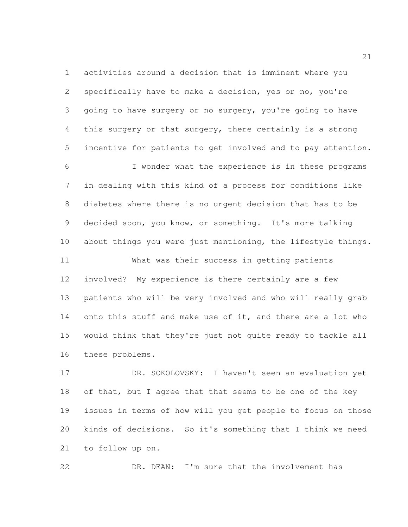activities around a decision that is imminent where you specifically have to make a decision, yes or no, you're going to have surgery or no surgery, you're going to have this surgery or that surgery, there certainly is a strong incentive for patients to get involved and to pay attention.

 I wonder what the experience is in these programs in dealing with this kind of a process for conditions like diabetes where there is no urgent decision that has to be decided soon, you know, or something. It's more talking about things you were just mentioning, the lifestyle things.

 What was their success in getting patients involved? My experience is there certainly are a few patients who will be very involved and who will really grab 14 onto this stuff and make use of it, and there are a lot who would think that they're just not quite ready to tackle all these problems.

 DR. SOKOLOVSKY: I haven't seen an evaluation yet 18 of that, but I agree that that seems to be one of the key issues in terms of how will you get people to focus on those kinds of decisions. So it's something that I think we need to follow up on.

DR. DEAN: I'm sure that the involvement has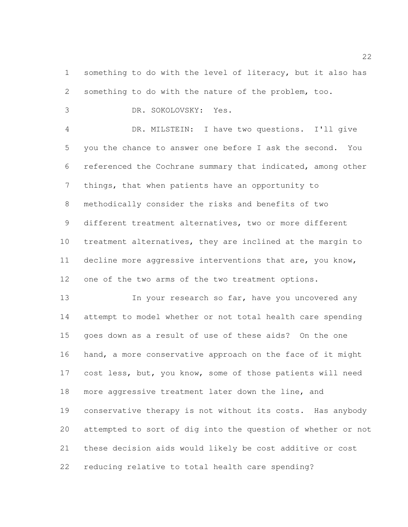1 something to do with the level of literacy, but it also has something to do with the nature of the problem, too.

DR. SOKOLOVSKY: Yes.

 DR. MILSTEIN: I have two questions. I'll give you the chance to answer one before I ask the second. You referenced the Cochrane summary that indicated, among other things, that when patients have an opportunity to methodically consider the risks and benefits of two different treatment alternatives, two or more different treatment alternatives, they are inclined at the margin to decline more aggressive interventions that are, you know, one of the two arms of the two treatment options.

13 In your research so far, have you uncovered any attempt to model whether or not total health care spending goes down as a result of use of these aids? On the one hand, a more conservative approach on the face of it might 17 cost less, but, you know, some of those patients will need more aggressive treatment later down the line, and conservative therapy is not without its costs. Has anybody attempted to sort of dig into the question of whether or not these decision aids would likely be cost additive or cost reducing relative to total health care spending?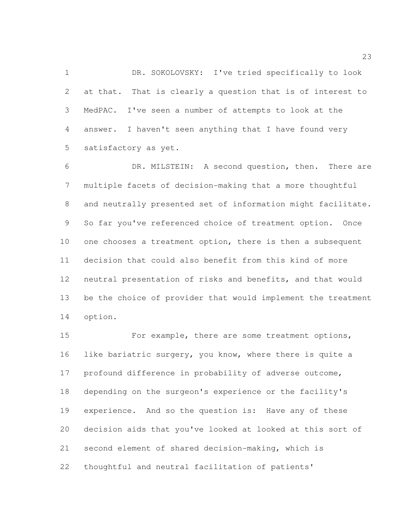1 DR. SOKOLOVSKY: I've tried specifically to look at that. That is clearly a question that is of interest to MedPAC. I've seen a number of attempts to look at the answer. I haven't seen anything that I have found very satisfactory as yet.

 DR. MILSTEIN: A second question, then. There are multiple facets of decision-making that a more thoughtful and neutrally presented set of information might facilitate. So far you've referenced choice of treatment option. Once 10 one chooses a treatment option, there is then a subsequent decision that could also benefit from this kind of more neutral presentation of risks and benefits, and that would be the choice of provider that would implement the treatment option.

 For example, there are some treatment options, like bariatric surgery, you know, where there is quite a profound difference in probability of adverse outcome, depending on the surgeon's experience or the facility's experience. And so the question is: Have any of these decision aids that you've looked at looked at this sort of second element of shared decision-making, which is thoughtful and neutral facilitation of patients'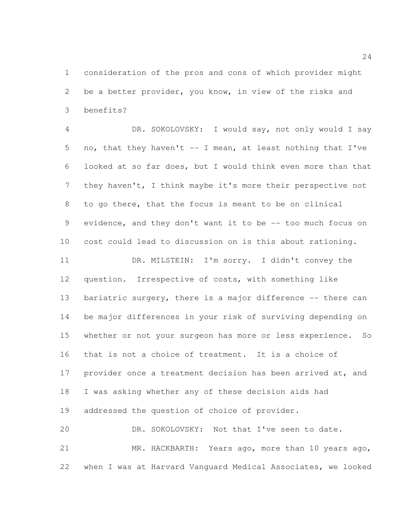consideration of the pros and cons of which provider might be a better provider, you know, in view of the risks and benefits?

 DR. SOKOLOVSKY: I would say, not only would I say no, that they haven't -- I mean, at least nothing that I've looked at so far does, but I would think even more than that they haven't, I think maybe it's more their perspective not to go there, that the focus is meant to be on clinical evidence, and they don't want it to be -- too much focus on cost could lead to discussion on is this about rationing.

 DR. MILSTEIN: I'm sorry. I didn't convey the question. Irrespective of costs, with something like 13 bariatric surgery, there is a major difference -- there can be major differences in your risk of surviving depending on whether or not your surgeon has more or less experience. So that is not a choice of treatment. It is a choice of 17 provider once a treatment decision has been arrived at, and I was asking whether any of these decision aids had addressed the question of choice of provider.

 DR. SOKOLOVSKY: Not that I've seen to date. MR. HACKBARTH: Years ago, more than 10 years ago, when I was at Harvard Vanguard Medical Associates, we looked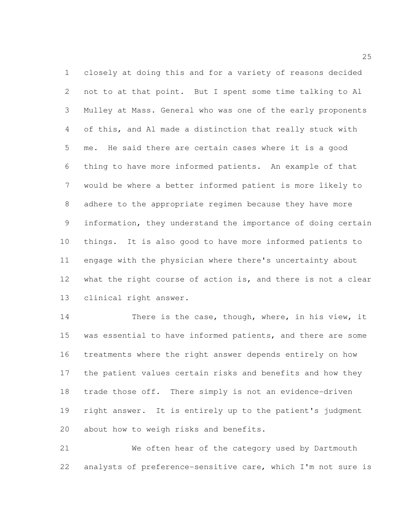closely at doing this and for a variety of reasons decided not to at that point. But I spent some time talking to Al Mulley at Mass. General who was one of the early proponents of this, and Al made a distinction that really stuck with me. He said there are certain cases where it is a good thing to have more informed patients. An example of that would be where a better informed patient is more likely to adhere to the appropriate regimen because they have more information, they understand the importance of doing certain things. It is also good to have more informed patients to engage with the physician where there's uncertainty about what the right course of action is, and there is not a clear clinical right answer.

14 There is the case, though, where, in his view, it 15 was essential to have informed patients, and there are some treatments where the right answer depends entirely on how the patient values certain risks and benefits and how they trade those off. There simply is not an evidence-driven right answer. It is entirely up to the patient's judgment about how to weigh risks and benefits.

 We often hear of the category used by Dartmouth analysts of preference-sensitive care, which I'm not sure is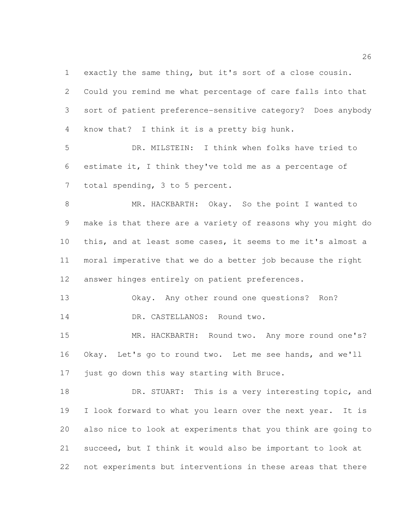exactly the same thing, but it's sort of a close cousin.

 Could you remind me what percentage of care falls into that sort of patient preference-sensitive category? Does anybody know that? I think it is a pretty big hunk.

 DR. MILSTEIN: I think when folks have tried to estimate it, I think they've told me as a percentage of total spending, 3 to 5 percent.

 MR. HACKBARTH: Okay. So the point I wanted to make is that there are a variety of reasons why you might do this, and at least some cases, it seems to me it's almost a moral imperative that we do a better job because the right answer hinges entirely on patient preferences.

 Okay. Any other round one questions? Ron? 14 DR. CASTELLANOS: Round two.

15 MR. HACKBARTH: Round two. Any more round one's? Okay. Let's go to round two. Let me see hands, and we'll just go down this way starting with Bruce.

18 DR. STUART: This is a very interesting topic, and 19 I look forward to what you learn over the next year. It is also nice to look at experiments that you think are going to succeed, but I think it would also be important to look at not experiments but interventions in these areas that there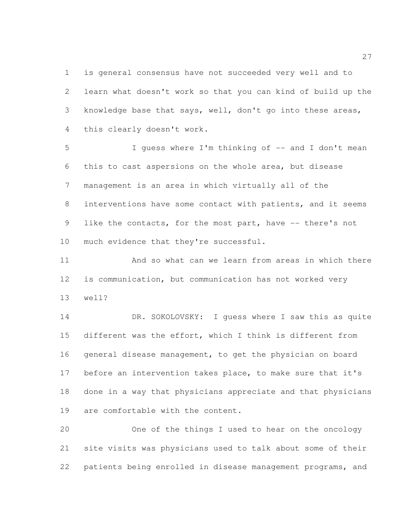is general consensus have not succeeded very well and to learn what doesn't work so that you can kind of build up the knowledge base that says, well, don't go into these areas, this clearly doesn't work.

 I guess where I'm thinking of -- and I don't mean this to cast aspersions on the whole area, but disease management is an area in which virtually all of the interventions have some contact with patients, and it seems like the contacts, for the most part, have -- there's not 10 much evidence that they're successful.

 And so what can we learn from areas in which there is communication, but communication has not worked very well?

 DR. SOKOLOVSKY: I guess where I saw this as quite different was the effort, which I think is different from general disease management, to get the physician on board before an intervention takes place, to make sure that it's done in a way that physicians appreciate and that physicians are comfortable with the content.

 One of the things I used to hear on the oncology site visits was physicians used to talk about some of their patients being enrolled in disease management programs, and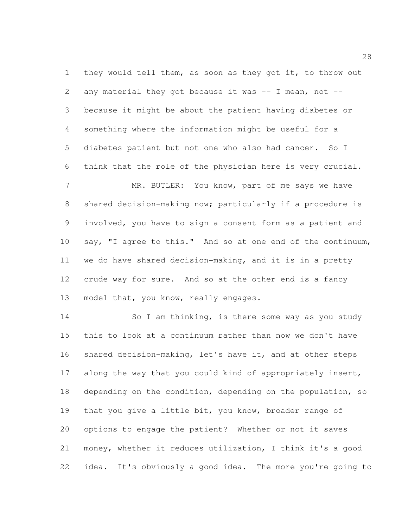1 they would tell them, as soon as they got it, to throw out 2 any material they got because it was  $-$  I mean, not  $-$  because it might be about the patient having diabetes or something where the information might be useful for a diabetes patient but not one who also had cancer. So I think that the role of the physician here is very crucial.

7 MR. BUTLER: You know, part of me says we have shared decision-making now; particularly if a procedure is involved, you have to sign a consent form as a patient and 10 say, "I agree to this." And so at one end of the continuum, we do have shared decision-making, and it is in a pretty crude way for sure. And so at the other end is a fancy model that, you know, really engages.

14 So I am thinking, is there some way as you study this to look at a continuum rather than now we don't have shared decision-making, let's have it, and at other steps 17 along the way that you could kind of appropriately insert, 18 depending on the condition, depending on the population, so that you give a little bit, you know, broader range of options to engage the patient? Whether or not it saves money, whether it reduces utilization, I think it's a good idea. It's obviously a good idea. The more you're going to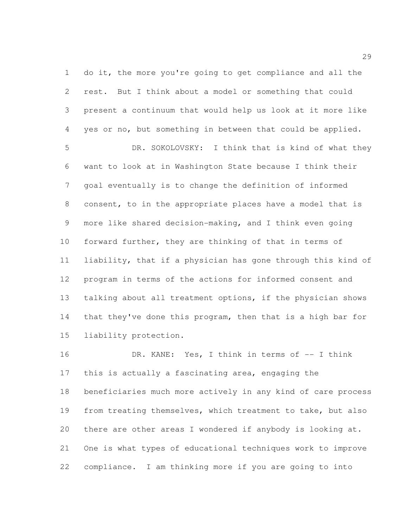do it, the more you're going to get compliance and all the rest. But I think about a model or something that could present a continuum that would help us look at it more like yes or no, but something in between that could be applied.

 DR. SOKOLOVSKY: I think that is kind of what they want to look at in Washington State because I think their goal eventually is to change the definition of informed consent, to in the appropriate places have a model that is more like shared decision-making, and I think even going forward further, they are thinking of that in terms of liability, that if a physician has gone through this kind of program in terms of the actions for informed consent and talking about all treatment options, if the physician shows that they've done this program, then that is a high bar for liability protection.

 DR. KANE: Yes, I think in terms of -- I think this is actually a fascinating area, engaging the beneficiaries much more actively in any kind of care process from treating themselves, which treatment to take, but also there are other areas I wondered if anybody is looking at. One is what types of educational techniques work to improve compliance. I am thinking more if you are going to into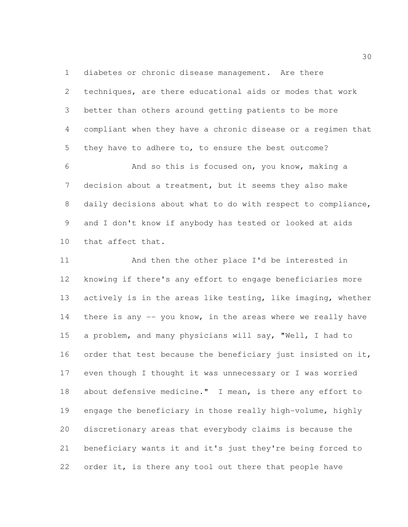diabetes or chronic disease management. Are there techniques, are there educational aids or modes that work better than others around getting patients to be more compliant when they have a chronic disease or a regimen that they have to adhere to, to ensure the best outcome?

 And so this is focused on, you know, making a decision about a treatment, but it seems they also make daily decisions about what to do with respect to compliance, and I don't know if anybody has tested or looked at aids that affect that.

 And then the other place I'd be interested in knowing if there's any effort to engage beneficiaries more actively is in the areas like testing, like imaging, whether 14 there is any -- you know, in the areas where we really have a problem, and many physicians will say, "Well, I had to 16 order that test because the beneficiary just insisted on it, even though I thought it was unnecessary or I was worried about defensive medicine." I mean, is there any effort to engage the beneficiary in those really high-volume, highly discretionary areas that everybody claims is because the beneficiary wants it and it's just they're being forced to order it, is there any tool out there that people have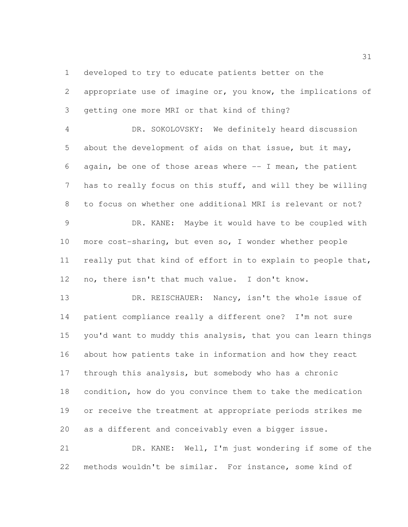developed to try to educate patients better on the

 appropriate use of imagine or, you know, the implications of getting one more MRI or that kind of thing?

 DR. SOKOLOVSKY: We definitely heard discussion about the development of aids on that issue, but it may, 6 again, be one of those areas where  $-$  I mean, the patient has to really focus on this stuff, and will they be willing to focus on whether one additional MRI is relevant or not?

 DR. KANE: Maybe it would have to be coupled with more cost-sharing, but even so, I wonder whether people really put that kind of effort in to explain to people that, no, there isn't that much value. I don't know.

13 DR. REISCHAUER: Nancy, isn't the whole issue of patient compliance really a different one? I'm not sure you'd want to muddy this analysis, that you can learn things about how patients take in information and how they react through this analysis, but somebody who has a chronic 18 condition, how do you convince them to take the medication or receive the treatment at appropriate periods strikes me as a different and conceivably even a bigger issue.

 DR. KANE: Well, I'm just wondering if some of the methods wouldn't be similar. For instance, some kind of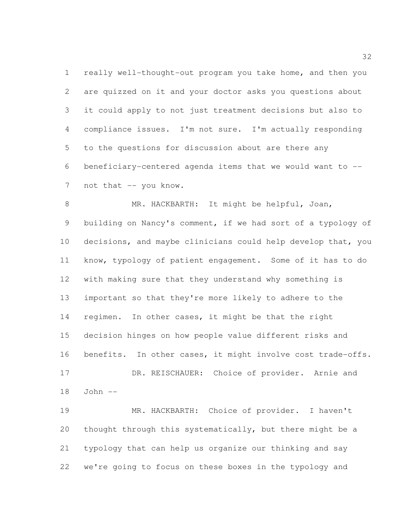really well-thought-out program you take home, and then you are quizzed on it and your doctor asks you questions about it could apply to not just treatment decisions but also to compliance issues. I'm not sure. I'm actually responding to the questions for discussion about are there any beneficiary-centered agenda items that we would want to -- 7 not that -- you know.

 MR. HACKBARTH: It might be helpful, Joan, building on Nancy's comment, if we had sort of a typology of decisions, and maybe clinicians could help develop that, you know, typology of patient engagement. Some of it has to do with making sure that they understand why something is important so that they're more likely to adhere to the regimen. In other cases, it might be that the right decision hinges on how people value different risks and benefits. In other cases, it might involve cost trade-offs. DR. REISCHAUER: Choice of provider. Arnie and John --

 MR. HACKBARTH: Choice of provider. I haven't thought through this systematically, but there might be a typology that can help us organize our thinking and say we're going to focus on these boxes in the typology and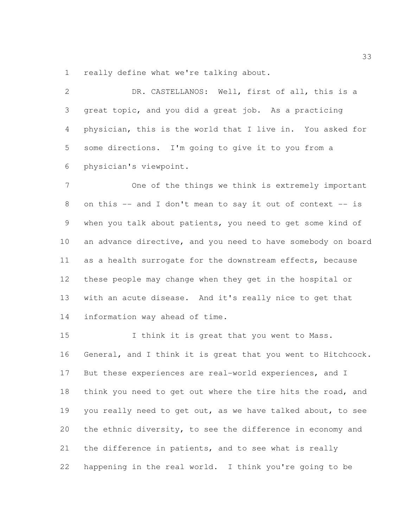really define what we're talking about.

 DR. CASTELLANOS: Well, first of all, this is a great topic, and you did a great job. As a practicing physician, this is the world that I live in. You asked for some directions. I'm going to give it to you from a physician's viewpoint.

 One of the things we think is extremely important on this -- and I don't mean to say it out of context -- is when you talk about patients, you need to get some kind of an advance directive, and you need to have somebody on board as a health surrogate for the downstream effects, because these people may change when they get in the hospital or with an acute disease. And it's really nice to get that information way ahead of time.

15 1 I think it is great that you went to Mass. General, and I think it is great that you went to Hitchcock. But these experiences are real-world experiences, and I think you need to get out where the tire hits the road, and 19 you really need to get out, as we have talked about, to see the ethnic diversity, to see the difference in economy and 21 the difference in patients, and to see what is really happening in the real world. I think you're going to be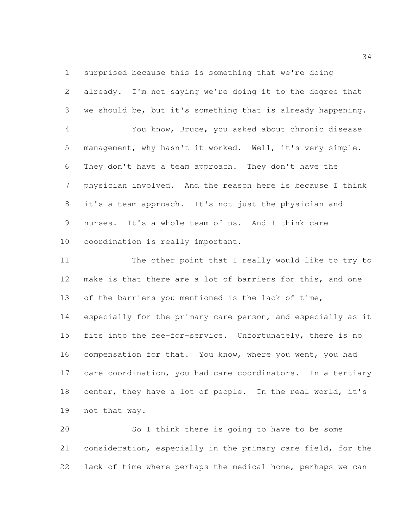surprised because this is something that we're doing

 already. I'm not saying we're doing it to the degree that we should be, but it's something that is already happening. You know, Bruce, you asked about chronic disease management, why hasn't it worked. Well, it's very simple. They don't have a team approach. They don't have the physician involved. And the reason here is because I think it's a team approach. It's not just the physician and nurses. It's a whole team of us. And I think care coordination is really important.

 The other point that I really would like to try to make is that there are a lot of barriers for this, and one of the barriers you mentioned is the lack of time, especially for the primary care person, and especially as it 15 fits into the fee-for-service. Unfortunately, there is no compensation for that. You know, where you went, you had 17 care coordination, you had care coordinators. In a tertiary 18 center, they have a lot of people. In the real world, it's not that way.

 So I think there is going to have to be some consideration, especially in the primary care field, for the lack of time where perhaps the medical home, perhaps we can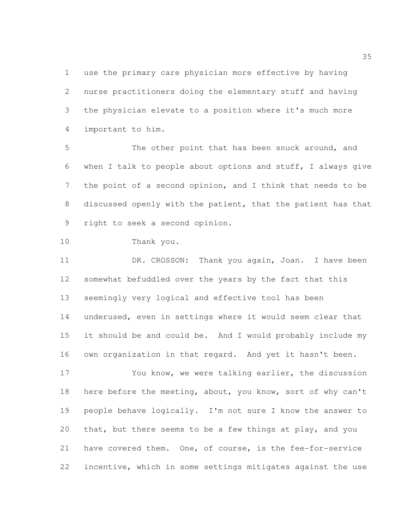use the primary care physician more effective by having nurse practitioners doing the elementary stuff and having the physician elevate to a position where it's much more important to him.

5 The other point that has been snuck around, and when I talk to people about options and stuff, I always give the point of a second opinion, and I think that needs to be discussed openly with the patient, that the patient has that right to seek a second opinion.

Thank you.

11 DR. CROSSON: Thank you again, Joan. I have been somewhat befuddled over the years by the fact that this seemingly very logical and effective tool has been underused, even in settings where it would seem clear that it should be and could be. And I would probably include my own organization in that regard. And yet it hasn't been.

 You know, we were talking earlier, the discussion 18 here before the meeting, about, you know, sort of why can't people behave logically. I'm not sure I know the answer to that, but there seems to be a few things at play, and you have covered them. One, of course, is the fee-for-service incentive, which in some settings mitigates against the use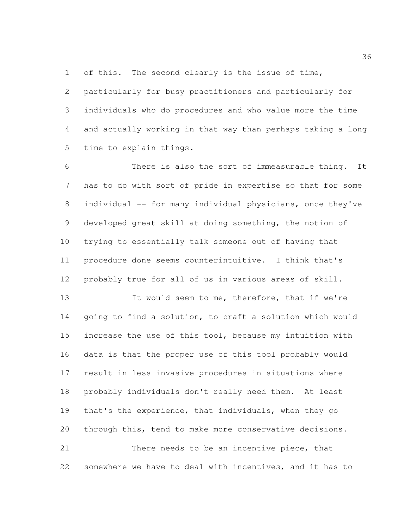of this. The second clearly is the issue of time,

 particularly for busy practitioners and particularly for individuals who do procedures and who value more the time and actually working in that way than perhaps taking a long time to explain things.

 There is also the sort of immeasurable thing. It has to do with sort of pride in expertise so that for some individual -- for many individual physicians, once they've developed great skill at doing something, the notion of trying to essentially talk someone out of having that procedure done seems counterintuitive. I think that's probably true for all of us in various areas of skill.

 It would seem to me, therefore, that if we're going to find a solution, to craft a solution which would increase the use of this tool, because my intuition with data is that the proper use of this tool probably would result in less invasive procedures in situations where probably individuals don't really need them. At least that's the experience, that individuals, when they go through this, tend to make more conservative decisions. There needs to be an incentive piece, that

somewhere we have to deal with incentives, and it has to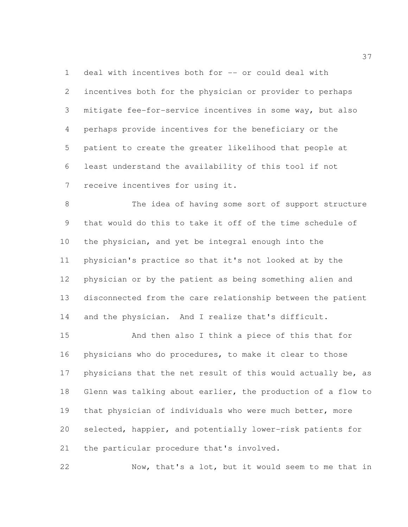deal with incentives both for -- or could deal with incentives both for the physician or provider to perhaps mitigate fee-for-service incentives in some way, but also perhaps provide incentives for the beneficiary or the patient to create the greater likelihood that people at least understand the availability of this tool if not receive incentives for using it.

 The idea of having some sort of support structure that would do this to take it off of the time schedule of the physician, and yet be integral enough into the physician's practice so that it's not looked at by the physician or by the patient as being something alien and disconnected from the care relationship between the patient and the physician. And I realize that's difficult.

 And then also I think a piece of this that for physicians who do procedures, to make it clear to those 17 physicians that the net result of this would actually be, as Glenn was talking about earlier, the production of a flow to that physician of individuals who were much better, more selected, happier, and potentially lower-risk patients for the particular procedure that's involved.

Now, that's a lot, but it would seem to me that in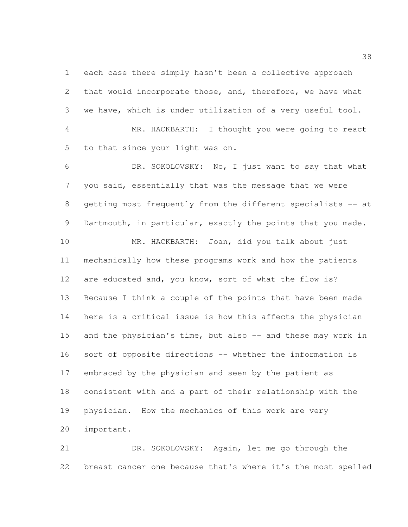each case there simply hasn't been a collective approach that would incorporate those, and, therefore, we have what we have, which is under utilization of a very useful tool.

 MR. HACKBARTH: I thought you were going to react to that since your light was on.

 DR. SOKOLOVSKY: No, I just want to say that what you said, essentially that was the message that we were 8 getting most frequently from the different specialists -- at Dartmouth, in particular, exactly the points that you made.

 MR. HACKBARTH: Joan, did you talk about just mechanically how these programs work and how the patients are educated and, you know, sort of what the flow is? Because I think a couple of the points that have been made here is a critical issue is how this affects the physician 15 and the physician's time, but also -- and these may work in sort of opposite directions -- whether the information is embraced by the physician and seen by the patient as consistent with and a part of their relationship with the physician. How the mechanics of this work are very important.

 DR. SOKOLOVSKY: Again, let me go through the breast cancer one because that's where it's the most spelled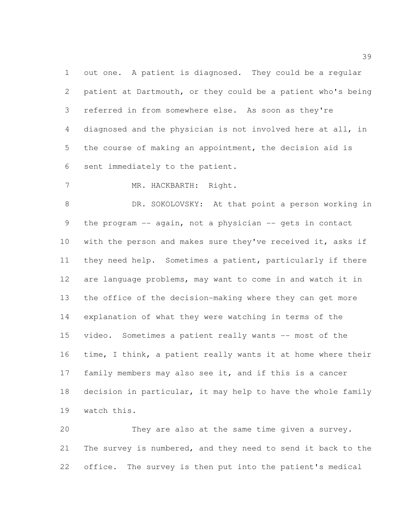out one. A patient is diagnosed. They could be a regular patient at Dartmouth, or they could be a patient who's being referred in from somewhere else. As soon as they're diagnosed and the physician is not involved here at all, in the course of making an appointment, the decision aid is sent immediately to the patient.

7 MR. HACKBARTH: Right.

 DR. SOKOLOVSKY: At that point a person working in the program -- again, not a physician -- gets in contact 10 with the person and makes sure they've received it, asks if they need help. Sometimes a patient, particularly if there are language problems, may want to come in and watch it in the office of the decision-making where they can get more explanation of what they were watching in terms of the video. Sometimes a patient really wants -- most of the time, I think, a patient really wants it at home where their family members may also see it, and if this is a cancer decision in particular, it may help to have the whole family watch this.

 They are also at the same time given a survey. The survey is numbered, and they need to send it back to the office. The survey is then put into the patient's medical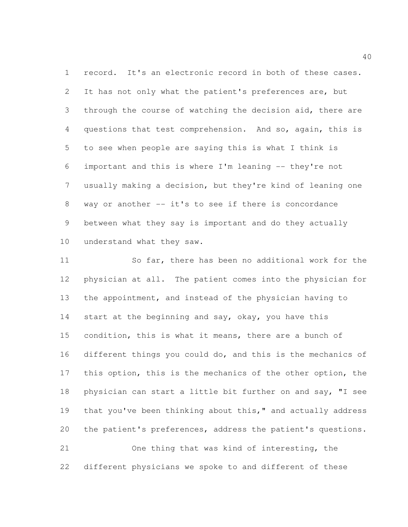record. It's an electronic record in both of these cases. 2 It has not only what the patient's preferences are, but through the course of watching the decision aid, there are questions that test comprehension. And so, again, this is to see when people are saying this is what I think is important and this is where I'm leaning -- they're not usually making a decision, but they're kind of leaning one 8 way or another -- it's to see if there is concordance between what they say is important and do they actually understand what they saw.

 So far, there has been no additional work for the physician at all. The patient comes into the physician for the appointment, and instead of the physician having to 14 start at the beginning and say, okay, you have this condition, this is what it means, there are a bunch of different things you could do, and this is the mechanics of 17 this option, this is the mechanics of the other option, the 18 physician can start a little bit further on and say, "I see 19 that you've been thinking about this," and actually address the patient's preferences, address the patient's questions. One thing that was kind of interesting, the

different physicians we spoke to and different of these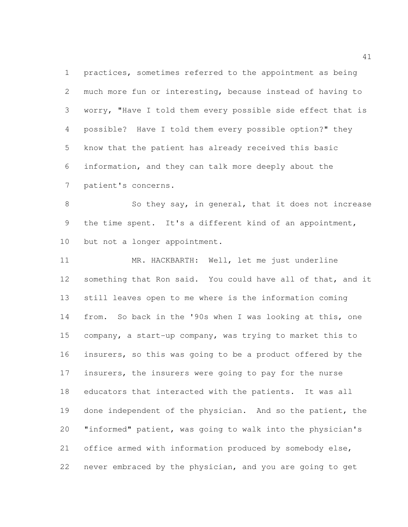practices, sometimes referred to the appointment as being much more fun or interesting, because instead of having to worry, "Have I told them every possible side effect that is possible? Have I told them every possible option?" they know that the patient has already received this basic information, and they can talk more deeply about the patient's concerns.

8 So they say, in general, that it does not increase the time spent. It's a different kind of an appointment, but not a longer appointment.

 MR. HACKBARTH: Well, let me just underline something that Ron said. You could have all of that, and it still leaves open to me where is the information coming from. So back in the '90s when I was looking at this, one company, a start-up company, was trying to market this to insurers, so this was going to be a product offered by the insurers, the insurers were going to pay for the nurse educators that interacted with the patients. It was all 19 done independent of the physician. And so the patient, the "informed" patient, was going to walk into the physician's office armed with information produced by somebody else, never embraced by the physician, and you are going to get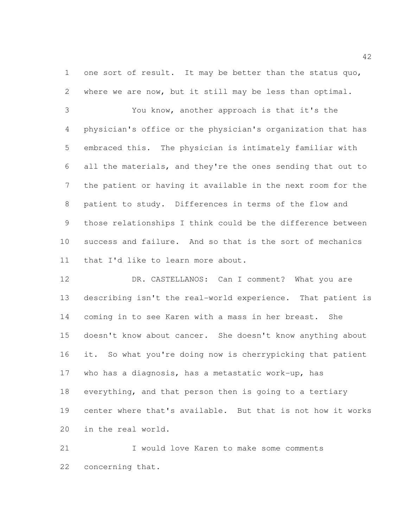1 one sort of result. It may be better than the status quo, where we are now, but it still may be less than optimal.

 You know, another approach is that it's the physician's office or the physician's organization that has embraced this. The physician is intimately familiar with all the materials, and they're the ones sending that out to the patient or having it available in the next room for the patient to study. Differences in terms of the flow and those relationships I think could be the difference between success and failure. And so that is the sort of mechanics that I'd like to learn more about.

 DR. CASTELLANOS: Can I comment? What you are describing isn't the real-world experience. That patient is coming in to see Karen with a mass in her breast. She doesn't know about cancer. She doesn't know anything about it. So what you're doing now is cherrypicking that patient who has a diagnosis, has a metastatic work-up, has everything, and that person then is going to a tertiary center where that's available. But that is not how it works in the real world.

 I would love Karen to make some comments concerning that.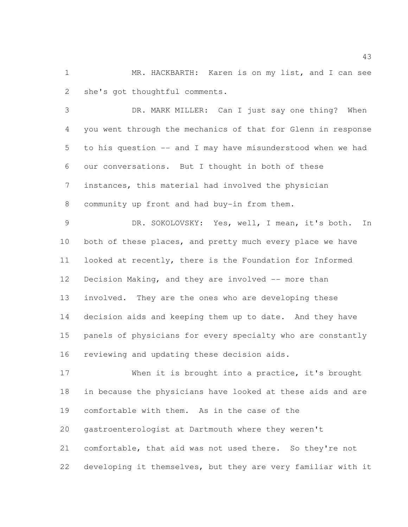1 MR. HACKBARTH: Karen is on my list, and I can see she's got thoughtful comments.

 DR. MARK MILLER: Can I just say one thing? When you went through the mechanics of that for Glenn in response to his question -- and I may have misunderstood when we had our conversations. But I thought in both of these instances, this material had involved the physician community up front and had buy-in from them.

 DR. SOKOLOVSKY: Yes, well, I mean, it's both. In 10 both of these places, and pretty much every place we have looked at recently, there is the Foundation for Informed 12 Decision Making, and they are involved -- more than involved. They are the ones who are developing these decision aids and keeping them up to date. And they have panels of physicians for every specialty who are constantly reviewing and updating these decision aids.

 When it is brought into a practice, it's brought in because the physicians have looked at these aids and are comfortable with them. As in the case of the gastroenterologist at Dartmouth where they weren't comfortable, that aid was not used there. So they're not developing it themselves, but they are very familiar with it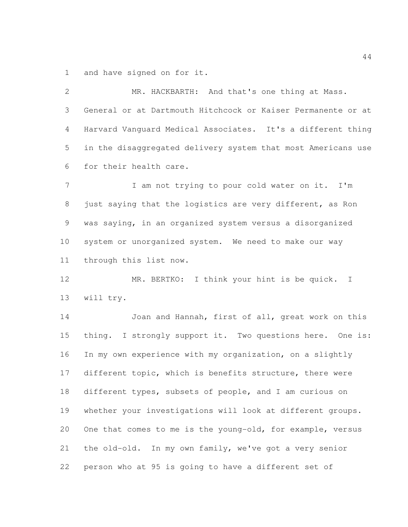and have signed on for it.

 MR. HACKBARTH: And that's one thing at Mass. General or at Dartmouth Hitchcock or Kaiser Permanente or at Harvard Vanguard Medical Associates. It's a different thing in the disaggregated delivery system that most Americans use for their health care. 7 I am not trying to pour cold water on it. I'm just saying that the logistics are very different, as Ron was saying, in an organized system versus a disorganized system or unorganized system. We need to make our way through this list now. MR. BERTKO: I think your hint is be quick. I will try. Joan and Hannah, first of all, great work on this

 thing. I strongly support it. Two questions here. One is: In my own experience with my organization, on a slightly different topic, which is benefits structure, there were different types, subsets of people, and I am curious on whether your investigations will look at different groups. One that comes to me is the young-old, for example, versus the old-old. In my own family, we've got a very senior person who at 95 is going to have a different set of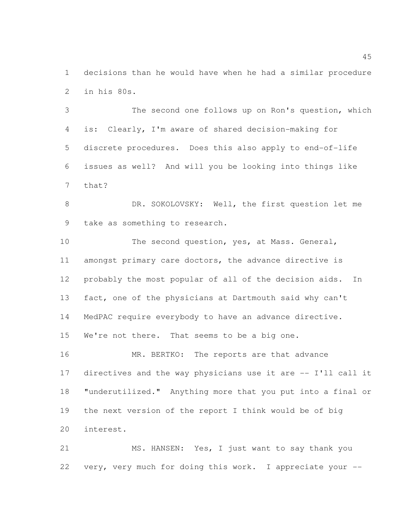decisions than he would have when he had a similar procedure in his 80s.

 The second one follows up on Ron's question, which is: Clearly, I'm aware of shared decision-making for discrete procedures. Does this also apply to end-of-life issues as well? And will you be looking into things like that?

8 DR. SOKOLOVSKY: Well, the first question let me take as something to research.

 The second question, yes, at Mass. General, amongst primary care doctors, the advance directive is probably the most popular of all of the decision aids. In fact, one of the physicians at Dartmouth said why can't MedPAC require everybody to have an advance directive. We're not there. That seems to be a big one.

16 MR. BERTKO: The reports are that advance directives and the way physicians use it are -- I'll call it "underutilized." Anything more that you put into a final or the next version of the report I think would be of big interest.

 MS. HANSEN: Yes, I just want to say thank you very, very much for doing this work. I appreciate your --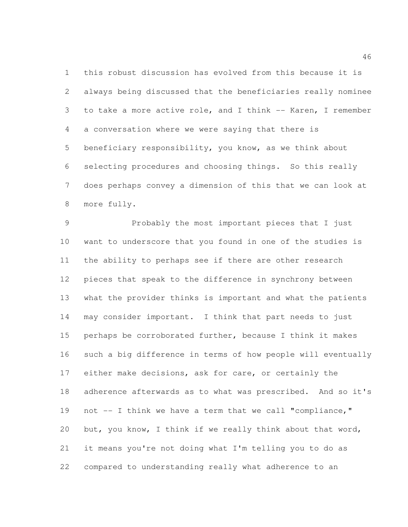this robust discussion has evolved from this because it is always being discussed that the beneficiaries really nominee to take a more active role, and I think -- Karen, I remember a conversation where we were saying that there is beneficiary responsibility, you know, as we think about selecting procedures and choosing things. So this really does perhaps convey a dimension of this that we can look at more fully.

 Probably the most important pieces that I just want to underscore that you found in one of the studies is the ability to perhaps see if there are other research pieces that speak to the difference in synchrony between what the provider thinks is important and what the patients may consider important. I think that part needs to just perhaps be corroborated further, because I think it makes such a big difference in terms of how people will eventually either make decisions, ask for care, or certainly the adherence afterwards as to what was prescribed. And so it's not -- I think we have a term that we call "compliance," but, you know, I think if we really think about that word, it means you're not doing what I'm telling you to do as compared to understanding really what adherence to an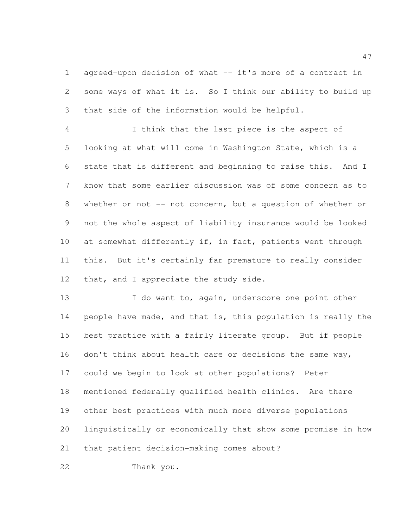agreed-upon decision of what -- it's more of a contract in some ways of what it is. So I think our ability to build up that side of the information would be helpful.

 I think that the last piece is the aspect of looking at what will come in Washington State, which is a state that is different and beginning to raise this. And I know that some earlier discussion was of some concern as to whether or not -- not concern, but a question of whether or not the whole aspect of liability insurance would be looked 10 at somewhat differently if, in fact, patients went through this. But it's certainly far premature to really consider 12 that, and I appreciate the study side.

13 I do want to, again, underscore one point other people have made, and that is, this population is really the best practice with a fairly literate group. But if people don't think about health care or decisions the same way, could we begin to look at other populations? Peter mentioned federally qualified health clinics. Are there other best practices with much more diverse populations linguistically or economically that show some promise in how that patient decision-making comes about?

Thank you.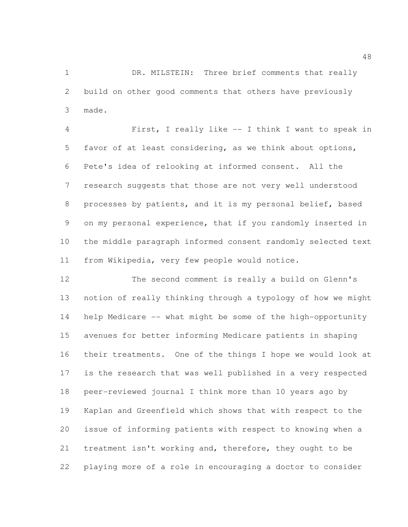DR. MILSTEIN: Three brief comments that really build on other good comments that others have previously made.

 First, I really like -- I think I want to speak in favor of at least considering, as we think about options, Pete's idea of relooking at informed consent. All the research suggests that those are not very well understood processes by patients, and it is my personal belief, based on my personal experience, that if you randomly inserted in the middle paragraph informed consent randomly selected text from Wikipedia, very few people would notice.

 The second comment is really a build on Glenn's notion of really thinking through a typology of how we might help Medicare -- what might be some of the high-opportunity avenues for better informing Medicare patients in shaping their treatments. One of the things I hope we would look at is the research that was well published in a very respected peer-reviewed journal I think more than 10 years ago by Kaplan and Greenfield which shows that with respect to the issue of informing patients with respect to knowing when a treatment isn't working and, therefore, they ought to be playing more of a role in encouraging a doctor to consider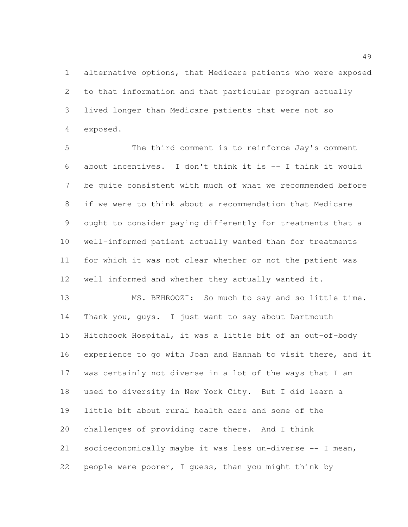alternative options, that Medicare patients who were exposed to that information and that particular program actually lived longer than Medicare patients that were not so exposed.

 The third comment is to reinforce Jay's comment about incentives. I don't think it is -- I think it would be quite consistent with much of what we recommended before if we were to think about a recommendation that Medicare ought to consider paying differently for treatments that a well-informed patient actually wanted than for treatments for which it was not clear whether or not the patient was well informed and whether they actually wanted it.

 MS. BEHROOZI: So much to say and so little time. Thank you, guys. I just want to say about Dartmouth Hitchcock Hospital, it was a little bit of an out-of-body experience to go with Joan and Hannah to visit there, and it was certainly not diverse in a lot of the ways that I am used to diversity in New York City. But I did learn a little bit about rural health care and some of the challenges of providing care there. And I think socioeconomically maybe it was less un-diverse -- I mean, people were poorer, I guess, than you might think by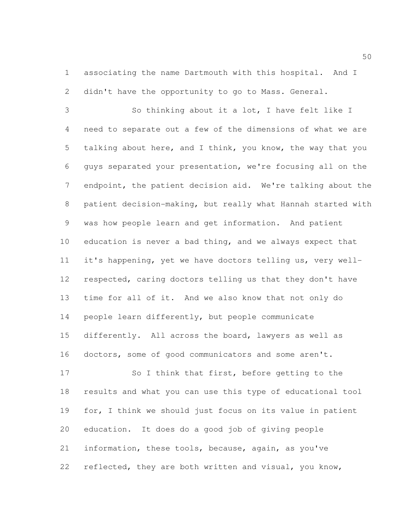associating the name Dartmouth with this hospital. And I didn't have the opportunity to go to Mass. General.

 So thinking about it a lot, I have felt like I need to separate out a few of the dimensions of what we are talking about here, and I think, you know, the way that you guys separated your presentation, we're focusing all on the endpoint, the patient decision aid. We're talking about the patient decision-making, but really what Hannah started with was how people learn and get information. And patient education is never a bad thing, and we always expect that it's happening, yet we have doctors telling us, very well- respected, caring doctors telling us that they don't have time for all of it. And we also know that not only do people learn differently, but people communicate differently. All across the board, lawyers as well as doctors, some of good communicators and some aren't.

 So I think that first, before getting to the results and what you can use this type of educational tool for, I think we should just focus on its value in patient education. It does do a good job of giving people information, these tools, because, again, as you've reflected, they are both written and visual, you know,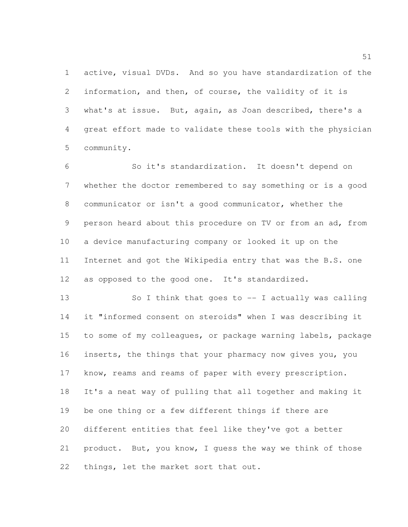active, visual DVDs. And so you have standardization of the information, and then, of course, the validity of it is what's at issue. But, again, as Joan described, there's a great effort made to validate these tools with the physician community.

 So it's standardization. It doesn't depend on whether the doctor remembered to say something or is a good communicator or isn't a good communicator, whether the person heard about this procedure on TV or from an ad, from a device manufacturing company or looked it up on the Internet and got the Wikipedia entry that was the B.S. one as opposed to the good one. It's standardized.

 So I think that goes to -- I actually was calling it "informed consent on steroids" when I was describing it to some of my colleagues, or package warning labels, package inserts, the things that your pharmacy now gives you, you know, reams and reams of paper with every prescription. It's a neat way of pulling that all together and making it be one thing or a few different things if there are different entities that feel like they've got a better product. But, you know, I guess the way we think of those things, let the market sort that out.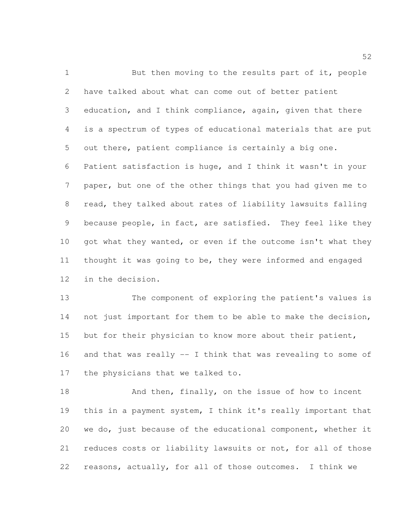1 But then moving to the results part of it, people have talked about what can come out of better patient education, and I think compliance, again, given that there is a spectrum of types of educational materials that are put out there, patient compliance is certainly a big one. Patient satisfaction is huge, and I think it wasn't in your paper, but one of the other things that you had given me to read, they talked about rates of liability lawsuits falling because people, in fact, are satisfied. They feel like they 10 got what they wanted, or even if the outcome isn't what they thought it was going to be, they were informed and engaged in the decision.

 The component of exploring the patient's values is not just important for them to be able to make the decision, 15 but for their physician to know more about their patient, and that was really -- I think that was revealing to some of the physicians that we talked to.

18 And then, finally, on the issue of how to incent this in a payment system, I think it's really important that we do, just because of the educational component, whether it reduces costs or liability lawsuits or not, for all of those reasons, actually, for all of those outcomes. I think we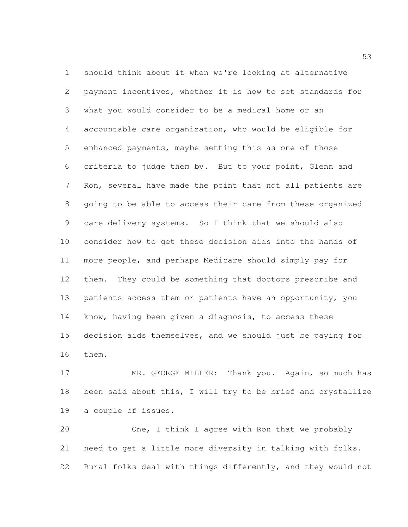should think about it when we're looking at alternative payment incentives, whether it is how to set standards for what you would consider to be a medical home or an accountable care organization, who would be eligible for enhanced payments, maybe setting this as one of those criteria to judge them by. But to your point, Glenn and Ron, several have made the point that not all patients are going to be able to access their care from these organized care delivery systems. So I think that we should also consider how to get these decision aids into the hands of more people, and perhaps Medicare should simply pay for them. They could be something that doctors prescribe and patients access them or patients have an opportunity, you know, having been given a diagnosis, to access these decision aids themselves, and we should just be paying for them.

17 MR. GEORGE MILLER: Thank you. Again, so much has been said about this, I will try to be brief and crystallize a couple of issues.

 One, I think I agree with Ron that we probably need to get a little more diversity in talking with folks. Rural folks deal with things differently, and they would not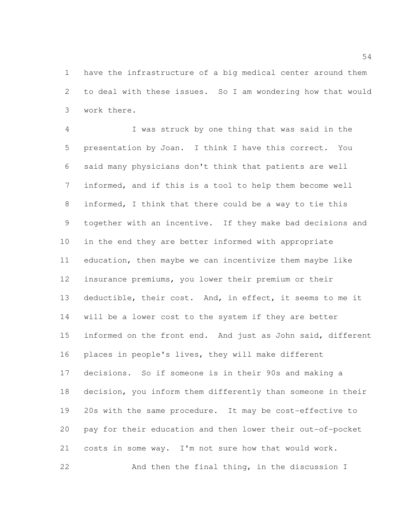have the infrastructure of a big medical center around them to deal with these issues. So I am wondering how that would work there.

 I was struck by one thing that was said in the presentation by Joan. I think I have this correct. You said many physicians don't think that patients are well informed, and if this is a tool to help them become well informed, I think that there could be a way to tie this together with an incentive. If they make bad decisions and in the end they are better informed with appropriate education, then maybe we can incentivize them maybe like insurance premiums, you lower their premium or their deductible, their cost. And, in effect, it seems to me it will be a lower cost to the system if they are better informed on the front end. And just as John said, different places in people's lives, they will make different decisions. So if someone is in their 90s and making a decision, you inform them differently than someone in their 20s with the same procedure. It may be cost-effective to pay for their education and then lower their out-of-pocket costs in some way. I'm not sure how that would work. And then the final thing, in the discussion I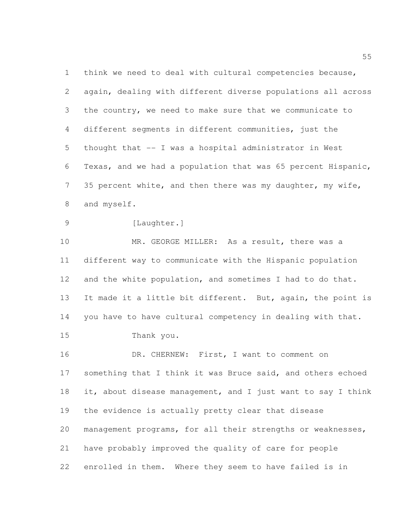think we need to deal with cultural competencies because, again, dealing with different diverse populations all across the country, we need to make sure that we communicate to different segments in different communities, just the thought that -- I was a hospital administrator in West Texas, and we had a population that was 65 percent Hispanic, 35 percent white, and then there was my daughter, my wife, and myself.

9 [Laughter.]

10 MR. GEORGE MILLER: As a result, there was a different way to communicate with the Hispanic population 12 and the white population, and sometimes I had to do that. It made it a little bit different. But, again, the point is you have to have cultural competency in dealing with that. Thank you.

16 DR. CHERNEW: First, I want to comment on something that I think it was Bruce said, and others echoed 18 it, about disease management, and I just want to say I think the evidence is actually pretty clear that disease management programs, for all their strengths or weaknesses, have probably improved the quality of care for people enrolled in them. Where they seem to have failed is in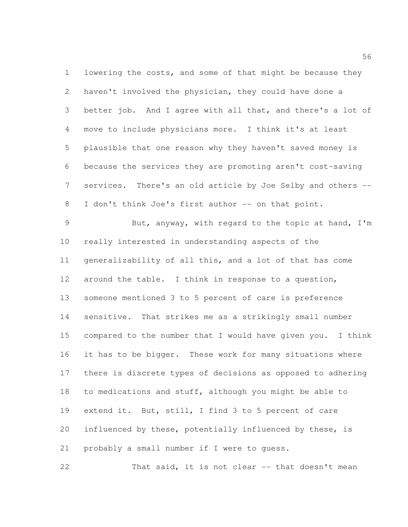lowering the costs, and some of that might be because they haven't involved the physician, they could have done a better job. And I agree with all that, and there's a lot of move to include physicians more. I think it's at least plausible that one reason why they haven't saved money is because the services they are promoting aren't cost-saving services. There's an old article by Joe Selby and others -- 8 I don't think Joe's first author -- on that point.

 But, anyway, with regard to the topic at hand, I'm really interested in understanding aspects of the generalizability of all this, and a lot of that has come around the table. I think in response to a question, someone mentioned 3 to 5 percent of care is preference sensitive. That strikes me as a strikingly small number compared to the number that I would have given you. I think it has to be bigger. These work for many situations where there is discrete types of decisions as opposed to adhering to medications and stuff, although you might be able to extend it. But, still, I find 3 to 5 percent of care influenced by these, potentially influenced by these, is probably a small number if I were to guess.

That said, it is not clear -- that doesn't mean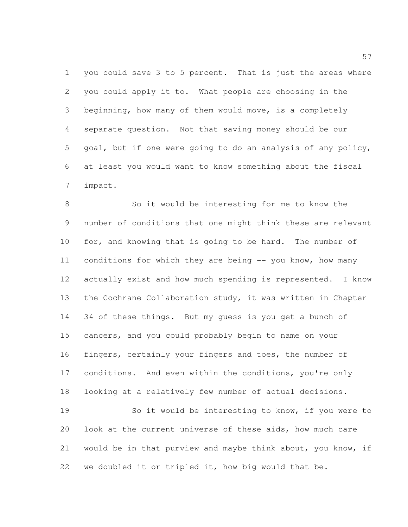you could save 3 to 5 percent. That is just the areas where you could apply it to. What people are choosing in the beginning, how many of them would move, is a completely separate question. Not that saving money should be our goal, but if one were going to do an analysis of any policy, at least you would want to know something about the fiscal impact.

 So it would be interesting for me to know the number of conditions that one might think these are relevant for, and knowing that is going to be hard. The number of conditions for which they are being -- you know, how many actually exist and how much spending is represented. I know the Cochrane Collaboration study, it was written in Chapter 34 of these things. But my guess is you get a bunch of cancers, and you could probably begin to name on your fingers, certainly your fingers and toes, the number of conditions. And even within the conditions, you're only looking at a relatively few number of actual decisions. So it would be interesting to know, if you were to

 would be in that purview and maybe think about, you know, if we doubled it or tripled it, how big would that be.

look at the current universe of these aids, how much care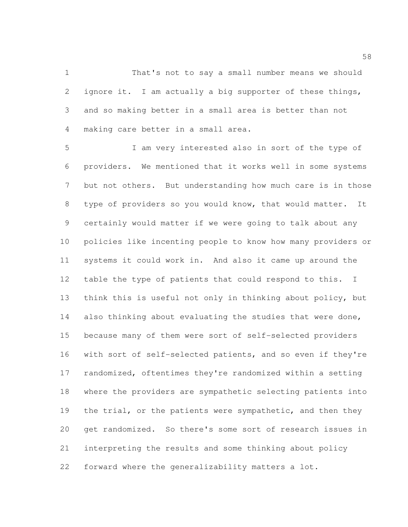That's not to say a small number means we should ignore it. I am actually a big supporter of these things, and so making better in a small area is better than not making care better in a small area.

 I am very interested also in sort of the type of providers. We mentioned that it works well in some systems but not others. But understanding how much care is in those type of providers so you would know, that would matter. It certainly would matter if we were going to talk about any policies like incenting people to know how many providers or systems it could work in. And also it came up around the table the type of patients that could respond to this. I think this is useful not only in thinking about policy, but 14 also thinking about evaluating the studies that were done, because many of them were sort of self-selected providers with sort of self-selected patients, and so even if they're randomized, oftentimes they're randomized within a setting where the providers are sympathetic selecting patients into 19 the trial, or the patients were sympathetic, and then they get randomized. So there's some sort of research issues in interpreting the results and some thinking about policy forward where the generalizability matters a lot.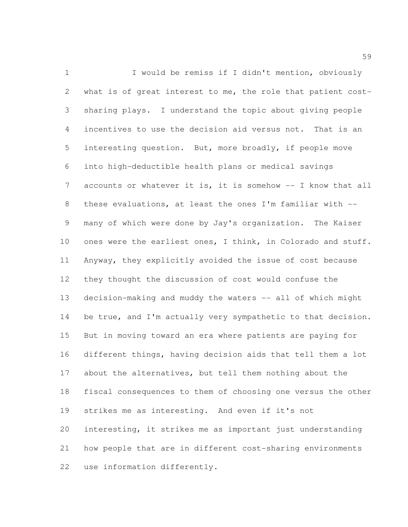1 I would be remiss if I didn't mention, obviously what is of great interest to me, the role that patient cost- sharing plays. I understand the topic about giving people incentives to use the decision aid versus not. That is an interesting question. But, more broadly, if people move into high-deductible health plans or medical savings accounts or whatever it is, it is somehow -- I know that all these evaluations, at least the ones I'm familiar with -- many of which were done by Jay's organization. The Kaiser ones were the earliest ones, I think, in Colorado and stuff. Anyway, they explicitly avoided the issue of cost because they thought the discussion of cost would confuse the decision-making and muddy the waters -- all of which might 14 be true, and I'm actually very sympathetic to that decision. But in moving toward an era where patients are paying for different things, having decision aids that tell them a lot about the alternatives, but tell them nothing about the fiscal consequences to them of choosing one versus the other strikes me as interesting. And even if it's not interesting, it strikes me as important just understanding how people that are in different cost-sharing environments use information differently.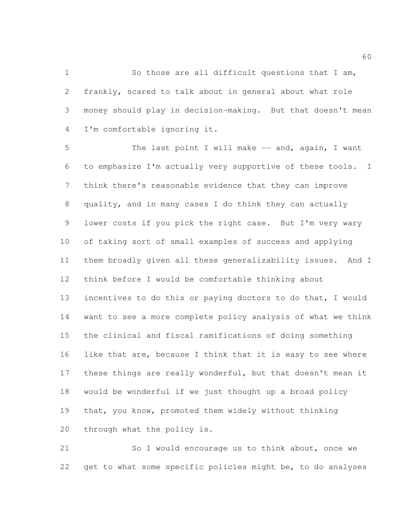So those are all difficult questions that I am, frankly, scared to talk about in general about what role money should play in decision-making. But that doesn't mean I'm comfortable ignoring it.

5 The last point I will make -- and, again, I want to emphasize I'm actually very supportive of these tools. I think there's reasonable evidence that they can improve quality, and in many cases I do think they can actually lower costs if you pick the right case. But I'm very wary of taking sort of small examples of success and applying them broadly given all these generalizability issues. And I think before I would be comfortable thinking about incentives to do this or paying doctors to do that, I would want to see a more complete policy analysis of what we think the clinical and fiscal ramifications of doing something like that are, because I think that it is easy to see where these things are really wonderful, but that doesn't mean it would be wonderful if we just thought up a broad policy that, you know, promoted them widely without thinking through what the policy is.

 So I would encourage us to think about, once we get to what some specific policies might be, to do analyses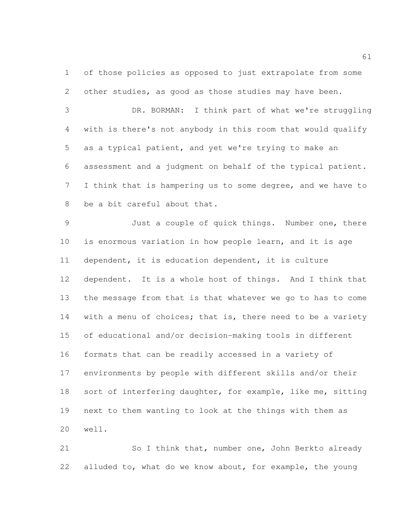of those policies as opposed to just extrapolate from some other studies, as good as those studies may have been.

 DR. BORMAN: I think part of what we're struggling with is there's not anybody in this room that would qualify as a typical patient, and yet we're trying to make an assessment and a judgment on behalf of the typical patient. I think that is hampering us to some degree, and we have to be a bit careful about that.

 Just a couple of quick things. Number one, there is enormous variation in how people learn, and it is age dependent, it is education dependent, it is culture dependent. It is a whole host of things. And I think that the message from that is that whatever we go to has to come 14 with a menu of choices; that is, there need to be a variety of educational and/or decision-making tools in different formats that can be readily accessed in a variety of environments by people with different skills and/or their sort of interfering daughter, for example, like me, sitting next to them wanting to look at the things with them as well.

21 So I think that, number one, John Berkto already alluded to, what do we know about, for example, the young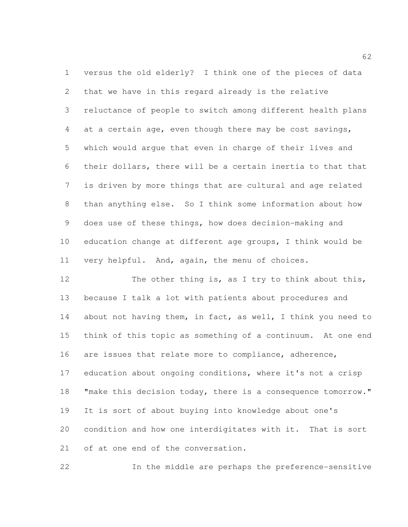versus the old elderly? I think one of the pieces of data that we have in this regard already is the relative reluctance of people to switch among different health plans at a certain age, even though there may be cost savings, which would argue that even in charge of their lives and their dollars, there will be a certain inertia to that that is driven by more things that are cultural and age related than anything else. So I think some information about how does use of these things, how does decision-making and education change at different age groups, I think would be very helpful. And, again, the menu of choices.

12 The other thing is, as I try to think about this, because I talk a lot with patients about procedures and about not having them, in fact, as well, I think you need to think of this topic as something of a continuum. At one end are issues that relate more to compliance, adherence, education about ongoing conditions, where it's not a crisp 18 "make this decision today, there is a consequence tomorrow." It is sort of about buying into knowledge about one's condition and how one interdigitates with it. That is sort of at one end of the conversation.

In the middle are perhaps the preference-sensitive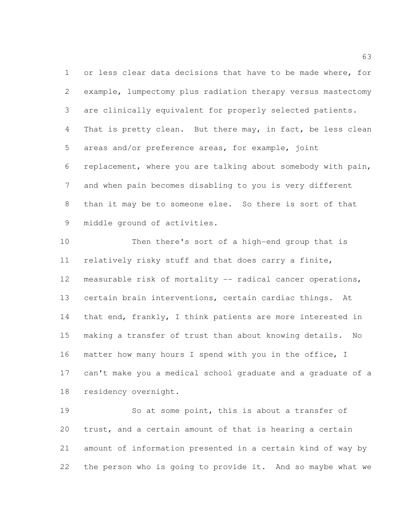or less clear data decisions that have to be made where, for example, lumpectomy plus radiation therapy versus mastectomy are clinically equivalent for properly selected patients. 4 That is pretty clean. But there may, in fact, be less clean areas and/or preference areas, for example, joint replacement, where you are talking about somebody with pain, and when pain becomes disabling to you is very different than it may be to someone else. So there is sort of that middle ground of activities.

 Then there's sort of a high-end group that is relatively risky stuff and that does carry a finite, measurable risk of mortality -- radical cancer operations, certain brain interventions, certain cardiac things. At that end, frankly, I think patients are more interested in making a transfer of trust than about knowing details. No matter how many hours I spend with you in the office, I can't make you a medical school graduate and a graduate of a residency overnight.

 So at some point, this is about a transfer of trust, and a certain amount of that is hearing a certain amount of information presented in a certain kind of way by the person who is going to provide it. And so maybe what we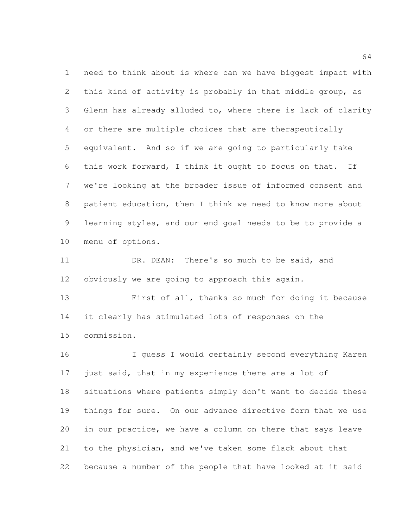need to think about is where can we have biggest impact with this kind of activity is probably in that middle group, as Glenn has already alluded to, where there is lack of clarity or there are multiple choices that are therapeutically equivalent. And so if we are going to particularly take this work forward, I think it ought to focus on that. If we're looking at the broader issue of informed consent and patient education, then I think we need to know more about learning styles, and our end goal needs to be to provide a menu of options.

 DR. DEAN: There's so much to be said, and obviously we are going to approach this again.

 First of all, thanks so much for doing it because it clearly has stimulated lots of responses on the commission.

 I guess I would certainly second everything Karen 17 just said, that in my experience there are a lot of situations where patients simply don't want to decide these things for sure. On our advance directive form that we use in our practice, we have a column on there that says leave to the physician, and we've taken some flack about that because a number of the people that have looked at it said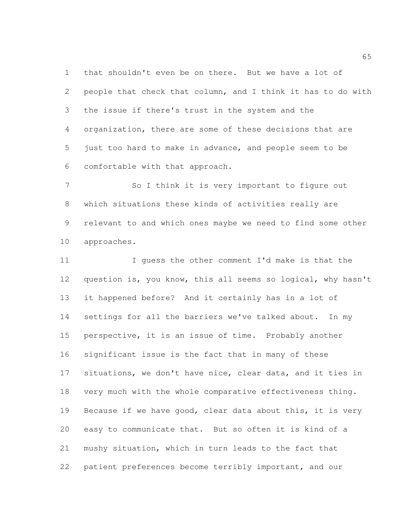that shouldn't even be on there. But we have a lot of people that check that column, and I think it has to do with the issue if there's trust in the system and the organization, there are some of these decisions that are just too hard to make in advance, and people seem to be comfortable with that approach.

 So I think it is very important to figure out which situations these kinds of activities really are relevant to and which ones maybe we need to find some other approaches.

 I guess the other comment I'd make is that the question is, you know, this all seems so logical, why hasn't it happened before? And it certainly has in a lot of settings for all the barriers we've talked about. In my perspective, it is an issue of time. Probably another significant issue is the fact that in many of these situations, we don't have nice, clear data, and it ties in very much with the whole comparative effectiveness thing. Because if we have good, clear data about this, it is very easy to communicate that. But so often it is kind of a mushy situation, which in turn leads to the fact that 22 patient preferences become terribly important, and our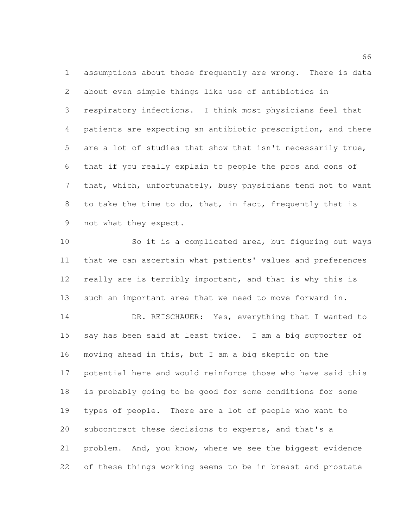assumptions about those frequently are wrong. There is data about even simple things like use of antibiotics in respiratory infections. I think most physicians feel that patients are expecting an antibiotic prescription, and there are a lot of studies that show that isn't necessarily true, that if you really explain to people the pros and cons of that, which, unfortunately, busy physicians tend not to want to take the time to do, that, in fact, frequently that is not what they expect.

 So it is a complicated area, but figuring out ways that we can ascertain what patients' values and preferences 12 really are is terribly important, and that is why this is such an important area that we need to move forward in.

 DR. REISCHAUER: Yes, everything that I wanted to say has been said at least twice. I am a big supporter of moving ahead in this, but I am a big skeptic on the potential here and would reinforce those who have said this is probably going to be good for some conditions for some types of people. There are a lot of people who want to subcontract these decisions to experts, and that's a problem. And, you know, where we see the biggest evidence of these things working seems to be in breast and prostate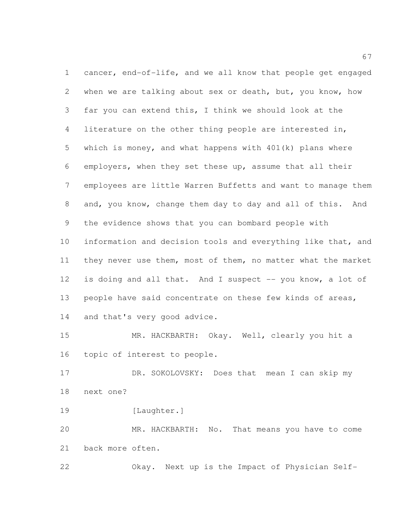cancer, end-of-life, and we all know that people get engaged when we are talking about sex or death, but, you know, how far you can extend this, I think we should look at the literature on the other thing people are interested in, which is money, and what happens with 401(k) plans where employers, when they set these up, assume that all their employees are little Warren Buffetts and want to manage them and, you know, change them day to day and all of this. And the evidence shows that you can bombard people with information and decision tools and everything like that, and they never use them, most of them, no matter what the market is doing and all that. And I suspect -- you know, a lot of people have said concentrate on these few kinds of areas, 14 and that's very good advice. MR. HACKBARTH: Okay. Well, clearly you hit a topic of interest to people. 17 DR. SOKOLOVSKY: Does that mean I can skip my next one? 19 [Laughter.]

 MR. HACKBARTH: No. That means you have to come back more often.

Okay. Next up is the Impact of Physician Self-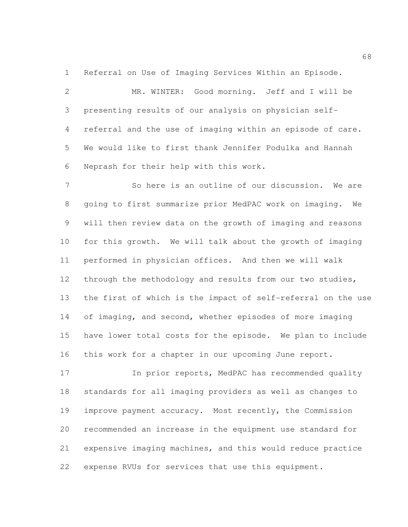Referral on Use of Imaging Services Within an Episode.

 MR. WINTER: Good morning. Jeff and I will be presenting results of our analysis on physician self- referral and the use of imaging within an episode of care. We would like to first thank Jennifer Podulka and Hannah Neprash for their help with this work.

 So here is an outline of our discussion. We are going to first summarize prior MedPAC work on imaging. We will then review data on the growth of imaging and reasons for this growth. We will talk about the growth of imaging performed in physician offices. And then we will walk through the methodology and results from our two studies, the first of which is the impact of self-referral on the use 14 of imaging, and second, whether episodes of more imaging have lower total costs for the episode. We plan to include this work for a chapter in our upcoming June report.

17 In prior reports, MedPAC has recommended quality standards for all imaging providers as well as changes to improve payment accuracy. Most recently, the Commission recommended an increase in the equipment use standard for expensive imaging machines, and this would reduce practice expense RVUs for services that use this equipment.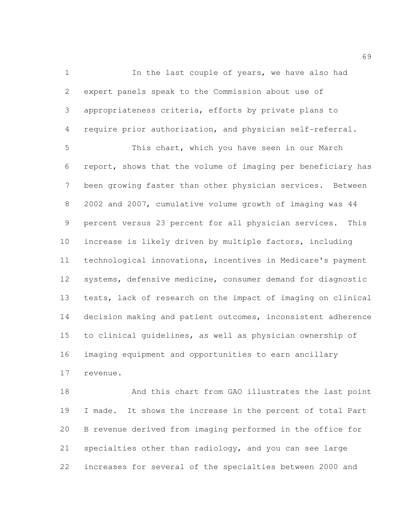1 In the last couple of years, we have also had expert panels speak to the Commission about use of appropriateness criteria, efforts by private plans to require prior authorization, and physician self-referral.

 This chart, which you have seen in our March report, shows that the volume of imaging per beneficiary has been growing faster than other physician services. Between 2002 and 2007, cumulative volume growth of imaging was 44 percent versus 23 percent for all physician services. This increase is likely driven by multiple factors, including technological innovations, incentives in Medicare's payment systems, defensive medicine, consumer demand for diagnostic tests, lack of research on the impact of imaging on clinical decision making and patient outcomes, inconsistent adherence to clinical guidelines, as well as physician ownership of imaging equipment and opportunities to earn ancillary revenue.

18 And this chart from GAO illustrates the last point I made. It shows the increase in the percent of total Part B revenue derived from imaging performed in the office for specialties other than radiology, and you can see large increases for several of the specialties between 2000 and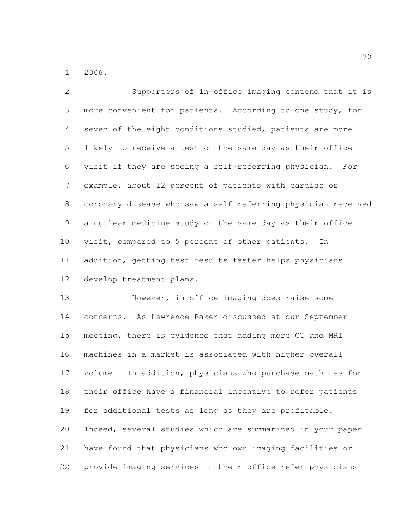2006.

 Supporters of in-office imaging contend that it is more convenient for patients. According to one study, for seven of the eight conditions studied, patients are more likely to receive a test on the same day as their office visit if they are seeing a self-referring physician. For example, about 12 percent of patients with cardiac or coronary disease who saw a self-referring physician received a nuclear medicine study on the same day as their office visit, compared to 5 percent of other patients. In addition, getting test results faster helps physicians develop treatment plans.

 However, in-office imaging does raise some concerns. As Lawrence Baker discussed at our September meeting, there is evidence that adding more CT and MRI machines in a market is associated with higher overall volume. In addition, physicians who purchase machines for their office have a financial incentive to refer patients for additional tests as long as they are profitable. Indeed, several studies which are summarized in your paper have found that physicians who own imaging facilities or provide imaging services in their office refer physicians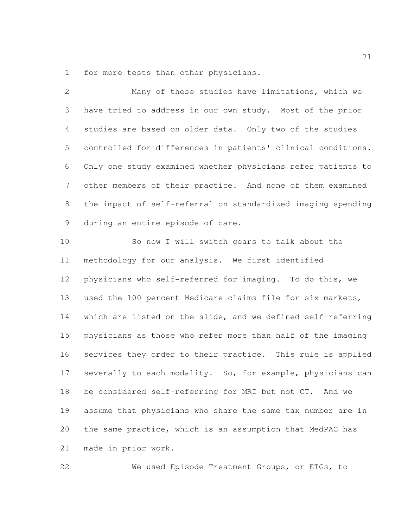for more tests than other physicians.

 Many of these studies have limitations, which we have tried to address in our own study. Most of the prior studies are based on older data. Only two of the studies controlled for differences in patients' clinical conditions. Only one study examined whether physicians refer patients to other members of their practice. And none of them examined the impact of self-referral on standardized imaging spending during an entire episode of care.

 So now I will switch gears to talk about the methodology for our analysis. We first identified physicians who self-referred for imaging. To do this, we used the 100 percent Medicare claims file for six markets, which are listed on the slide, and we defined self-referring physicians as those who refer more than half of the imaging services they order to their practice. This rule is applied 17 severally to each modality. So, for example, physicians can be considered self-referring for MRI but not CT. And we assume that physicians who share the same tax number are in the same practice, which is an assumption that MedPAC has made in prior work.

We used Episode Treatment Groups, or ETGs, to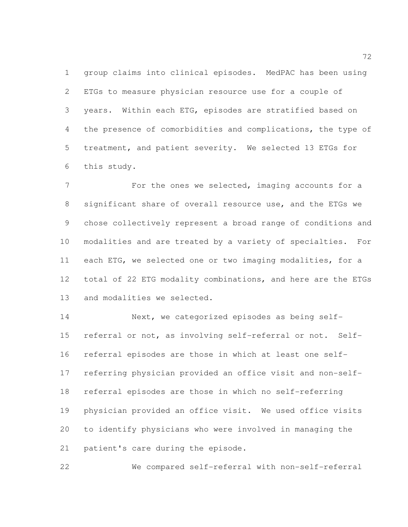group claims into clinical episodes. MedPAC has been using ETGs to measure physician resource use for a couple of years. Within each ETG, episodes are stratified based on 4 the presence of comorbidities and complications, the type of treatment, and patient severity. We selected 13 ETGs for this study.

7 For the ones we selected, imaging accounts for a significant share of overall resource use, and the ETGs we chose collectively represent a broad range of conditions and modalities and are treated by a variety of specialties. For each ETG, we selected one or two imaging modalities, for a total of 22 ETG modality combinations, and here are the ETGs and modalities we selected.

 Next, we categorized episodes as being self- referral or not, as involving self-referral or not. Self- referral episodes are those in which at least one self- referring physician provided an office visit and non-self- referral episodes are those in which no self-referring physician provided an office visit. We used office visits to identify physicians who were involved in managing the patient's care during the episode.

We compared self-referral with non-self-referral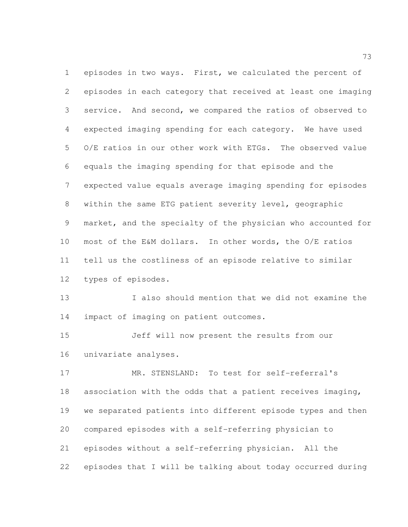episodes in two ways. First, we calculated the percent of episodes in each category that received at least one imaging service. And second, we compared the ratios of observed to expected imaging spending for each category. We have used O/E ratios in our other work with ETGs. The observed value equals the imaging spending for that episode and the expected value equals average imaging spending for episodes within the same ETG patient severity level, geographic market, and the specialty of the physician who accounted for most of the E&M dollars. In other words, the O/E ratios tell us the costliness of an episode relative to similar types of episodes.

 I also should mention that we did not examine the impact of imaging on patient outcomes.

 Jeff will now present the results from our univariate analyses.

 MR. STENSLAND: To test for self-referral's association with the odds that a patient receives imaging, we separated patients into different episode types and then compared episodes with a self-referring physician to episodes without a self-referring physician. All the episodes that I will be talking about today occurred during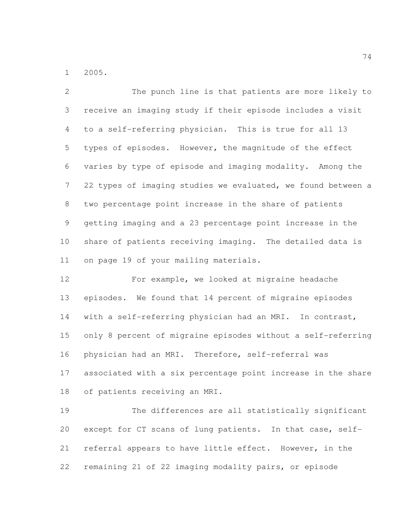2005.

 The punch line is that patients are more likely to receive an imaging study if their episode includes a visit to a self-referring physician. This is true for all 13 types of episodes. However, the magnitude of the effect varies by type of episode and imaging modality. Among the 22 types of imaging studies we evaluated, we found between a two percentage point increase in the share of patients getting imaging and a 23 percentage point increase in the share of patients receiving imaging. The detailed data is on page 19 of your mailing materials.

 For example, we looked at migraine headache episodes. We found that 14 percent of migraine episodes with a self-referring physician had an MRI. In contrast, only 8 percent of migraine episodes without a self-referring physician had an MRI. Therefore, self-referral was associated with a six percentage point increase in the share of patients receiving an MRI.

 The differences are all statistically significant except for CT scans of lung patients. In that case, self- referral appears to have little effect. However, in the remaining 21 of 22 imaging modality pairs, or episode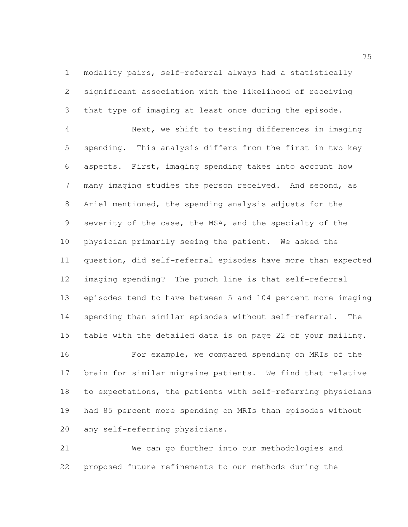modality pairs, self-referral always had a statistically significant association with the likelihood of receiving that type of imaging at least once during the episode.

 Next, we shift to testing differences in imaging spending. This analysis differs from the first in two key aspects. First, imaging spending takes into account how many imaging studies the person received. And second, as Ariel mentioned, the spending analysis adjusts for the severity of the case, the MSA, and the specialty of the physician primarily seeing the patient. We asked the question, did self-referral episodes have more than expected imaging spending? The punch line is that self-referral episodes tend to have between 5 and 104 percent more imaging spending than similar episodes without self-referral. The table with the detailed data is on page 22 of your mailing.

 For example, we compared spending on MRIs of the brain for similar migraine patients. We find that relative to expectations, the patients with self-referring physicians had 85 percent more spending on MRIs than episodes without any self-referring physicians.

 We can go further into our methodologies and proposed future refinements to our methods during the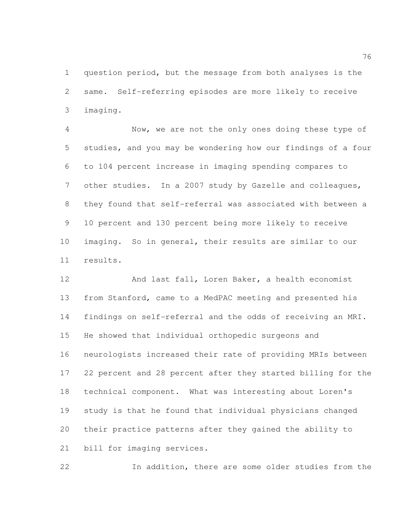question period, but the message from both analyses is the same. Self-referring episodes are more likely to receive imaging.

 Now, we are not the only ones doing these type of studies, and you may be wondering how our findings of a four to 104 percent increase in imaging spending compares to other studies. In a 2007 study by Gazelle and colleagues, they found that self-referral was associated with between a 10 percent and 130 percent being more likely to receive imaging. So in general, their results are similar to our results.

 And last fall, Loren Baker, a health economist from Stanford, came to a MedPAC meeting and presented his findings on self-referral and the odds of receiving an MRI. He showed that individual orthopedic surgeons and neurologists increased their rate of providing MRIs between 22 percent and 28 percent after they started billing for the technical component. What was interesting about Loren's study is that he found that individual physicians changed their practice patterns after they gained the ability to bill for imaging services.

In addition, there are some older studies from the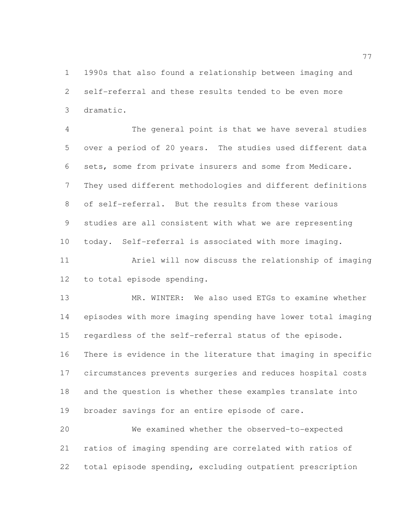1990s that also found a relationship between imaging and self-referral and these results tended to be even more dramatic.

 The general point is that we have several studies over a period of 20 years. The studies used different data sets, some from private insurers and some from Medicare. They used different methodologies and different definitions of self-referral. But the results from these various studies are all consistent with what we are representing today. Self-referral is associated with more imaging.

 Ariel will now discuss the relationship of imaging to total episode spending.

 MR. WINTER: We also used ETGs to examine whether episodes with more imaging spending have lower total imaging regardless of the self-referral status of the episode. There is evidence in the literature that imaging in specific circumstances prevents surgeries and reduces hospital costs and the question is whether these examples translate into broader savings for an entire episode of care.

 We examined whether the observed-to-expected ratios of imaging spending are correlated with ratios of total episode spending, excluding outpatient prescription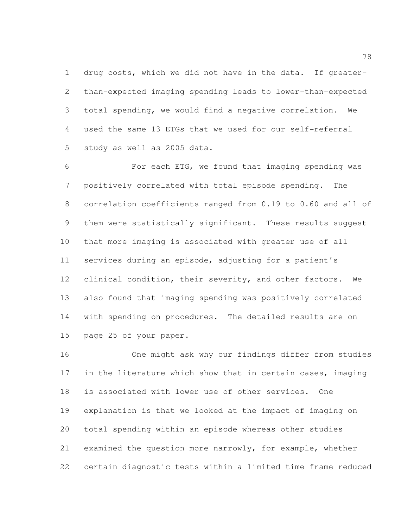drug costs, which we did not have in the data. If greater- than-expected imaging spending leads to lower-than-expected total spending, we would find a negative correlation. We used the same 13 ETGs that we used for our self-referral study as well as 2005 data.

 For each ETG, we found that imaging spending was positively correlated with total episode spending. The correlation coefficients ranged from 0.19 to 0.60 and all of them were statistically significant. These results suggest that more imaging is associated with greater use of all services during an episode, adjusting for a patient's 12 clinical condition, their severity, and other factors. We also found that imaging spending was positively correlated with spending on procedures. The detailed results are on page 25 of your paper.

 One might ask why our findings differ from studies 17 in the literature which show that in certain cases, imaging is associated with lower use of other services. One explanation is that we looked at the impact of imaging on total spending within an episode whereas other studies examined the question more narrowly, for example, whether certain diagnostic tests within a limited time frame reduced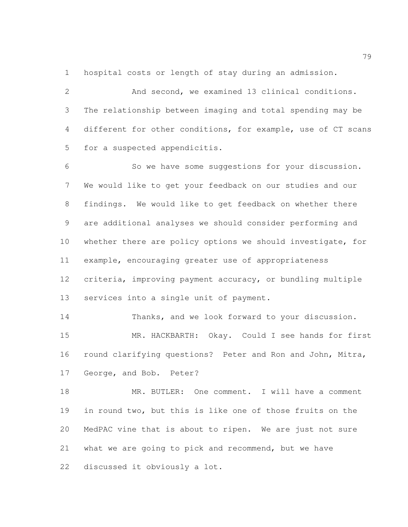hospital costs or length of stay during an admission.

 And second, we examined 13 clinical conditions. The relationship between imaging and total spending may be different for other conditions, for example, use of CT scans for a suspected appendicitis.

 So we have some suggestions for your discussion. We would like to get your feedback on our studies and our findings. We would like to get feedback on whether there are additional analyses we should consider performing and whether there are policy options we should investigate, for example, encouraging greater use of appropriateness criteria, improving payment accuracy, or bundling multiple services into a single unit of payment.

 Thanks, and we look forward to your discussion. MR. HACKBARTH: Okay. Could I see hands for first round clarifying questions? Peter and Ron and John, Mitra, George, and Bob. Peter?

 MR. BUTLER: One comment. I will have a comment in round two, but this is like one of those fruits on the MedPAC vine that is about to ripen. We are just not sure what we are going to pick and recommend, but we have discussed it obviously a lot.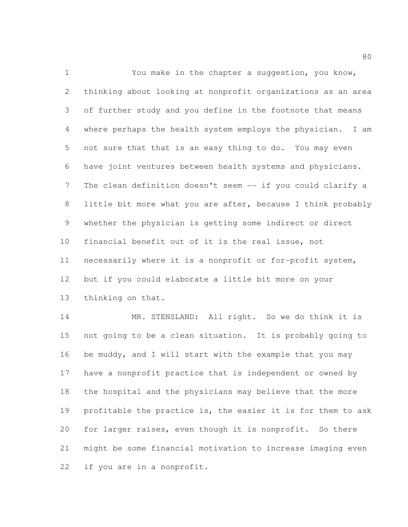You make in the chapter a suggestion, you know, thinking about looking at nonprofit organizations as an area of further study and you define in the footnote that means where perhaps the health system employs the physician. I am not sure that that is an easy thing to do. You may even have joint ventures between health systems and physicians. 7 The clean definition doesn't seem -- if you could clarify a little bit more what you are after, because I think probably whether the physician is getting some indirect or direct financial benefit out of it is the real issue, not necessarily where it is a nonprofit or for-profit system, but if you could elaborate a little bit more on your thinking on that. 14 MR. STENSLAND: All right. So we do think it is

 not going to be a clean situation. It is probably going to be muddy, and I will start with the example that you may have a nonprofit practice that is independent or owned by the hospital and the physicians may believe that the more profitable the practice is, the easier it is for them to ask for larger raises, even though it is nonprofit. So there might be some financial motivation to increase imaging even if you are in a nonprofit.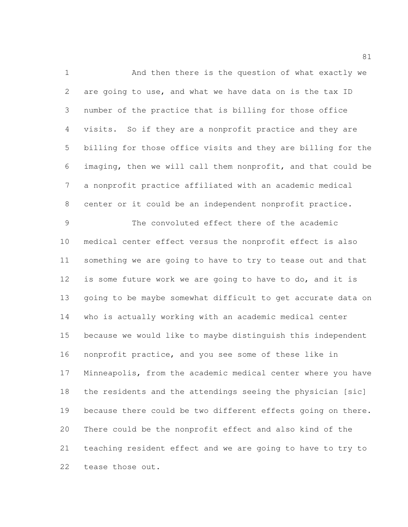And then there is the question of what exactly we are going to use, and what we have data on is the tax ID number of the practice that is billing for those office visits. So if they are a nonprofit practice and they are billing for those office visits and they are billing for the imaging, then we will call them nonprofit, and that could be a nonprofit practice affiliated with an academic medical center or it could be an independent nonprofit practice. The convoluted effect there of the academic

 medical center effect versus the nonprofit effect is also something we are going to have to try to tease out and that is some future work we are going to have to do, and it is going to be maybe somewhat difficult to get accurate data on who is actually working with an academic medical center because we would like to maybe distinguish this independent nonprofit practice, and you see some of these like in Minneapolis, from the academic medical center where you have the residents and the attendings seeing the physician [sic] because there could be two different effects going on there. There could be the nonprofit effect and also kind of the teaching resident effect and we are going to have to try to tease those out.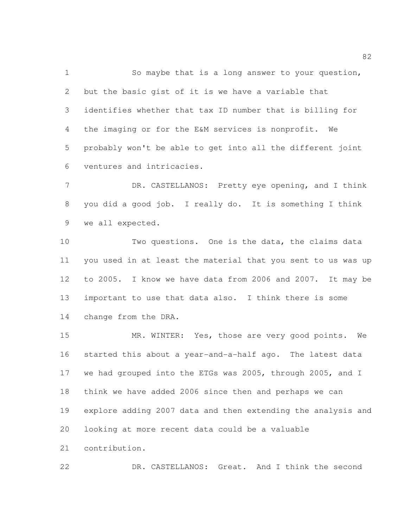So maybe that is a long answer to your question, but the basic gist of it is we have a variable that identifies whether that tax ID number that is billing for the imaging or for the E&M services is nonprofit. We probably won't be able to get into all the different joint ventures and intricacies.

7 DR. CASTELLANOS: Pretty eye opening, and I think you did a good job. I really do. It is something I think we all expected.

 Two questions. One is the data, the claims data you used in at least the material that you sent to us was up to 2005. I know we have data from 2006 and 2007. It may be important to use that data also. I think there is some change from the DRA.

 MR. WINTER: Yes, those are very good points. We started this about a year-and-a-half ago. The latest data we had grouped into the ETGs was 2005, through 2005, and I think we have added 2006 since then and perhaps we can explore adding 2007 data and then extending the analysis and looking at more recent data could be a valuable contribution.

DR. CASTELLANOS: Great. And I think the second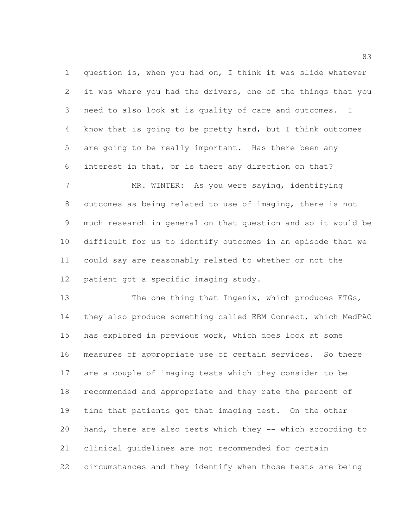question is, when you had on, I think it was slide whatever it was where you had the drivers, one of the things that you need to also look at is quality of care and outcomes. I know that is going to be pretty hard, but I think outcomes are going to be really important. Has there been any interest in that, or is there any direction on that?

7 MR. WINTER: As you were saying, identifying outcomes as being related to use of imaging, there is not much research in general on that question and so it would be difficult for us to identify outcomes in an episode that we could say are reasonably related to whether or not the patient got a specific imaging study.

 The one thing that Ingenix, which produces ETGs, they also produce something called EBM Connect, which MedPAC has explored in previous work, which does look at some measures of appropriate use of certain services. So there are a couple of imaging tests which they consider to be recommended and appropriate and they rate the percent of time that patients got that imaging test. On the other hand, there are also tests which they -- which according to clinical guidelines are not recommended for certain circumstances and they identify when those tests are being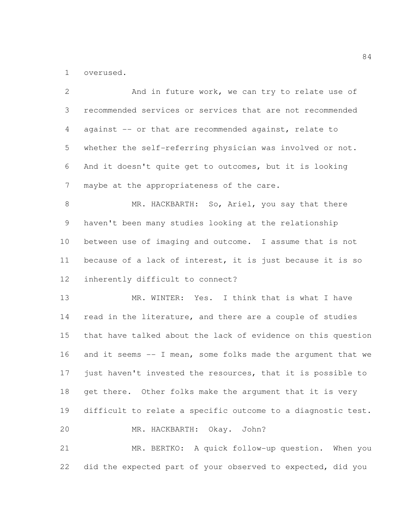overused.

2 And in future work, we can try to relate use of recommended services or services that are not recommended against -- or that are recommended against, relate to whether the self-referring physician was involved or not. And it doesn't quite get to outcomes, but it is looking 7 maybe at the appropriateness of the care. 8 MR. HACKBARTH: So, Ariel, you say that there haven't been many studies looking at the relationship between use of imaging and outcome. I assume that is not because of a lack of interest, it is just because it is so inherently difficult to connect? MR. WINTER: Yes. I think that is what I have 14 read in the literature, and there are a couple of studies that have talked about the lack of evidence on this question and it seems -- I mean, some folks made the argument that we just haven't invested the resources, that it is possible to 18 get there. Other folks make the argument that it is very difficult to relate a specific outcome to a diagnostic test. MR. HACKBARTH: Okay. John? MR. BERTKO: A quick follow-up question. When you did the expected part of your observed to expected, did you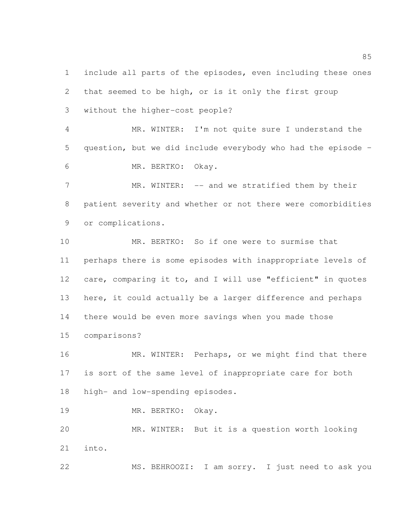include all parts of the episodes, even including these ones that seemed to be high, or is it only the first group without the higher-cost people?

 MR. WINTER: I'm not quite sure I understand the question, but we did include everybody who had the episode – MR. BERTKO: Okay.

7 MR. WINTER: -- and we stratified them by their patient severity and whether or not there were comorbidities or complications.

 MR. BERTKO: So if one were to surmise that perhaps there is some episodes with inappropriate levels of care, comparing it to, and I will use "efficient" in quotes 13 here, it could actually be a larger difference and perhaps there would be even more savings when you made those comparisons?

16 MR. WINTER: Perhaps, or we might find that there is sort of the same level of inappropriate care for both high- and low-spending episodes.

MR. BERTKO: Okay.

 MR. WINTER: But it is a question worth looking into.

MS. BEHROOZI: I am sorry. I just need to ask you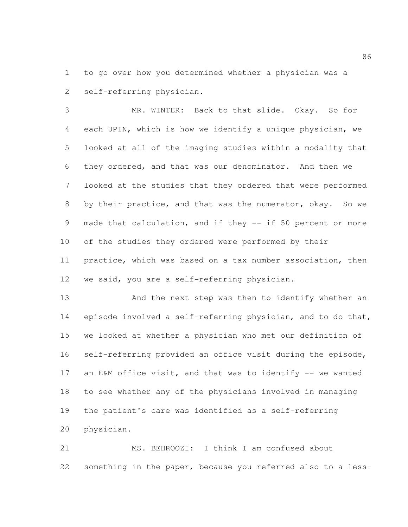to go over how you determined whether a physician was a self-referring physician.

 MR. WINTER: Back to that slide. Okay. So for each UPIN, which is how we identify a unique physician, we looked at all of the imaging studies within a modality that they ordered, and that was our denominator. And then we looked at the studies that they ordered that were performed by their practice, and that was the numerator, okay. So we made that calculation, and if they -- if 50 percent or more of the studies they ordered were performed by their practice, which was based on a tax number association, then we said, you are a self-referring physician.

 And the next step was then to identify whether an episode involved a self-referring physician, and to do that, we looked at whether a physician who met our definition of self-referring provided an office visit during the episode, 17 an E&M office visit, and that was to identify -- we wanted to see whether any of the physicians involved in managing the patient's care was identified as a self-referring physician.

 MS. BEHROOZI: I think I am confused about something in the paper, because you referred also to a less-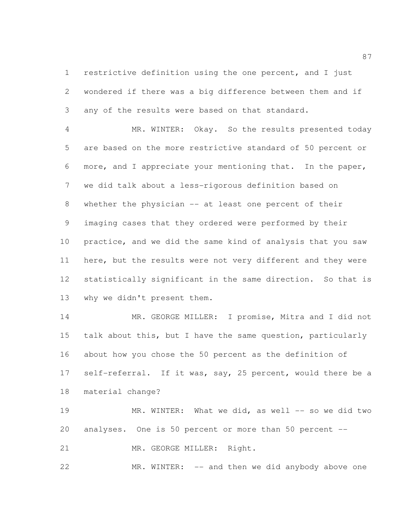restrictive definition using the one percent, and I just wondered if there was a big difference between them and if any of the results were based on that standard.

 MR. WINTER: Okay. So the results presented today are based on the more restrictive standard of 50 percent or more, and I appreciate your mentioning that. In the paper, we did talk about a less-rigorous definition based on whether the physician -- at least one percent of their imaging cases that they ordered were performed by their practice, and we did the same kind of analysis that you saw here, but the results were not very different and they were statistically significant in the same direction. So that is why we didn't present them.

 MR. GEORGE MILLER: I promise, Mitra and I did not talk about this, but I have the same question, particularly about how you chose the 50 percent as the definition of 17 self-referral. If it was, say, 25 percent, would there be a material change?

19 MR. WINTER: What we did, as well -- so we did two analyses. One is 50 percent or more than 50 percent --

21 MR. GEORGE MILLER: Right.

22 MR. WINTER: -- and then we did anybody above one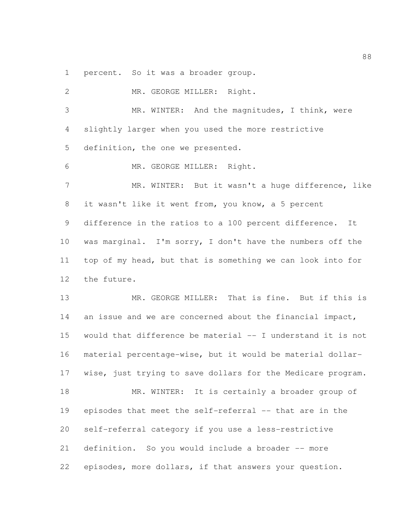percent. So it was a broader group.

2 MR. GEORGE MILLER: Right. MR. WINTER: And the magnitudes, I think, were slightly larger when you used the more restrictive definition, the one we presented. MR. GEORGE MILLER: Right. 7 MR. WINTER: But it wasn't a huge difference, like it wasn't like it went from, you know, a 5 percent difference in the ratios to a 100 percent difference. It was marginal. I'm sorry, I don't have the numbers off the top of my head, but that is something we can look into for the future. MR. GEORGE MILLER: That is fine. But if this is 14 an issue and we are concerned about the financial impact, would that difference be material -- I understand it is not material percentage-wise, but it would be material dollar- wise, just trying to save dollars for the Medicare program. 18 MR. WINTER: It is certainly a broader group of episodes that meet the self-referral -- that are in the self-referral category if you use a less-restrictive definition. So you would include a broader -- more episodes, more dollars, if that answers your question.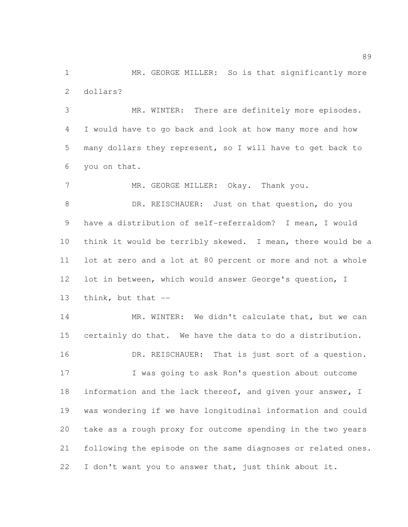1 MR. GEORGE MILLER: So is that significantly more dollars?

 MR. WINTER: There are definitely more episodes. I would have to go back and look at how many more and how many dollars they represent, so I will have to get back to you on that.

7 MR. GEORGE MILLER: Okay. Thank you. DR. REISCHAUER: Just on that question, do you have a distribution of self-referraldom? I mean, I would think it would be terribly skewed. I mean, there would be a lot at zero and a lot at 80 percent or more and not a whole lot in between, which would answer George's question, I think, but that --

14 MR. WINTER: We didn't calculate that, but we can certainly do that. We have the data to do a distribution. 16 DR. REISCHAUER: That is just sort of a question.

 I was going to ask Ron's question about outcome 18 information and the lack thereof, and given your answer, I was wondering if we have longitudinal information and could take as a rough proxy for outcome spending in the two years following the episode on the same diagnoses or related ones. 22 I don't want you to answer that, just think about it.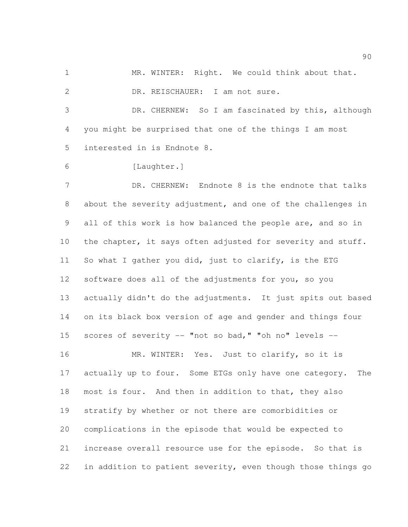MR. WINTER: Right. We could think about that.

2 DR. REISCHAUER: I am not sure.

 DR. CHERNEW: So I am fascinated by this, although you might be surprised that one of the things I am most interested in is Endnote 8.

[Laughter.]

7 DR. CHERNEW: Endnote 8 is the endnote that talks about the severity adjustment, and one of the challenges in all of this work is how balanced the people are, and so in 10 the chapter, it says often adjusted for severity and stuff. So what I gather you did, just to clarify, is the ETG software does all of the adjustments for you, so you actually didn't do the adjustments. It just spits out based on its black box version of age and gender and things four scores of severity -- "not so bad," "oh no" levels -- 16 MR. WINTER: Yes. Just to clarify, so it is

17 actually up to four. Some ETGs only have one category. The most is four. And then in addition to that, they also stratify by whether or not there are comorbidities or complications in the episode that would be expected to increase overall resource use for the episode. So that is 22 in addition to patient severity, even though those things go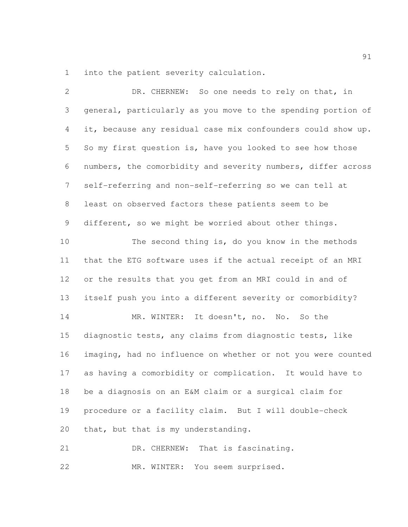into the patient severity calculation.

| $\mathbf{2}$ | DR. CHERNEW: So one needs to rely on that, in                |
|--------------|--------------------------------------------------------------|
| 3            | general, particularly as you move to the spending portion of |
| 4            | it, because any residual case mix confounders could show up. |
| 5            | So my first question is, have you looked to see how those    |
| 6            | numbers, the comorbidity and severity numbers, differ across |
| 7            | self-referring and non-self-referring so we can tell at      |
| 8            | least on observed factors these patients seem to be          |
| 9            | different, so we might be worried about other things.        |
| 10           | The second thing is, do you know in the methods              |
| 11           | that the ETG software uses if the actual receipt of an MRI   |
| 12           | or the results that you get from an MRI could in and of      |
| 13           | itself push you into a different severity or comorbidity?    |
| 14           | MR. WINTER: It doesn't, no. No. So the                       |
| 15           | diagnostic tests, any claims from diagnostic tests, like     |
| 16           | imaging, had no influence on whether or not you were counted |
| 17           | as having a comorbidity or complication. It would have to    |
| 18           | be a diagnosis on an E&M claim or a surgical claim for       |
| 19           | procedure or a facility claim. But I will double-check       |
| 20           | that, but that is my understanding.                          |
| 21           | DR. CHERNEW: That is fascinating.                            |

MR. WINTER: You seem surprised.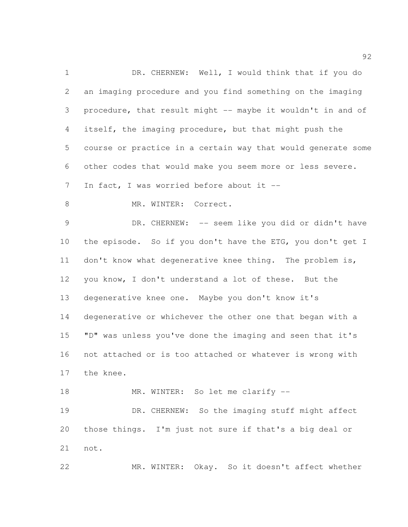1 DR. CHERNEW: Well, I would think that if you do an imaging procedure and you find something on the imaging procedure, that result might -- maybe it wouldn't in and of itself, the imaging procedure, but that might push the course or practice in a certain way that would generate some other codes that would make you seem more or less severe. 7 In fact, I was worried before about it --8 MR. WINTER: Correct. DR. CHERNEW: -- seem like you did or didn't have 10 the episode. So if you don't have the ETG, you don't get I 11 don't know what degenerative knee thing. The problem is, you know, I don't understand a lot of these. But the degenerative knee one. Maybe you don't know it's degenerative or whichever the other one that began with a "D" was unless you've done the imaging and seen that it's not attached or is too attached or whatever is wrong with the knee. 18 MR. WINTER: So let me clarify --19 DR. CHERNEW: So the imaging stuff might affect those things. I'm just not sure if that's a big deal or

not.

MR. WINTER: Okay. So it doesn't affect whether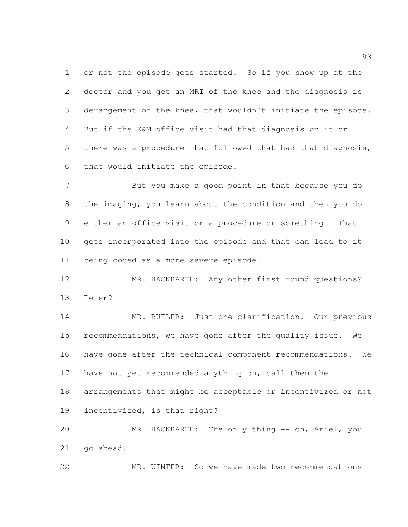or not the episode gets started. So if you show up at the doctor and you get an MRI of the knee and the diagnosis is derangement of the knee, that wouldn't initiate the episode. But if the E&M office visit had that diagnosis on it or there was a procedure that followed that had that diagnosis, that would initiate the episode.

 But you make a good point in that because you do the imaging, you learn about the condition and then you do either an office visit or a procedure or something. That gets incorporated into the episode and that can lead to it being coded as a more severe episode.

 MR. HACKBARTH: Any other first round questions? Peter?

 MR. BUTLER: Just one clarification. Our previous recommendations, we have gone after the quality issue. We have gone after the technical component recommendations. We have not yet recommended anything on, call them the arrangements that might be acceptable or incentivized or not incentivized, is that right?

 MR. HACKBARTH: The only thing -- oh, Ariel, you go ahead.

MR. WINTER: So we have made two recommendations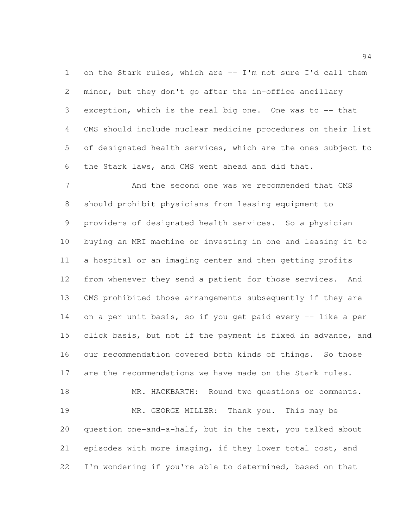on the Stark rules, which are -- I'm not sure I'd call them minor, but they don't go after the in-office ancillary exception, which is the real big one. One was to -- that CMS should include nuclear medicine procedures on their list of designated health services, which are the ones subject to the Stark laws, and CMS went ahead and did that.

 And the second one was we recommended that CMS should prohibit physicians from leasing equipment to providers of designated health services. So a physician buying an MRI machine or investing in one and leasing it to a hospital or an imaging center and then getting profits from whenever they send a patient for those services. And CMS prohibited those arrangements subsequently if they are 14 on a per unit basis, so if you get paid every -- like a per click basis, but not if the payment is fixed in advance, and our recommendation covered both kinds of things. So those are the recommendations we have made on the Stark rules.

18 MR. HACKBARTH: Round two questions or comments. MR. GEORGE MILLER: Thank you. This may be question one-and-a-half, but in the text, you talked about episodes with more imaging, if they lower total cost, and I'm wondering if you're able to determined, based on that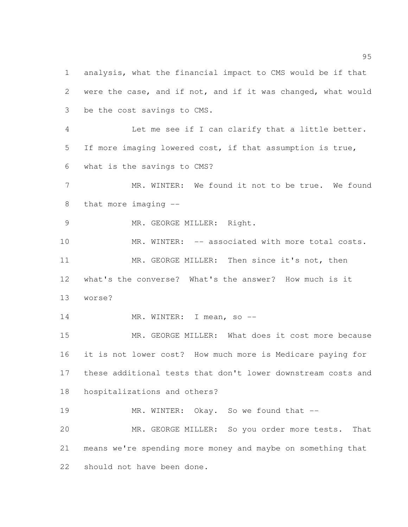analysis, what the financial impact to CMS would be if that were the case, and if not, and if it was changed, what would be the cost savings to CMS. Let me see if I can clarify that a little better. If more imaging lowered cost, if that assumption is true, what is the savings to CMS? MR. WINTER: We found it not to be true. We found that more imaging -- 9 MR. GEORGE MILLER: Right. 10 MR. WINTER: -- associated with more total costs. MR. GEORGE MILLER: Then since it's not, then what's the converse? What's the answer? How much is it worse? 14 MR. WINTER: I mean, so -- MR. GEORGE MILLER: What does it cost more because it is not lower cost? How much more is Medicare paying for these additional tests that don't lower downstream costs and hospitalizations and others? 19 MR. WINTER: Okay. So we found that -- MR. GEORGE MILLER: So you order more tests. That means we're spending more money and maybe on something that should not have been done.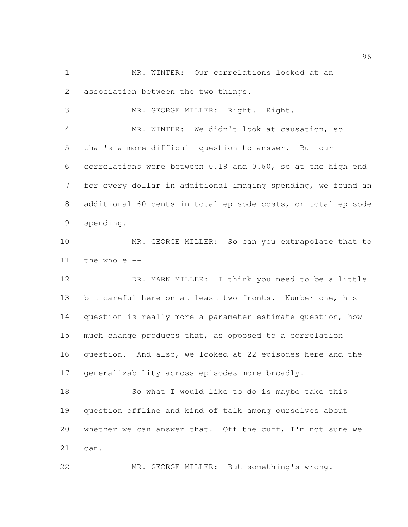MR. WINTER: Our correlations looked at an association between the two things.

 MR. GEORGE MILLER: Right. Right. MR. WINTER: We didn't look at causation, so that's a more difficult question to answer. But our correlations were between 0.19 and 0.60, so at the high end for every dollar in additional imaging spending, we found an additional 60 cents in total episode costs, or total episode spending.

 MR. GEORGE MILLER: So can you extrapolate that to the whole --

 DR. MARK MILLER: I think you need to be a little bit careful here on at least two fronts. Number one, his question is really more a parameter estimate question, how much change produces that, as opposed to a correlation question. And also, we looked at 22 episodes here and the generalizability across episodes more broadly.

 So what I would like to do is maybe take this question offline and kind of talk among ourselves about 20 whether we can answer that. Off the cuff, I'm not sure we can.

MR. GEORGE MILLER: But something's wrong.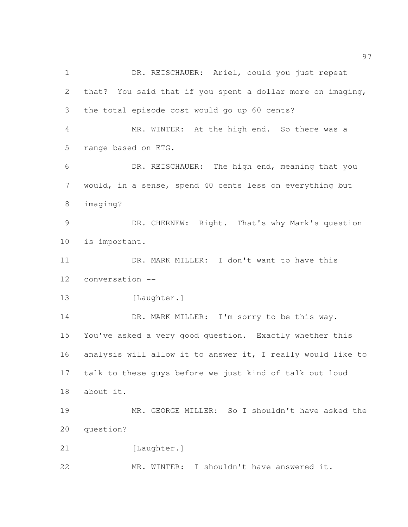1 DR. REISCHAUER: Ariel, could you just repeat that? You said that if you spent a dollar more on imaging, the total episode cost would go up 60 cents? MR. WINTER: At the high end. So there was a range based on ETG. DR. REISCHAUER: The high end, meaning that you would, in a sense, spend 40 cents less on everything but imaging? DR. CHERNEW: Right. That's why Mark's question is important. 11 DR. MARK MILLER: I don't want to have this conversation -- 13 [Laughter.] 14 DR. MARK MILLER: I'm sorry to be this way. You've asked a very good question. Exactly whether this analysis will allow it to answer it, I really would like to talk to these guys before we just kind of talk out loud about it. MR. GEORGE MILLER: So I shouldn't have asked the question? 21 [Laughter.] MR. WINTER: I shouldn't have answered it.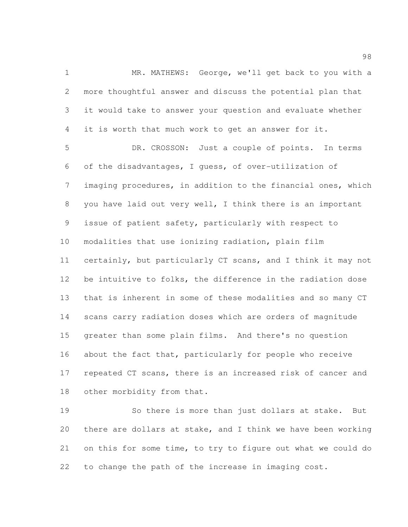MR. MATHEWS: George, we'll get back to you with a more thoughtful answer and discuss the potential plan that it would take to answer your question and evaluate whether it is worth that much work to get an answer for it.

 DR. CROSSON: Just a couple of points. In terms of the disadvantages, I guess, of over-utilization of imaging procedures, in addition to the financial ones, which you have laid out very well, I think there is an important issue of patient safety, particularly with respect to modalities that use ionizing radiation, plain film certainly, but particularly CT scans, and I think it may not be intuitive to folks, the difference in the radiation dose that is inherent in some of these modalities and so many CT scans carry radiation doses which are orders of magnitude greater than some plain films. And there's no question about the fact that, particularly for people who receive repeated CT scans, there is an increased risk of cancer and 18 other morbidity from that.

 So there is more than just dollars at stake. But there are dollars at stake, and I think we have been working on this for some time, to try to figure out what we could do to change the path of the increase in imaging cost.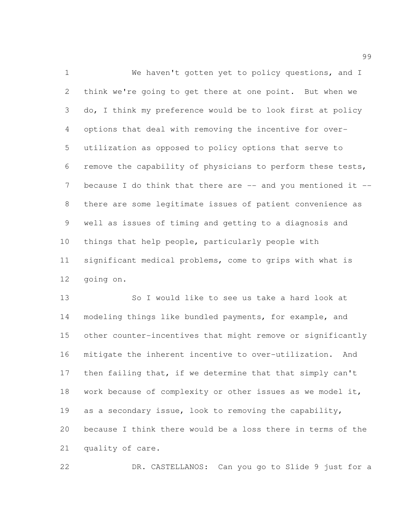We haven't gotten yet to policy questions, and I think we're going to get there at one point. But when we do, I think my preference would be to look first at policy options that deal with removing the incentive for over- utilization as opposed to policy options that serve to remove the capability of physicians to perform these tests, 7 because I do think that there are -- and you mentioned it -- there are some legitimate issues of patient convenience as well as issues of timing and getting to a diagnosis and things that help people, particularly people with significant medical problems, come to grips with what is going on.

 So I would like to see us take a hard look at modeling things like bundled payments, for example, and other counter-incentives that might remove or significantly mitigate the inherent incentive to over-utilization. And then failing that, if we determine that that simply can't 18 work because of complexity or other issues as we model it, as a secondary issue, look to removing the capability, because I think there would be a loss there in terms of the quality of care.

DR. CASTELLANOS: Can you go to Slide 9 just for a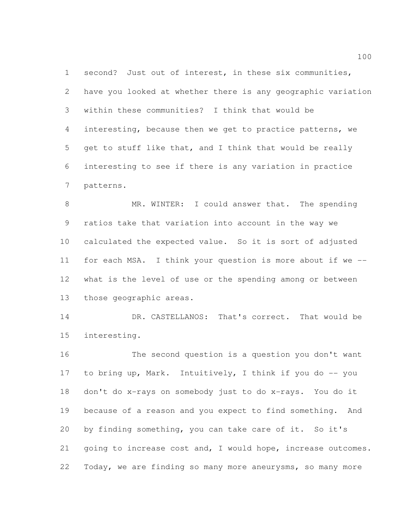second? Just out of interest, in these six communities, have you looked at whether there is any geographic variation within these communities? I think that would be interesting, because then we get to practice patterns, we get to stuff like that, and I think that would be really interesting to see if there is any variation in practice patterns.

 MR. WINTER: I could answer that. The spending ratios take that variation into account in the way we calculated the expected value. So it is sort of adjusted for each MSA. I think your question is more about if we -- what is the level of use or the spending among or between those geographic areas.

 DR. CASTELLANOS: That's correct. That would be interesting.

 The second question is a question you don't want to bring up, Mark. Intuitively, I think if you do -- you don't do x-rays on somebody just to do x-rays. You do it because of a reason and you expect to find something. And by finding something, you can take care of it. So it's going to increase cost and, I would hope, increase outcomes. Today, we are finding so many more aneurysms, so many more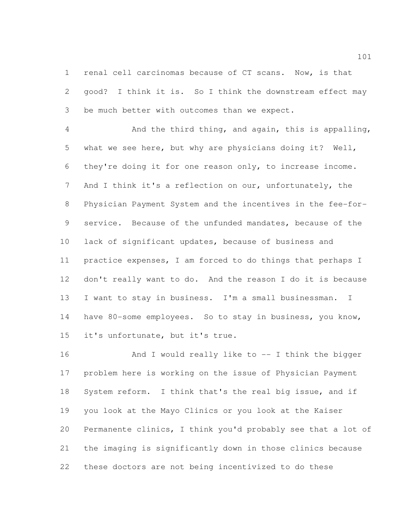renal cell carcinomas because of CT scans. Now, is that good? I think it is. So I think the downstream effect may be much better with outcomes than we expect.

 And the third thing, and again, this is appalling, what we see here, but why are physicians doing it? Well, they're doing it for one reason only, to increase income. And I think it's a reflection on our, unfortunately, the Physician Payment System and the incentives in the fee-for- service. Because of the unfunded mandates, because of the lack of significant updates, because of business and practice expenses, I am forced to do things that perhaps I don't really want to do. And the reason I do it is because I want to stay in business. I'm a small businessman. I have 80-some employees. So to stay in business, you know, it's unfortunate, but it's true.

16 And I would really like to -- I think the bigger problem here is working on the issue of Physician Payment System reform. I think that's the real big issue, and if you look at the Mayo Clinics or you look at the Kaiser Permanente clinics, I think you'd probably see that a lot of the imaging is significantly down in those clinics because these doctors are not being incentivized to do these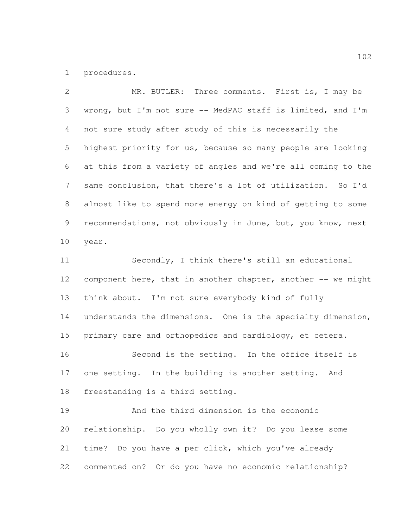procedures.

 MR. BUTLER: Three comments. First is, I may be wrong, but I'm not sure -- MedPAC staff is limited, and I'm not sure study after study of this is necessarily the highest priority for us, because so many people are looking at this from a variety of angles and we're all coming to the same conclusion, that there's a lot of utilization. So I'd almost like to spend more energy on kind of getting to some recommendations, not obviously in June, but, you know, next year. Secondly, I think there's still an educational component here, that in another chapter, another -- we might think about. I'm not sure everybody kind of fully understands the dimensions. One is the specialty dimension, primary care and orthopedics and cardiology, et cetera. Second is the setting. In the office itself is one setting. In the building is another setting. And freestanding is a third setting. And the third dimension is the economic relationship. Do you wholly own it? Do you lease some time? Do you have a per click, which you've already commented on? Or do you have no economic relationship?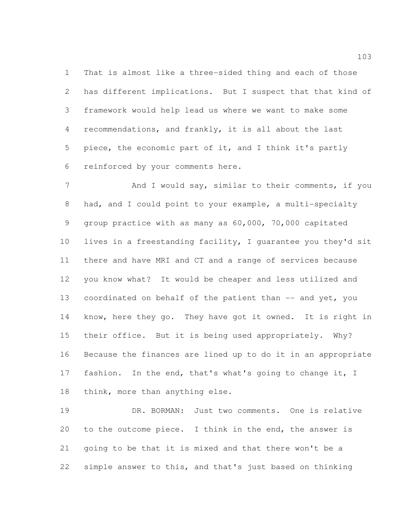That is almost like a three-sided thing and each of those has different implications. But I suspect that that kind of framework would help lead us where we want to make some recommendations, and frankly, it is all about the last piece, the economic part of it, and I think it's partly reinforced by your comments here.

7 And I would say, similar to their comments, if you had, and I could point to your example, a multi-specialty group practice with as many as 60,000, 70,000 capitated lives in a freestanding facility, I guarantee you they'd sit there and have MRI and CT and a range of services because you know what? It would be cheaper and less utilized and 13 coordinated on behalf of the patient than -- and yet, you know, here they go. They have got it owned. It is right in their office. But it is being used appropriately. Why? Because the finances are lined up to do it in an appropriate fashion. In the end, that's what's going to change it, I think, more than anything else.

 DR. BORMAN: Just two comments. One is relative to the outcome piece. I think in the end, the answer is going to be that it is mixed and that there won't be a simple answer to this, and that's just based on thinking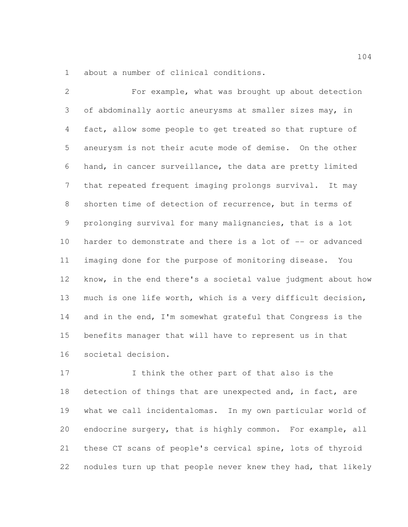about a number of clinical conditions.

 For example, what was brought up about detection of abdominally aortic aneurysms at smaller sizes may, in fact, allow some people to get treated so that rupture of aneurysm is not their acute mode of demise. On the other hand, in cancer surveillance, the data are pretty limited that repeated frequent imaging prolongs survival. It may shorten time of detection of recurrence, but in terms of prolonging survival for many malignancies, that is a lot 10 harder to demonstrate and there is a lot of -- or advanced imaging done for the purpose of monitoring disease. You know, in the end there's a societal value judgment about how much is one life worth, which is a very difficult decision, and in the end, I'm somewhat grateful that Congress is the benefits manager that will have to represent us in that societal decision.

 I think the other part of that also is the 18 detection of things that are unexpected and, in fact, are what we call incidentalomas. In my own particular world of endocrine surgery, that is highly common. For example, all these CT scans of people's cervical spine, lots of thyroid nodules turn up that people never knew they had, that likely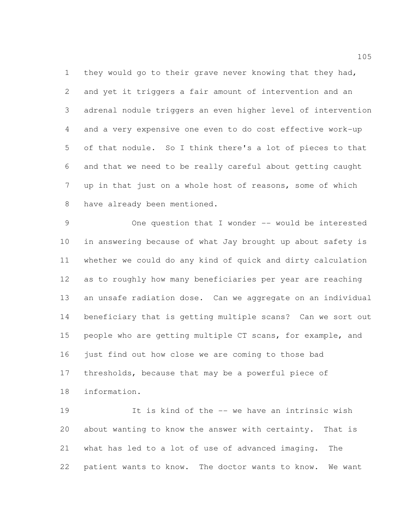they would go to their grave never knowing that they had, and yet it triggers a fair amount of intervention and an adrenal nodule triggers an even higher level of intervention and a very expensive one even to do cost effective work-up of that nodule. So I think there's a lot of pieces to that and that we need to be really careful about getting caught up in that just on a whole host of reasons, some of which have already been mentioned.

 One question that I wonder -- would be interested in answering because of what Jay brought up about safety is whether we could do any kind of quick and dirty calculation as to roughly how many beneficiaries per year are reaching an unsafe radiation dose. Can we aggregate on an individual beneficiary that is getting multiple scans? Can we sort out people who are getting multiple CT scans, for example, and just find out how close we are coming to those bad thresholds, because that may be a powerful piece of information.

 It is kind of the -- we have an intrinsic wish about wanting to know the answer with certainty. That is what has led to a lot of use of advanced imaging. The patient wants to know. The doctor wants to know. We want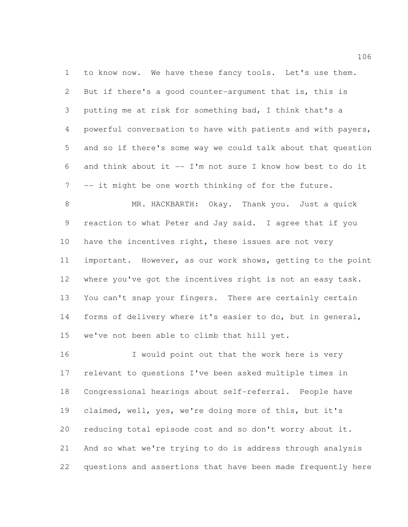to know now. We have these fancy tools. Let's use them. But if there's a good counter-argument that is, this is putting me at risk for something bad, I think that's a powerful conversation to have with patients and with payers, and so if there's some way we could talk about that question and think about it -- I'm not sure I know how best to do it -- it might be one worth thinking of for the future.

 MR. HACKBARTH: Okay. Thank you. Just a quick reaction to what Peter and Jay said. I agree that if you 10 have the incentives right, these issues are not very important. However, as our work shows, getting to the point where you've got the incentives right is not an easy task. You can't snap your fingers. There are certainly certain forms of delivery where it's easier to do, but in general, we've not been able to climb that hill yet.

16 I would point out that the work here is very relevant to questions I've been asked multiple times in Congressional hearings about self-referral. People have claimed, well, yes, we're doing more of this, but it's reducing total episode cost and so don't worry about it. And so what we're trying to do is address through analysis questions and assertions that have been made frequently here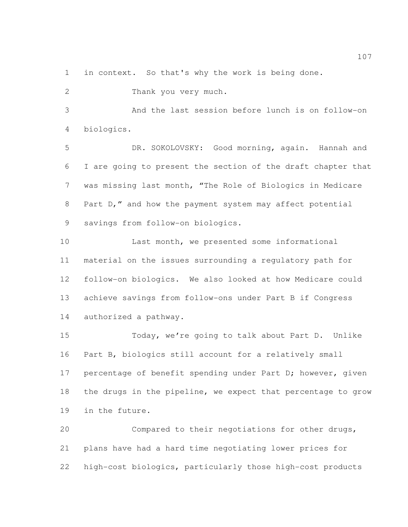in context. So that's why the work is being done.

Thank you very much.

 And the last session before lunch is on follow-on biologics.

 DR. SOKOLOVSKY: Good morning, again. Hannah and I are going to present the section of the draft chapter that was missing last month, "The Role of Biologics in Medicare Part D," and how the payment system may affect potential savings from follow-on biologics.

 Last month, we presented some informational material on the issues surrounding a regulatory path for follow-on biologics. We also looked at how Medicare could achieve savings from follow-ons under Part B if Congress authorized a pathway.

 Today, we're going to talk about Part D. Unlike Part B, biologics still account for a relatively small 17 percentage of benefit spending under Part D; however, given the drugs in the pipeline, we expect that percentage to grow in the future.

 Compared to their negotiations for other drugs, plans have had a hard time negotiating lower prices for high-cost biologics, particularly those high-cost products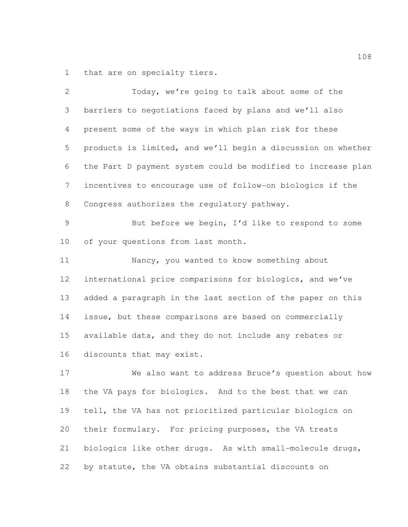that are on specialty tiers.

| $\mathbf{2}$   | Today, we're going to talk about some of the                 |
|----------------|--------------------------------------------------------------|
| 3              | barriers to negotiations faced by plans and we'll also       |
| 4              | present some of the ways in which plan risk for these        |
| 5              | products is limited, and we'll begin a discussion on whether |
| 6              | the Part D payment system could be modified to increase plan |
| 7              | incentives to encourage use of follow-on biologics if the    |
| 8              | Congress authorizes the regulatory pathway.                  |
| $\overline{9}$ | But before we begin, I'd like to respond to some             |
| 10             | of your questions from last month.                           |
| 11             | Nancy, you wanted to know something about                    |
| 12             | international price comparisons for biologics, and we've     |
| 13             | added a paragraph in the last section of the paper on this   |
| 14             | issue, but these comparisons are based on commercially       |
| 15             | available data, and they do not include any rebates or       |
| 16             | discounts that may exist.                                    |
| 17             | We also want to address Bruce's question about how           |
| 18             | the VA pays for biologics. And to the best that we can       |
| 19             | tell, the VA has not prioritized particular biologics on     |
| 20             | their formulary. For pricing purposes, the VA treats         |
| 21             | biologics like other drugs. As with small-molecule drugs,    |
| 22             | by statute, the VA obtains substantial discounts on          |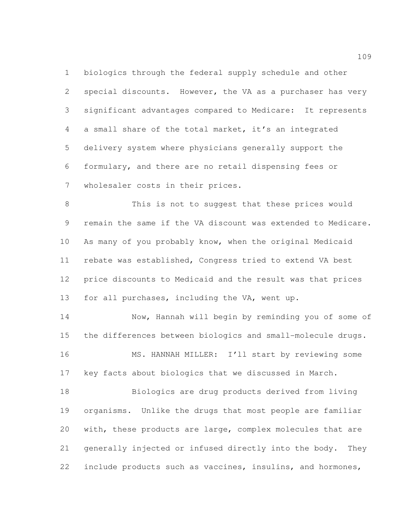biologics through the federal supply schedule and other special discounts. However, the VA as a purchaser has very significant advantages compared to Medicare: It represents a small share of the total market, it's an integrated delivery system where physicians generally support the formulary, and there are no retail dispensing fees or wholesaler costs in their prices.

 This is not to suggest that these prices would remain the same if the VA discount was extended to Medicare. As many of you probably know, when the original Medicaid rebate was established, Congress tried to extend VA best price discounts to Medicaid and the result was that prices for all purchases, including the VA, went up.

 Now, Hannah will begin by reminding you of some of the differences between biologics and small-molecule drugs. 16 MS. HANNAH MILLER: I'll start by reviewing some key facts about biologics that we discussed in March.

 Biologics are drug products derived from living organisms. Unlike the drugs that most people are familiar with, these products are large, complex molecules that are generally injected or infused directly into the body. They include products such as vaccines, insulins, and hormones,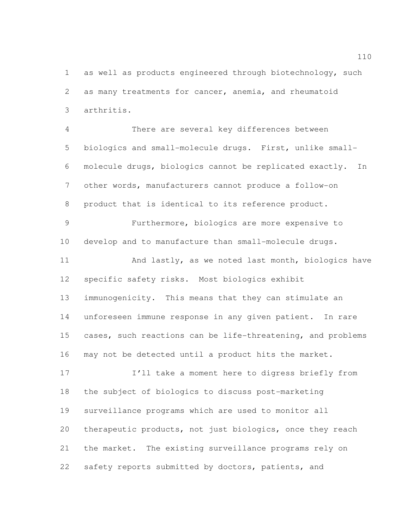as well as products engineered through biotechnology, such as many treatments for cancer, anemia, and rheumatoid arthritis.

 There are several key differences between biologics and small-molecule drugs. First, unlike small- molecule drugs, biologics cannot be replicated exactly. In other words, manufacturers cannot produce a follow-on product that is identical to its reference product.

 Furthermore, biologics are more expensive to develop and to manufacture than small-molecule drugs.

 And lastly, as we noted last month, biologics have specific safety risks. Most biologics exhibit immunogenicity. This means that they can stimulate an unforeseen immune response in any given patient. In rare cases, such reactions can be life-threatening, and problems may not be detected until a product hits the market.

 I'll take a moment here to digress briefly from the subject of biologics to discuss post-marketing surveillance programs which are used to monitor all therapeutic products, not just biologics, once they reach the market. The existing surveillance programs rely on safety reports submitted by doctors, patients, and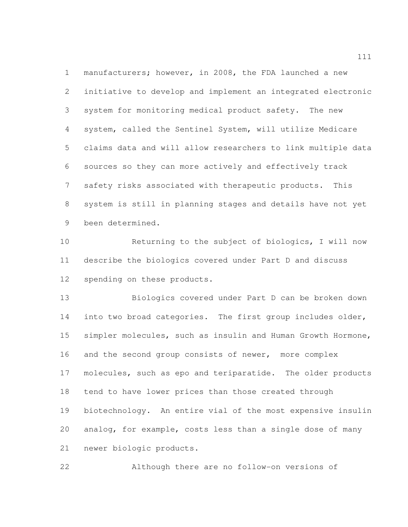manufacturers; however, in 2008, the FDA launched a new initiative to develop and implement an integrated electronic system for monitoring medical product safety. The new system, called the Sentinel System, will utilize Medicare claims data and will allow researchers to link multiple data sources so they can more actively and effectively track safety risks associated with therapeutic products. This system is still in planning stages and details have not yet been determined.

 Returning to the subject of biologics, I will now describe the biologics covered under Part D and discuss spending on these products.

 Biologics covered under Part D can be broken down into two broad categories. The first group includes older, simpler molecules, such as insulin and Human Growth Hormone, 16 and the second group consists of newer, more complex molecules, such as epo and teriparatide. The older products tend to have lower prices than those created through biotechnology. An entire vial of the most expensive insulin analog, for example, costs less than a single dose of many newer biologic products.

Although there are no follow-on versions of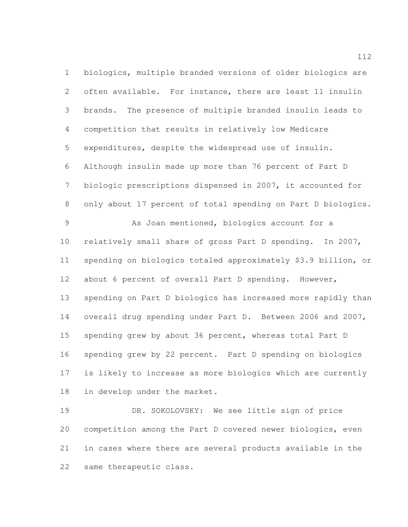biologics, multiple branded versions of older biologics are often available. For instance, there are least 11 insulin brands. The presence of multiple branded insulin leads to competition that results in relatively low Medicare expenditures, despite the widespread use of insulin. Although insulin made up more than 76 percent of Part D biologic prescriptions dispensed in 2007, it accounted for 8 only about 17 percent of total spending on Part D biologics. As Joan mentioned, biologics account for a relatively small share of gross Part D spending. In 2007, spending on biologics totaled approximately \$3.9 billion, or about 6 percent of overall Part D spending. However, spending on Part D biologics has increased more rapidly than overall drug spending under Part D. Between 2006 and 2007, spending grew by about 36 percent, whereas total Part D spending grew by 22 percent. Part D spending on biologics is likely to increase as more biologics which are currently in develop under the market.

 DR. SOKOLOVSKY: We see little sign of price competition among the Part D covered newer biologics, even in cases where there are several products available in the same therapeutic class.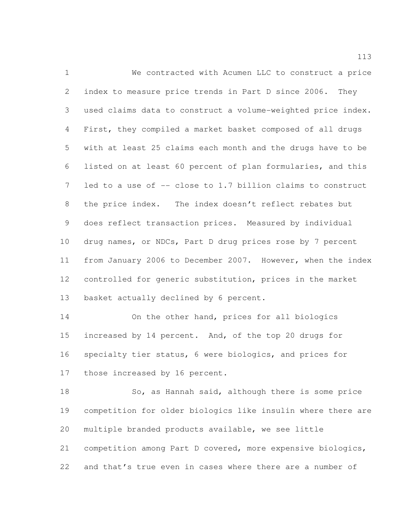We contracted with Acumen LLC to construct a price index to measure price trends in Part D since 2006. They used claims data to construct a volume-weighted price index. First, they compiled a market basket composed of all drugs with at least 25 claims each month and the drugs have to be listed on at least 60 percent of plan formularies, and this 7 led to a use of -- close to 1.7 billion claims to construct the price index. The index doesn't reflect rebates but does reflect transaction prices. Measured by individual drug names, or NDCs, Part D drug prices rose by 7 percent from January 2006 to December 2007. However, when the index controlled for generic substitution, prices in the market 13 basket actually declined by 6 percent.

 On the other hand, prices for all biologics 15 increased by 14 percent. And, of the top 20 drugs for specialty tier status, 6 were biologics, and prices for 17 those increased by 16 percent.

18 So, as Hannah said, although there is some price competition for older biologics like insulin where there are multiple branded products available, we see little competition among Part D covered, more expensive biologics, and that's true even in cases where there are a number of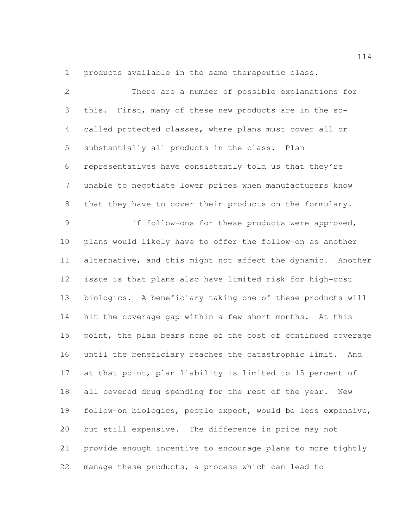products available in the same therapeutic class.

| $\mathbf{2}$    | There are a number of possible explanations for              |
|-----------------|--------------------------------------------------------------|
| 3               | this. First, many of these new products are in the so-       |
| $\overline{4}$  | called protected classes, where plans must cover all or      |
| 5               | substantially all products in the class. Plan                |
| 6               | representatives have consistently told us that they're       |
| $7\phantom{.0}$ | unable to negotiate lower prices when manufacturers know     |
| $8\,$           | that they have to cover their products on the formulary.     |
| $\mathcal{G}$   | If follow-ons for these products were approved,              |
| 10              | plans would likely have to offer the follow-on as another    |
| 11              | alternative, and this might not affect the dynamic. Another  |
| 12              | issue is that plans also have limited risk for high-cost     |
| 13              | biologics. A beneficiary taking one of these products will   |
| 14              | hit the coverage gap within a few short months. At this      |
| 15              | point, the plan bears none of the cost of continued coverage |
| 16              | until the beneficiary reaches the catastrophic limit. And    |
| 17              | at that point, plan liability is limited to 15 percent of    |
| 18              | all covered drug spending for the rest of the year. New      |
| 19              | follow-on biologics, people expect, would be less expensive, |
| 20              | but still expensive. The difference in price may not         |
| 21              | provide enough incentive to encourage plans to more tightly  |
| 22              | manage these products, a process which can lead to           |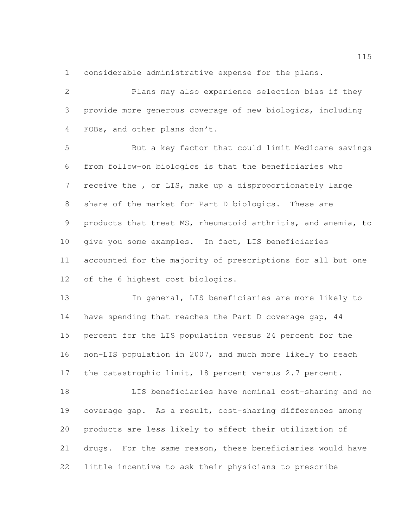considerable administrative expense for the plans.

 Plans may also experience selection bias if they provide more generous coverage of new biologics, including FOBs, and other plans don't.

 But a key factor that could limit Medicare savings from follow-on biologics is that the beneficiaries who receive the , or LIS, make up a disproportionately large share of the market for Part D biologics. These are products that treat MS, rheumatoid arthritis, and anemia, to give you some examples. In fact, LIS beneficiaries accounted for the majority of prescriptions for all but one of the 6 highest cost biologics.

 In general, LIS beneficiaries are more likely to 14 have spending that reaches the Part D coverage gap, 44 percent for the LIS population versus 24 percent for the non-LIS population in 2007, and much more likely to reach 17 the catastrophic limit, 18 percent versus 2.7 percent.

 LIS beneficiaries have nominal cost-sharing and no coverage gap. As a result, cost-sharing differences among products are less likely to affect their utilization of drugs. For the same reason, these beneficiaries would have little incentive to ask their physicians to prescribe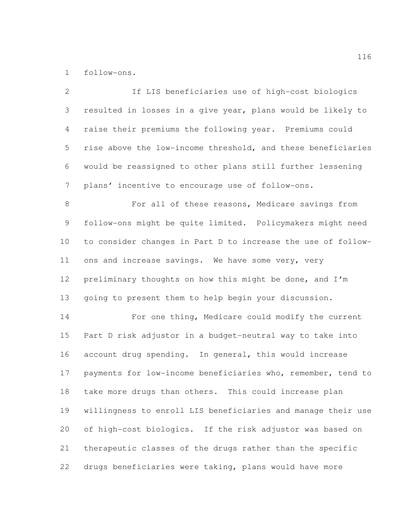follow-ons.

 If LIS beneficiaries use of high-cost biologics resulted in losses in a give year, plans would be likely to raise their premiums the following year. Premiums could rise above the low-income threshold, and these beneficiaries would be reassigned to other plans still further lessening plans' incentive to encourage use of follow-ons. 8 For all of these reasons, Medicare savings from follow-ons might be quite limited. Policymakers might need to consider changes in Part D to increase the use of follow- ons and increase savings. We have some very, very preliminary thoughts on how this might be done, and I'm going to present them to help begin your discussion. For one thing, Medicare could modify the current Part D risk adjustor in a budget-neutral way to take into account drug spending. In general, this would increase payments for low-income beneficiaries who, remember, tend to take more drugs than others. This could increase plan willingness to enroll LIS beneficiaries and manage their use of high-cost biologics. If the risk adjustor was based on therapeutic classes of the drugs rather than the specific drugs beneficiaries were taking, plans would have more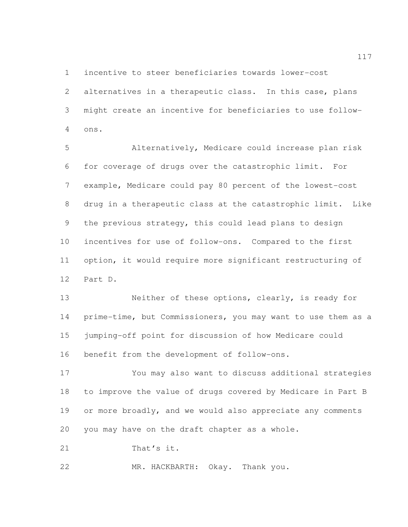incentive to steer beneficiaries towards lower-cost

 alternatives in a therapeutic class. In this case, plans might create an incentive for beneficiaries to use follow-ons.

 Alternatively, Medicare could increase plan risk for coverage of drugs over the catastrophic limit. For example, Medicare could pay 80 percent of the lowest-cost drug in a therapeutic class at the catastrophic limit. Like the previous strategy, this could lead plans to design incentives for use of follow-ons. Compared to the first option, it would require more significant restructuring of Part D.

 Neither of these options, clearly, is ready for prime-time, but Commissioners, you may want to use them as a jumping-off point for discussion of how Medicare could benefit from the development of follow-ons.

 You may also want to discuss additional strategies to improve the value of drugs covered by Medicare in Part B 19 or more broadly, and we would also appreciate any comments you may have on the draft chapter as a whole.

21 That's it.

MR. HACKBARTH: Okay. Thank you.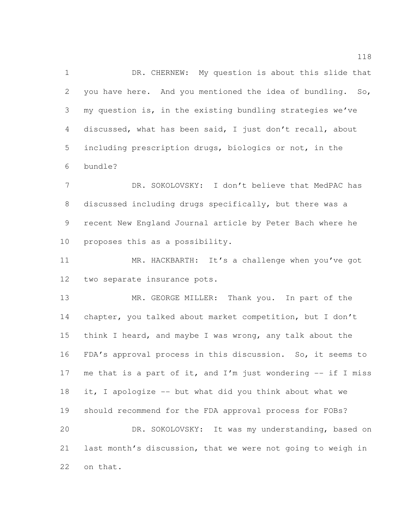DR. CHERNEW: My question is about this slide that you have here. And you mentioned the idea of bundling. So, my question is, in the existing bundling strategies we've discussed, what has been said, I just don't recall, about including prescription drugs, biologics or not, in the bundle?

 DR. SOKOLOVSKY: I don't believe that MedPAC has discussed including drugs specifically, but there was a recent New England Journal article by Peter Bach where he proposes this as a possibility.

 MR. HACKBARTH: It's a challenge when you've got two separate insurance pots.

 MR. GEORGE MILLER: Thank you. In part of the chapter, you talked about market competition, but I don't think I heard, and maybe I was wrong, any talk about the FDA's approval process in this discussion. So, it seems to 17 me that is a part of it, and I'm just wondering  $-$ - if I miss it, I apologize -- but what did you think about what we should recommend for the FDA approval process for FOBs? DR. SOKOLOVSKY: It was my understanding, based on last month's discussion, that we were not going to weigh in

on that.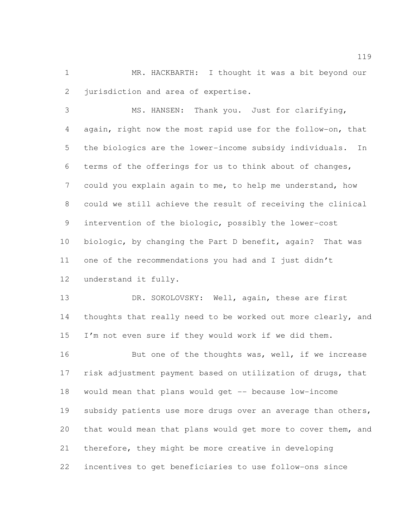MR. HACKBARTH: I thought it was a bit beyond our 2 jurisdiction and area of expertise.

 MS. HANSEN: Thank you. Just for clarifying, again, right now the most rapid use for the follow-on, that the biologics are the lower-income subsidy individuals. In terms of the offerings for us to think about of changes, could you explain again to me, to help me understand, how could we still achieve the result of receiving the clinical intervention of the biologic, possibly the lower-cost 10 biologic, by changing the Part D benefit, again? That was one of the recommendations you had and I just didn't understand it fully.

13 DR. SOKOLOVSKY: Well, again, these are first thoughts that really need to be worked out more clearly, and I'm not even sure if they would work if we did them.

16 But one of the thoughts was, well, if we increase risk adjustment payment based on utilization of drugs, that would mean that plans would get -- because low-income 19 subsidy patients use more drugs over an average than others, that would mean that plans would get more to cover them, and therefore, they might be more creative in developing incentives to get beneficiaries to use follow-ons since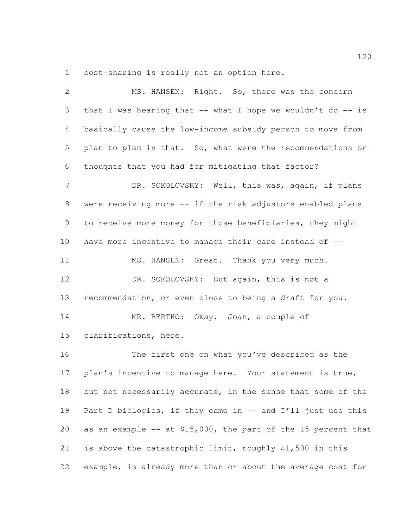cost-sharing is really not an option here.

| $\mathbf{2}$   | MS. HANSEN: Right. So, there was the concern                    |
|----------------|-----------------------------------------------------------------|
| 3              | that I was hearing that $--$ what I hope we wouldn't do $--$ is |
| $\overline{4}$ | basically cause the low-income subsidy person to move from      |
| 5              | plan to plan in that. So, what were the recommendations or      |
| 6              | thoughts that you had for mitigating that factor?               |
| $\overline{7}$ | DR. SOKOLOVSKY: Well, this was, again, if plans                 |
| 8              | were receiving more -- if the risk adjustors enabled plans      |
| 9              | to receive more money for those beneficiaries, they might       |
| 10             | have more incentive to manage their care instead of --          |
| 11             | MS. HANSEN: Great. Thank you very much.                         |
| 12             | DR. SOKOLOVSKY: But again, this is not a                        |
| 13             | recommendation, or even close to being a draft for you.         |
| 14             | MR. BERTKO: Okay. Joan, a couple of                             |
| 15             | clarifications, here.                                           |
| 16             | The first one on what you've described as the                   |
| 17             | plan's incentive to manage here. Your statement is true,        |
| 18             | but not necessarily accurate, in the sense that some of the     |
| 19             | Part D biologics, if they came in -- and I'll just use this     |
| 20             | as an example -- at \$15,000, the part of the 15 percent that   |
| 21             | is above the catastrophic limit, roughly \$1,500 in this        |
| 22             | example, is already more than or about the average cost for     |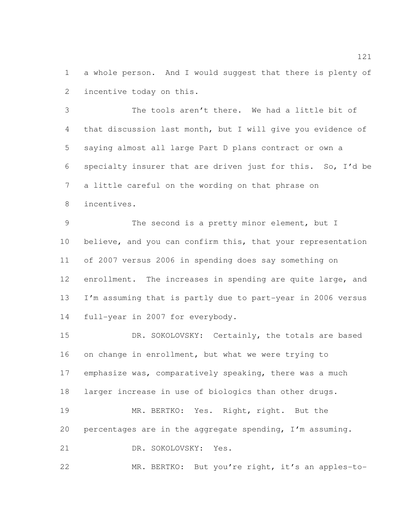a whole person. And I would suggest that there is plenty of incentive today on this.

 The tools aren't there. We had a little bit of that discussion last month, but I will give you evidence of saying almost all large Part D plans contract or own a specialty insurer that are driven just for this. So, I'd be a little careful on the wording on that phrase on incentives.

 The second is a pretty minor element, but I 10 believe, and you can confirm this, that your representation of 2007 versus 2006 in spending does say something on enrollment. The increases in spending are quite large, and I'm assuming that is partly due to part-year in 2006 versus full-year in 2007 for everybody.

15 DR. SOKOLOVSKY: Certainly, the totals are based on change in enrollment, but what we were trying to emphasize was, comparatively speaking, there was a much larger increase in use of biologics than other drugs. MR. BERTKO: Yes. Right, right. But the percentages are in the aggregate spending, I'm assuming. DR. SOKOLOVSKY: Yes.

MR. BERTKO: But you're right, it's an apples-to-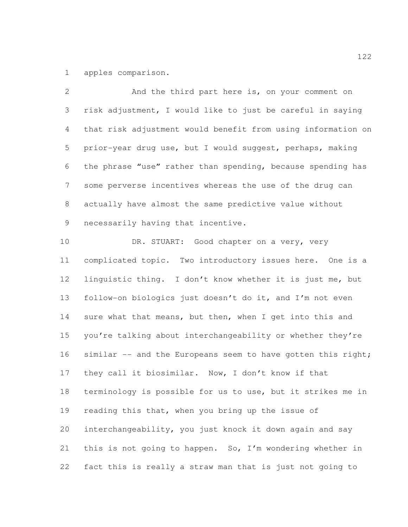apples comparison.

 And the third part here is, on your comment on risk adjustment, I would like to just be careful in saying that risk adjustment would benefit from using information on prior-year drug use, but I would suggest, perhaps, making the phrase "use" rather than spending, because spending has some perverse incentives whereas the use of the drug can actually have almost the same predictive value without necessarily having that incentive.

10 DR. STUART: Good chapter on a very, very complicated topic. Two introductory issues here. One is a linguistic thing. I don't know whether it is just me, but follow-on biologics just doesn't do it, and I'm not even sure what that means, but then, when I get into this and you're talking about interchangeability or whether they're 16 similar -- and the Europeans seem to have gotten this right; they call it biosimilar. Now, I don't know if that terminology is possible for us to use, but it strikes me in reading this that, when you bring up the issue of interchangeability, you just knock it down again and say this is not going to happen. So, I'm wondering whether in fact this is really a straw man that is just not going to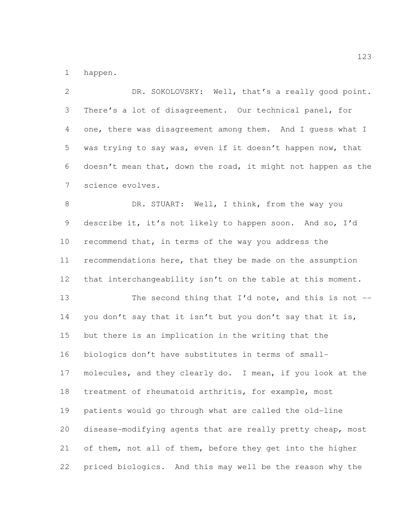happen.

 DR. SOKOLOVSKY: Well, that's a really good point. There's a lot of disagreement. Our technical panel, for one, there was disagreement among them. And I guess what I was trying to say was, even if it doesn't happen now, that doesn't mean that, down the road, it might not happen as the science evolves. 8 DR. STUART: Well, I think, from the way you describe it, it's not likely to happen soon. And so, I'd recommend that, in terms of the way you address the recommendations here, that they be made on the assumption 12 that interchangeability isn't on the table at this moment. 13 The second thing that I'd note, and this is not -- you don't say that it isn't but you don't say that it is, but there is an implication in the writing that the biologics don't have substitutes in terms of small- molecules, and they clearly do. I mean, if you look at the treatment of rheumatoid arthritis, for example, most patients would go through what are called the old-line disease-modifying agents that are really pretty cheap, most of them, not all of them, before they get into the higher priced biologics. And this may well be the reason why the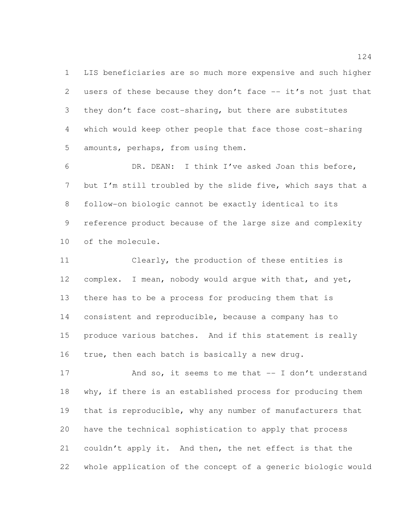LIS beneficiaries are so much more expensive and such higher users of these because they don't face -- it's not just that they don't face cost-sharing, but there are substitutes which would keep other people that face those cost-sharing amounts, perhaps, from using them.

 DR. DEAN: I think I've asked Joan this before, but I'm still troubled by the slide five, which says that a follow-on biologic cannot be exactly identical to its reference product because of the large size and complexity of the molecule.

 Clearly, the production of these entities is complex. I mean, nobody would argue with that, and yet, there has to be a process for producing them that is consistent and reproducible, because a company has to produce various batches. And if this statement is really true, then each batch is basically a new drug.

17 And so, it seems to me that -- I don't understand 18 why, if there is an established process for producing them that is reproducible, why any number of manufacturers that have the technical sophistication to apply that process couldn't apply it. And then, the net effect is that the whole application of the concept of a generic biologic would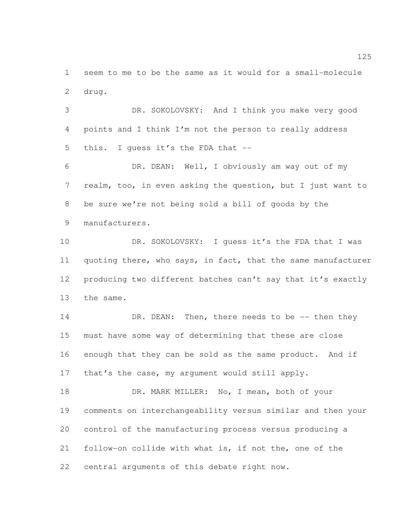seem to me to be the same as it would for a small-molecule drug.

 DR. SOKOLOVSKY: And I think you make very good points and I think I'm not the person to really address this. I guess it's the FDA that --

 DR. DEAN: Well, I obviously am way out of my realm, too, in even asking the question, but I just want to be sure we're not being sold a bill of goods by the manufacturers.

10 DR. SOKOLOVSKY: I guess it's the FDA that I was 11 quoting there, who says, in fact, that the same manufacturer 12 producing two different batches can't say that it's exactly the same.

14 DR. DEAN: Then, there needs to be -- then they must have some way of determining that these are close enough that they can be sold as the same product. And if 17 that's the case, my argument would still apply.

18 DR. MARK MILLER: No, I mean, both of your comments on interchangeability versus similar and then your control of the manufacturing process versus producing a follow-on collide with what is, if not the, one of the central arguments of this debate right now.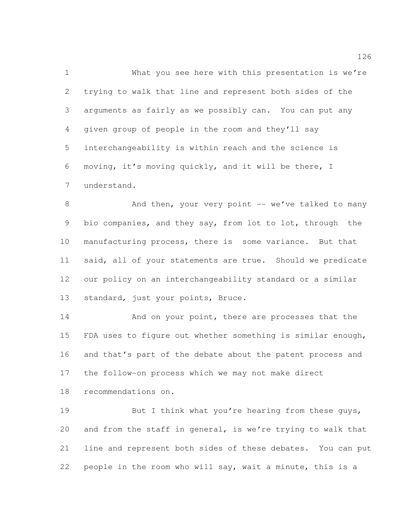What you see here with this presentation is we're trying to walk that line and represent both sides of the arguments as fairly as we possibly can. You can put any given group of people in the room and they'll say interchangeability is within reach and the science is moving, it's moving quickly, and it will be there, I understand.

8 And then, your very point -- we've talked to many bio companies, and they say, from lot to lot, through the manufacturing process, there is some variance. But that said, all of your statements are true. Should we predicate our policy on an interchangeability standard or a similar standard, just your points, Bruce.

 And on your point, there are processes that the FDA uses to figure out whether something is similar enough, and that's part of the debate about the patent process and the follow-on process which we may not make direct

recommendations on.

19 But I think what you're hearing from these guys, and from the staff in general, is we're trying to walk that line and represent both sides of these debates. You can put people in the room who will say, wait a minute, this is a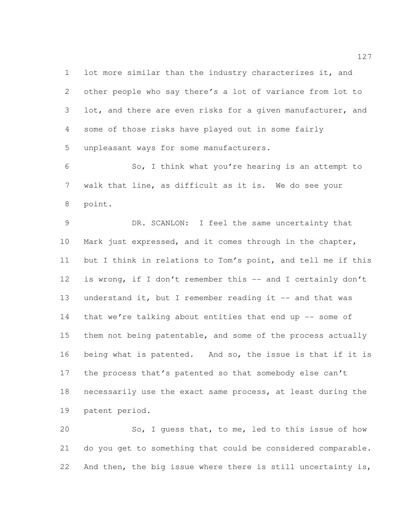lot more similar than the industry characterizes it, and other people who say there's a lot of variance from lot to 3 lot, and there are even risks for a given manufacturer, and some of those risks have played out in some fairly unpleasant ways for some manufacturers.

 So, I think what you're hearing is an attempt to walk that line, as difficult as it is. We do see your point.

 DR. SCANLON: I feel the same uncertainty that Mark just expressed, and it comes through in the chapter, but I think in relations to Tom's point, and tell me if this 12 is wrong, if I don't remember this -- and I certainly don't 13 understand it, but I remember reading it -- and that was 14 that we're talking about entities that end up -- some of them not being patentable, and some of the process actually being what is patented. And so, the issue is that if it is the process that's patented so that somebody else can't necessarily use the exact same process, at least during the patent period.

 So, I guess that, to me, led to this issue of how do you get to something that could be considered comparable. And then, the big issue where there is still uncertainty is,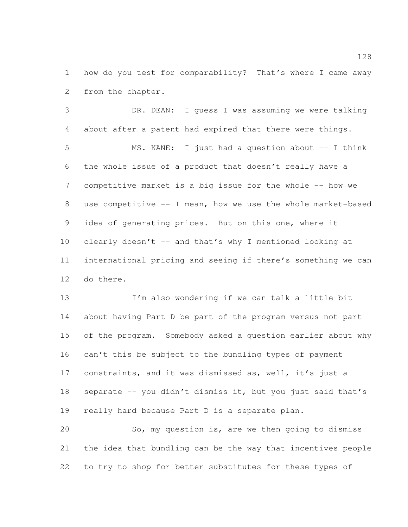how do you test for comparability? That's where I came away from the chapter.

 DR. DEAN: I guess I was assuming we were talking about after a patent had expired that there were things. MS. KANE: I just had a question about -- I think the whole issue of a product that doesn't really have a 7 competitive market is a big issue for the whole -- how we use competitive -- I mean, how we use the whole market-based idea of generating prices. But on this one, where it clearly doesn't -- and that's why I mentioned looking at international pricing and seeing if there's something we can do there.

 I'm also wondering if we can talk a little bit about having Part D be part of the program versus not part of the program. Somebody asked a question earlier about why can't this be subject to the bundling types of payment constraints, and it was dismissed as, well, it's just a 18 separate -- you didn't dismiss it, but you just said that's really hard because Part D is a separate plan.

 So, my question is, are we then going to dismiss the idea that bundling can be the way that incentives people to try to shop for better substitutes for these types of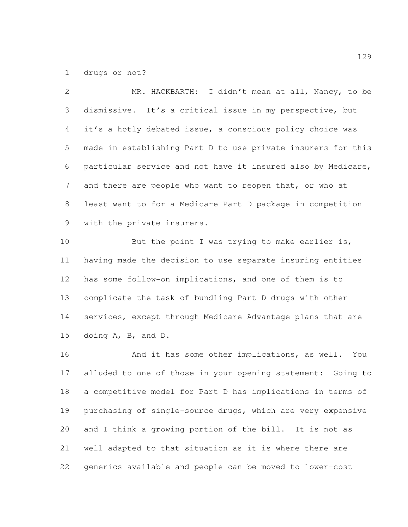drugs or not?

 MR. HACKBARTH: I didn't mean at all, Nancy, to be dismissive. It's a critical issue in my perspective, but it's a hotly debated issue, a conscious policy choice was made in establishing Part D to use private insurers for this particular service and not have it insured also by Medicare, 7 and there are people who want to reopen that, or who at least want to for a Medicare Part D package in competition with the private insurers.

10 But the point I was trying to make earlier is, having made the decision to use separate insuring entities has some follow-on implications, and one of them is to complicate the task of bundling Part D drugs with other services, except through Medicare Advantage plans that are doing A, B, and D.

16 And it has some other implications, as well. You alluded to one of those in your opening statement: Going to a competitive model for Part D has implications in terms of purchasing of single-source drugs, which are very expensive and I think a growing portion of the bill. It is not as well adapted to that situation as it is where there are generics available and people can be moved to lower-cost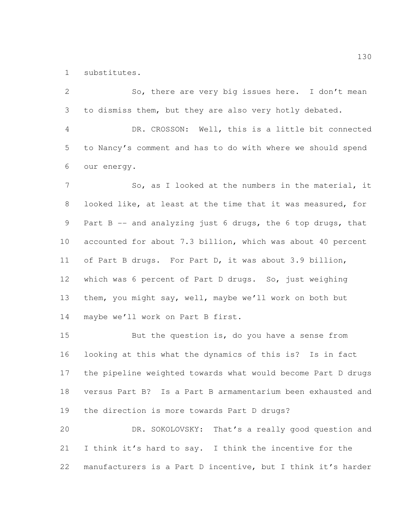substitutes.

 So, there are very big issues here. I don't mean to dismiss them, but they are also very hotly debated. DR. CROSSON: Well, this is a little bit connected to Nancy's comment and has to do with where we should spend our energy. 7 So, as I looked at the numbers in the material, it looked like, at least at the time that it was measured, for Part B -- and analyzing just 6 drugs, the 6 top drugs, that accounted for about 7.3 billion, which was about 40 percent of Part B drugs. For Part D, it was about 3.9 billion, which was 6 percent of Part D drugs. So, just weighing them, you might say, well, maybe we'll work on both but maybe we'll work on Part B first.

 But the question is, do you have a sense from looking at this what the dynamics of this is? Is in fact the pipeline weighted towards what would become Part D drugs versus Part B? Is a Part B armamentarium been exhausted and the direction is more towards Part D drugs?

 DR. SOKOLOVSKY: That's a really good question and I think it's hard to say. I think the incentive for the manufacturers is a Part D incentive, but I think it's harder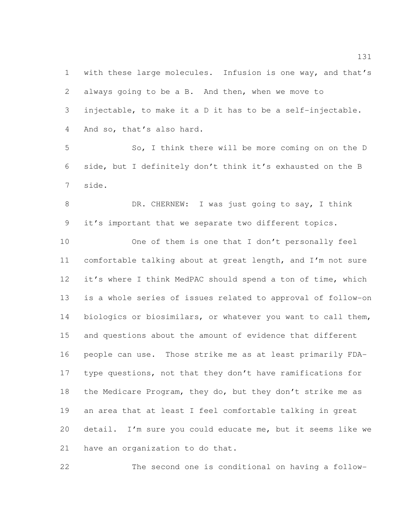with these large molecules. Infusion is one way, and that's always going to be a B. And then, when we move to injectable, to make it a D it has to be a self-injectable. And so, that's also hard.

 So, I think there will be more coming on on the D side, but I definitely don't think it's exhausted on the B side.

 DR. CHERNEW: I was just going to say, I think it's important that we separate two different topics.

 One of them is one that I don't personally feel comfortable talking about at great length, and I'm not sure it's where I think MedPAC should spend a ton of time, which is a whole series of issues related to approval of follow-on biologics or biosimilars, or whatever you want to call them, and questions about the amount of evidence that different people can use. Those strike me as at least primarily FDA- type questions, not that they don't have ramifications for 18 the Medicare Program, they do, but they don't strike me as an area that at least I feel comfortable talking in great detail. I'm sure you could educate me, but it seems like we have an organization to do that.

The second one is conditional on having a follow-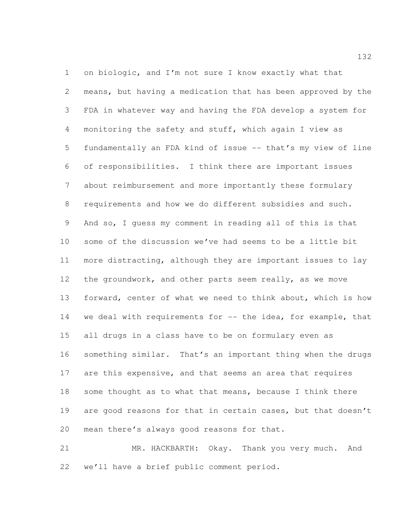on biologic, and I'm not sure I know exactly what that means, but having a medication that has been approved by the FDA in whatever way and having the FDA develop a system for monitoring the safety and stuff, which again I view as fundamentally an FDA kind of issue -- that's my view of line of responsibilities. I think there are important issues about reimbursement and more importantly these formulary requirements and how we do different subsidies and such. And so, I guess my comment in reading all of this is that some of the discussion we've had seems to be a little bit more distracting, although they are important issues to lay the groundwork, and other parts seem really, as we move forward, center of what we need to think about, which is how we deal with requirements for -- the idea, for example, that all drugs in a class have to be on formulary even as something similar. That's an important thing when the drugs are this expensive, and that seems an area that requires 18 some thought as to what that means, because I think there are good reasons for that in certain cases, but that doesn't mean there's always good reasons for that.

 MR. HACKBARTH: Okay. Thank you very much. And we'll have a brief public comment period.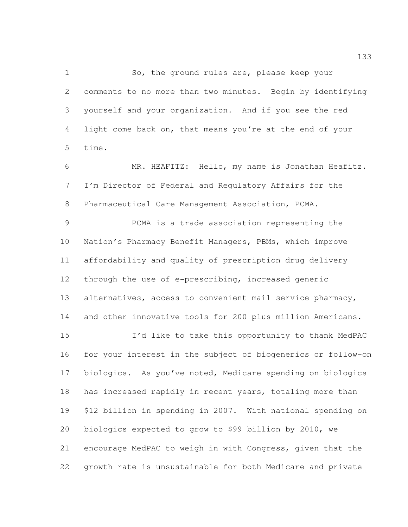So, the ground rules are, please keep your comments to no more than two minutes. Begin by identifying yourself and your organization. And if you see the red light come back on, that means you're at the end of your time.

 MR. HEAFITZ: Hello, my name is Jonathan Heafitz. I'm Director of Federal and Regulatory Affairs for the Pharmaceutical Care Management Association, PCMA.

 PCMA is a trade association representing the Nation's Pharmacy Benefit Managers, PBMs, which improve affordability and quality of prescription drug delivery through the use of e-prescribing, increased generic alternatives, access to convenient mail service pharmacy, and other innovative tools for 200 plus million Americans.

 I'd like to take this opportunity to thank MedPAC for your interest in the subject of biogenerics or follow-on biologics. As you've noted, Medicare spending on biologics 18 has increased rapidly in recent years, totaling more than \$12 billion in spending in 2007. With national spending on biologics expected to grow to \$99 billion by 2010, we encourage MedPAC to weigh in with Congress, given that the growth rate is unsustainable for both Medicare and private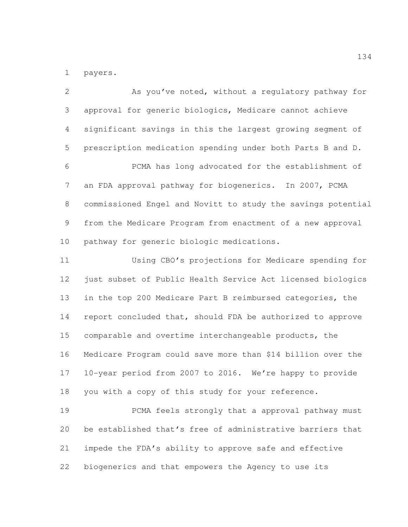payers.

 As you've noted, without a regulatory pathway for approval for generic biologics, Medicare cannot achieve significant savings in this the largest growing segment of prescription medication spending under both Parts B and D. PCMA has long advocated for the establishment of an FDA approval pathway for biogenerics. In 2007, PCMA commissioned Engel and Novitt to study the savings potential from the Medicare Program from enactment of a new approval pathway for generic biologic medications. Using CBO's projections for Medicare spending for 12 just subset of Public Health Service Act licensed biologics in the top 200 Medicare Part B reimbursed categories, the report concluded that, should FDA be authorized to approve comparable and overtime interchangeable products, the Medicare Program could save more than \$14 billion over the 10-year period from 2007 to 2016. We're happy to provide you with a copy of this study for your reference.

 PCMA feels strongly that a approval pathway must be established that's free of administrative barriers that impede the FDA's ability to approve safe and effective biogenerics and that empowers the Agency to use its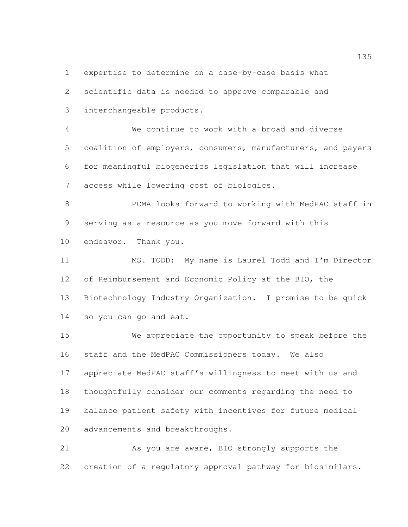expertise to determine on a case-by-case basis what

 scientific data is needed to approve comparable and interchangeable products.

 We continue to work with a broad and diverse coalition of employers, consumers, manufacturers, and payers for meaningful biogenerics legislation that will increase access while lowering cost of biologics.

 PCMA looks forward to working with MedPAC staff in serving as a resource as you move forward with this endeavor. Thank you.

 MS. TODD: My name is Laurel Todd and I'm Director of Reimbursement and Economic Policy at the BIO, the Biotechnology Industry Organization. I promise to be quick so you can go and eat.

 We appreciate the opportunity to speak before the staff and the MedPAC Commissioners today. We also appreciate MedPAC staff's willingness to meet with us and thoughtfully consider our comments regarding the need to balance patient safety with incentives for future medical advancements and breakthroughs.

 As you are aware, BIO strongly supports the creation of a regulatory approval pathway for biosimilars.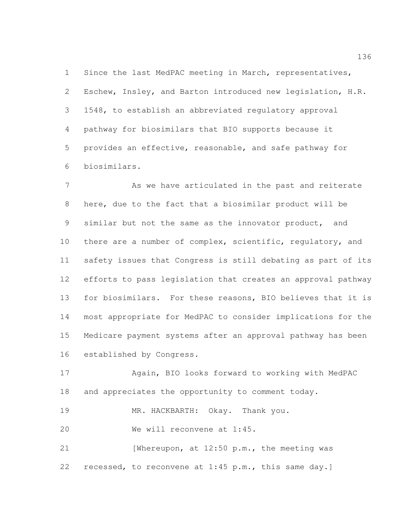Since the last MedPAC meeting in March, representatives, Eschew, Insley, and Barton introduced new legislation, H.R. 1548, to establish an abbreviated regulatory approval pathway for biosimilars that BIO supports because it provides an effective, reasonable, and safe pathway for biosimilars.

7 As we have articulated in the past and reiterate here, due to the fact that a biosimilar product will be similar but not the same as the innovator product, and 10 there are a number of complex, scientific, regulatory, and safety issues that Congress is still debating as part of its efforts to pass legislation that creates an approval pathway for biosimilars. For these reasons, BIO believes that it is most appropriate for MedPAC to consider implications for the Medicare payment systems after an approval pathway has been established by Congress.

 Again, BIO looks forward to working with MedPAC and appreciates the opportunity to comment today.

MR. HACKBARTH: Okay. Thank you.

We will reconvene at 1:45.

21 [Whereupon, at 12:50 p.m., the meeting was recessed, to reconvene at 1:45 p.m., this same day.]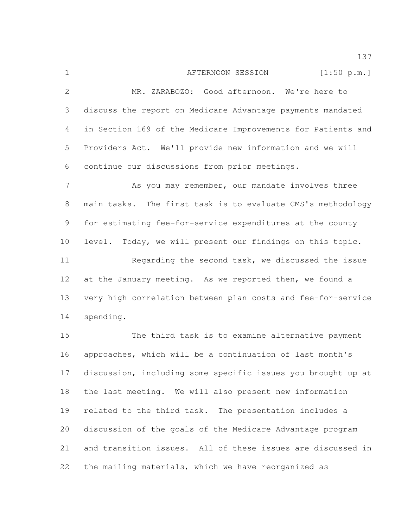1 AFTERNOON SESSION [1:50 p.m.] MR. ZARABOZO: Good afternoon. We're here to discuss the report on Medicare Advantage payments mandated in Section 169 of the Medicare Improvements for Patients and Providers Act. We'll provide new information and we will continue our discussions from prior meetings. As you may remember, our mandate involves three main tasks. The first task is to evaluate CMS's methodology for estimating fee-for-service expenditures at the county level. Today, we will present our findings on this topic. Regarding the second task, we discussed the issue at the January meeting. As we reported then, we found a very high correlation between plan costs and fee-for-service spending.

 The third task is to examine alternative payment approaches, which will be a continuation of last month's discussion, including some specific issues you brought up at the last meeting. We will also present new information related to the third task. The presentation includes a discussion of the goals of the Medicare Advantage program and transition issues. All of these issues are discussed in the mailing materials, which we have reorganized as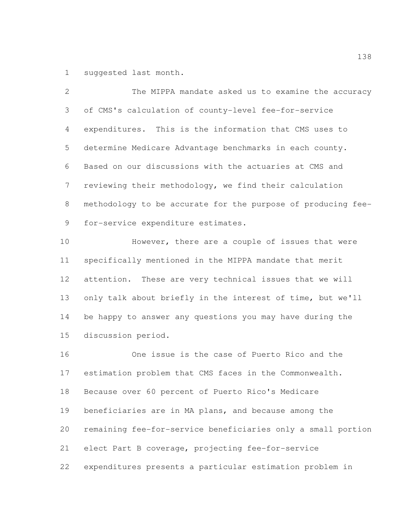suggested last month.

 The MIPPA mandate asked us to examine the accuracy of CMS's calculation of county-level fee-for-service expenditures. This is the information that CMS uses to determine Medicare Advantage benchmarks in each county. Based on our discussions with the actuaries at CMS and reviewing their methodology, we find their calculation methodology to be accurate for the purpose of producing fee-for-service expenditure estimates.

 However, there are a couple of issues that were specifically mentioned in the MIPPA mandate that merit attention. These are very technical issues that we will only talk about briefly in the interest of time, but we'll be happy to answer any questions you may have during the discussion period.

 One issue is the case of Puerto Rico and the estimation problem that CMS faces in the Commonwealth. Because over 60 percent of Puerto Rico's Medicare beneficiaries are in MA plans, and because among the remaining fee-for-service beneficiaries only a small portion elect Part B coverage, projecting fee-for-service expenditures presents a particular estimation problem in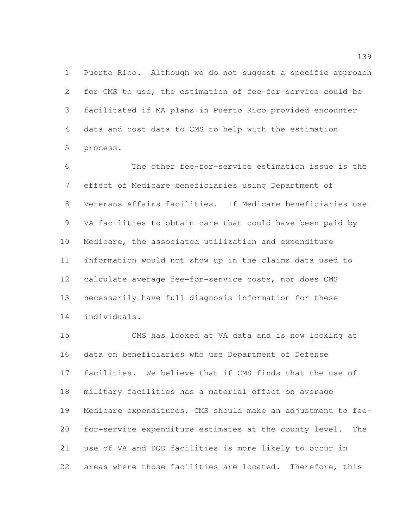Puerto Rico. Although we do not suggest a specific approach for CMS to use, the estimation of fee-for-service could be facilitated if MA plans in Puerto Rico provided encounter data and cost data to CMS to help with the estimation process.

 The other fee-for-service estimation issue is the effect of Medicare beneficiaries using Department of Veterans Affairs facilities. If Medicare beneficiaries use VA facilities to obtain care that could have been paid by Medicare, the associated utilization and expenditure information would not show up in the claims data used to calculate average fee-for-service costs, nor does CMS necessarily have full diagnosis information for these individuals.

 CMS has looked at VA data and is now looking at data on beneficiaries who use Department of Defense facilities. We believe that if CMS finds that the use of military facilities has a material effect on average Medicare expenditures, CMS should make an adjustment to fee- for-service expenditure estimates at the county level. The use of VA and DOD facilities is more likely to occur in areas where those facilities are located. Therefore, this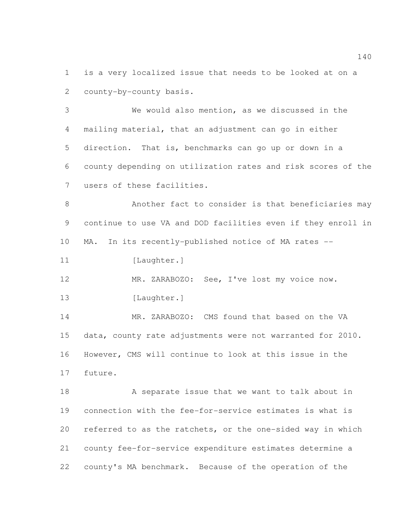is a very localized issue that needs to be looked at on a county-by-county basis.

 We would also mention, as we discussed in the mailing material, that an adjustment can go in either direction. That is, benchmarks can go up or down in a county depending on utilization rates and risk scores of the users of these facilities.

 Another fact to consider is that beneficiaries may continue to use VA and DOD facilities even if they enroll in MA. In its recently-published notice of MA rates --

11 [Laughter.]

 MR. ZARABOZO: See, I've lost my voice now. 13 [Laughter.]

 MR. ZARABOZO: CMS found that based on the VA data, county rate adjustments were not warranted for 2010. However, CMS will continue to look at this issue in the future.

18 A separate issue that we want to talk about in connection with the fee-for-service estimates is what is referred to as the ratchets, or the one-sided way in which county fee-for-service expenditure estimates determine a county's MA benchmark. Because of the operation of the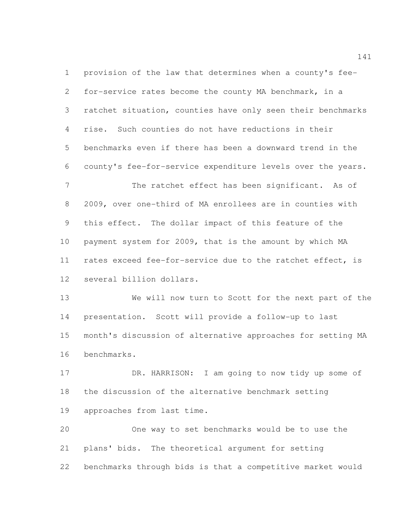provision of the law that determines when a county's fee- for-service rates become the county MA benchmark, in a ratchet situation, counties have only seen their benchmarks rise. Such counties do not have reductions in their benchmarks even if there has been a downward trend in the county's fee-for-service expenditure levels over the years.

7 The ratchet effect has been significant. As of 2009, over one-third of MA enrollees are in counties with this effect. The dollar impact of this feature of the payment system for 2009, that is the amount by which MA rates exceed fee-for-service due to the ratchet effect, is several billion dollars.

 We will now turn to Scott for the next part of the presentation. Scott will provide a follow-up to last month's discussion of alternative approaches for setting MA benchmarks.

 DR. HARRISON: I am going to now tidy up some of the discussion of the alternative benchmark setting approaches from last time.

 One way to set benchmarks would be to use the plans' bids. The theoretical argument for setting benchmarks through bids is that a competitive market would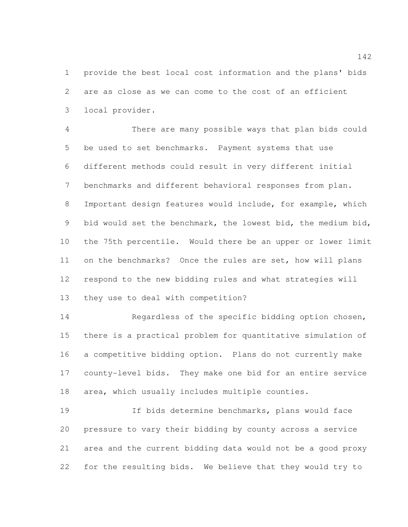provide the best local cost information and the plans' bids are as close as we can come to the cost of an efficient local provider.

 There are many possible ways that plan bids could be used to set benchmarks. Payment systems that use different methods could result in very different initial benchmarks and different behavioral responses from plan. Important design features would include, for example, which bid would set the benchmark, the lowest bid, the medium bid, the 75th percentile. Would there be an upper or lower limit on the benchmarks? Once the rules are set, how will plans respond to the new bidding rules and what strategies will they use to deal with competition?

 Regardless of the specific bidding option chosen, there is a practical problem for quantitative simulation of a competitive bidding option. Plans do not currently make county-level bids. They make one bid for an entire service area, which usually includes multiple counties.

 If bids determine benchmarks, plans would face pressure to vary their bidding by county across a service area and the current bidding data would not be a good proxy for the resulting bids. We believe that they would try to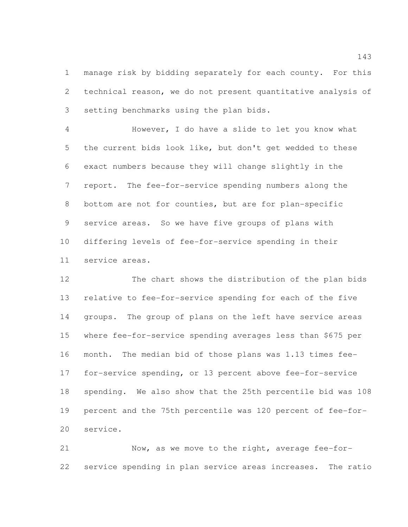manage risk by bidding separately for each county. For this technical reason, we do not present quantitative analysis of setting benchmarks using the plan bids.

 However, I do have a slide to let you know what the current bids look like, but don't get wedded to these exact numbers because they will change slightly in the report. The fee-for-service spending numbers along the bottom are not for counties, but are for plan-specific service areas. So we have five groups of plans with differing levels of fee-for-service spending in their service areas.

 The chart shows the distribution of the plan bids relative to fee-for-service spending for each of the five groups. The group of plans on the left have service areas where fee-for-service spending averages less than \$675 per month. The median bid of those plans was 1.13 times fee- for-service spending, or 13 percent above fee-for-service spending. We also show that the 25th percentile bid was 108 percent and the 75th percentile was 120 percent of fee-for-service.

 Now, as we move to the right, average fee-for-service spending in plan service areas increases. The ratio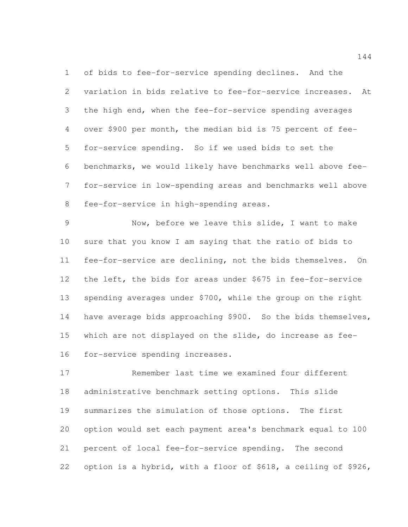of bids to fee-for-service spending declines. And the variation in bids relative to fee-for-service increases. At the high end, when the fee-for-service spending averages over \$900 per month, the median bid is 75 percent of fee- for-service spending. So if we used bids to set the benchmarks, we would likely have benchmarks well above fee- for-service in low-spending areas and benchmarks well above fee-for-service in high-spending areas.

 Now, before we leave this slide, I want to make sure that you know I am saying that the ratio of bids to fee-for-service are declining, not the bids themselves. On the left, the bids for areas under \$675 in fee-for-service spending averages under \$700, while the group on the right 14 have average bids approaching \$900. So the bids themselves, which are not displayed on the slide, do increase as fee-for-service spending increases.

 Remember last time we examined four different administrative benchmark setting options. This slide summarizes the simulation of those options. The first option would set each payment area's benchmark equal to 100 percent of local fee-for-service spending. The second option is a hybrid, with a floor of \$618, a ceiling of \$926,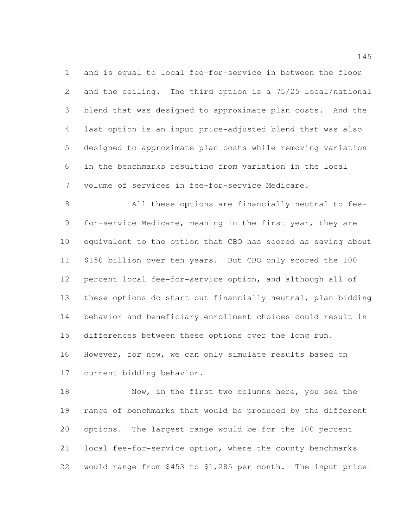and is equal to local fee-for-service in between the floor and the ceiling. The third option is a 75/25 local/national blend that was designed to approximate plan costs. And the last option is an input price-adjusted blend that was also designed to approximate plan costs while removing variation in the benchmarks resulting from variation in the local volume of services in fee-for-service Medicare.

 All these options are financially neutral to fee- for-service Medicare, meaning in the first year, they are equivalent to the option that CBO has scored as saving about \$150 billion over ten years. But CBO only scored the 100 percent local fee-for-service option, and although all of these options do start out financially neutral, plan bidding behavior and beneficiary enrollment choices could result in differences between these options over the long run. However, for now, we can only simulate results based on current bidding behavior.

18 Now, in the first two columns here, you see the range of benchmarks that would be produced by the different options. The largest range would be for the 100 percent local fee-for-service option, where the county benchmarks would range from \$453 to \$1,285 per month. The input price-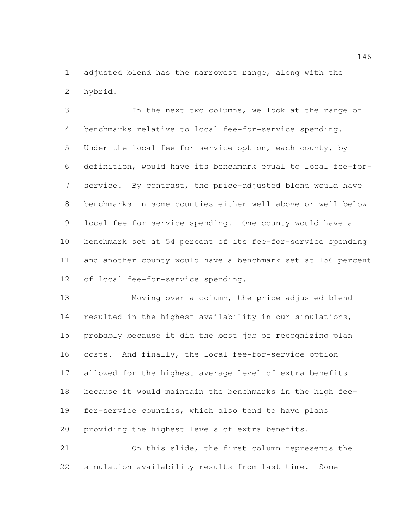adjusted blend has the narrowest range, along with the hybrid.

 In the next two columns, we look at the range of benchmarks relative to local fee-for-service spending. Under the local fee-for-service option, each county, by definition, would have its benchmark equal to local fee-for- service. By contrast, the price-adjusted blend would have benchmarks in some counties either well above or well below local fee-for-service spending. One county would have a benchmark set at 54 percent of its fee-for-service spending and another county would have a benchmark set at 156 percent of local fee-for-service spending.

 Moving over a column, the price-adjusted blend resulted in the highest availability in our simulations, probably because it did the best job of recognizing plan costs. And finally, the local fee-for-service option allowed for the highest average level of extra benefits because it would maintain the benchmarks in the high fee- for-service counties, which also tend to have plans providing the highest levels of extra benefits.

 On this slide, the first column represents the simulation availability results from last time. Some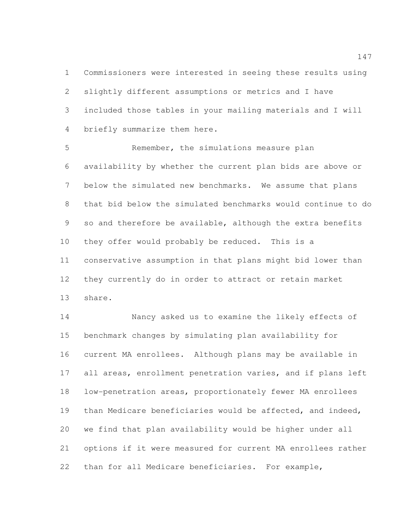Commissioners were interested in seeing these results using slightly different assumptions or metrics and I have included those tables in your mailing materials and I will briefly summarize them here.

 Remember, the simulations measure plan availability by whether the current plan bids are above or below the simulated new benchmarks. We assume that plans that bid below the simulated benchmarks would continue to do so and therefore be available, although the extra benefits they offer would probably be reduced. This is a conservative assumption in that plans might bid lower than they currently do in order to attract or retain market share.

 Nancy asked us to examine the likely effects of benchmark changes by simulating plan availability for current MA enrollees. Although plans may be available in all areas, enrollment penetration varies, and if plans left low-penetration areas, proportionately fewer MA enrollees 19 than Medicare beneficiaries would be affected, and indeed, we find that plan availability would be higher under all options if it were measured for current MA enrollees rather than for all Medicare beneficiaries. For example,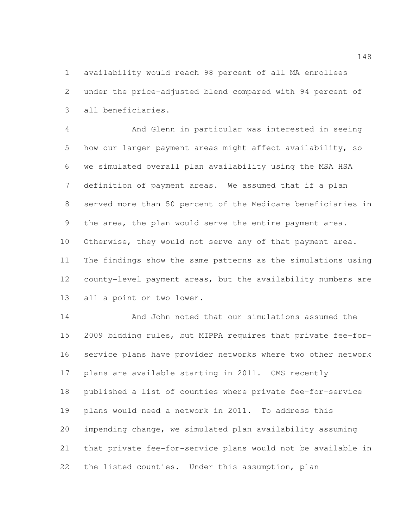availability would reach 98 percent of all MA enrollees under the price-adjusted blend compared with 94 percent of all beneficiaries.

 And Glenn in particular was interested in seeing how our larger payment areas might affect availability, so we simulated overall plan availability using the MSA HSA definition of payment areas. We assumed that if a plan served more than 50 percent of the Medicare beneficiaries in the area, the plan would serve the entire payment area. 10 Otherwise, they would not serve any of that payment area. The findings show the same patterns as the simulations using county-level payment areas, but the availability numbers are all a point or two lower.

 And John noted that our simulations assumed the 2009 bidding rules, but MIPPA requires that private fee-for- service plans have provider networks where two other network plans are available starting in 2011. CMS recently published a list of counties where private fee-for-service plans would need a network in 2011. To address this impending change, we simulated plan availability assuming that private fee-for-service plans would not be available in the listed counties. Under this assumption, plan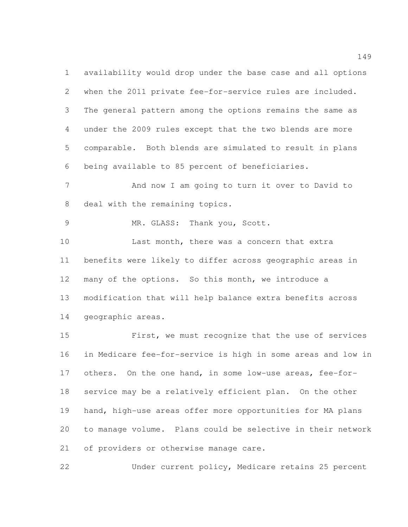availability would drop under the base case and all options when the 2011 private fee-for-service rules are included. The general pattern among the options remains the same as under the 2009 rules except that the two blends are more comparable. Both blends are simulated to result in plans being available to 85 percent of beneficiaries.

 And now I am going to turn it over to David to deal with the remaining topics.

MR. GLASS: Thank you, Scott.

 Last month, there was a concern that extra benefits were likely to differ across geographic areas in many of the options. So this month, we introduce a modification that will help balance extra benefits across geographic areas.

 First, we must recognize that the use of services in Medicare fee-for-service is high in some areas and low in others. On the one hand, in some low-use areas, fee-for- service may be a relatively efficient plan. On the other hand, high-use areas offer more opportunities for MA plans to manage volume. Plans could be selective in their network of providers or otherwise manage care.

Under current policy, Medicare retains 25 percent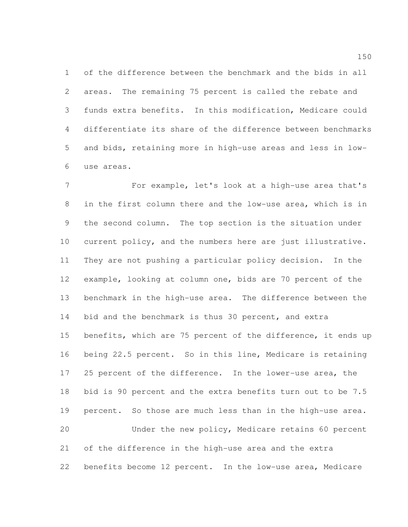of the difference between the benchmark and the bids in all areas. The remaining 75 percent is called the rebate and funds extra benefits. In this modification, Medicare could differentiate its share of the difference between benchmarks and bids, retaining more in high-use areas and less in low-use areas.

 For example, let's look at a high-use area that's in the first column there and the low-use area, which is in the second column. The top section is the situation under current policy, and the numbers here are just illustrative. They are not pushing a particular policy decision. In the example, looking at column one, bids are 70 percent of the benchmark in the high-use area. The difference between the 14 bid and the benchmark is thus 30 percent, and extra benefits, which are 75 percent of the difference, it ends up being 22.5 percent. So in this line, Medicare is retaining 25 percent of the difference. In the lower-use area, the bid is 90 percent and the extra benefits turn out to be 7.5 percent. So those are much less than in the high-use area. Under the new policy, Medicare retains 60 percent of the difference in the high-use area and the extra benefits become 12 percent. In the low-use area, Medicare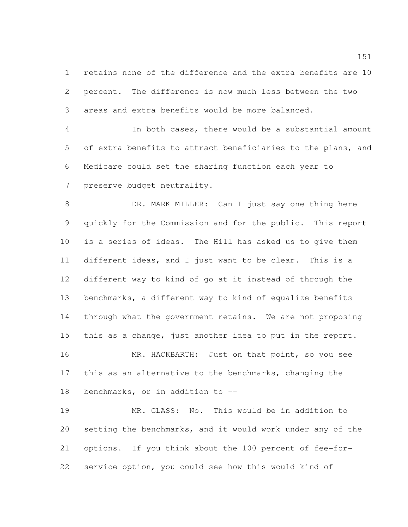retains none of the difference and the extra benefits are 10 percent. The difference is now much less between the two areas and extra benefits would be more balanced.

 In both cases, there would be a substantial amount of extra benefits to attract beneficiaries to the plans, and Medicare could set the sharing function each year to preserve budget neutrality.

 DR. MARK MILLER: Can I just say one thing here quickly for the Commission and for the public. This report is a series of ideas. The Hill has asked us to give them different ideas, and I just want to be clear. This is a different way to kind of go at it instead of through the benchmarks, a different way to kind of equalize benefits through what the government retains. We are not proposing this as a change, just another idea to put in the report.

16 MR. HACKBARTH: Just on that point, so you see this as an alternative to the benchmarks, changing the benchmarks, or in addition to --

 MR. GLASS: No. This would be in addition to setting the benchmarks, and it would work under any of the options. If you think about the 100 percent of fee-for-service option, you could see how this would kind of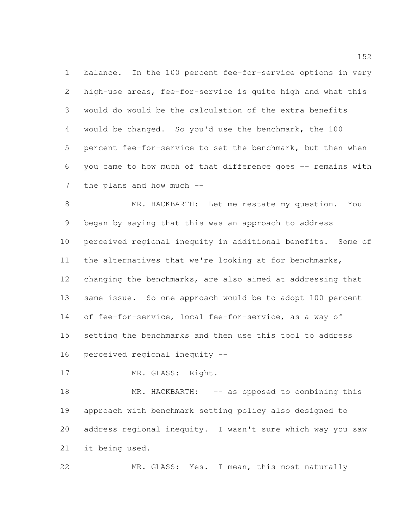balance. In the 100 percent fee-for-service options in very high-use areas, fee-for-service is quite high and what this would do would be the calculation of the extra benefits would be changed. So you'd use the benchmark, the 100 percent fee-for-service to set the benchmark, but then when you came to how much of that difference goes -- remains with 7 the plans and how much --

 MR. HACKBARTH: Let me restate my question. You began by saying that this was an approach to address perceived regional inequity in additional benefits. Some of the alternatives that we're looking at for benchmarks, changing the benchmarks, are also aimed at addressing that same issue. So one approach would be to adopt 100 percent of fee-for-service, local fee-for-service, as a way of setting the benchmarks and then use this tool to address perceived regional inequity --

17 MR. GLASS: Right.

18 MR. HACKBARTH: -- as opposed to combining this approach with benchmark setting policy also designed to address regional inequity. I wasn't sure which way you saw it being used.

MR. GLASS: Yes. I mean, this most naturally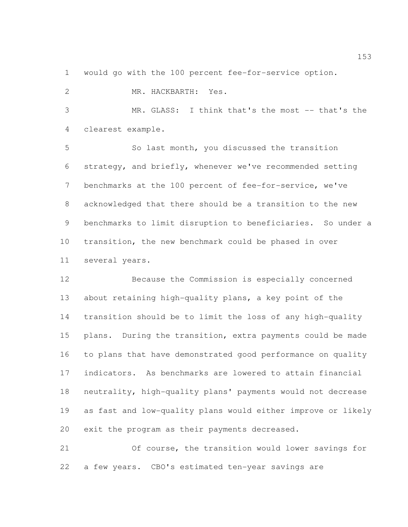would go with the 100 percent fee-for-service option.

| $\mathbf{2}$    | MR. HACKBARTH: Yes.                                          |
|-----------------|--------------------------------------------------------------|
| 3               | MR. GLASS:<br>I think that's the most -- that's the          |
| 4               | clearest example.                                            |
| 5               | So last month, you discussed the transition                  |
| 6               | strategy, and briefly, whenever we've recommended setting    |
| $7\phantom{.0}$ | benchmarks at the 100 percent of fee-for-service, we've      |
| 8               | acknowledged that there should be a transition to the new    |
| 9               | benchmarks to limit disruption to beneficiaries. So under a  |
| 10              | transition, the new benchmark could be phased in over        |
| 11              | several years.                                               |
| 12              | Because the Commission is especially concerned               |
| 13              | about retaining high-quality plans, a key point of the       |
| 14              | transition should be to limit the loss of any high-quality   |
| 15              | plans. During the transition, extra payments could be made   |
| 16              | to plans that have demonstrated good performance on quality  |
| 17              | indicators. As benchmarks are lowered to attain financial    |
| 18              | neutrality, high-quality plans' payments would not decrease  |
| 19              | as fast and low-quality plans would either improve or likely |

exit the program as their payments decreased.

 Of course, the transition would lower savings for a few years. CBO's estimated ten-year savings are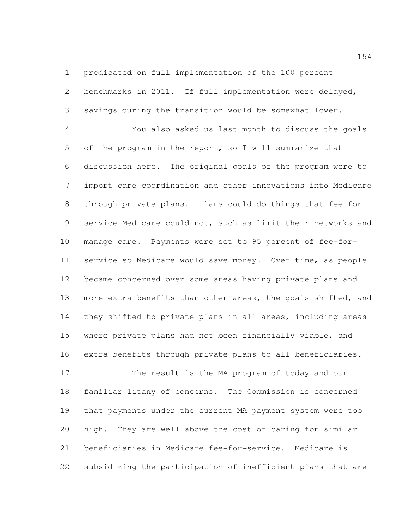predicated on full implementation of the 100 percent benchmarks in 2011. If full implementation were delayed,

savings during the transition would be somewhat lower.

 You also asked us last month to discuss the goals of the program in the report, so I will summarize that discussion here. The original goals of the program were to import care coordination and other innovations into Medicare through private plans. Plans could do things that fee-for- service Medicare could not, such as limit their networks and manage care. Payments were set to 95 percent of fee-for- service so Medicare would save money. Over time, as people became concerned over some areas having private plans and more extra benefits than other areas, the goals shifted, and they shifted to private plans in all areas, including areas where private plans had not been financially viable, and extra benefits through private plans to all beneficiaries.

 The result is the MA program of today and our familiar litany of concerns. The Commission is concerned that payments under the current MA payment system were too high. They are well above the cost of caring for similar beneficiaries in Medicare fee-for-service. Medicare is subsidizing the participation of inefficient plans that are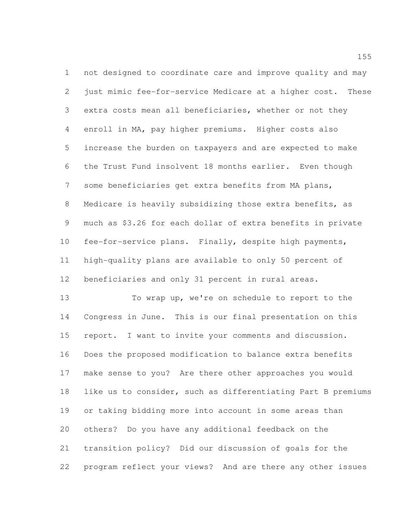not designed to coordinate care and improve quality and may just mimic fee-for-service Medicare at a higher cost. These extra costs mean all beneficiaries, whether or not they enroll in MA, pay higher premiums. Higher costs also increase the burden on taxpayers and are expected to make the Trust Fund insolvent 18 months earlier. Even though some beneficiaries get extra benefits from MA plans, Medicare is heavily subsidizing those extra benefits, as much as \$3.26 for each dollar of extra benefits in private fee-for-service plans. Finally, despite high payments, high-quality plans are available to only 50 percent of beneficiaries and only 31 percent in rural areas.

 To wrap up, we're on schedule to report to the Congress in June. This is our final presentation on this report. I want to invite your comments and discussion. Does the proposed modification to balance extra benefits make sense to you? Are there other approaches you would like us to consider, such as differentiating Part B premiums or taking bidding more into account in some areas than others? Do you have any additional feedback on the transition policy? Did our discussion of goals for the program reflect your views? And are there any other issues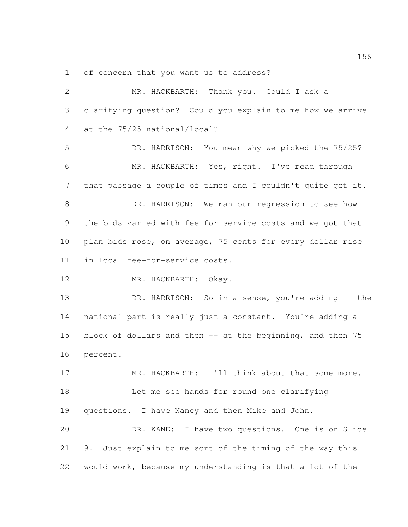of concern that you want us to address?

 MR. HACKBARTH: Thank you. Could I ask a clarifying question? Could you explain to me how we arrive at the 75/25 national/local? DR. HARRISON: You mean why we picked the 75/25? MR. HACKBARTH: Yes, right. I've read through that passage a couple of times and I couldn't quite get it. DR. HARRISON: We ran our regression to see how the bids varied with fee-for-service costs and we got that plan bids rose, on average, 75 cents for every dollar rise in local fee-for-service costs. 12 MR. HACKBARTH: Okay. 13 DR. HARRISON: So in a sense, you're adding -- the national part is really just a constant. You're adding a 15 block of dollars and then -- at the beginning, and then 75 percent. 17 MR. HACKBARTH: I'll think about that some more. Let me see hands for round one clarifying questions. I have Nancy and then Mike and John. DR. KANE: I have two questions. One is on Slide 9. Just explain to me sort of the timing of the way this would work, because my understanding is that a lot of the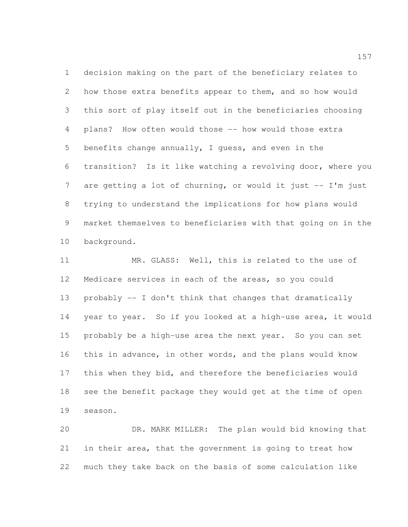decision making on the part of the beneficiary relates to how those extra benefits appear to them, and so how would this sort of play itself out in the beneficiaries choosing plans? How often would those -- how would those extra benefits change annually, I guess, and even in the transition? Is it like watching a revolving door, where you are getting a lot of churning, or would it just -- I'm just trying to understand the implications for how plans would market themselves to beneficiaries with that going on in the background.

 MR. GLASS: Well, this is related to the use of Medicare services in each of the areas, so you could probably -- I don't think that changes that dramatically year to year. So if you looked at a high-use area, it would probably be a high-use area the next year. So you can set this in advance, in other words, and the plans would know this when they bid, and therefore the beneficiaries would see the benefit package they would get at the time of open season.

 DR. MARK MILLER: The plan would bid knowing that in their area, that the government is going to treat how much they take back on the basis of some calculation like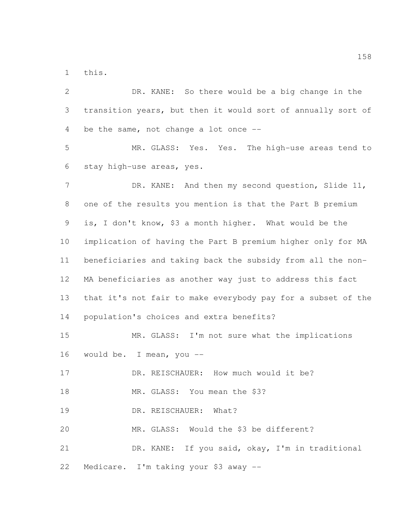this.

| $\mathbf{2}$   | DR. KANE: So there would be a big change in the              |
|----------------|--------------------------------------------------------------|
| 3              | transition years, but then it would sort of annually sort of |
| 4              | be the same, not change a lot once $-$ -                     |
| 5              | MR. GLASS: Yes. Yes. The high-use areas tend to              |
| 6              | stay high-use areas, yes.                                    |
| $7\phantom{.}$ | DR. KANE: And then my second question, Slide 11,             |
| $8\,$          | one of the results you mention is that the Part B premium    |
| 9              | is, I don't know, \$3 a month higher. What would be the      |
| 10             | implication of having the Part B premium higher only for MA  |
| 11             | beneficiaries and taking back the subsidy from all the non-  |
| 12             | MA beneficiaries as another way just to address this fact    |
| 13             | that it's not fair to make everybody pay for a subset of the |
| 14             | population's choices and extra benefits?                     |
| 15             | MR. GLASS: I'm not sure what the implications                |
| 16             | would be. I mean, you --                                     |
| 17             | DR. REISCHAUER: How much would it be?                        |
| 18             | MR. GLASS: You mean the \$3?                                 |
| 19             | DR. REISCHAUER:<br>What?                                     |
| 20             | MR. GLASS: Would the \$3 be different?                       |
| 21             | DR. KANE: If you said, okay, I'm in traditional              |
| 22             | Medicare. I'm taking your \$3 away --                        |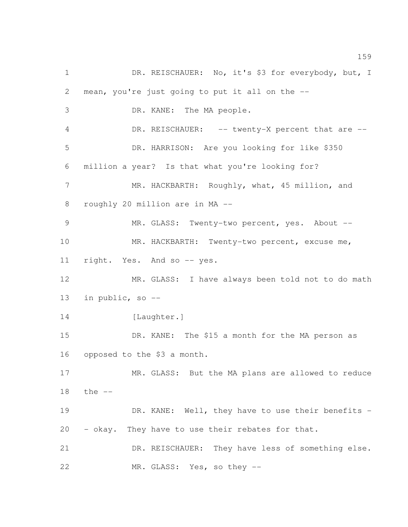1 DR. REISCHAUER: No, it's \$3 for everybody, but, I mean, you're just going to put it all on the -- DR. KANE: The MA people. 4 DR. REISCHAUER: -- twenty-X percent that are -- DR. HARRISON: Are you looking for like \$350 million a year? Is that what you're looking for? 7 MR. HACKBARTH: Roughly, what, 45 million, and roughly 20 million are in MA -- MR. GLASS: Twenty-two percent, yes. About -- MR. HACKBARTH: Twenty-two percent, excuse me, 11 right. Yes. And so -- yes. MR. GLASS: I have always been told not to do math in public, so -- 14 [Laughter.] DR. KANE: The \$15 a month for the MA person as opposed to the \$3 a month. MR. GLASS: But the MA plans are allowed to reduce the -- DR. KANE: Well, they have to use their benefits - - okay. They have to use their rebates for that. DR. REISCHAUER: They have less of something else. 22 MR. GLASS: Yes, so they --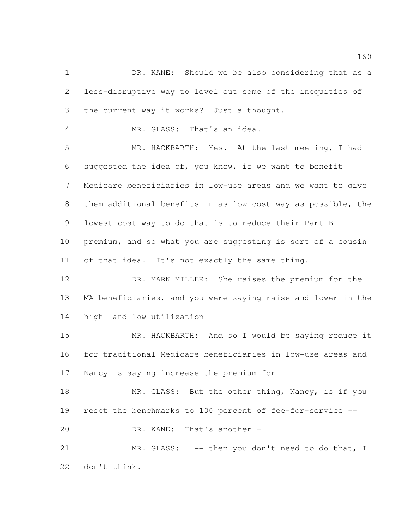1 DR. KANE: Should we be also considering that as a less-disruptive way to level out some of the inequities of the current way it works? Just a thought.

MR. GLASS: That's an idea.

 MR. HACKBARTH: Yes. At the last meeting, I had suggested the idea of, you know, if we want to benefit Medicare beneficiaries in low-use areas and we want to give them additional benefits in as low-cost way as possible, the lowest-cost way to do that is to reduce their Part B premium, and so what you are suggesting is sort of a cousin of that idea. It's not exactly the same thing.

 DR. MARK MILLER: She raises the premium for the MA beneficiaries, and you were saying raise and lower in the high- and low-utilization --

 MR. HACKBARTH: And so I would be saying reduce it for traditional Medicare beneficiaries in low-use areas and Nancy is saying increase the premium for --

18 MR. GLASS: But the other thing, Nancy, is if you reset the benchmarks to 100 percent of fee-for-service --

DR. KANE: That's another –

21 MR. GLASS: -- then you don't need to do that, I don't think.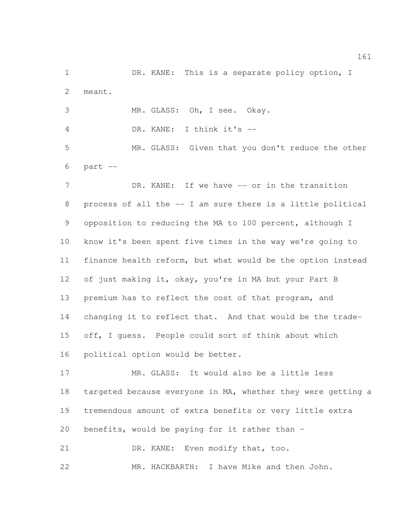1 DR. KANE: This is a separate policy option, I meant.

MR. GLASS: Oh, I see. Okay.

DR. KANE: I think it's --

 MR. GLASS: Given that you don't reduce the other part  $-$ 

7 DR. KANE: If we have -- or in the transition process of all the -- I am sure there is a little political opposition to reducing the MA to 100 percent, although I know it's been spent five times in the way we're going to finance health reform, but what would be the option instead 12 of just making it, okay, you're in MA but your Part B premium has to reflect the cost of that program, and changing it to reflect that. And that would be the trade- off, I guess. People could sort of think about which political option would be better.

 MR. GLASS: It would also be a little less targeted because everyone in MA, whether they were getting a tremendous amount of extra benefits or very little extra benefits, would be paying for it rather than –

21 DR. KANE: Even modify that, too.

MR. HACKBARTH: I have Mike and then John.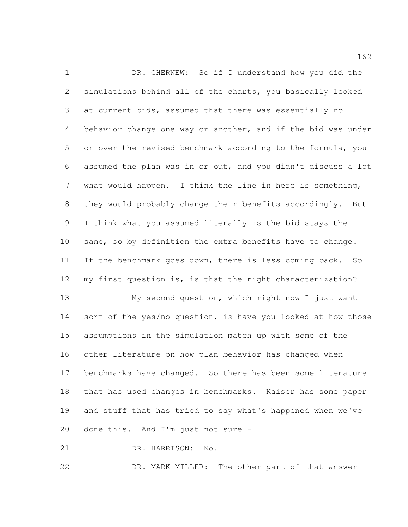DR. CHERNEW: So if I understand how you did the simulations behind all of the charts, you basically looked at current bids, assumed that there was essentially no behavior change one way or another, and if the bid was under or over the revised benchmark according to the formula, you assumed the plan was in or out, and you didn't discuss a lot what would happen. I think the line in here is something, they would probably change their benefits accordingly. But I think what you assumed literally is the bid stays the same, so by definition the extra benefits have to change. If the benchmark goes down, there is less coming back. So my first question is, is that the right characterization? My second question, which right now I just want

14 sort of the yes/no question, is have you looked at how those assumptions in the simulation match up with some of the other literature on how plan behavior has changed when benchmarks have changed. So there has been some literature that has used changes in benchmarks. Kaiser has some paper and stuff that has tried to say what's happened when we've done this. And I'm just not sure –

DR. HARRISON: No.

DR. MARK MILLER: The other part of that answer --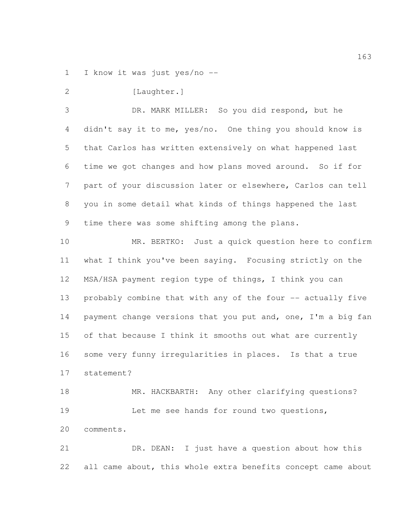I know it was just yes/no --

2 [Laughter.]

 DR. MARK MILLER: So you did respond, but he didn't say it to me, yes/no. One thing you should know is that Carlos has written extensively on what happened last time we got changes and how plans moved around. So if for part of your discussion later or elsewhere, Carlos can tell you in some detail what kinds of things happened the last time there was some shifting among the plans.

 MR. BERTKO: Just a quick question here to confirm what I think you've been saying. Focusing strictly on the MSA/HSA payment region type of things, I think you can 13 probably combine that with any of the four -- actually five 14 payment change versions that you put and, one, I'm a big fan of that because I think it smooths out what are currently some very funny irregularities in places. Is that a true statement?

18 MR. HACKBARTH: Any other clarifying questions? 19 Let me see hands for round two questions, comments.

 DR. DEAN: I just have a question about how this 22 all came about, this whole extra benefits concept came about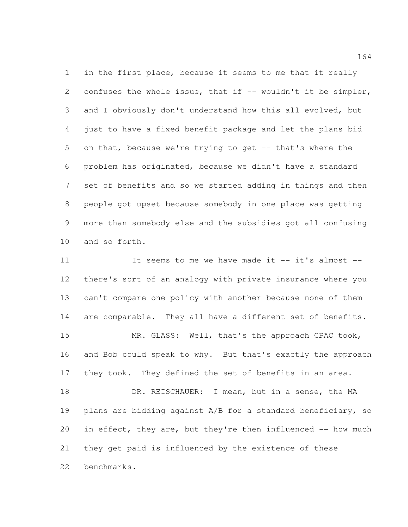in the first place, because it seems to me that it really 2 confuses the whole issue, that if -- wouldn't it be simpler, and I obviously don't understand how this all evolved, but just to have a fixed benefit package and let the plans bid on that, because we're trying to get -- that's where the problem has originated, because we didn't have a standard set of benefits and so we started adding in things and then people got upset because somebody in one place was getting more than somebody else and the subsidies got all confusing and so forth.

 It seems to me we have made it -- it's almost -- there's sort of an analogy with private insurance where you can't compare one policy with another because none of them are comparable. They all have a different set of benefits. MR. GLASS: Well, that's the approach CPAC took, and Bob could speak to why. But that's exactly the approach 17 they took. They defined the set of benefits in an area. 18 DR. REISCHAUER: I mean, but in a sense, the MA plans are bidding against A/B for a standard beneficiary, so 20 in effect, they are, but they're then influenced -- how much they get paid is influenced by the existence of these benchmarks.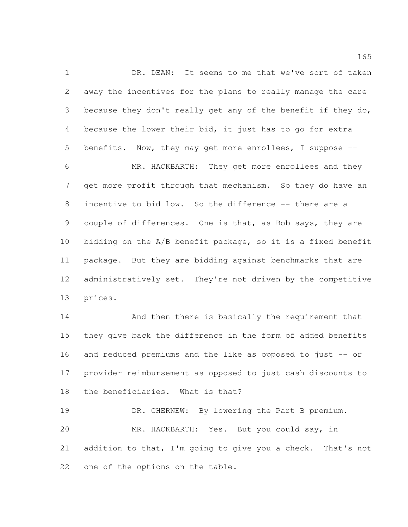1 DR. DEAN: It seems to me that we've sort of taken away the incentives for the plans to really manage the care because they don't really get any of the benefit if they do, because the lower their bid, it just has to go for extra benefits. Now, they may get more enrollees, I suppose --

 MR. HACKBARTH: They get more enrollees and they get more profit through that mechanism. So they do have an incentive to bid low. So the difference -- there are a couple of differences. One is that, as Bob says, they are bidding on the A/B benefit package, so it is a fixed benefit package. But they are bidding against benchmarks that are administratively set. They're not driven by the competitive prices.

 And then there is basically the requirement that they give back the difference in the form of added benefits and reduced premiums and the like as opposed to just -- or provider reimbursement as opposed to just cash discounts to the beneficiaries. What is that?

19 DR. CHERNEW: By lowering the Part B premium. MR. HACKBARTH: Yes. But you could say, in addition to that, I'm going to give you a check. That's not one of the options on the table.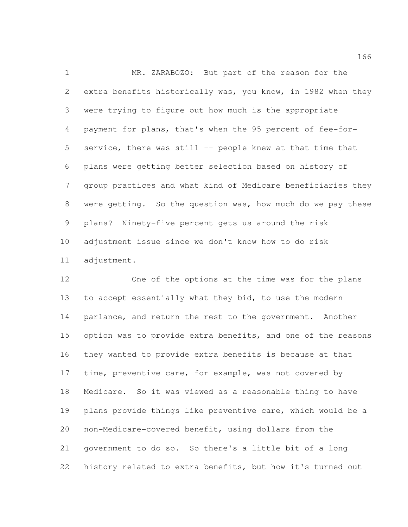MR. ZARABOZO: But part of the reason for the extra benefits historically was, you know, in 1982 when they were trying to figure out how much is the appropriate payment for plans, that's when the 95 percent of fee-for- service, there was still -- people knew at that time that plans were getting better selection based on history of group practices and what kind of Medicare beneficiaries they were getting. So the question was, how much do we pay these plans? Ninety-five percent gets us around the risk adjustment issue since we don't know how to do risk adjustment.

 One of the options at the time was for the plans 13 to accept essentially what they bid, to use the modern parlance, and return the rest to the government. Another option was to provide extra benefits, and one of the reasons they wanted to provide extra benefits is because at that 17 time, preventive care, for example, was not covered by Medicare. So it was viewed as a reasonable thing to have plans provide things like preventive care, which would be a non-Medicare-covered benefit, using dollars from the government to do so. So there's a little bit of a long history related to extra benefits, but how it's turned out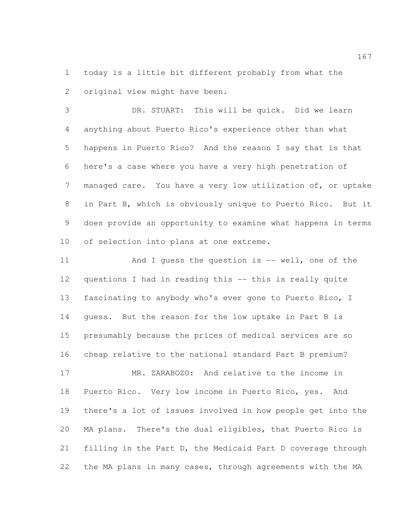today is a little bit different probably from what the original view might have been.

 DR. STUART: This will be quick. Did we learn anything about Puerto Rico's experience other than what happens in Puerto Rico? And the reason I say that is that here's a case where you have a very high penetration of managed care. You have a very low utilization of, or uptake in Part B, which is obviously unique to Puerto Rico. But it does provide an opportunity to examine what happens in terms of selection into plans at one extreme.

11 And I quess the question is -- well, one of the questions I had in reading this -- this is really quite fascinating to anybody who's ever gone to Puerto Rico, I guess. But the reason for the low uptake in Part B is presumably because the prices of medical services are so cheap relative to the national standard Part B premium?

 MR. ZARABOZO: And relative to the income in Puerto Rico. Very low income in Puerto Rico, yes. And there's a lot of issues involved in how people get into the MA plans. There's the dual eligibles, that Puerto Rico is filling in the Part D, the Medicaid Part D coverage through the MA plans in many cases, through agreements with the MA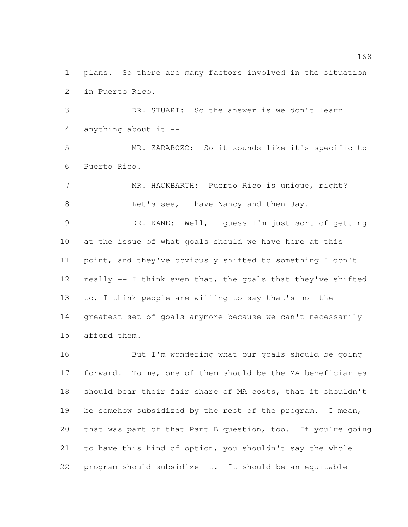plans. So there are many factors involved in the situation in Puerto Rico.

 DR. STUART: So the answer is we don't learn anything about it --

 MR. ZARABOZO: So it sounds like it's specific to Puerto Rico.

 MR. HACKBARTH: Puerto Rico is unique, right? 8 Let's see, I have Nancy and then Jay.

 DR. KANE: Well, I guess I'm just sort of getting at the issue of what goals should we have here at this point, and they've obviously shifted to something I don't really -- I think even that, the goals that they've shifted to, I think people are willing to say that's not the greatest set of goals anymore because we can't necessarily afford them.

 But I'm wondering what our goals should be going forward. To me, one of them should be the MA beneficiaries should bear their fair share of MA costs, that it shouldn't be somehow subsidized by the rest of the program. I mean, that was part of that Part B question, too. If you're going to have this kind of option, you shouldn't say the whole program should subsidize it. It should be an equitable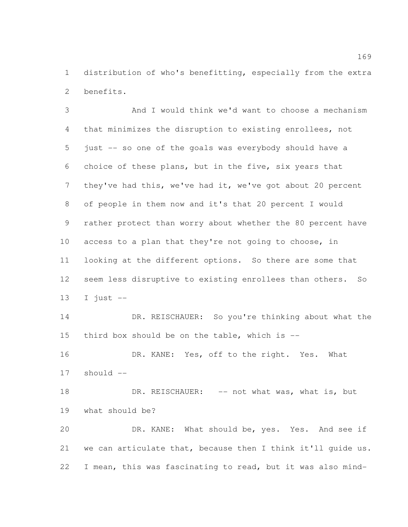distribution of who's benefitting, especially from the extra benefits.

 And I would think we'd want to choose a mechanism that minimizes the disruption to existing enrollees, not just -- so one of the goals was everybody should have a choice of these plans, but in the five, six years that they've had this, we've had it, we've got about 20 percent of people in them now and it's that 20 percent I would rather protect than worry about whether the 80 percent have access to a plan that they're not going to choose, in looking at the different options. So there are some that seem less disruptive to existing enrollees than others. So 13 I just  $-$  DR. REISCHAUER: So you're thinking about what the third box should be on the table, which is -- DR. KANE: Yes, off to the right. Yes. What should -- 18 DR. REISCHAUER: -- not what was, what is, but what should be? DR. KANE: What should be, yes. Yes. And see if we can articulate that, because then I think it'll guide us. I mean, this was fascinating to read, but it was also mind-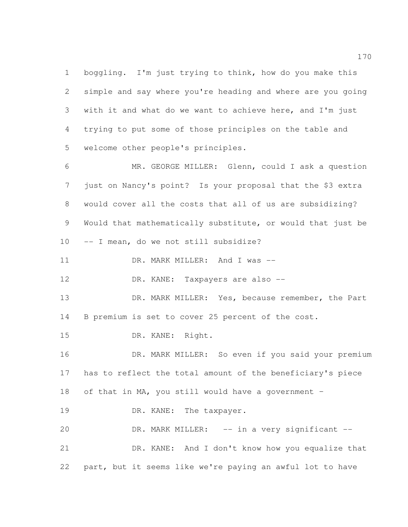boggling. I'm just trying to think, how do you make this simple and say where you're heading and where are you going with it and what do we want to achieve here, and I'm just trying to put some of those principles on the table and welcome other people's principles.

 MR. GEORGE MILLER: Glenn, could I ask a question just on Nancy's point? Is your proposal that the \$3 extra would cover all the costs that all of us are subsidizing? Would that mathematically substitute, or would that just be -- I mean, do we not still subsidize?

11 DR. MARK MILLER: And I was --

12 DR. KANE: Taxpayers are also --

 DR. MARK MILLER: Yes, because remember, the Part B premium is set to cover 25 percent of the cost.

DR. KANE: Right.

 DR. MARK MILLER: So even if you said your premium has to reflect the total amount of the beneficiary's piece of that in MA, you still would have a government –

19 DR. KANE: The taxpayer.

 DR. MARK MILLER: -- in a very significant -- DR. KANE: And I don't know how you equalize that part, but it seems like we're paying an awful lot to have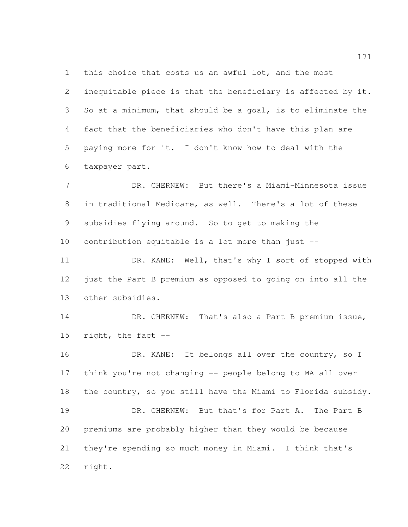this choice that costs us an awful lot, and the most

 inequitable piece is that the beneficiary is affected by it. So at a minimum, that should be a goal, is to eliminate the fact that the beneficiaries who don't have this plan are paying more for it. I don't know how to deal with the taxpayer part.

 DR. CHERNEW: But there's a Miami-Minnesota issue in traditional Medicare, as well. There's a lot of these subsidies flying around. So to get to making the contribution equitable is a lot more than just --

 DR. KANE: Well, that's why I sort of stopped with 12 just the Part B premium as opposed to going on into all the other subsidies.

14 DR. CHERNEW: That's also a Part B premium issue, right, the fact --

16 DR. KANE: It belongs all over the country, so I think you're not changing -- people belong to MA all over the country, so you still have the Miami to Florida subsidy. 19 DR. CHERNEW: But that's for Part A. The Part B premiums are probably higher than they would be because they're spending so much money in Miami. I think that's right.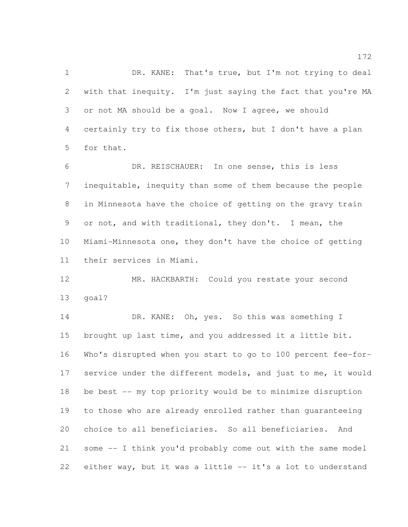1 DR. KANE: That's true, but I'm not trying to deal with that inequity. I'm just saying the fact that you're MA or not MA should be a goal. Now I agree, we should certainly try to fix those others, but I don't have a plan for that.

 DR. REISCHAUER: In one sense, this is less inequitable, inequity than some of them because the people in Minnesota have the choice of getting on the gravy train or not, and with traditional, they don't. I mean, the Miami-Minnesota one, they don't have the choice of getting their services in Miami.

 MR. HACKBARTH: Could you restate your second goal?

14 DR. KANE: Oh, yes. So this was something I brought up last time, and you addressed it a little bit. Who's disrupted when you start to go to 100 percent fee-for- service under the different models, and just to me, it would be best -- my top priority would be to minimize disruption to those who are already enrolled rather than guaranteeing choice to all beneficiaries. So all beneficiaries. And some -- I think you'd probably come out with the same model either way, but it was a little -- it's a lot to understand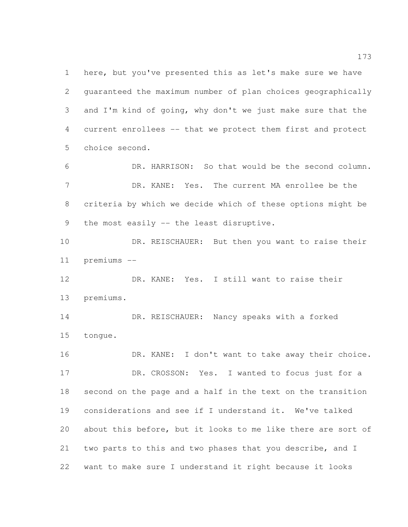here, but you've presented this as let's make sure we have guaranteed the maximum number of plan choices geographically and I'm kind of going, why don't we just make sure that the current enrollees -- that we protect them first and protect choice second.

 DR. HARRISON: So that would be the second column. DR. KANE: Yes. The current MA enrollee be the criteria by which we decide which of these options might be 9 the most easily -- the least disruptive.

10 DR. REISCHAUER: But then you want to raise their premiums --

 DR. KANE: Yes. I still want to raise their premiums.

 DR. REISCHAUER: Nancy speaks with a forked tongue.

 DR. KANE: I don't want to take away their choice. 17 DR. CROSSON: Yes. I wanted to focus just for a second on the page and a half in the text on the transition considerations and see if I understand it. We've talked about this before, but it looks to me like there are sort of two parts to this and two phases that you describe, and I want to make sure I understand it right because it looks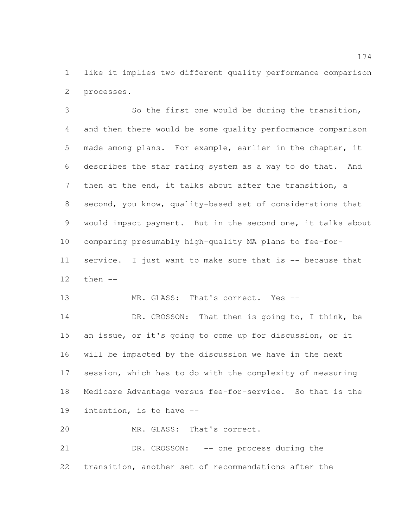like it implies two different quality performance comparison processes.

 So the first one would be during the transition, and then there would be some quality performance comparison made among plans. For example, earlier in the chapter, it describes the star rating system as a way to do that. And then at the end, it talks about after the transition, a second, you know, quality-based set of considerations that would impact payment. But in the second one, it talks about comparing presumably high-quality MA plans to fee-for-11 service. I just want to make sure that is -- because that then --

13 MR. GLASS: That's correct. Yes --

14 DR. CROSSON: That then is going to, I think, be an issue, or it's going to come up for discussion, or it will be impacted by the discussion we have in the next session, which has to do with the complexity of measuring Medicare Advantage versus fee-for-service. So that is the intention, is to have --

MR. GLASS: That's correct.

 DR. CROSSON: -- one process during the transition, another set of recommendations after the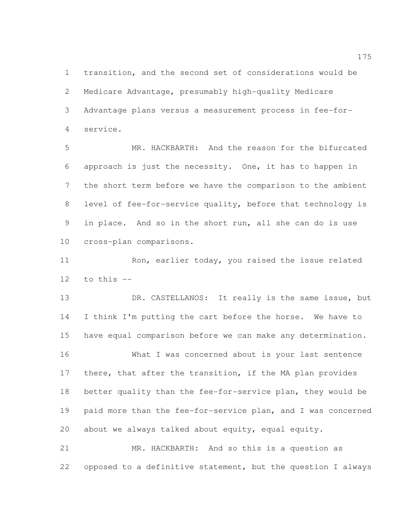transition, and the second set of considerations would be Medicare Advantage, presumably high-quality Medicare Advantage plans versus a measurement process in fee-for-service.

 MR. HACKBARTH: And the reason for the bifurcated approach is just the necessity. One, it has to happen in the short term before we have the comparison to the ambient level of fee-for-service quality, before that technology is in place. And so in the short run, all she can do is use cross-plan comparisons.

11 Ron, earlier today, you raised the issue related to this  $-$ 

 DR. CASTELLANOS: It really is the same issue, but I think I'm putting the cart before the horse. We have to have equal comparison before we can make any determination. What I was concerned about is your last sentence there, that after the transition, if the MA plan provides better quality than the fee-for-service plan, they would be paid more than the fee-for-service plan, and I was concerned about we always talked about equity, equal equity.

 MR. HACKBARTH: And so this is a question as opposed to a definitive statement, but the question I always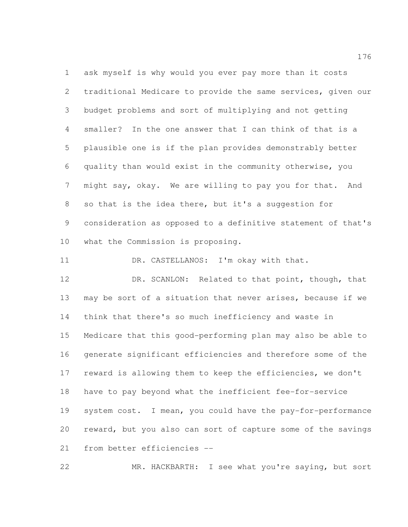ask myself is why would you ever pay more than it costs traditional Medicare to provide the same services, given our budget problems and sort of multiplying and not getting smaller? In the one answer that I can think of that is a plausible one is if the plan provides demonstrably better quality than would exist in the community otherwise, you might say, okay. We are willing to pay you for that. And so that is the idea there, but it's a suggestion for consideration as opposed to a definitive statement of that's what the Commission is proposing.

11 DR. CASTELLANOS: I'm okay with that.

12 DR. SCANLON: Related to that point, though, that may be sort of a situation that never arises, because if we think that there's so much inefficiency and waste in Medicare that this good-performing plan may also be able to generate significant efficiencies and therefore some of the reward is allowing them to keep the efficiencies, we don't have to pay beyond what the inefficient fee-for-service system cost. I mean, you could have the pay-for-performance reward, but you also can sort of capture some of the savings from better efficiencies --

MR. HACKBARTH: I see what you're saying, but sort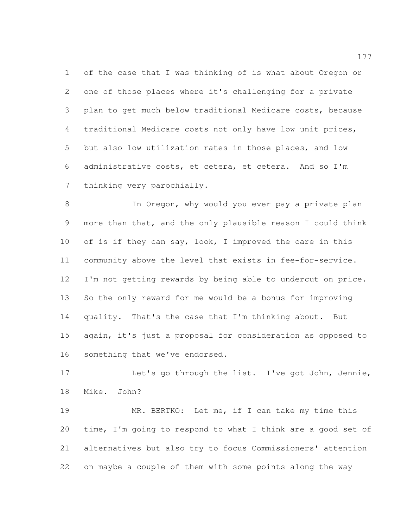of the case that I was thinking of is what about Oregon or one of those places where it's challenging for a private plan to get much below traditional Medicare costs, because traditional Medicare costs not only have low unit prices, but also low utilization rates in those places, and low administrative costs, et cetera, et cetera. And so I'm thinking very parochially.

8 In Oregon, why would you ever pay a private plan more than that, and the only plausible reason I could think 10 of is if they can say, look, I improved the care in this community above the level that exists in fee-for-service. 12 I'm not getting rewards by being able to undercut on price. So the only reward for me would be a bonus for improving quality. That's the case that I'm thinking about. But again, it's just a proposal for consideration as opposed to something that we've endorsed.

 Let's go through the list. I've got John, Jennie, Mike. John?

 MR. BERTKO: Let me, if I can take my time this time, I'm going to respond to what I think are a good set of alternatives but also try to focus Commissioners' attention on maybe a couple of them with some points along the way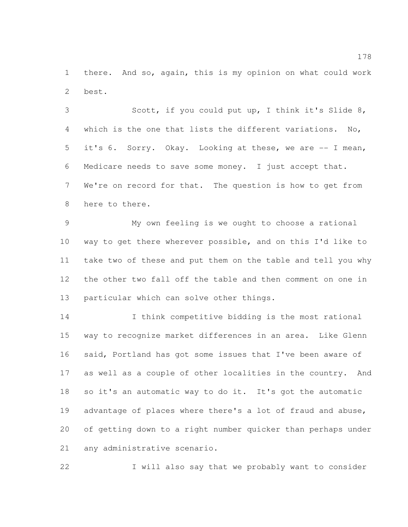there. And so, again, this is my opinion on what could work best.

 Scott, if you could put up, I think it's Slide 8, which is the one that lists the different variations. No, it's 6. Sorry. Okay. Looking at these, we are -- I mean, Medicare needs to save some money. I just accept that. We're on record for that. The question is how to get from here to there.

 My own feeling is we ought to choose a rational way to get there wherever possible, and on this I'd like to take two of these and put them on the table and tell you why the other two fall off the table and then comment on one in particular which can solve other things.

 I think competitive bidding is the most rational way to recognize market differences in an area. Like Glenn said, Portland has got some issues that I've been aware of as well as a couple of other localities in the country. And so it's an automatic way to do it. It's got the automatic 19 advantage of places where there's a lot of fraud and abuse, of getting down to a right number quicker than perhaps under any administrative scenario.

22 I will also say that we probably want to consider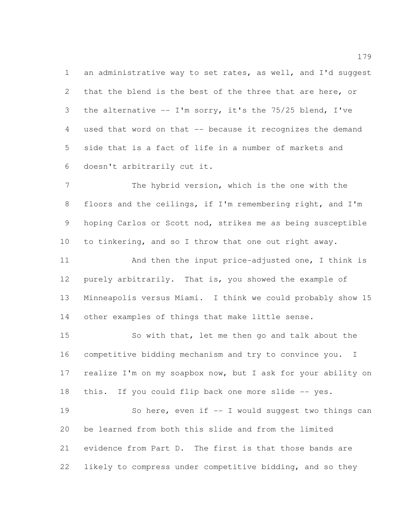1 an administrative way to set rates, as well, and I'd suggest that the blend is the best of the three that are here, or the alternative -- I'm sorry, it's the 75/25 blend, I've used that word on that -- because it recognizes the demand side that is a fact of life in a number of markets and doesn't arbitrarily cut it.

 The hybrid version, which is the one with the floors and the ceilings, if I'm remembering right, and I'm hoping Carlos or Scott nod, strikes me as being susceptible to tinkering, and so I throw that one out right away.

 And then the input price-adjusted one, I think is purely arbitrarily. That is, you showed the example of Minneapolis versus Miami. I think we could probably show 15 other examples of things that make little sense.

 So with that, let me then go and talk about the competitive bidding mechanism and try to convince you. I realize I'm on my soapbox now, but I ask for your ability on 18 this. If you could flip back one more slide -- yes. So here, even if -- I would suggest two things can be learned from both this slide and from the limited evidence from Part D. The first is that those bands are likely to compress under competitive bidding, and so they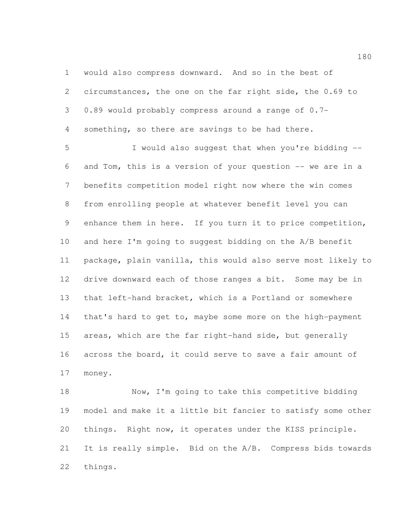would also compress downward. And so in the best of circumstances, the one on the far right side, the 0.69 to 0.89 would probably compress around a range of 0.7- something, so there are savings to be had there.

 I would also suggest that when you're bidding -- and Tom, this is a version of your question -- we are in a benefits competition model right now where the win comes from enrolling people at whatever benefit level you can enhance them in here. If you turn it to price competition, and here I'm going to suggest bidding on the A/B benefit package, plain vanilla, this would also serve most likely to drive downward each of those ranges a bit. Some may be in that left-hand bracket, which is a Portland or somewhere 14 that's hard to get to, maybe some more on the high-payment areas, which are the far right-hand side, but generally across the board, it could serve to save a fair amount of money.

 Now, I'm going to take this competitive bidding model and make it a little bit fancier to satisfy some other things. Right now, it operates under the KISS principle. It is really simple. Bid on the A/B. Compress bids towards things.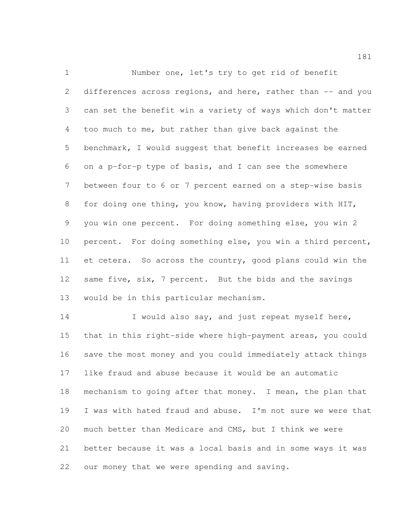Number one, let's try to get rid of benefit 2 differences across regions, and here, rather than -- and you can set the benefit win a variety of ways which don't matter too much to me, but rather than give back against the benchmark, I would suggest that benefit increases be earned on a p-for-p type of basis, and I can see the somewhere between four to 6 or 7 percent earned on a step-wise basis for doing one thing, you know, having providers with HIT, you win one percent. For doing something else, you win 2 percent. For doing something else, you win a third percent, et cetera. So across the country, good plans could win the 12 same five, six, 7 percent. But the bids and the savings would be in this particular mechanism.

 I would also say, and just repeat myself here, that in this right-side where high-payment areas, you could save the most money and you could immediately attack things like fraud and abuse because it would be an automatic mechanism to going after that money. I mean, the plan that I was with hated fraud and abuse. I'm not sure we were that much better than Medicare and CMS, but I think we were better because it was a local basis and in some ways it was our money that we were spending and saving.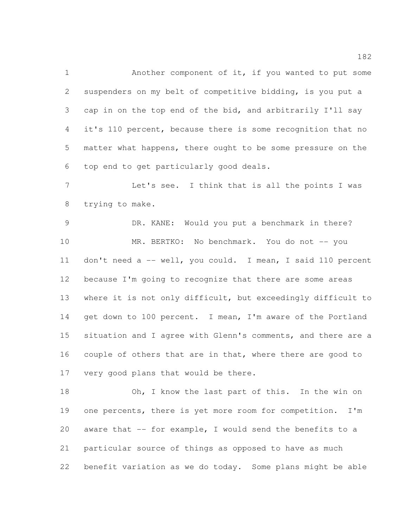Another component of it, if you wanted to put some suspenders on my belt of competitive bidding, is you put a cap in on the top end of the bid, and arbitrarily I'll say it's 110 percent, because there is some recognition that no matter what happens, there ought to be some pressure on the top end to get particularly good deals.

 Let's see. I think that is all the points I was trying to make.

 DR. KANE: Would you put a benchmark in there? 10 MR. BERTKO: No benchmark. You do not -- you don't need a -- well, you could. I mean, I said 110 percent because I'm going to recognize that there are some areas where it is not only difficult, but exceedingly difficult to 14 get down to 100 percent. I mean, I'm aware of the Portland situation and I agree with Glenn's comments, and there are a couple of others that are in that, where there are good to very good plans that would be there.

18 Oh, I know the last part of this. In the win on 19 one percents, there is yet more room for competition. I'm aware that -- for example, I would send the benefits to a particular source of things as opposed to have as much benefit variation as we do today. Some plans might be able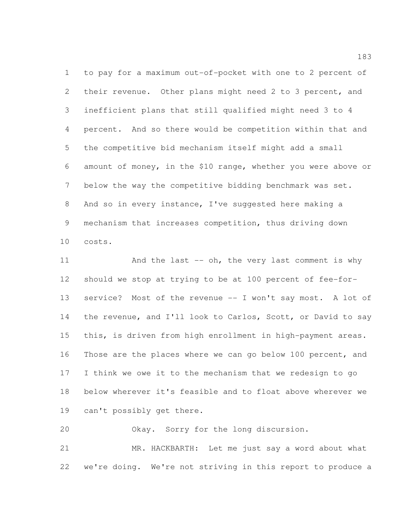to pay for a maximum out-of-pocket with one to 2 percent of their revenue. Other plans might need 2 to 3 percent, and inefficient plans that still qualified might need 3 to 4 percent. And so there would be competition within that and the competitive bid mechanism itself might add a small amount of money, in the \$10 range, whether you were above or below the way the competitive bidding benchmark was set. And so in every instance, I've suggested here making a mechanism that increases competition, thus driving down costs.

11 And the last -- oh, the very last comment is why should we stop at trying to be at 100 percent of fee-for- service? Most of the revenue -- I won't say most. A lot of the revenue, and I'll look to Carlos, Scott, or David to say this, is driven from high enrollment in high-payment areas. Those are the places where we can go below 100 percent, and I think we owe it to the mechanism that we redesign to go below wherever it's feasible and to float above wherever we can't possibly get there.

 Okay. Sorry for the long discursion. MR. HACKBARTH: Let me just say a word about what we're doing. We're not striving in this report to produce a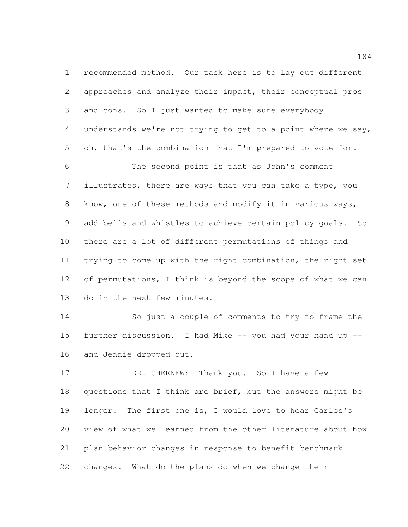recommended method. Our task here is to lay out different approaches and analyze their impact, their conceptual pros and cons. So I just wanted to make sure everybody understands we're not trying to get to a point where we say, oh, that's the combination that I'm prepared to vote for. The second point is that as John's comment illustrates, there are ways that you can take a type, you know, one of these methods and modify it in various ways, add bells and whistles to achieve certain policy goals. So there are a lot of different permutations of things and trying to come up with the right combination, the right set of permutations, I think is beyond the scope of what we can do in the next few minutes.

 So just a couple of comments to try to frame the further discussion. I had Mike -- you had your hand up -- and Jennie dropped out.

17 DR. CHERNEW: Thank you. So I have a few questions that I think are brief, but the answers might be longer. The first one is, I would love to hear Carlos's view of what we learned from the other literature about how plan behavior changes in response to benefit benchmark changes. What do the plans do when we change their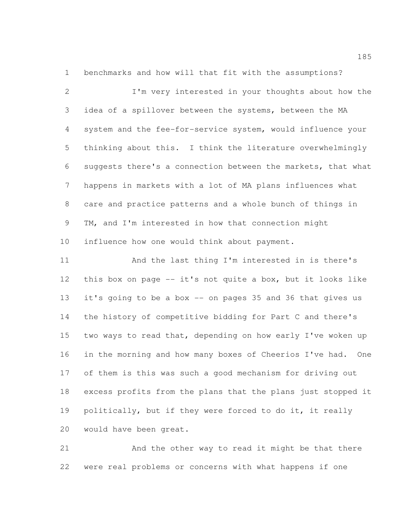benchmarks and how will that fit with the assumptions?

 I'm very interested in your thoughts about how the idea of a spillover between the systems, between the MA system and the fee-for-service system, would influence your thinking about this. I think the literature overwhelmingly suggests there's a connection between the markets, that what happens in markets with a lot of MA plans influences what care and practice patterns and a whole bunch of things in TM, and I'm interested in how that connection might influence how one would think about payment.

 And the last thing I'm interested in is there's this box on page -- it's not quite a box, but it looks like it's going to be a box -- on pages 35 and 36 that gives us the history of competitive bidding for Part C and there's two ways to read that, depending on how early I've woken up in the morning and how many boxes of Cheerios I've had. One of them is this was such a good mechanism for driving out excess profits from the plans that the plans just stopped it politically, but if they were forced to do it, it really would have been great.

 And the other way to read it might be that there were real problems or concerns with what happens if one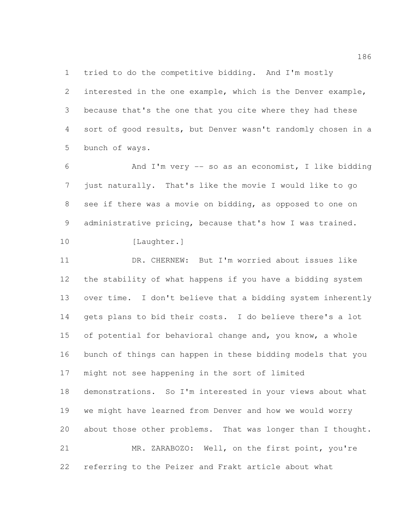tried to do the competitive bidding. And I'm mostly

 interested in the one example, which is the Denver example, because that's the one that you cite where they had these sort of good results, but Denver wasn't randomly chosen in a bunch of ways.

 And I'm very -- so as an economist, I like bidding just naturally. That's like the movie I would like to go see if there was a movie on bidding, as opposed to one on administrative pricing, because that's how I was trained.

10 [Laughter.] DR. CHERNEW: But I'm worried about issues like

 the stability of what happens if you have a bidding system over time. I don't believe that a bidding system inherently gets plans to bid their costs. I do believe there's a lot of potential for behavioral change and, you know, a whole bunch of things can happen in these bidding models that you might not see happening in the sort of limited demonstrations. So I'm interested in your views about what we might have learned from Denver and how we would worry about those other problems. That was longer than I thought. MR. ZARABOZO: Well, on the first point, you're referring to the Peizer and Frakt article about what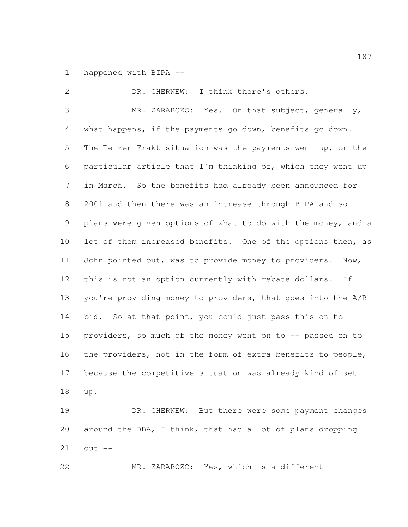happened with BIPA --

 DR. CHERNEW: I think there's others. MR. ZARABOZO: Yes. On that subject, generally, what happens, if the payments go down, benefits go down. The Peizer-Frakt situation was the payments went up, or the particular article that I'm thinking of, which they went up in March. So the benefits had already been announced for 2001 and then there was an increase through BIPA and so plans were given options of what to do with the money, and a 10 lot of them increased benefits. One of the options then, as John pointed out, was to provide money to providers. Now, this is not an option currently with rebate dollars. If you're providing money to providers, that goes into the A/B 14 bid. So at that point, you could just pass this on to providers, so much of the money went on to -- passed on to the providers, not in the form of extra benefits to people, because the competitive situation was already kind of set up. DR. CHERNEW: But there were some payment changes around the BBA, I think, that had a lot of plans dropping

out --

MR. ZARABOZO: Yes, which is a different --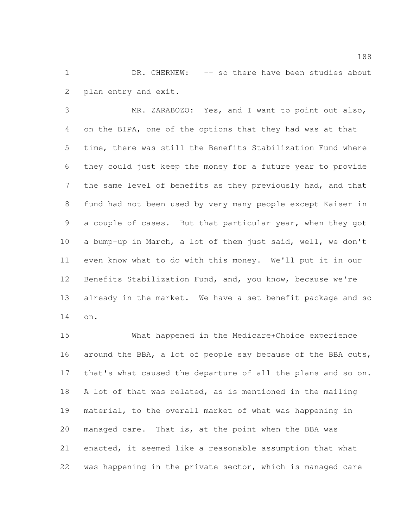DR. CHERNEW: -- so there have been studies about plan entry and exit.

 MR. ZARABOZO: Yes, and I want to point out also, on the BIPA, one of the options that they had was at that time, there was still the Benefits Stabilization Fund where they could just keep the money for a future year to provide 7 the same level of benefits as they previously had, and that fund had not been used by very many people except Kaiser in a couple of cases. But that particular year, when they got a bump-up in March, a lot of them just said, well, we don't even know what to do with this money. We'll put it in our Benefits Stabilization Fund, and, you know, because we're already in the market. We have a set benefit package and so on.

 What happened in the Medicare+Choice experience around the BBA, a lot of people say because of the BBA cuts, that's what caused the departure of all the plans and so on. A lot of that was related, as is mentioned in the mailing material, to the overall market of what was happening in managed care. That is, at the point when the BBA was enacted, it seemed like a reasonable assumption that what was happening in the private sector, which is managed care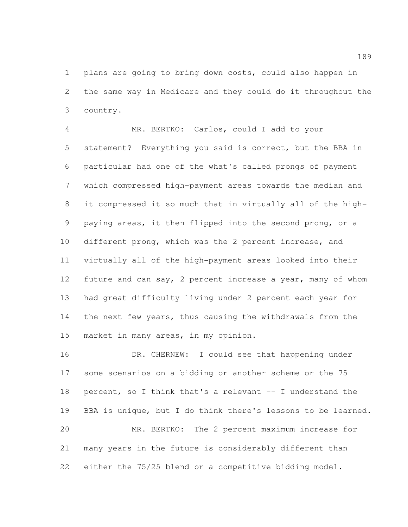plans are going to bring down costs, could also happen in the same way in Medicare and they could do it throughout the country.

 MR. BERTKO: Carlos, could I add to your statement? Everything you said is correct, but the BBA in particular had one of the what's called prongs of payment which compressed high-payment areas towards the median and it compressed it so much that in virtually all of the high- paying areas, it then flipped into the second prong, or a different prong, which was the 2 percent increase, and virtually all of the high-payment areas looked into their 12 future and can say, 2 percent increase a year, many of whom had great difficulty living under 2 percent each year for the next few years, thus causing the withdrawals from the market in many areas, in my opinion.

 DR. CHERNEW: I could see that happening under some scenarios on a bidding or another scheme or the 75 percent, so I think that's a relevant -- I understand the BBA is unique, but I do think there's lessons to be learned. MR. BERTKO: The 2 percent maximum increase for many years in the future is considerably different than either the 75/25 blend or a competitive bidding model.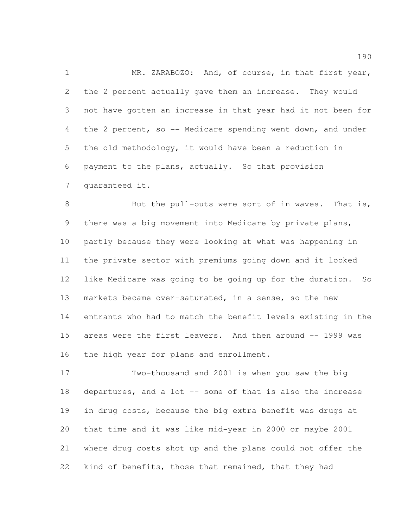1 MR. ZARABOZO: And, of course, in that first year, the 2 percent actually gave them an increase. They would not have gotten an increase in that year had it not been for the 2 percent, so -- Medicare spending went down, and under the old methodology, it would have been a reduction in payment to the plans, actually. So that provision guaranteed it.

8 But the pull-outs were sort of in waves. That is, there was a big movement into Medicare by private plans, partly because they were looking at what was happening in the private sector with premiums going down and it looked like Medicare was going to be going up for the duration. So markets became over-saturated, in a sense, so the new entrants who had to match the benefit levels existing in the areas were the first leavers. And then around -- 1999 was the high year for plans and enrollment.

 Two-thousand and 2001 is when you saw the big departures, and a lot -- some of that is also the increase in drug costs, because the big extra benefit was drugs at that time and it was like mid-year in 2000 or maybe 2001 where drug costs shot up and the plans could not offer the 22 kind of benefits, those that remained, that they had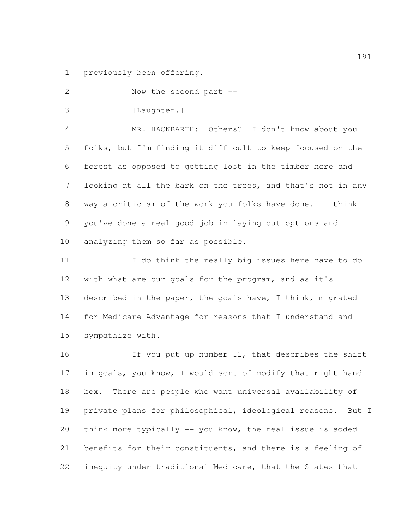previously been offering.

 Now the second part -- 3 [Laughter.] MR. HACKBARTH: Others? I don't know about you folks, but I'm finding it difficult to keep focused on the forest as opposed to getting lost in the timber here and looking at all the bark on the trees, and that's not in any way a criticism of the work you folks have done. I think you've done a real good job in laying out options and analyzing them so far as possible. I do think the really big issues here have to do with what are our goals for the program, and as it's described in the paper, the goals have, I think, migrated for Medicare Advantage for reasons that I understand and sympathize with. 16 16 If you put up number 11, that describes the shift in goals, you know, I would sort of modify that right-hand box. There are people who want universal availability of private plans for philosophical, ideological reasons. But I

 benefits for their constituents, and there is a feeling of inequity under traditional Medicare, that the States that

think more typically -- you know, the real issue is added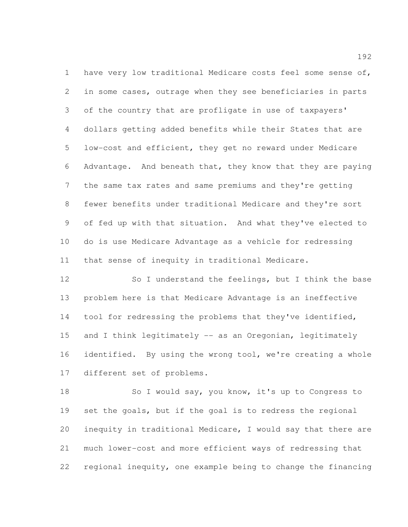have very low traditional Medicare costs feel some sense of, in some cases, outrage when they see beneficiaries in parts of the country that are profligate in use of taxpayers' dollars getting added benefits while their States that are low-cost and efficient, they get no reward under Medicare Advantage. And beneath that, they know that they are paying the same tax rates and same premiums and they're getting fewer benefits under traditional Medicare and they're sort of fed up with that situation. And what they've elected to do is use Medicare Advantage as a vehicle for redressing that sense of inequity in traditional Medicare.

12 So I understand the feelings, but I think the base problem here is that Medicare Advantage is an ineffective tool for redressing the problems that they've identified, 15 and I think legitimately -- as an Oregonian, legitimately identified. By using the wrong tool, we're creating a whole different set of problems.

 So I would say, you know, it's up to Congress to set the goals, but if the goal is to redress the regional inequity in traditional Medicare, I would say that there are much lower-cost and more efficient ways of redressing that regional inequity, one example being to change the financing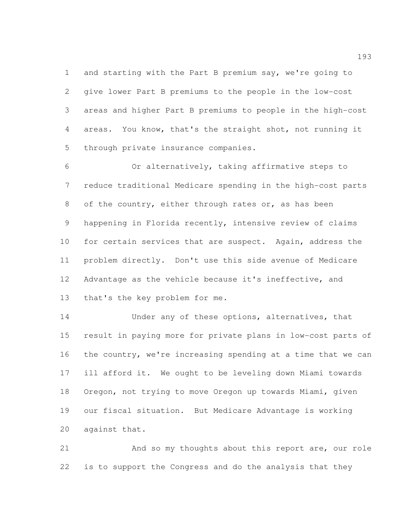and starting with the Part B premium say, we're going to give lower Part B premiums to the people in the low-cost areas and higher Part B premiums to people in the high-cost areas. You know, that's the straight shot, not running it through private insurance companies.

 Or alternatively, taking affirmative steps to reduce traditional Medicare spending in the high-cost parts of the country, either through rates or, as has been happening in Florida recently, intensive review of claims for certain services that are suspect. Again, address the problem directly. Don't use this side avenue of Medicare Advantage as the vehicle because it's ineffective, and that's the key problem for me.

14 Under any of these options, alternatives, that result in paying more for private plans in low-cost parts of the country, we're increasing spending at a time that we can ill afford it. We ought to be leveling down Miami towards Oregon, not trying to move Oregon up towards Miami, given our fiscal situation. But Medicare Advantage is working against that.

 And so my thoughts about this report are, our role is to support the Congress and do the analysis that they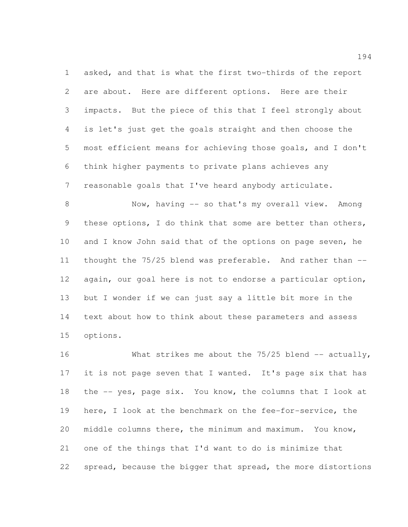asked, and that is what the first two-thirds of the report are about. Here are different options. Here are their impacts. But the piece of this that I feel strongly about is let's just get the goals straight and then choose the most efficient means for achieving those goals, and I don't think higher payments to private plans achieves any reasonable goals that I've heard anybody articulate.

 Now, having -- so that's my overall view. Among these options, I do think that some are better than others, 10 and I know John said that of the options on page seven, he thought the 75/25 blend was preferable. And rather than -- again, our goal here is not to endorse a particular option, but I wonder if we can just say a little bit more in the text about how to think about these parameters and assess options.

16 What strikes me about the 75/25 blend -- actually, 17 it is not page seven that I wanted. It's page six that has the -- yes, page six. You know, the columns that I look at here, I look at the benchmark on the fee-for-service, the middle columns there, the minimum and maximum. You know, one of the things that I'd want to do is minimize that spread, because the bigger that spread, the more distortions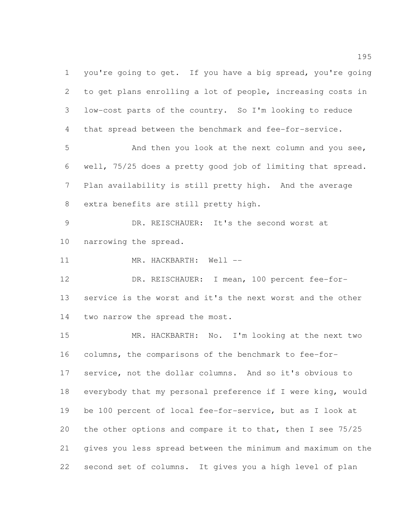you're going to get. If you have a big spread, you're going to get plans enrolling a lot of people, increasing costs in low-cost parts of the country. So I'm looking to reduce that spread between the benchmark and fee-for-service. And then you look at the next column and you see, well, 75/25 does a pretty good job of limiting that spread. Plan availability is still pretty high. And the average extra benefits are still pretty high.

 DR. REISCHAUER: It's the second worst at narrowing the spread.

11 MR. HACKBARTH: Well --

 DR. REISCHAUER: I mean, 100 percent fee-for- service is the worst and it's the next worst and the other two narrow the spread the most.

 MR. HACKBARTH: No. I'm looking at the next two columns, the comparisons of the benchmark to fee-for- service, not the dollar columns. And so it's obvious to everybody that my personal preference if I were king, would be 100 percent of local fee-for-service, but as I look at the other options and compare it to that, then I see 75/25 gives you less spread between the minimum and maximum on the second set of columns. It gives you a high level of plan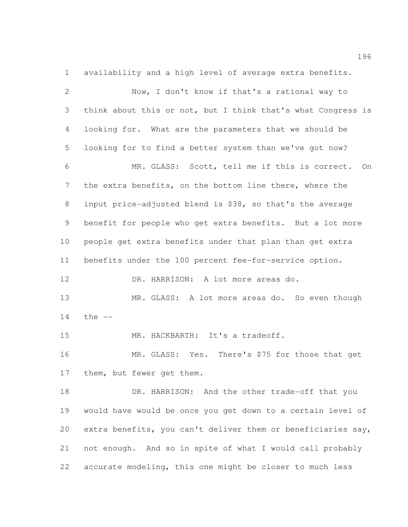availability and a high level of average extra benefits.

| $\mathbf{2}$ | Now, I don't know if that's a rational way to                |
|--------------|--------------------------------------------------------------|
| 3            | think about this or not, but I think that's what Congress is |
| 4            | looking for. What are the parameters that we should be       |
| 5            | looking for to find a better system than we've got now?      |
| 6            | MR. GLASS: Scott, tell me if this is correct.<br>On          |
| 7            | the extra benefits, on the bottom line there, where the      |
| 8            | input price-adjusted blend is \$38, so that's the average    |
| 9            | benefit for people who get extra benefits. But a lot more    |
| 10           | people get extra benefits under that plan than get extra     |
| 11           | benefits under the 100 percent fee-for-service option.       |
| 12           | DR. HARRISON: A lot more areas do.                           |
| 13           | MR. GLASS: A lot more areas do. So even though               |
| 14           | the $--$                                                     |
| 15           | MR. HACKBARTH: It's a tradeoff.                              |
| 16           | MR. GLASS: Yes. There's \$75 for those that get              |
| 17           | them, but fewer get them.                                    |
| 18           | DR. HARRISON: And the other trade-off that you               |
| 19           | would have would be once you get down to a certain level of  |
| 20           | extra benefits, you can't deliver them or beneficiaries say, |
| 21           | not enough. And so in spite of what I would call probably    |
| 22           | accurate modeling, this one might be closer to much less     |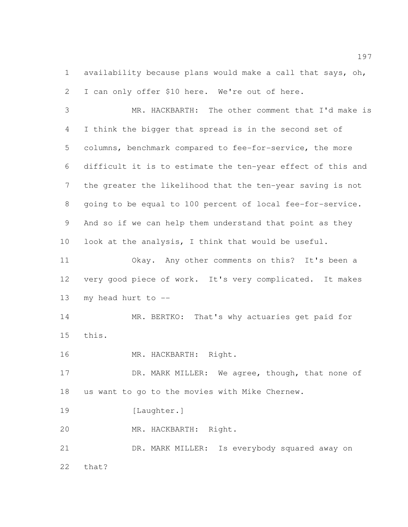availability because plans would make a call that says, oh, I can only offer \$10 here. We're out of here.

 MR. HACKBARTH: The other comment that I'd make is I think the bigger that spread is in the second set of columns, benchmark compared to fee-for-service, the more difficult it is to estimate the ten-year effect of this and the greater the likelihood that the ten-year saving is not going to be equal to 100 percent of local fee-for-service. And so if we can help them understand that point as they look at the analysis, I think that would be useful.

 Okay. Any other comments on this? It's been a very good piece of work. It's very complicated. It makes my head hurt to --

 MR. BERTKO: That's why actuaries get paid for this.

16 MR. HACKBARTH: Right.

17 DR. MARK MILLER: We agree, though, that none of us want to go to the movies with Mike Chernew.

19 [Laughter.]

MR. HACKBARTH: Right.

 DR. MARK MILLER: Is everybody squared away on that?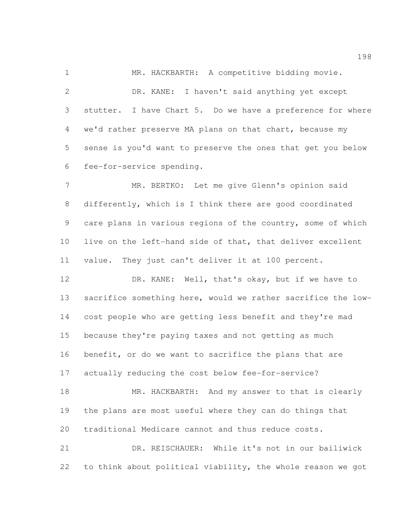MR. HACKBARTH: A competitive bidding movie. DR. KANE: I haven't said anything yet except stutter. I have Chart 5. Do we have a preference for where we'd rather preserve MA plans on that chart, because my sense is you'd want to preserve the ones that get you below fee-for-service spending.

 MR. BERTKO: Let me give Glenn's opinion said differently, which is I think there are good coordinated care plans in various regions of the country, some of which live on the left-hand side of that, that deliver excellent value. They just can't deliver it at 100 percent.

 DR. KANE: Well, that's okay, but if we have to sacrifice something here, would we rather sacrifice the low- cost people who are getting less benefit and they're mad because they're paying taxes and not getting as much benefit, or do we want to sacrifice the plans that are actually reducing the cost below fee-for-service?

18 MR. HACKBARTH: And my answer to that is clearly the plans are most useful where they can do things that traditional Medicare cannot and thus reduce costs.

 DR. REISCHAUER: While it's not in our bailiwick to think about political viability, the whole reason we got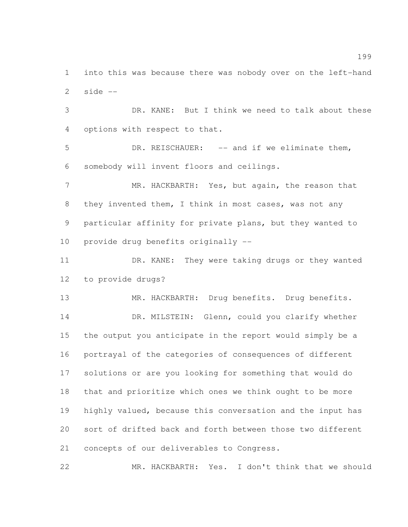into this was because there was nobody over on the left-hand side  $-$ 

 DR. KANE: But I think we need to talk about these options with respect to that.

 DR. REISCHAUER: -- and if we eliminate them, somebody will invent floors and ceilings.

7 MR. HACKBARTH: Yes, but again, the reason that they invented them, I think in most cases, was not any particular affinity for private plans, but they wanted to provide drug benefits originally --

 DR. KANE: They were taking drugs or they wanted to provide drugs?

MR. HACKBARTH: Drug benefits. Drug benefits.

14 DR. MILSTEIN: Glenn, could you clarify whether the output you anticipate in the report would simply be a portrayal of the categories of consequences of different solutions or are you looking for something that would do that and prioritize which ones we think ought to be more highly valued, because this conversation and the input has sort of drifted back and forth between those two different concepts of our deliverables to Congress.

MR. HACKBARTH: Yes. I don't think that we should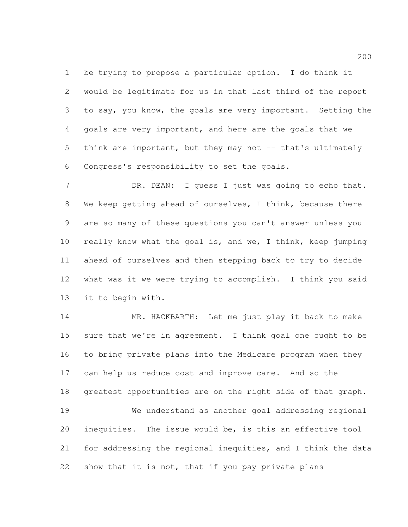be trying to propose a particular option. I do think it would be legitimate for us in that last third of the report to say, you know, the goals are very important. Setting the goals are very important, and here are the goals that we 5 think are important, but they may not -- that's ultimately Congress's responsibility to set the goals.

7 DR. DEAN: I guess I just was going to echo that. We keep getting ahead of ourselves, I think, because there are so many of these questions you can't answer unless you really know what the goal is, and we, I think, keep jumping ahead of ourselves and then stepping back to try to decide what was it we were trying to accomplish. I think you said it to begin with.

 MR. HACKBARTH: Let me just play it back to make sure that we're in agreement. I think goal one ought to be to bring private plans into the Medicare program when they can help us reduce cost and improve care. And so the greatest opportunities are on the right side of that graph. We understand as another goal addressing regional inequities. The issue would be, is this an effective tool for addressing the regional inequities, and I think the data show that it is not, that if you pay private plans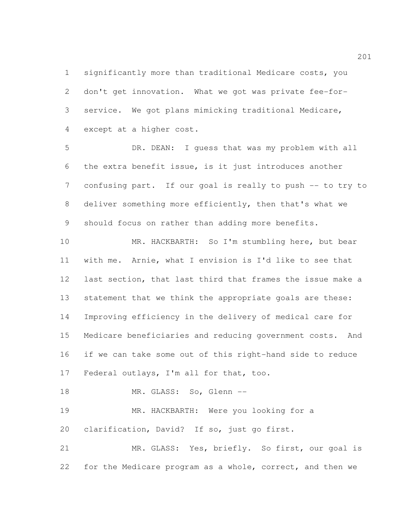significantly more than traditional Medicare costs, you don't get innovation. What we got was private fee-for- service. We got plans mimicking traditional Medicare, except at a higher cost.

 DR. DEAN: I guess that was my problem with all the extra benefit issue, is it just introduces another confusing part. If our goal is really to push -- to try to deliver something more efficiently, then that's what we should focus on rather than adding more benefits.

 MR. HACKBARTH: So I'm stumbling here, but bear with me. Arnie, what I envision is I'd like to see that last section, that last third that frames the issue make a statement that we think the appropriate goals are these: Improving efficiency in the delivery of medical care for Medicare beneficiaries and reducing government costs. And if we can take some out of this right-hand side to reduce Federal outlays, I'm all for that, too.

18 MR. GLASS: So, Glenn --

 MR. HACKBARTH: Were you looking for a clarification, David? If so, just go first.

 MR. GLASS: Yes, briefly. So first, our goal is for the Medicare program as a whole, correct, and then we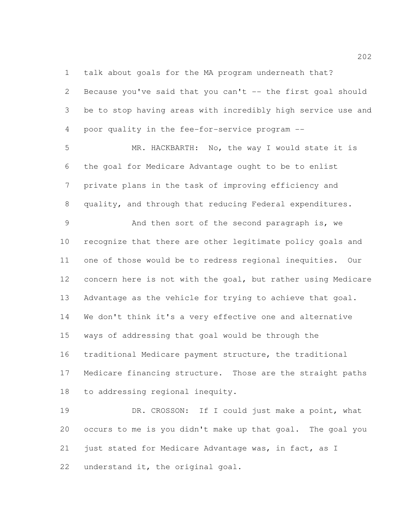talk about goals for the MA program underneath that?

 Because you've said that you can't -- the first goal should be to stop having areas with incredibly high service use and poor quality in the fee-for-service program --

 MR. HACKBARTH: No, the way I would state it is the goal for Medicare Advantage ought to be to enlist private plans in the task of improving efficiency and quality, and through that reducing Federal expenditures.

 And then sort of the second paragraph is, we recognize that there are other legitimate policy goals and one of those would be to redress regional inequities. Our concern here is not with the goal, but rather using Medicare Advantage as the vehicle for trying to achieve that goal. We don't think it's a very effective one and alternative ways of addressing that goal would be through the traditional Medicare payment structure, the traditional Medicare financing structure. Those are the straight paths to addressing regional inequity.

19 DR. CROSSON: If I could just make a point, what occurs to me is you didn't make up that goal. The goal you just stated for Medicare Advantage was, in fact, as I understand it, the original goal.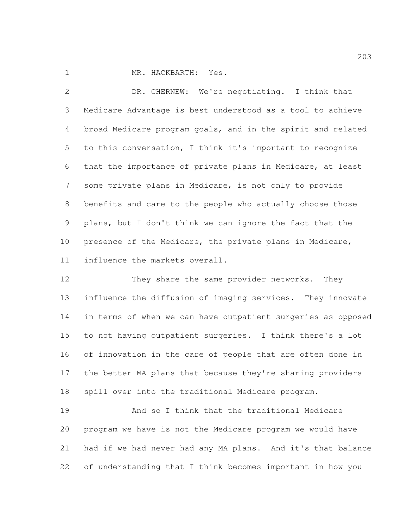MR. HACKBARTH: Yes.

 DR. CHERNEW: We're negotiating. I think that Medicare Advantage is best understood as a tool to achieve broad Medicare program goals, and in the spirit and related to this conversation, I think it's important to recognize that the importance of private plans in Medicare, at least some private plans in Medicare, is not only to provide benefits and care to the people who actually choose those plans, but I don't think we can ignore the fact that the presence of the Medicare, the private plans in Medicare, influence the markets overall.

 They share the same provider networks. They influence the diffusion of imaging services. They innovate in terms of when we can have outpatient surgeries as opposed to not having outpatient surgeries. I think there's a lot of innovation in the care of people that are often done in the better MA plans that because they're sharing providers spill over into the traditional Medicare program.

 And so I think that the traditional Medicare program we have is not the Medicare program we would have had if we had never had any MA plans. And it's that balance of understanding that I think becomes important in how you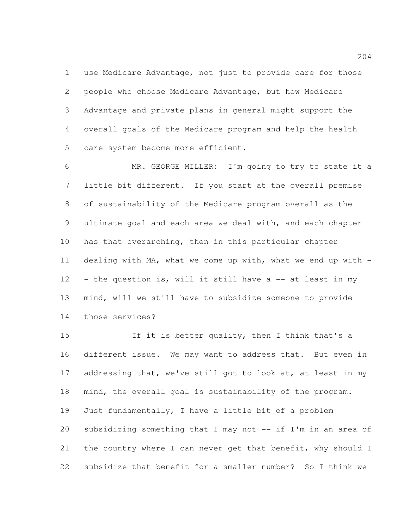use Medicare Advantage, not just to provide care for those people who choose Medicare Advantage, but how Medicare Advantage and private plans in general might support the overall goals of the Medicare program and help the health care system become more efficient.

 MR. GEORGE MILLER: I'm going to try to state it a little bit different. If you start at the overall premise of sustainability of the Medicare program overall as the ultimate goal and each area we deal with, and each chapter has that overarching, then in this particular chapter dealing with MA, what we come up with, what we end up with - - the question is, will it still have a  $-$  at least in my mind, will we still have to subsidize someone to provide those services?

15 15 If it is better quality, then I think that's a different issue. We may want to address that. But even in 17 addressing that, we've still got to look at, at least in my mind, the overall goal is sustainability of the program. Just fundamentally, I have a little bit of a problem subsidizing something that I may not -- if I'm in an area of 21 the country where I can never get that benefit, why should I subsidize that benefit for a smaller number? So I think we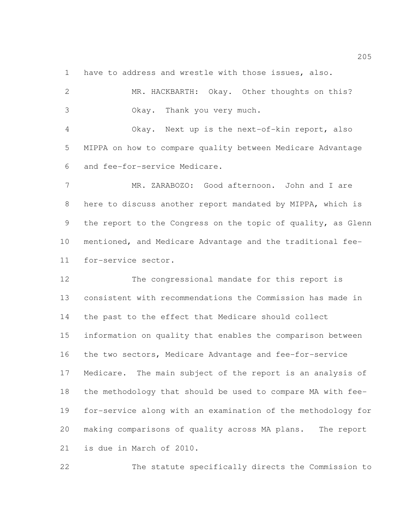have to address and wrestle with those issues, also.

| $\mathbf{2}$   | MR. HACKBARTH: Okay. Other thoughts on this?                 |
|----------------|--------------------------------------------------------------|
| 3              | Okay. Thank you very much.                                   |
| $\overline{4}$ | Okay. Next up is the next-of-kin report, also                |
| 5              | MIPPA on how to compare quality between Medicare Advantage   |
| 6              | and fee-for-service Medicare.                                |
| $7\phantom{.}$ | MR. ZARABOZO: Good afternoon. John and I are                 |
| 8              | here to discuss another report mandated by MIPPA, which is   |
| 9              | the report to the Congress on the topic of quality, as Glenn |
| 10             | mentioned, and Medicare Advantage and the traditional fee-   |
| 11             | for-service sector.                                          |
| 12             | The congressional mandate for this report is                 |
| 13             | consistent with recommendations the Commission has made in   |
| 14             | the past to the effect that Medicare should collect          |
| 15             | information on quality that enables the comparison between   |
| 16             | the two sectors, Medicare Advantage and fee-for-service      |
| 17             | Medicare. The main subject of the report is an analysis of   |
| 18             | the methodology that should be used to compare MA with fee-  |
| 19             | for-service along with an examination of the methodology for |
| 20             | making comparisons of quality across MA plans.<br>The report |
| 21             | is due in March of 2010.                                     |

The statute specifically directs the Commission to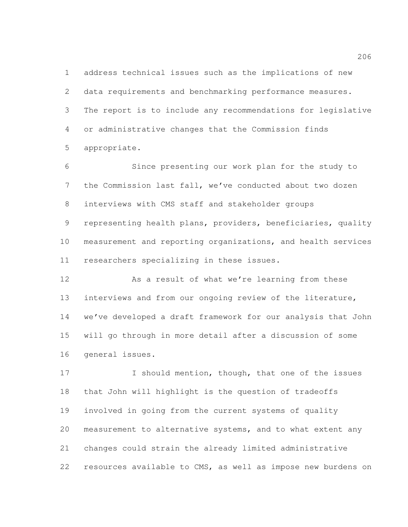address technical issues such as the implications of new data requirements and benchmarking performance measures. The report is to include any recommendations for legislative or administrative changes that the Commission finds appropriate.

 Since presenting our work plan for the study to the Commission last fall, we've conducted about two dozen interviews with CMS staff and stakeholder groups representing health plans, providers, beneficiaries, quality measurement and reporting organizations, and health services researchers specializing in these issues.

 As a result of what we're learning from these interviews and from our ongoing review of the literature, we've developed a draft framework for our analysis that John will go through in more detail after a discussion of some general issues.

17 I should mention, though, that one of the issues that John will highlight is the question of tradeoffs involved in going from the current systems of quality measurement to alternative systems, and to what extent any changes could strain the already limited administrative resources available to CMS, as well as impose new burdens on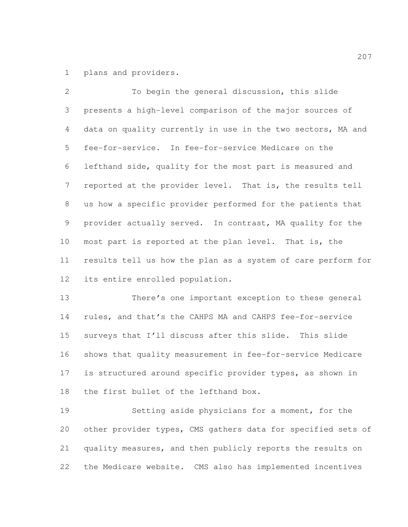plans and providers.

 To begin the general discussion, this slide presents a high-level comparison of the major sources of data on quality currently in use in the two sectors, MA and fee-for-service. In fee-for-service Medicare on the lefthand side, quality for the most part is measured and reported at the provider level. That is, the results tell us how a specific provider performed for the patients that provider actually served. In contrast, MA quality for the most part is reported at the plan level. That is, the results tell us how the plan as a system of care perform for its entire enrolled population.

 There's one important exception to these general rules, and that's the CAHPS MA and CAHPS fee-for-service surveys that I'll discuss after this slide. This slide shows that quality measurement in fee-for-service Medicare is structured around specific provider types, as shown in the first bullet of the lefthand box.

 Setting aside physicians for a moment, for the other provider types, CMS gathers data for specified sets of quality measures, and then publicly reports the results on the Medicare website. CMS also has implemented incentives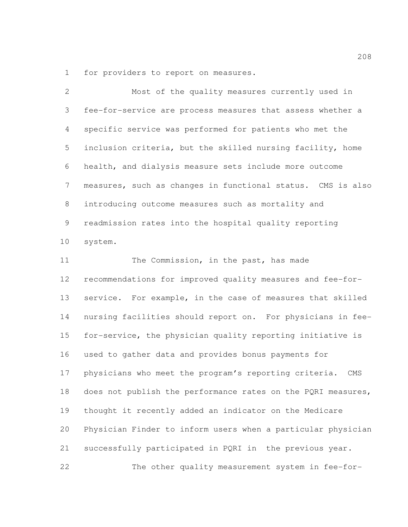for providers to report on measures.

 Most of the quality measures currently used in fee-for-service are process measures that assess whether a specific service was performed for patients who met the inclusion criteria, but the skilled nursing facility, home health, and dialysis measure sets include more outcome measures, such as changes in functional status. CMS is also introducing outcome measures such as mortality and readmission rates into the hospital quality reporting system. 11 The Commission, in the past, has made recommendations for improved quality measures and fee-for- service. For example, in the case of measures that skilled nursing facilities should report on. For physicians in fee- for-service, the physician quality reporting initiative is used to gather data and provides bonus payments for

 physicians who meet the program's reporting criteria. CMS 18 does not publish the performance rates on the PQRI measures, thought it recently added an indicator on the Medicare Physician Finder to inform users when a particular physician successfully participated in PQRI in the previous year. The other quality measurement system in fee-for-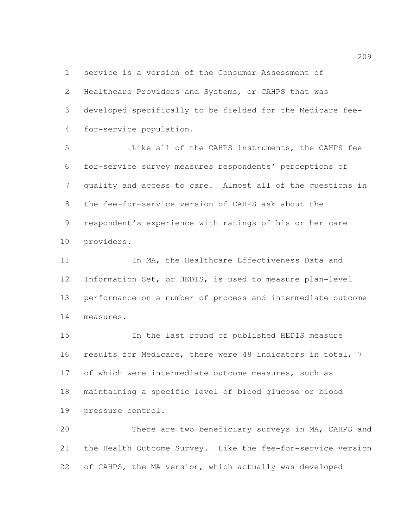service is a version of the Consumer Assessment of

 Healthcare Providers and Systems, or CAHPS that was developed specifically to be fielded for the Medicare fee-for-service population.

 Like all of the CAHPS instruments, the CAHPS fee- for-service survey measures respondents' perceptions of quality and access to care. Almost all of the questions in the fee-for-service version of CAHPS ask about the respondent's experience with ratings of his or her care providers.

11 11 In MA, the Healthcare Effectiveness Data and Information Set, or HEDIS, is used to measure plan-level performance on a number of process and intermediate outcome measures.

 In the last round of published HEDIS measure results for Medicare, there were 48 indicators in total, 7 17 of which were intermediate outcome measures, such as maintaining a specific level of blood glucose or blood pressure control.

 There are two beneficiary surveys in MA, CAHPS and the Health Outcome Survey. Like the fee-for-service version of CAHPS, the MA version, which actually was developed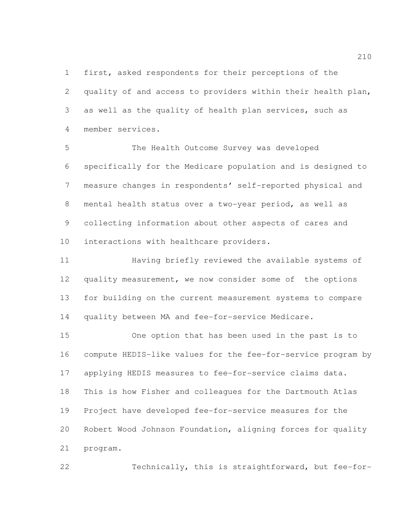first, asked respondents for their perceptions of the quality of and access to providers within their health plan, as well as the quality of health plan services, such as member services.

 The Health Outcome Survey was developed specifically for the Medicare population and is designed to measure changes in respondents' self-reported physical and mental health status over a two-year period, as well as collecting information about other aspects of cares and interactions with healthcare providers.

 Having briefly reviewed the available systems of quality measurement, we now consider some of the options for building on the current measurement systems to compare quality between MA and fee-for-service Medicare.

 One option that has been used in the past is to compute HEDIS-like values for the fee-for-service program by applying HEDIS measures to fee-for-service claims data. This is how Fisher and colleagues for the Dartmouth Atlas Project have developed fee-for-service measures for the Robert Wood Johnson Foundation, aligning forces for quality program.

Technically, this is straightforward, but fee-for-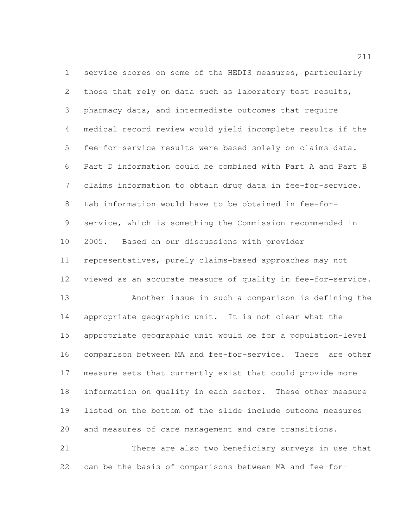service scores on some of the HEDIS measures, particularly those that rely on data such as laboratory test results, pharmacy data, and intermediate outcomes that require medical record review would yield incomplete results if the fee-for-service results were based solely on claims data. Part D information could be combined with Part A and Part B claims information to obtain drug data in fee-for-service. Lab information would have to be obtained in fee-for- service, which is something the Commission recommended in 2005. Based on our discussions with provider representatives, purely claims-based approaches may not viewed as an accurate measure of quality in fee-for-service. Another issue in such a comparison is defining the appropriate geographic unit. It is not clear what the appropriate geographic unit would be for a population-level comparison between MA and fee-for-service. There are other measure sets that currently exist that could provide more information on quality in each sector. These other measure listed on the bottom of the slide include outcome measures and measures of care management and care transitions. There are also two beneficiary surveys in use that

can be the basis of comparisons between MA and fee-for-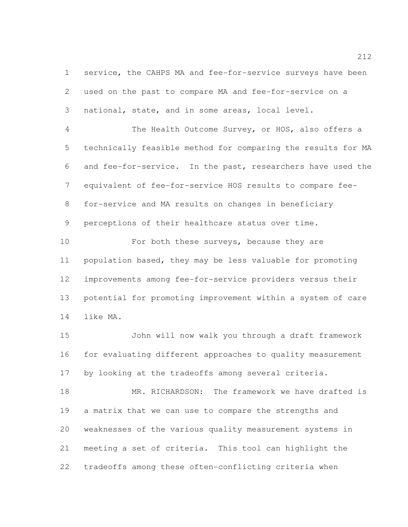service, the CAHPS MA and fee-for-service surveys have been used on the past to compare MA and fee-for-service on a national, state, and in some areas, local level.

 The Health Outcome Survey, or HOS, also offers a technically feasible method for comparing the results for MA and fee-for-service. In the past, researchers have used the equivalent of fee-for-service HOS results to compare fee- for-service and MA results on changes in beneficiary perceptions of their healthcare status over time.

10 For both these surveys, because they are population based, they may be less valuable for promoting improvements among fee-for-service providers versus their potential for promoting improvement within a system of care like MA.

 John will now walk you through a draft framework for evaluating different approaches to quality measurement by looking at the tradeoffs among several criteria.

 MR. RICHARDSON: The framework we have drafted is a matrix that we can use to compare the strengths and weaknesses of the various quality measurement systems in meeting a set of criteria. This tool can highlight the tradeoffs among these often-conflicting criteria when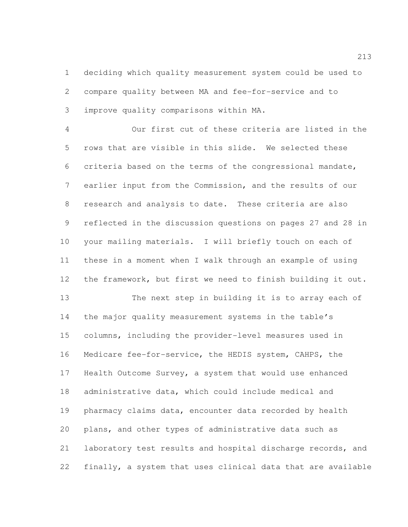deciding which quality measurement system could be used to compare quality between MA and fee-for-service and to improve quality comparisons within MA.

 Our first cut of these criteria are listed in the rows that are visible in this slide. We selected these criteria based on the terms of the congressional mandate, earlier input from the Commission, and the results of our research and analysis to date. These criteria are also reflected in the discussion questions on pages 27 and 28 in your mailing materials. I will briefly touch on each of these in a moment when I walk through an example of using the framework, but first we need to finish building it out. The next step in building it is to array each of the major quality measurement systems in the table's columns, including the provider-level measures used in Medicare fee-for-service, the HEDIS system, CAHPS, the Health Outcome Survey, a system that would use enhanced administrative data, which could include medical and pharmacy claims data, encounter data recorded by health plans, and other types of administrative data such as laboratory test results and hospital discharge records, and finally, a system that uses clinical data that are available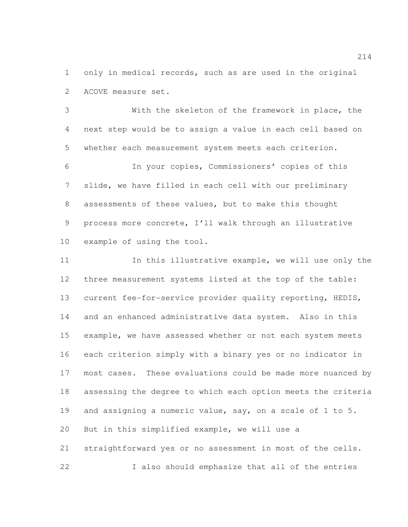only in medical records, such as are used in the original ACOVE measure set.

 With the skeleton of the framework in place, the next step would be to assign a value in each cell based on whether each measurement system meets each criterion.

 In your copies, Commissioners' copies of this slide, we have filled in each cell with our preliminary assessments of these values, but to make this thought process more concrete, I'll walk through an illustrative example of using the tool.

11 11 In this illustrative example, we will use only the three measurement systems listed at the top of the table: current fee-for-service provider quality reporting, HEDIS, and an enhanced administrative data system. Also in this example, we have assessed whether or not each system meets each criterion simply with a binary yes or no indicator in most cases. These evaluations could be made more nuanced by assessing the degree to which each option meets the criteria and assigning a numeric value, say, on a scale of 1 to 5. But in this simplified example, we will use a straightforward yes or no assessment in most of the cells.

I also should emphasize that all of the entries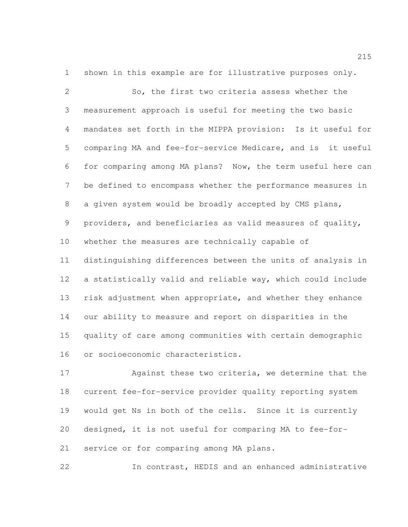shown in this example are for illustrative purposes only.

 So, the first two criteria assess whether the measurement approach is useful for meeting the two basic mandates set forth in the MIPPA provision: Is it useful for comparing MA and fee-for-service Medicare, and is it useful for comparing among MA plans? Now, the term useful here can be defined to encompass whether the performance measures in a given system would be broadly accepted by CMS plans, providers, and beneficiaries as valid measures of quality, whether the measures are technically capable of distinguishing differences between the units of analysis in a statistically valid and reliable way, which could include risk adjustment when appropriate, and whether they enhance our ability to measure and report on disparities in the quality of care among communities with certain demographic or socioeconomic characteristics.

 Against these two criteria, we determine that the current fee-for-service provider quality reporting system would get Ns in both of the cells. Since it is currently designed, it is not useful for comparing MA to fee-for-service or for comparing among MA plans.

In contrast, HEDIS and an enhanced administrative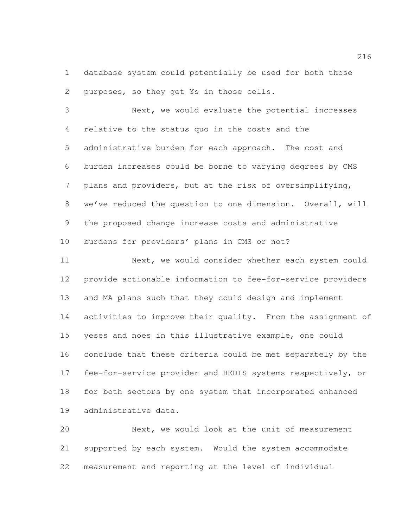database system could potentially be used for both those purposes, so they get Ys in those cells.

 Next, we would evaluate the potential increases relative to the status quo in the costs and the administrative burden for each approach. The cost and burden increases could be borne to varying degrees by CMS plans and providers, but at the risk of oversimplifying, we've reduced the question to one dimension. Overall, will the proposed change increase costs and administrative burdens for providers' plans in CMS or not?

 Next, we would consider whether each system could provide actionable information to fee-for-service providers and MA plans such that they could design and implement 14 activities to improve their quality. From the assignment of yeses and noes in this illustrative example, one could conclude that these criteria could be met separately by the fee-for-service provider and HEDIS systems respectively, or for both sectors by one system that incorporated enhanced administrative data.

 Next, we would look at the unit of measurement supported by each system. Would the system accommodate measurement and reporting at the level of individual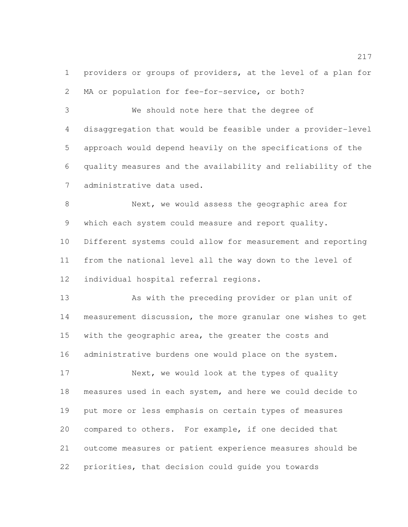providers or groups of providers, at the level of a plan for 2 MA or population for fee-for-service, or both?

 We should note here that the degree of disaggregation that would be feasible under a provider-level approach would depend heavily on the specifications of the quality measures and the availability and reliability of the administrative data used.

 Next, we would assess the geographic area for which each system could measure and report quality. Different systems could allow for measurement and reporting from the national level all the way down to the level of individual hospital referral regions.

 As with the preceding provider or plan unit of measurement discussion, the more granular one wishes to get with the geographic area, the greater the costs and administrative burdens one would place on the system.

17 Next, we would look at the types of quality measures used in each system, and here we could decide to put more or less emphasis on certain types of measures compared to others. For example, if one decided that outcome measures or patient experience measures should be priorities, that decision could guide you towards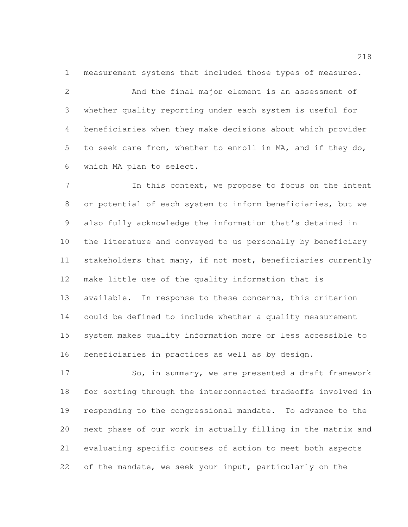measurement systems that included those types of measures.

 And the final major element is an assessment of whether quality reporting under each system is useful for beneficiaries when they make decisions about which provider to seek care from, whether to enroll in MA, and if they do, which MA plan to select.

 In this context, we propose to focus on the intent or potential of each system to inform beneficiaries, but we also fully acknowledge the information that's detained in the literature and conveyed to us personally by beneficiary stakeholders that many, if not most, beneficiaries currently make little use of the quality information that is available. In response to these concerns, this criterion could be defined to include whether a quality measurement system makes quality information more or less accessible to beneficiaries in practices as well as by design.

17 So, in summary, we are presented a draft framework for sorting through the interconnected tradeoffs involved in responding to the congressional mandate. To advance to the next phase of our work in actually filling in the matrix and evaluating specific courses of action to meet both aspects of the mandate, we seek your input, particularly on the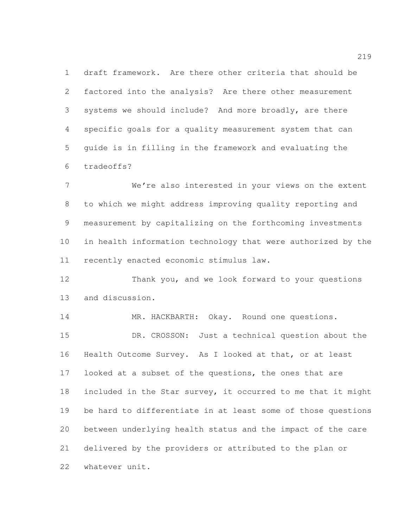draft framework. Are there other criteria that should be factored into the analysis? Are there other measurement systems we should include? And more broadly, are there specific goals for a quality measurement system that can guide is in filling in the framework and evaluating the tradeoffs?

 We're also interested in your views on the extent to which we might address improving quality reporting and measurement by capitalizing on the forthcoming investments in health information technology that were authorized by the recently enacted economic stimulus law.

 Thank you, and we look forward to your questions and discussion.

 MR. HACKBARTH: Okay. Round one questions. DR. CROSSON: Just a technical question about the Health Outcome Survey. As I looked at that, or at least 17 looked at a subset of the questions, the ones that are included in the Star survey, it occurred to me that it might be hard to differentiate in at least some of those questions between underlying health status and the impact of the care delivered by the providers or attributed to the plan or whatever unit.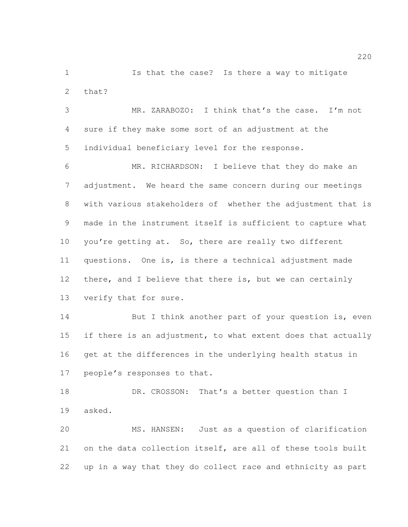Is that the case? Is there a way to mitigate that?

 MR. ZARABOZO: I think that's the case. I'm not sure if they make some sort of an adjustment at the individual beneficiary level for the response.

 MR. RICHARDSON: I believe that they do make an adjustment. We heard the same concern during our meetings with various stakeholders of whether the adjustment that is made in the instrument itself is sufficient to capture what 10 you're getting at. So, there are really two different questions. One is, is there a technical adjustment made there, and I believe that there is, but we can certainly verify that for sure.

14 But I think another part of your question is, even 15 if there is an adjustment, to what extent does that actually get at the differences in the underlying health status in people's responses to that.

18 DR. CROSSON: That's a better question than I asked.

 MS. HANSEN: Just as a question of clarification on the data collection itself, are all of these tools built up in a way that they do collect race and ethnicity as part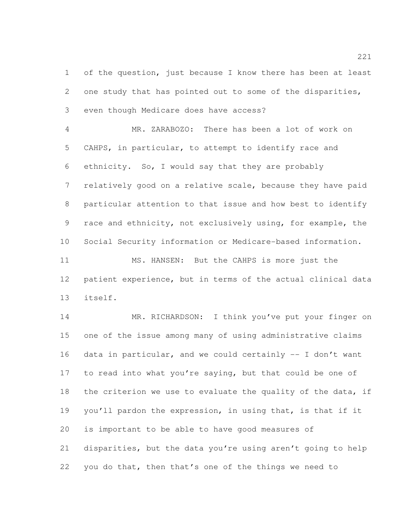of the question, just because I know there has been at least one study that has pointed out to some of the disparities, even though Medicare does have access?

 MR. ZARABOZO: There has been a lot of work on CAHPS, in particular, to attempt to identify race and ethnicity. So, I would say that they are probably relatively good on a relative scale, because they have paid particular attention to that issue and how best to identify race and ethnicity, not exclusively using, for example, the Social Security information or Medicare-based information.

 MS. HANSEN: But the CAHPS is more just the patient experience, but in terms of the actual clinical data itself.

 MR. RICHARDSON: I think you've put your finger on one of the issue among many of using administrative claims data in particular, and we could certainly -- I don't want 17 to read into what you're saying, but that could be one of 18 the criterion we use to evaluate the quality of the data, if you'll pardon the expression, in using that, is that if it is important to be able to have good measures of disparities, but the data you're using aren't going to help you do that, then that's one of the things we need to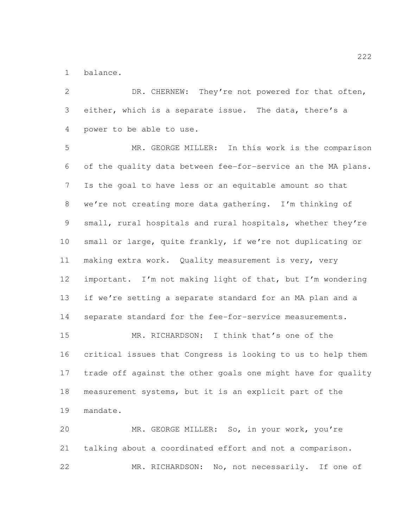balance.

2 DR. CHERNEW: They're not powered for that often, either, which is a separate issue. The data, there's a power to be able to use.

 MR. GEORGE MILLER: In this work is the comparison of the quality data between fee-for-service an the MA plans. Is the goal to have less or an equitable amount so that we're not creating more data gathering. I'm thinking of small, rural hospitals and rural hospitals, whether they're small or large, quite frankly, if we're not duplicating or making extra work. Quality measurement is very, very important. I'm not making light of that, but I'm wondering if we're setting a separate standard for an MA plan and a separate standard for the fee-for-service measurements. MR. RICHARDSON: I think that's one of the

 critical issues that Congress is looking to us to help them trade off against the other goals one might have for quality measurement systems, but it is an explicit part of the mandate.

 MR. GEORGE MILLER: So, in your work, you're talking about a coordinated effort and not a comparison. MR. RICHARDSON: No, not necessarily. If one of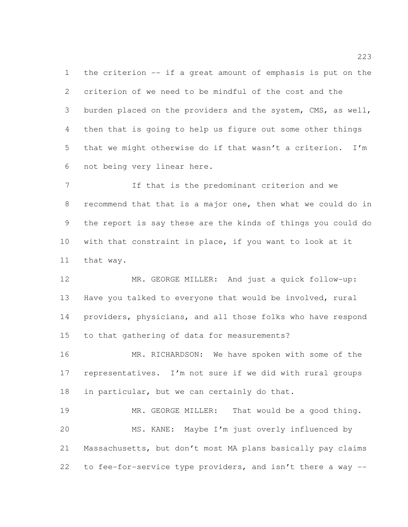the criterion -- if a great amount of emphasis is put on the criterion of we need to be mindful of the cost and the 3 burden placed on the providers and the system, CMS, as well, then that is going to help us figure out some other things that we might otherwise do if that wasn't a criterion. I'm not being very linear here.

 If that is the predominant criterion and we recommend that that is a major one, then what we could do in the report is say these are the kinds of things you could do with that constraint in place, if you want to look at it that way.

 MR. GEORGE MILLER: And just a quick follow-up: Have you talked to everyone that would be involved, rural providers, physicians, and all those folks who have respond to that gathering of data for measurements?

16 MR. RICHARDSON: We have spoken with some of the representatives. I'm not sure if we did with rural groups in particular, but we can certainly do that.

 MR. GEORGE MILLER: That would be a good thing. MS. KANE: Maybe I'm just overly influenced by Massachusetts, but don't most MA plans basically pay claims to fee-for-service type providers, and isn't there a way --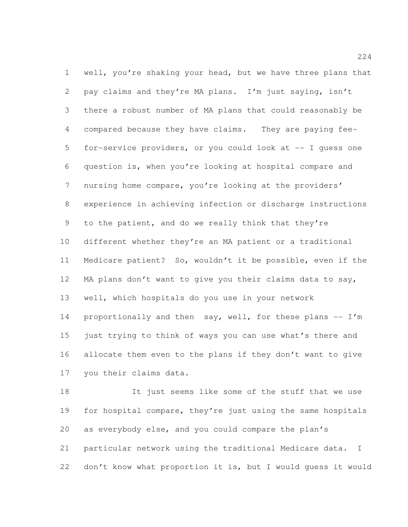well, you're shaking your head, but we have three plans that pay claims and they're MA plans. I'm just saying, isn't there a robust number of MA plans that could reasonably be compared because they have claims. They are paying fee- for-service providers, or you could look at -- I guess one question is, when you're looking at hospital compare and nursing home compare, you're looking at the providers' experience in achieving infection or discharge instructions to the patient, and do we really think that they're different whether they're an MA patient or a traditional Medicare patient? So, wouldn't it be possible, even if the MA plans don't want to give you their claims data to say, well, which hospitals do you use in your network 14 proportionally and then say, well, for these plans -- I'm just trying to think of ways you can use what's there and allocate them even to the plans if they don't want to give you their claims data.

 It just seems like some of the stuff that we use 19 for hospital compare, they're just using the same hospitals as everybody else, and you could compare the plan's particular network using the traditional Medicare data. I don't know what proportion it is, but I would guess it would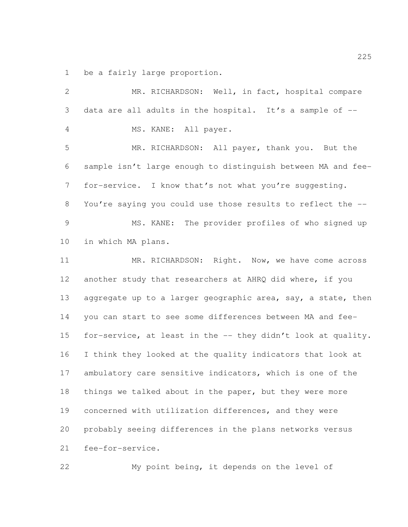be a fairly large proportion.

 MR. RICHARDSON: Well, in fact, hospital compare data are all adults in the hospital. It's a sample of -- MS. KANE: All payer. MR. RICHARDSON: All payer, thank you. But the sample isn't large enough to distinguish between MA and fee- for-service. I know that's not what you're suggesting. You're saying you could use those results to reflect the -- MS. KANE: The provider profiles of who signed up in which MA plans. 11 MR. RICHARDSON: Right. Now, we have come across another study that researchers at AHRQ did where, if you 13 aggregate up to a larger geographic area, say, a state, then you can start to see some differences between MA and fee- for-service, at least in the -- they didn't look at quality. I think they looked at the quality indicators that look at ambulatory care sensitive indicators, which is one of the things we talked about in the paper, but they were more concerned with utilization differences, and they were probably seeing differences in the plans networks versus fee-for-service.

My point being, it depends on the level of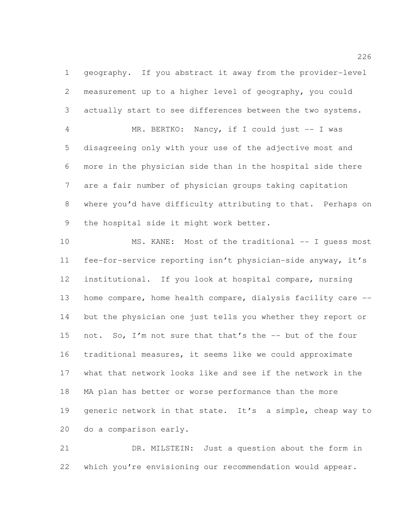geography. If you abstract it away from the provider-level measurement up to a higher level of geography, you could actually start to see differences between the two systems.

 MR. BERTKO: Nancy, if I could just -- I was disagreeing only with your use of the adjective most and more in the physician side than in the hospital side there are a fair number of physician groups taking capitation where you'd have difficulty attributing to that. Perhaps on the hospital side it might work better.

10 MS. KANE: Most of the traditional -- I quess most fee-for-service reporting isn't physician-side anyway, it's institutional. If you look at hospital compare, nursing home compare, home health compare, dialysis facility care -- but the physician one just tells you whether they report or not. So, I'm not sure that that's the -- but of the four traditional measures, it seems like we could approximate what that network looks like and see if the network in the MA plan has better or worse performance than the more 19 generic network in that state. It's a simple, cheap way to do a comparison early.

 DR. MILSTEIN: Just a question about the form in which you're envisioning our recommendation would appear.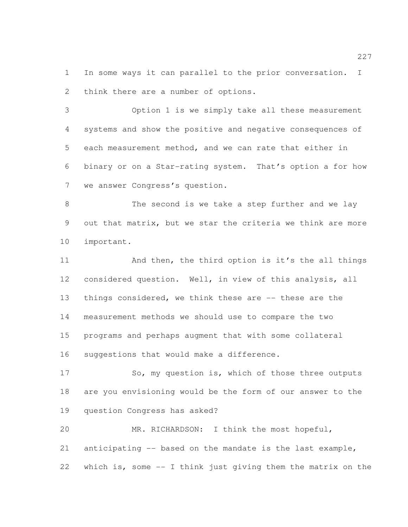In some ways it can parallel to the prior conversation. I think there are a number of options.

 Option 1 is we simply take all these measurement systems and show the positive and negative consequences of each measurement method, and we can rate that either in binary or on a Star-rating system. That's option a for how we answer Congress's question.

 The second is we take a step further and we lay out that matrix, but we star the criteria we think are more important.

11 And then, the third option is it's the all things considered question. Well, in view of this analysis, all things considered, we think these are -- these are the measurement methods we should use to compare the two programs and perhaps augment that with some collateral suggestions that would make a difference.

17 So, my question is, which of those three outputs are you envisioning would be the form of our answer to the question Congress has asked?

 MR. RICHARDSON: I think the most hopeful, anticipating -- based on the mandate is the last example, which is, some -- I think just giving them the matrix on the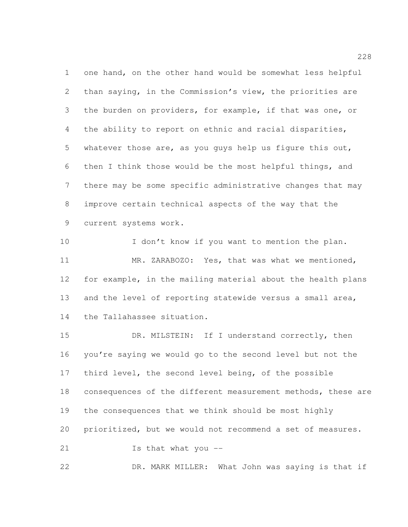one hand, on the other hand would be somewhat less helpful than saying, in the Commission's view, the priorities are the burden on providers, for example, if that was one, or the ability to report on ethnic and racial disparities, whatever those are, as you guys help us figure this out, then I think those would be the most helpful things, and there may be some specific administrative changes that may improve certain technical aspects of the way that the current systems work.

10 I don't know if you want to mention the plan. MR. ZARABOZO: Yes, that was what we mentioned, for example, in the mailing material about the health plans and the level of reporting statewide versus a small area, the Tallahassee situation.

15 DR. MILSTEIN: If I understand correctly, then you're saying we would go to the second level but not the 17 third level, the second level being, of the possible consequences of the different measurement methods, these are the consequences that we think should be most highly prioritized, but we would not recommend a set of measures. Is that what you --

DR. MARK MILLER: What John was saying is that if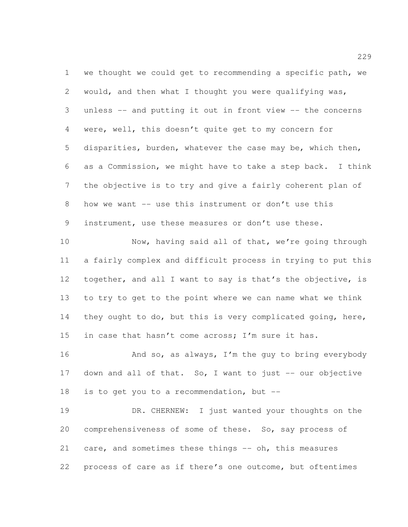we thought we could get to recommending a specific path, we would, and then what I thought you were qualifying was, unless -- and putting it out in front view -- the concerns were, well, this doesn't quite get to my concern for disparities, burden, whatever the case may be, which then, as a Commission, we might have to take a step back. I think the objective is to try and give a fairly coherent plan of how we want -- use this instrument or don't use this instrument, use these measures or don't use these.

 Now, having said all of that, we're going through a fairly complex and difficult process in trying to put this together, and all I want to say is that's the objective, is to try to get to the point where we can name what we think 14 they ought to do, but this is very complicated going, here, 15 in case that hasn't come across; I'm sure it has.

16 And so, as always, I'm the guy to bring everybody 17 down and all of that. So, I want to just -- our objective 18 is to get you to a recommendation, but --

 DR. CHERNEW: I just wanted your thoughts on the comprehensiveness of some of these. So, say process of 21 care, and sometimes these things -- oh, this measures process of care as if there's one outcome, but oftentimes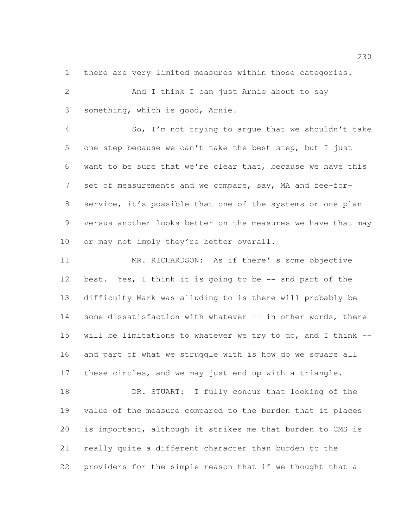there are very limited measures within those categories.

2 And I think I can just Arnie about to say something, which is good, Arnie.

 So, I'm not trying to argue that we shouldn't take one step because we can't take the best step, but I just want to be sure that we're clear that, because we have this set of measurements and we compare, say, MA and fee-for- service, it's possible that one of the systems or one plan versus another looks better on the measures we have that may 10 or may not imply they're better overall.

 MR. RICHARDSON: As if there' s some objective best. Yes, I think it is going to be -- and part of the difficulty Mark was alluding to is there will probably be 14 some dissatisfaction with whatever -- in other words, there will be limitations to whatever we try to do, and I think -- and part of what we struggle with is how do we square all these circles, and we may just end up with a triangle.

18 DR. STUART: I fully concur that looking of the value of the measure compared to the burden that it places is important, although it strikes me that burden to CMS is really quite a different character than burden to the providers for the simple reason that if we thought that a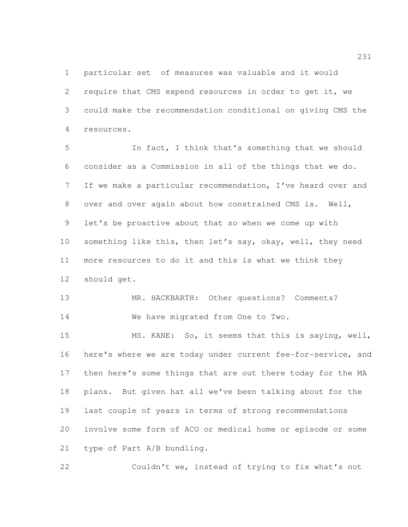particular set of measures was valuable and it would require that CMS expend resources in order to get it, we could make the recommendation conditional on giving CMS the resources.

 In fact, I think that's something that we should consider as a Commission in all of the things that we do. If we make a particular recommendation, I've heard over and over and over again about how constrained CMS is. Well, let's be proactive about that so when we come up with something like this, then let's say, okay, well, they need more resources to do it and this is what we think they should get.

 MR. HACKBARTH: Other questions? Comments? 14 We have migrated from One to Two.

 MS. KANE: So, it seems that this is saying, well, here's where we are today under current fee-for-service, and then here's some things that are out there today for the MA plans. But given hat all we've been talking about for the last couple of years in terms of strong recommendations involve some form of ACO or medical home or episode or some type of Part A/B bundling.

Couldn't we, instead of trying to fix what's not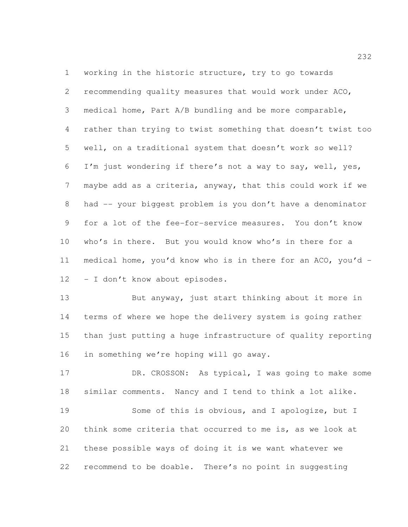working in the historic structure, try to go towards recommending quality measures that would work under ACO, medical home, Part A/B bundling and be more comparable, rather than trying to twist something that doesn't twist too well, on a traditional system that doesn't work so well? I'm just wondering if there's not a way to say, well, yes, maybe add as a criteria, anyway, that this could work if we had -- your biggest problem is you don't have a denominator for a lot of the fee-for-service measures. You don't know who's in there. But you would know who's in there for a medical home, you'd know who is in there for an ACO, you'd - - I don't know about episodes.

 But anyway, just start thinking about it more in terms of where we hope the delivery system is going rather than just putting a huge infrastructure of quality reporting in something we're hoping will go away.

17 DR. CROSSON: As typical, I was going to make some similar comments. Nancy and I tend to think a lot alike.

 Some of this is obvious, and I apologize, but I think some criteria that occurred to me is, as we look at these possible ways of doing it is we want whatever we recommend to be doable. There's no point in suggesting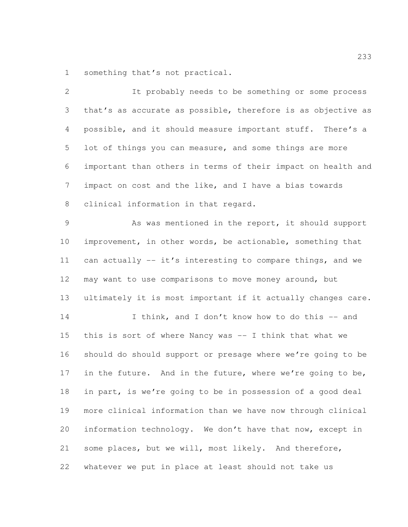something that's not practical.

 It probably needs to be something or some process that's as accurate as possible, therefore is as objective as possible, and it should measure important stuff. There's a lot of things you can measure, and some things are more important than others in terms of their impact on health and impact on cost and the like, and I have a bias towards clinical information in that regard. As was mentioned in the report, it should support improvement, in other words, be actionable, something that can actually -- it's interesting to compare things, and we may want to use comparisons to move money around, but ultimately it is most important if it actually changes care. 14 I think, and I don't know how to do this -- and this is sort of where Nancy was -- I think that what we should do should support or presage where we're going to be 17 in the future. And in the future, where we're going to be, in part, is we're going to be in possession of a good deal more clinical information than we have now through clinical information technology. We don't have that now, except in some places, but we will, most likely. And therefore,

whatever we put in place at least should not take us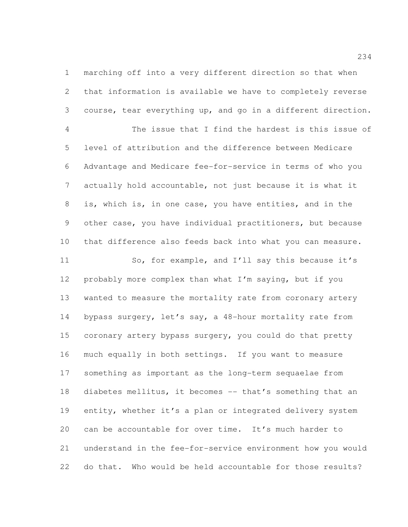marching off into a very different direction so that when that information is available we have to completely reverse course, tear everything up, and go in a different direction.

 The issue that I find the hardest is this issue of level of attribution and the difference between Medicare Advantage and Medicare fee-for-service in terms of who you actually hold accountable, not just because it is what it is, which is, in one case, you have entities, and in the other case, you have individual practitioners, but because that difference also feeds back into what you can measure.

 So, for example, and I'll say this because it's probably more complex than what I'm saying, but if you wanted to measure the mortality rate from coronary artery bypass surgery, let's say, a 48-hour mortality rate from coronary artery bypass surgery, you could do that pretty much equally in both settings. If you want to measure something as important as the long-term sequaelae from diabetes mellitus, it becomes -- that's something that an entity, whether it's a plan or integrated delivery system can be accountable for over time. It's much harder to understand in the fee-for-service environment how you would do that. Who would be held accountable for those results?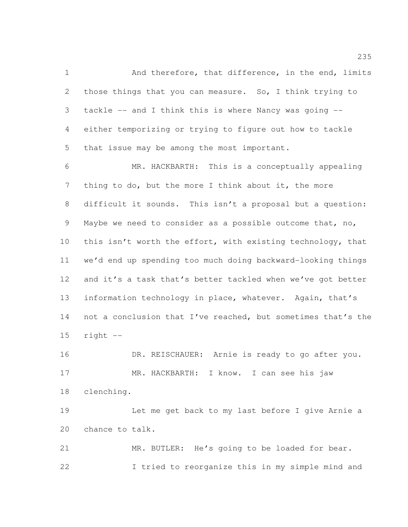1 And therefore, that difference, in the end, limits those things that you can measure. So, I think trying to tackle -- and I think this is where Nancy was going -- either temporizing or trying to figure out how to tackle that issue may be among the most important.

 MR. HACKBARTH: This is a conceptually appealing 7 thing to do, but the more I think about it, the more difficult it sounds. This isn't a proposal but a question: Maybe we need to consider as a possible outcome that, no, 10 this isn't worth the effort, with existing technology, that we'd end up spending too much doing backward-looking things 12 and it's a task that's better tackled when we've got better information technology in place, whatever. Again, that's 14 not a conclusion that I've reached, but sometimes that's the right  $-$ 

16 DR. REISCHAUER: Arnie is ready to go after you. MR. HACKBARTH: I know. I can see his jaw clenching.

 Let me get back to my last before I give Arnie a chance to talk.

 MR. BUTLER: He's going to be loaded for bear. I tried to reorganize this in my simple mind and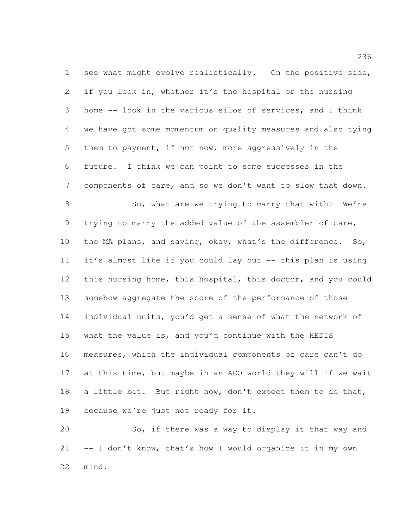see what might evolve realistically. On the positive side, if you look in, whether it's the hospital or the nursing home -- look in the various silos of services, and I think we have got some momentum on quality measures and also tying them to payment, if not now, more aggressively in the future. I think we can point to some successes in the components of care, and so we don't want to slow that down. 8 So, what are we trying to marry that with? We're trying to marry the added value of the assembler of care, the MA plans, and saying, okay, what's the difference. So, it's almost like if you could lay out -- this plan is using this nursing home, this hospital, this doctor, and you could somehow aggregate the score of the performance of those individual units, you'd get a sense of what the network of what the value is, and you'd continue with the HEDIS measures, which the individual components of care can't do at this time, but maybe in an ACO world they will if we wait 18 a little bit. But right now, don't expect them to do that, because we're just not ready for it.

 So, if there was a way to display it that way and 21 -- I don't know, that's how I would organize it in my own mind.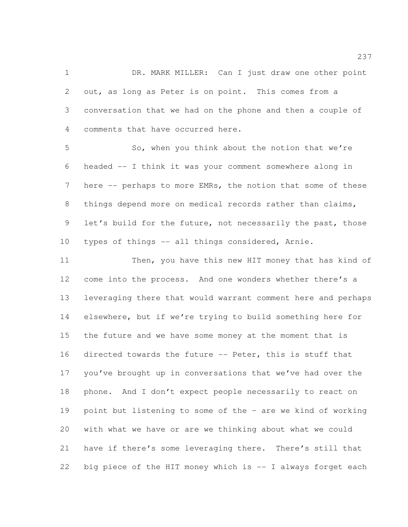1 DR. MARK MILLER: Can I just draw one other point out, as long as Peter is on point. This comes from a conversation that we had on the phone and then a couple of comments that have occurred here.

 So, when you think about the notion that we're headed -- I think it was your comment somewhere along in here -- perhaps to more EMRs, the notion that some of these things depend more on medical records rather than claims, let's build for the future, not necessarily the past, those types of things -- all things considered, Arnie.

 Then, you have this new HIT money that has kind of 12 come into the process. And one wonders whether there's a leveraging there that would warrant comment here and perhaps elsewhere, but if we're trying to build something here for the future and we have some money at the moment that is directed towards the future -- Peter, this is stuff that you've brought up in conversations that we've had over the phone. And I don't expect people necessarily to react on point but listening to some of the – are we kind of working with what we have or are we thinking about what we could have if there's some leveraging there. There's still that 22 big piece of the HIT money which is -- I always forget each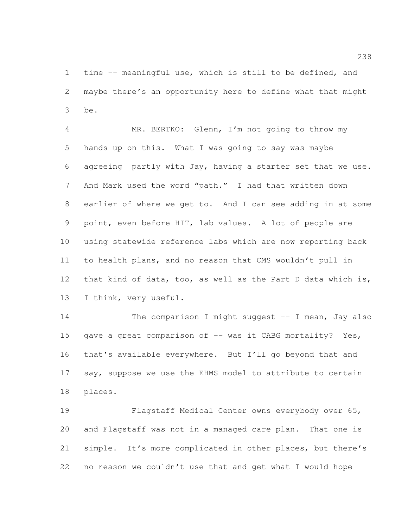time -- meaningful use, which is still to be defined, and maybe there's an opportunity here to define what that might be.

 MR. BERTKO: Glenn, I'm not going to throw my hands up on this. What I was going to say was maybe agreeing partly with Jay, having a starter set that we use. And Mark used the word "path." I had that written down earlier of where we get to. And I can see adding in at some point, even before HIT, lab values. A lot of people are using statewide reference labs which are now reporting back to health plans, and no reason that CMS wouldn't pull in that kind of data, too, as well as the Part D data which is, I think, very useful.

14 The comparison I might suggest -- I mean, Jay also 15 gave a great comparison of -- was it CABG mortality? Yes, that's available everywhere. But I'll go beyond that and 17 say, suppose we use the EHMS model to attribute to certain places.

 Flagstaff Medical Center owns everybody over 65, and Flagstaff was not in a managed care plan. That one is simple. It's more complicated in other places, but there's no reason we couldn't use that and get what I would hope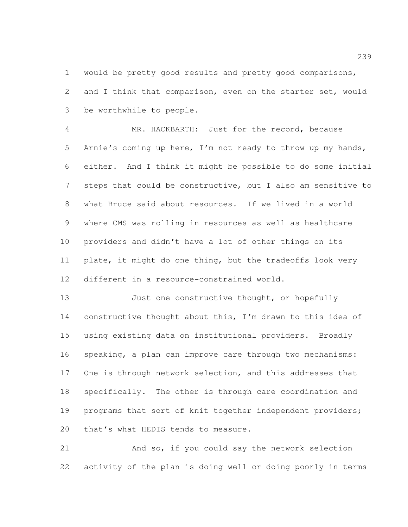would be pretty good results and pretty good comparisons, and I think that comparison, even on the starter set, would be worthwhile to people.

 MR. HACKBARTH: Just for the record, because Arnie's coming up here, I'm not ready to throw up my hands, either. And I think it might be possible to do some initial steps that could be constructive, but I also am sensitive to what Bruce said about resources. If we lived in a world where CMS was rolling in resources as well as healthcare providers and didn't have a lot of other things on its plate, it might do one thing, but the tradeoffs look very different in a resource-constrained world.

13 Just one constructive thought, or hopefully constructive thought about this, I'm drawn to this idea of using existing data on institutional providers. Broadly speaking, a plan can improve care through two mechanisms: One is through network selection, and this addresses that specifically. The other is through care coordination and 19 programs that sort of knit together independent providers; 20 that's what HEDIS tends to measure.

 And so, if you could say the network selection activity of the plan is doing well or doing poorly in terms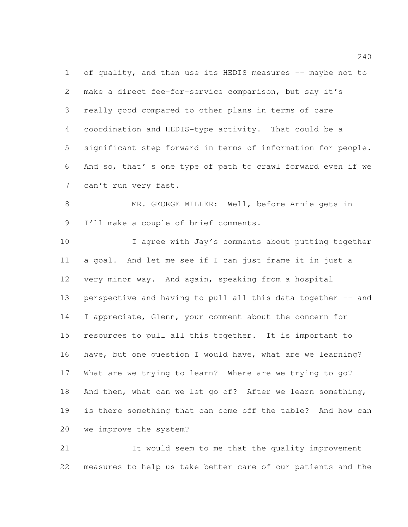of quality, and then use its HEDIS measures -- maybe not to make a direct fee-for-service comparison, but say it's really good compared to other plans in terms of care coordination and HEDIS-type activity. That could be a significant step forward in terms of information for people. And so, that' s one type of path to crawl forward even if we can't run very fast.

 MR. GEORGE MILLER: Well, before Arnie gets in I'll make a couple of brief comments.

 I agree with Jay's comments about putting together a goal. And let me see if I can just frame it in just a very minor way. And again, speaking from a hospital perspective and having to pull all this data together -- and I appreciate, Glenn, your comment about the concern for resources to pull all this together. It is important to have, but one question I would have, what are we learning? What are we trying to learn? Where are we trying to go? And then, what can we let go of? After we learn something, is there something that can come off the table? And how can we improve the system?

 It would seem to me that the quality improvement measures to help us take better care of our patients and the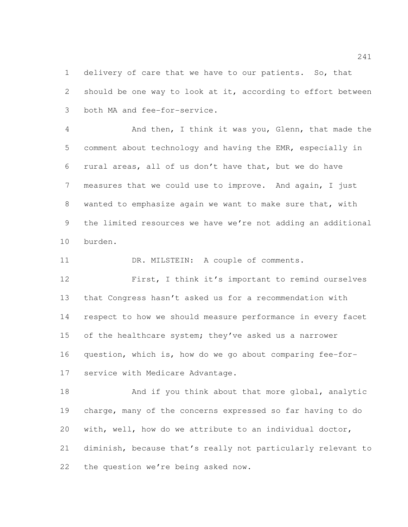1 delivery of care that we have to our patients. So, that should be one way to look at it, according to effort between both MA and fee-for-service.

 And then, I think it was you, Glenn, that made the comment about technology and having the EMR, especially in rural areas, all of us don't have that, but we do have measures that we could use to improve. And again, I just wanted to emphasize again we want to make sure that, with the limited resources we have we're not adding an additional burden.

11 DR. MILSTEIN: A couple of comments.

 First, I think it's important to remind ourselves that Congress hasn't asked us for a recommendation with respect to how we should measure performance in every facet 15 of the healthcare system; they've asked us a narrower question, which is, how do we go about comparing fee-for-service with Medicare Advantage.

18 And if you think about that more global, analytic charge, many of the concerns expressed so far having to do with, well, how do we attribute to an individual doctor, diminish, because that's really not particularly relevant to the question we're being asked now.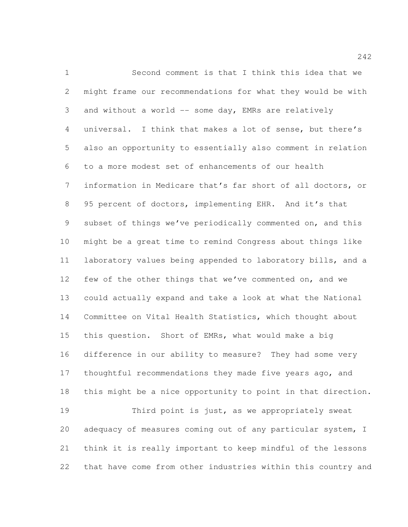Second comment is that I think this idea that we might frame our recommendations for what they would be with 3 and without a world -- some day, EMRs are relatively universal. I think that makes a lot of sense, but there's also an opportunity to essentially also comment in relation to a more modest set of enhancements of our health information in Medicare that's far short of all doctors, or 95 percent of doctors, implementing EHR. And it's that subset of things we've periodically commented on, and this might be a great time to remind Congress about things like laboratory values being appended to laboratory bills, and a few of the other things that we've commented on, and we could actually expand and take a look at what the National Committee on Vital Health Statistics, which thought about this question. Short of EMRs, what would make a big difference in our ability to measure? They had some very thoughtful recommendations they made five years ago, and this might be a nice opportunity to point in that direction. Third point is just, as we appropriately sweat 20 adequacy of measures coming out of any particular system, I think it is really important to keep mindful of the lessons

that have come from other industries within this country and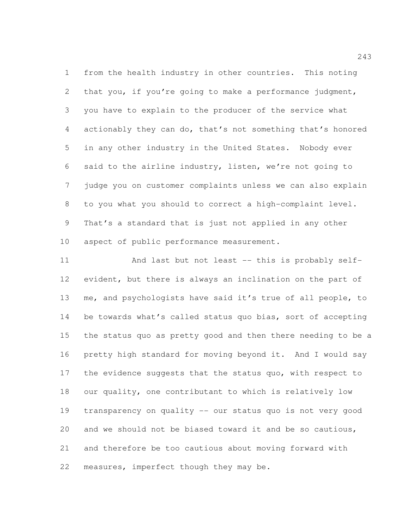from the health industry in other countries. This noting that you, if you're going to make a performance judgment, you have to explain to the producer of the service what actionably they can do, that's not something that's honored in any other industry in the United States. Nobody ever said to the airline industry, listen, we're not going to judge you on customer complaints unless we can also explain to you what you should to correct a high-complaint level. That's a standard that is just not applied in any other aspect of public performance measurement.

 And last but not least -- this is probably self- evident, but there is always an inclination on the part of me, and psychologists have said it's true of all people, to be towards what's called status quo bias, sort of accepting the status quo as pretty good and then there needing to be a pretty high standard for moving beyond it. And I would say 17 the evidence suggests that the status quo, with respect to our quality, one contributant to which is relatively low transparency on quality -- our status quo is not very good and we should not be biased toward it and be so cautious, and therefore be too cautious about moving forward with measures, imperfect though they may be.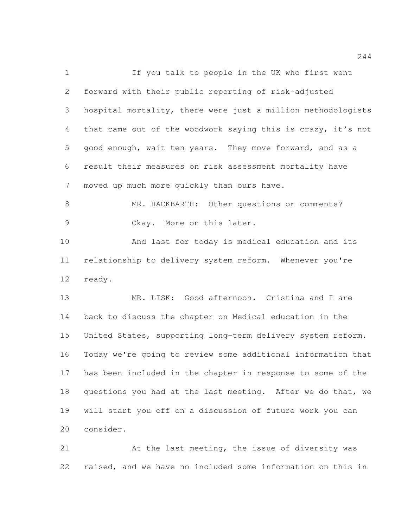If you talk to people in the UK who first went forward with their public reporting of risk-adjusted hospital mortality, there were just a million methodologists that came out of the woodwork saying this is crazy, it's not good enough, wait ten years. They move forward, and as a result their measures on risk assessment mortality have moved up much more quickly than ours have. MR. HACKBARTH: Other questions or comments? Okay. More on this later. And last for today is medical education and its

 relationship to delivery system reform. Whenever you're ready.

 MR. LISK: Good afternoon. Cristina and I are back to discuss the chapter on Medical education in the United States, supporting long-term delivery system reform. Today we're going to review some additional information that has been included in the chapter in response to some of the 18 questions you had at the last meeting. After we do that, we will start you off on a discussion of future work you can consider.

 At the last meeting, the issue of diversity was raised, and we have no included some information on this in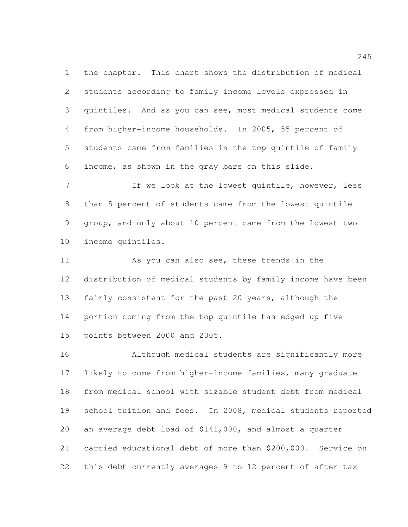the chapter. This chart shows the distribution of medical students according to family income levels expressed in quintiles. And as you can see, most medical students come from higher-income households. In 2005, 55 percent of students came from families in the top quintile of family income, as shown in the gray bars on this slide.

7 If we look at the lowest quintile, however, less than 5 percent of students came from the lowest quintile group, and only about 10 percent came from the lowest two income quintiles.

 As you can also see, these trends in the distribution of medical students by family income have been fairly consistent for the past 20 years, although the portion coming from the top quintile has edged up five points between 2000 and 2005.

 Although medical students are significantly more likely to come from higher-income families, many graduate from medical school with sizable student debt from medical school tuition and fees. In 2008, medical students reported an average debt load of \$141,000, and almost a quarter carried educational debt of more than \$200,000. Service on this debt currently averages 9 to 12 percent of after-tax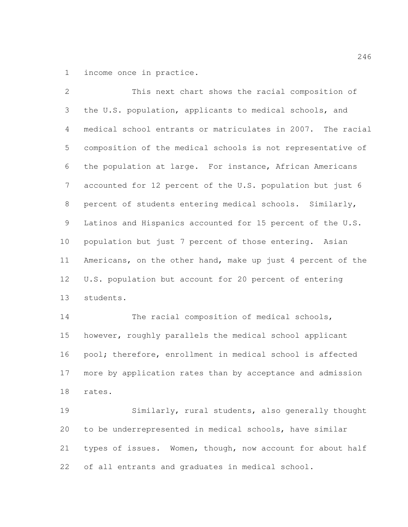income once in practice.

 This next chart shows the racial composition of the U.S. population, applicants to medical schools, and medical school entrants or matriculates in 2007. The racial composition of the medical schools is not representative of the population at large. For instance, African Americans accounted for 12 percent of the U.S. population but just 6 percent of students entering medical schools. Similarly, Latinos and Hispanics accounted for 15 percent of the U.S. population but just 7 percent of those entering. Asian Americans, on the other hand, make up just 4 percent of the U.S. population but account for 20 percent of entering students.

14 The racial composition of medical schools, however, roughly parallels the medical school applicant pool; therefore, enrollment in medical school is affected more by application rates than by acceptance and admission rates.

 Similarly, rural students, also generally thought to be underrepresented in medical schools, have similar types of issues. Women, though, now account for about half of all entrants and graduates in medical school.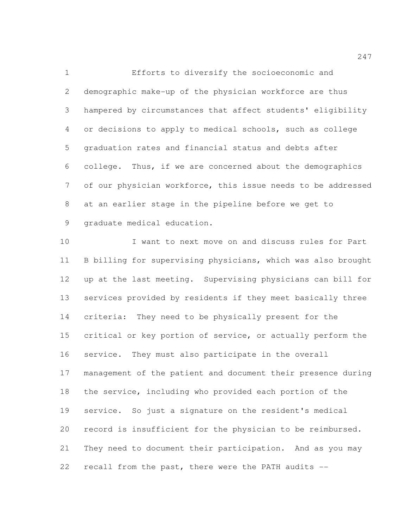Efforts to diversify the socioeconomic and demographic make-up of the physician workforce are thus hampered by circumstances that affect students' eligibility or decisions to apply to medical schools, such as college graduation rates and financial status and debts after college. Thus, if we are concerned about the demographics of our physician workforce, this issue needs to be addressed at an earlier stage in the pipeline before we get to graduate medical education.

 I want to next move on and discuss rules for Part B billing for supervising physicians, which was also brought up at the last meeting. Supervising physicians can bill for services provided by residents if they meet basically three criteria: They need to be physically present for the critical or key portion of service, or actually perform the service. They must also participate in the overall management of the patient and document their presence during the service, including who provided each portion of the service. So just a signature on the resident's medical record is insufficient for the physician to be reimbursed. They need to document their participation. And as you may recall from the past, there were the PATH audits --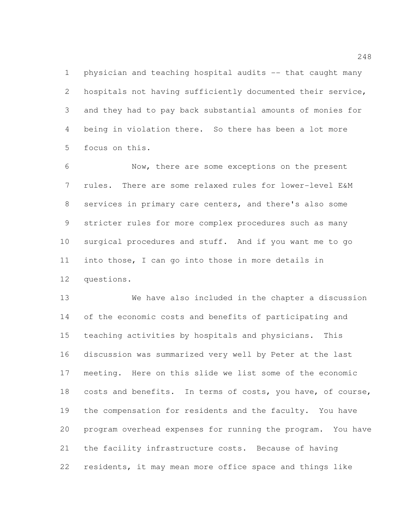physician and teaching hospital audits -- that caught many hospitals not having sufficiently documented their service, and they had to pay back substantial amounts of monies for being in violation there. So there has been a lot more focus on this.

 Now, there are some exceptions on the present rules. There are some relaxed rules for lower-level E&M services in primary care centers, and there's also some stricter rules for more complex procedures such as many surgical procedures and stuff. And if you want me to go into those, I can go into those in more details in questions.

 We have also included in the chapter a discussion of the economic costs and benefits of participating and teaching activities by hospitals and physicians. This discussion was summarized very well by Peter at the last meeting. Here on this slide we list some of the economic 18 costs and benefits. In terms of costs, you have, of course, the compensation for residents and the faculty. You have program overhead expenses for running the program. You have the facility infrastructure costs. Because of having residents, it may mean more office space and things like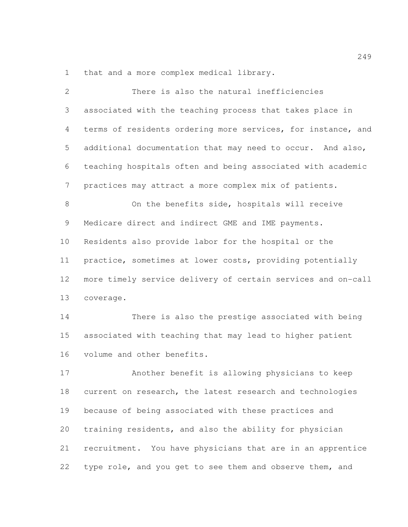that and a more complex medical library.

| $\overline{2}$ | There is also the natural inefficiencies                     |
|----------------|--------------------------------------------------------------|
| 3              | associated with the teaching process that takes place in     |
| 4              | terms of residents ordering more services, for instance, and |
| 5              | additional documentation that may need to occur. And also,   |
| 6              | teaching hospitals often and being associated with academic  |
| 7              | practices may attract a more complex mix of patients.        |
| 8              | On the benefits side, hospitals will receive                 |
| 9              | Medicare direct and indirect GME and IME payments.           |
| 10             | Residents also provide labor for the hospital or the         |
| 11             | practice, sometimes at lower costs, providing potentially    |
| 12             | more timely service delivery of certain services and on-call |
| 13             | coverage.                                                    |
| 14             | There is also the prestige associated with being             |
| 15             | associated with teaching that may lead to higher patient     |
| 16             | volume and other benefits.                                   |
| 17             | Another benefit is allowing physicians to keep               |
| 18             | current on research, the latest research and technologies    |
| 19             | because of being associated with these practices and         |
| 20             | training residents, and also the ability for physician       |
| 21             | recruitment. You have physicians that are in an apprentice   |
| 22             | type role, and you get to see them and observe them, and     |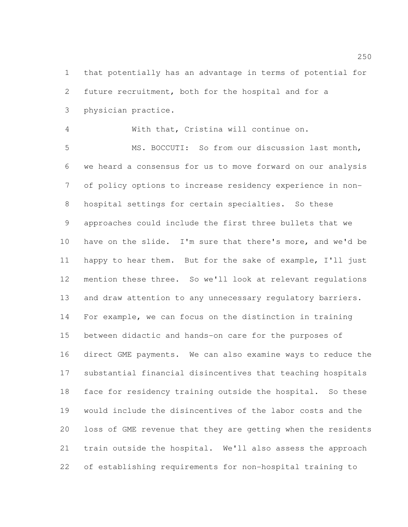that potentially has an advantage in terms of potential for future recruitment, both for the hospital and for a physician practice.

With that, Cristina will continue on.

 MS. BOCCUTI: So from our discussion last month, we heard a consensus for us to move forward on our analysis of policy options to increase residency experience in non- hospital settings for certain specialties. So these approaches could include the first three bullets that we have on the slide. I'm sure that there's more, and we'd be happy to hear them. But for the sake of example, I'll just mention these three. So we'll look at relevant regulations 13 and draw attention to any unnecessary regulatory barriers. For example, we can focus on the distinction in training between didactic and hands-on care for the purposes of direct GME payments. We can also examine ways to reduce the substantial financial disincentives that teaching hospitals face for residency training outside the hospital. So these would include the disincentives of the labor costs and the loss of GME revenue that they are getting when the residents train outside the hospital. We'll also assess the approach of establishing requirements for non-hospital training to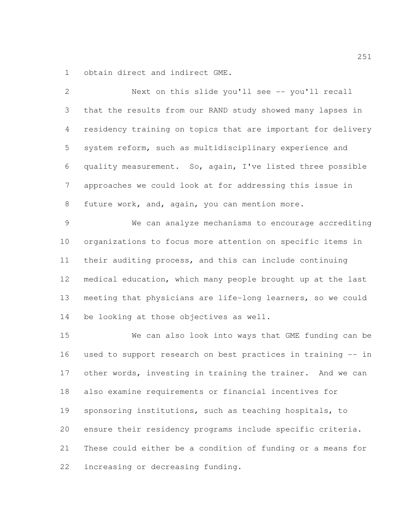obtain direct and indirect GME.

 Next on this slide you'll see -- you'll recall that the results from our RAND study showed many lapses in residency training on topics that are important for delivery system reform, such as multidisciplinary experience and quality measurement. So, again, I've listed three possible approaches we could look at for addressing this issue in 8 future work, and, again, you can mention more. We can analyze mechanisms to encourage accrediting organizations to focus more attention on specific items in their auditing process, and this can include continuing medical education, which many people brought up at the last meeting that physicians are life-long learners, so we could be looking at those objectives as well. We can also look into ways that GME funding can be used to support research on best practices in training -- in other words, investing in training the trainer. And we can also examine requirements or financial incentives for sponsoring institutions, such as teaching hospitals, to ensure their residency programs include specific criteria. These could either be a condition of funding or a means for increasing or decreasing funding.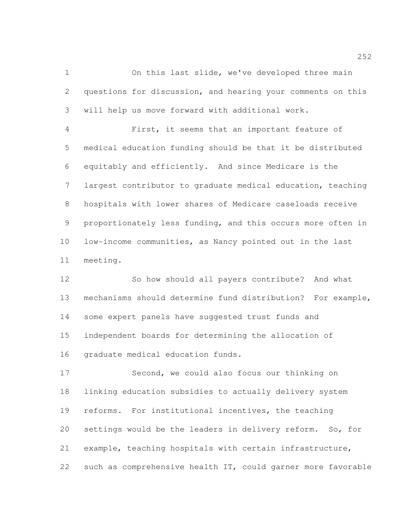On this last slide, we've developed three main questions for discussion, and hearing your comments on this will help us move forward with additional work.

 First, it seems that an important feature of medical education funding should be that it be distributed equitably and efficiently. And since Medicare is the largest contributor to graduate medical education, teaching hospitals with lower shares of Medicare caseloads receive proportionately less funding, and this occurs more often in low-income communities, as Nancy pointed out in the last meeting.

 So how should all payers contribute? And what mechanisms should determine fund distribution? For example, some expert panels have suggested trust funds and independent boards for determining the allocation of graduate medical education funds.

 Second, we could also focus our thinking on linking education subsidies to actually delivery system reforms. For institutional incentives, the teaching settings would be the leaders in delivery reform. So, for example, teaching hospitals with certain infrastructure, such as comprehensive health IT, could garner more favorable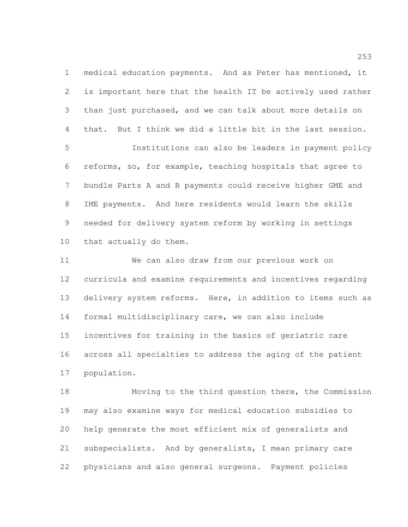medical education payments. And as Peter has mentioned, it is important here that the health IT be actively used rather than just purchased, and we can talk about more details on that. But I think we did a little bit in the last session. Institutions can also be leaders in payment policy reforms, so, for example, teaching hospitals that agree to bundle Parts A and B payments could receive higher GME and IME payments. And here residents would learn the skills needed for delivery system reform by working in settings that actually do them.

 We can also draw from our previous work on curricula and examine requirements and incentives regarding delivery system reforms. Here, in addition to items such as formal multidisciplinary care, we can also include incentives for training in the basics of geriatric care across all specialties to address the aging of the patient population.

 Moving to the third question there, the Commission may also examine ways for medical education subsidies to help generate the most efficient mix of generalists and subspecialists. And by generalists, I mean primary care physicians and also general surgeons. Payment policies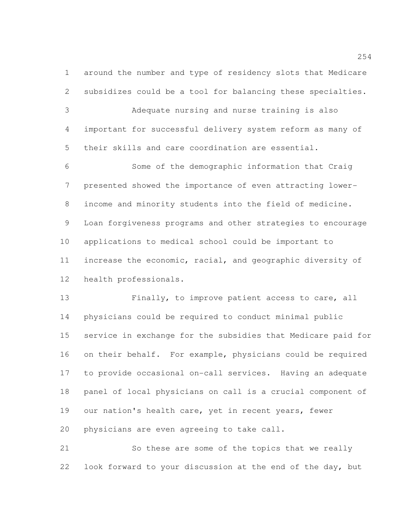around the number and type of residency slots that Medicare subsidizes could be a tool for balancing these specialties.

 Adequate nursing and nurse training is also important for successful delivery system reform as many of their skills and care coordination are essential.

 Some of the demographic information that Craig presented showed the importance of even attracting lower- income and minority students into the field of medicine. Loan forgiveness programs and other strategies to encourage applications to medical school could be important to increase the economic, racial, and geographic diversity of health professionals.

 Finally, to improve patient access to care, all physicians could be required to conduct minimal public service in exchange for the subsidies that Medicare paid for on their behalf. For example, physicians could be required to provide occasional on-call services. Having an adequate panel of local physicians on call is a crucial component of 19 our nation's health care, yet in recent years, fewer physicians are even agreeing to take call.

 So these are some of the topics that we really look forward to your discussion at the end of the day, but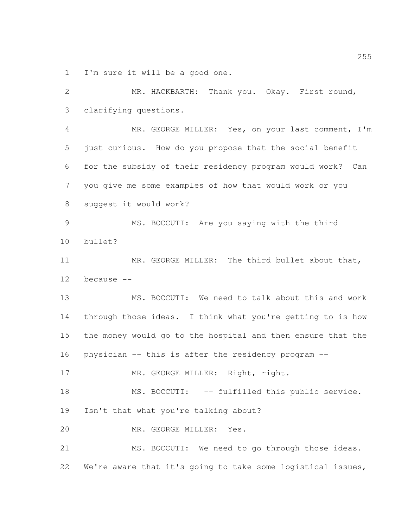I'm sure it will be a good one.

 MR. HACKBARTH: Thank you. Okay. First round, clarifying questions. MR. GEORGE MILLER: Yes, on your last comment, I'm just curious. How do you propose that the social benefit for the subsidy of their residency program would work? Can you give me some examples of how that would work or you suggest it would work? MS. BOCCUTI: Are you saying with the third bullet? 11 MR. GEORGE MILLER: The third bullet about that, because -- MS. BOCCUTI: We need to talk about this and work through those ideas. I think what you're getting to is how the money would go to the hospital and then ensure that the physician -- this is after the residency program -- 17 MR. GEORGE MILLER: Right, right. 18 MS. BOCCUTI: -- fulfilled this public service. Isn't that what you're talking about? MR. GEORGE MILLER: Yes. 21 MS. BOCCUTI: We need to go through those ideas. We're aware that it's going to take some logistical issues,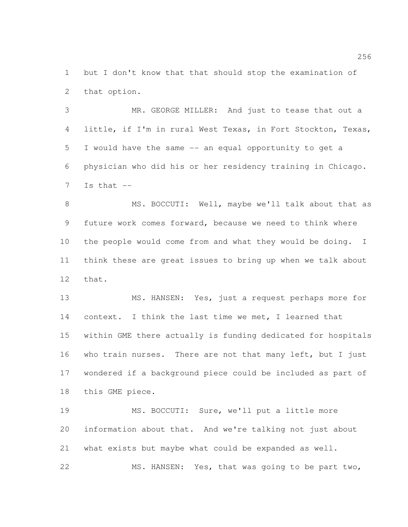but I don't know that that should stop the examination of that option.

 MR. GEORGE MILLER: And just to tease that out a little, if I'm in rural West Texas, in Fort Stockton, Texas, I would have the same -- an equal opportunity to get a physician who did his or her residency training in Chicago. Is that  $-$ 

8 MS. BOCCUTI: Well, maybe we'll talk about that as future work comes forward, because we need to think where the people would come from and what they would be doing. I think these are great issues to bring up when we talk about that.

 MS. HANSEN: Yes, just a request perhaps more for context. I think the last time we met, I learned that within GME there actually is funding dedicated for hospitals who train nurses. There are not that many left, but I just wondered if a background piece could be included as part of this GME piece.

 MS. BOCCUTI: Sure, we'll put a little more information about that. And we're talking not just about what exists but maybe what could be expanded as well. MS. HANSEN: Yes, that was going to be part two,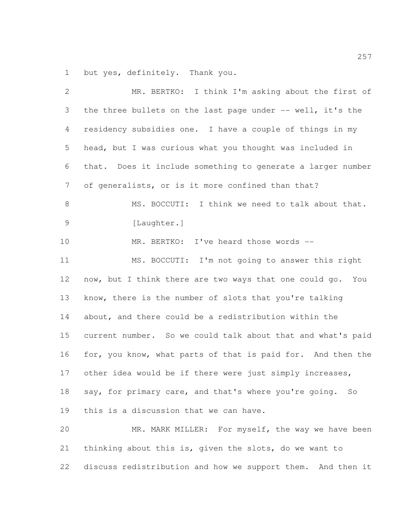but yes, definitely. Thank you.

 MR. BERTKO: I think I'm asking about the first of the three bullets on the last page under -- well, it's the residency subsidies one. I have a couple of things in my head, but I was curious what you thought was included in that. Does it include something to generate a larger number of generalists, or is it more confined than that? 8 MS. BOCCUTI: I think we need to talk about that. [Laughter.] 10 MR. BERTKO: I've heard those words -- MS. BOCCUTI: I'm not going to answer this right now, but I think there are two ways that one could go. You know, there is the number of slots that you're talking about, and there could be a redistribution within the current number. So we could talk about that and what's paid for, you know, what parts of that is paid for. And then the other idea would be if there were just simply increases, say, for primary care, and that's where you're going. So this is a discussion that we can have. MR. MARK MILLER: For myself, the way we have been thinking about this is, given the slots, do we want to discuss redistribution and how we support them. And then it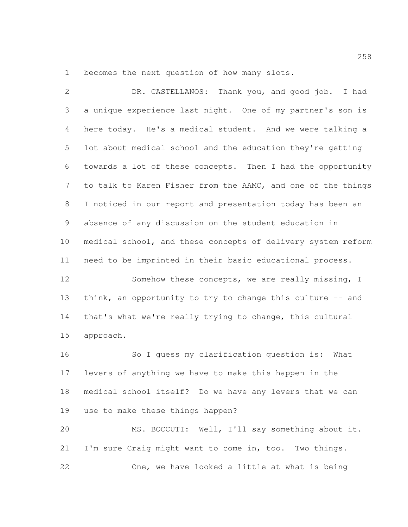becomes the next question of how many slots.

 DR. CASTELLANOS: Thank you, and good job. I had a unique experience last night. One of my partner's son is here today. He's a medical student. And we were talking a lot about medical school and the education they're getting towards a lot of these concepts. Then I had the opportunity 7 to talk to Karen Fisher from the AAMC, and one of the things I noticed in our report and presentation today has been an absence of any discussion on the student education in medical school, and these concepts of delivery system reform need to be imprinted in their basic educational process. 12 Somehow these concepts, we are really missing, I 13 think, an opportunity to try to change this culture -- and that's what we're really trying to change, this cultural approach. So I guess my clarification question is: What levers of anything we have to make this happen in the medical school itself? Do we have any levers that we can use to make these things happen? MS. BOCCUTI: Well, I'll say something about it. I'm sure Craig might want to come in, too. Two things.

One, we have looked a little at what is being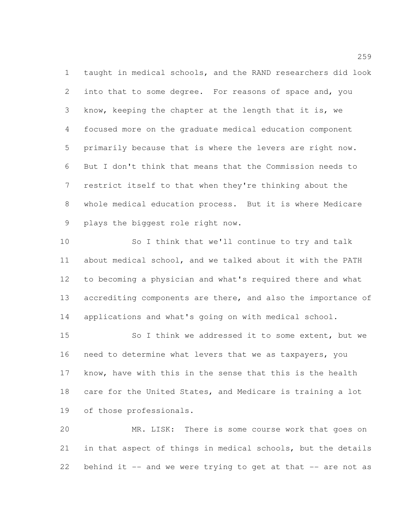taught in medical schools, and the RAND researchers did look into that to some degree. For reasons of space and, you know, keeping the chapter at the length that it is, we focused more on the graduate medical education component primarily because that is where the levers are right now. But I don't think that means that the Commission needs to restrict itself to that when they're thinking about the whole medical education process. But it is where Medicare plays the biggest role right now.

 So I think that we'll continue to try and talk about medical school, and we talked about it with the PATH to becoming a physician and what's required there and what 13 accrediting components are there, and also the importance of applications and what's going on with medical school.

15 So I think we addressed it to some extent, but we need to determine what levers that we as taxpayers, you know, have with this in the sense that this is the health care for the United States, and Medicare is training a lot of those professionals.

 MR. LISK: There is some course work that goes on in that aspect of things in medical schools, but the details behind it -- and we were trying to get at that -- are not as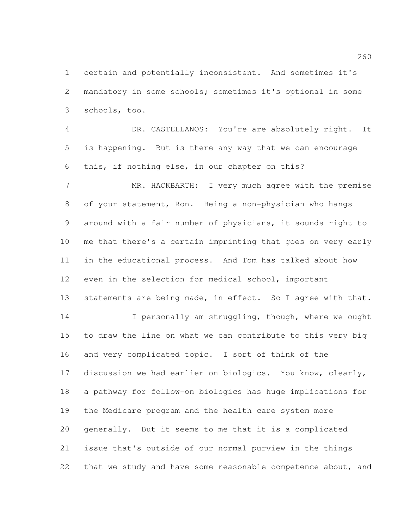certain and potentially inconsistent. And sometimes it's mandatory in some schools; sometimes it's optional in some schools, too.

 DR. CASTELLANOS: You're are absolutely right. It is happening. But is there any way that we can encourage this, if nothing else, in our chapter on this?

7 MR. HACKBARTH: I very much agree with the premise of your statement, Ron. Being a non-physician who hangs around with a fair number of physicians, it sounds right to me that there's a certain imprinting that goes on very early in the educational process. And Tom has talked about how even in the selection for medical school, important 13 statements are being made, in effect. So I agree with that.

14 I personally am struggling, though, where we ought to draw the line on what we can contribute to this very big and very complicated topic. I sort of think of the discussion we had earlier on biologics. You know, clearly, a pathway for follow-on biologics has huge implications for the Medicare program and the health care system more generally. But it seems to me that it is a complicated issue that's outside of our normal purview in the things 22 that we study and have some reasonable competence about, and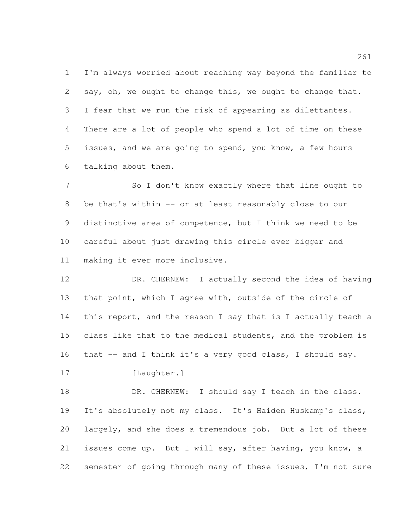I'm always worried about reaching way beyond the familiar to say, oh, we ought to change this, we ought to change that. I fear that we run the risk of appearing as dilettantes. There are a lot of people who spend a lot of time on these issues, and we are going to spend, you know, a few hours talking about them.

7 So I don't know exactly where that line ought to be that's within -- or at least reasonably close to our distinctive area of competence, but I think we need to be careful about just drawing this circle ever bigger and making it ever more inclusive.

 DR. CHERNEW: I actually second the idea of having that point, which I agree with, outside of the circle of this report, and the reason I say that is I actually teach a 15 class like that to the medical students, and the problem is that -- and I think it's a very good class, I should say.

17 [Laughter.]

18 DR. CHERNEW: I should say I teach in the class. It's absolutely not my class. It's Haiden Huskamp's class, largely, and she does a tremendous job. But a lot of these issues come up. But I will say, after having, you know, a semester of going through many of these issues, I'm not sure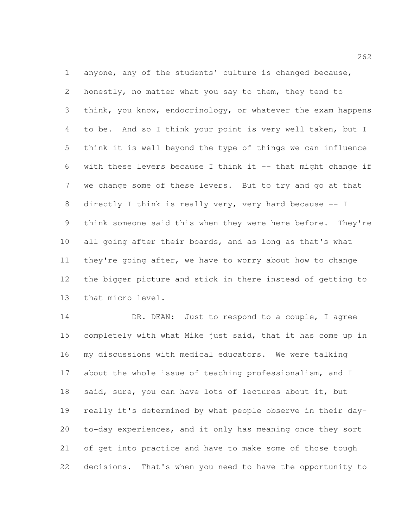anyone, any of the students' culture is changed because, honestly, no matter what you say to them, they tend to think, you know, endocrinology, or whatever the exam happens to be. And so I think your point is very well taken, but I think it is well beyond the type of things we can influence with these levers because I think it -- that might change if we change some of these levers. But to try and go at that directly I think is really very, very hard because -- I think someone said this when they were here before. They're all going after their boards, and as long as that's what they're going after, we have to worry about how to change the bigger picture and stick in there instead of getting to that micro level.

14 DR. DEAN: Just to respond to a couple, I agree completely with what Mike just said, that it has come up in my discussions with medical educators. We were talking about the whole issue of teaching professionalism, and I said, sure, you can have lots of lectures about it, but really it's determined by what people observe in their day- to-day experiences, and it only has meaning once they sort of get into practice and have to make some of those tough decisions. That's when you need to have the opportunity to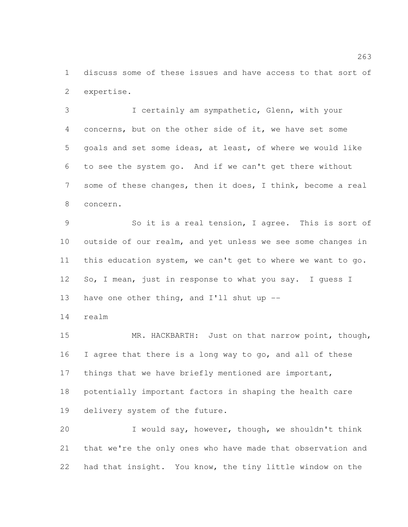discuss some of these issues and have access to that sort of expertise.

 I certainly am sympathetic, Glenn, with your concerns, but on the other side of it, we have set some goals and set some ideas, at least, of where we would like to see the system go. And if we can't get there without some of these changes, then it does, I think, become a real concern.

 So it is a real tension, I agree. This is sort of outside of our realm, and yet unless we see some changes in this education system, we can't get to where we want to go. 12 So, I mean, just in response to what you say. I quess I 13 have one other thing, and I'll shut up --

realm

 MR. HACKBARTH: Just on that narrow point, though, I agree that there is a long way to go, and all of these 17 things that we have briefly mentioned are important, potentially important factors in shaping the health care delivery system of the future.

 I would say, however, though, we shouldn't think that we're the only ones who have made that observation and had that insight. You know, the tiny little window on the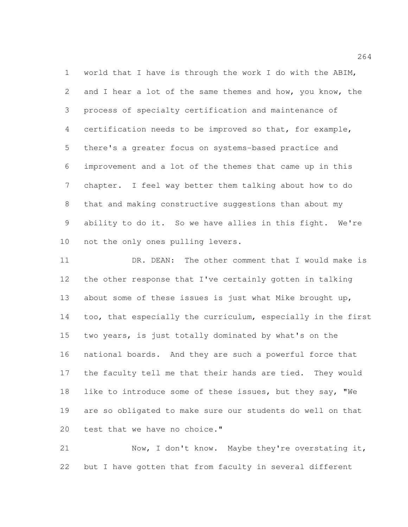world that I have is through the work I do with the ABIM, 2 and I hear a lot of the same themes and how, you know, the process of specialty certification and maintenance of certification needs to be improved so that, for example, there's a greater focus on systems-based practice and improvement and a lot of the themes that came up in this chapter. I feel way better them talking about how to do that and making constructive suggestions than about my ability to do it. So we have allies in this fight. We're not the only ones pulling levers.

 DR. DEAN: The other comment that I would make is the other response that I've certainly gotten in talking about some of these issues is just what Mike brought up, too, that especially the curriculum, especially in the first two years, is just totally dominated by what's on the national boards. And they are such a powerful force that the faculty tell me that their hands are tied. They would like to introduce some of these issues, but they say, "We are so obligated to make sure our students do well on that 20 test that we have no choice."

 Now, I don't know. Maybe they're overstating it, but I have gotten that from faculty in several different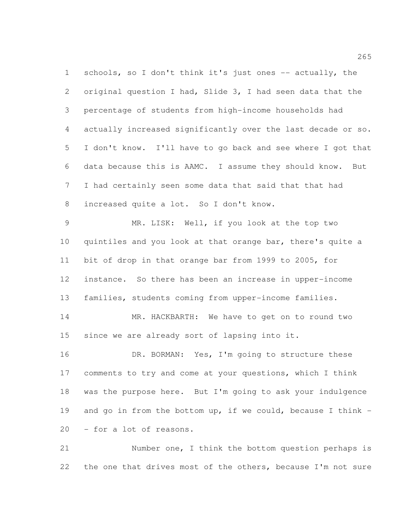1 schools, so I don't think it's just ones -- actually, the original question I had, Slide 3, I had seen data that the percentage of students from high-income households had actually increased significantly over the last decade or so. I don't know. I'll have to go back and see where I got that data because this is AAMC. I assume they should know. But I had certainly seen some data that said that that had increased quite a lot. So I don't know.

 MR. LISK: Well, if you look at the top two quintiles and you look at that orange bar, there's quite a bit of drop in that orange bar from 1999 to 2005, for instance. So there has been an increase in upper-income families, students coming from upper-income families.

 MR. HACKBARTH: We have to get on to round two since we are already sort of lapsing into it.

16 DR. BORMAN: Yes, I'm going to structure these comments to try and come at your questions, which I think was the purpose here. But I'm going to ask your indulgence and go in from the bottom up, if we could, because I think - - for a lot of reasons.

 Number one, I think the bottom question perhaps is the one that drives most of the others, because I'm not sure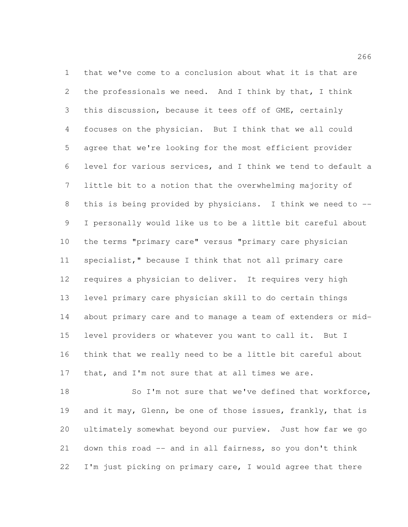that we've come to a conclusion about what it is that are the professionals we need. And I think by that, I think this discussion, because it tees off of GME, certainly focuses on the physician. But I think that we all could agree that we're looking for the most efficient provider level for various services, and I think we tend to default a little bit to a notion that the overwhelming majority of this is being provided by physicians. I think we need to -- I personally would like us to be a little bit careful about the terms "primary care" versus "primary care physician specialist," because I think that not all primary care requires a physician to deliver. It requires very high level primary care physician skill to do certain things about primary care and to manage a team of extenders or mid- level providers or whatever you want to call it. But I think that we really need to be a little bit careful about that, and I'm not sure that at all times we are.

18 So I'm not sure that we've defined that workforce, 19 and it may, Glenn, be one of those issues, frankly, that is ultimately somewhat beyond our purview. Just how far we go down this road -- and in all fairness, so you don't think 22 I'm just picking on primary care, I would agree that there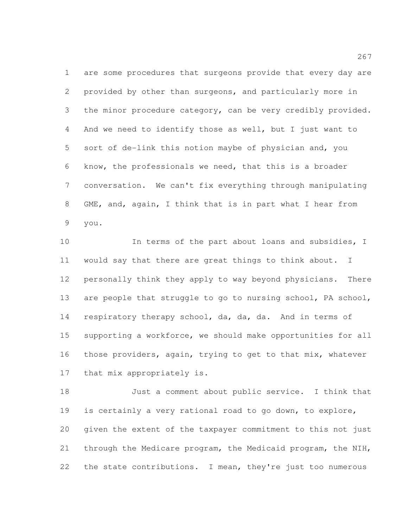are some procedures that surgeons provide that every day are provided by other than surgeons, and particularly more in the minor procedure category, can be very credibly provided. And we need to identify those as well, but I just want to sort of de-link this notion maybe of physician and, you know, the professionals we need, that this is a broader conversation. We can't fix everything through manipulating GME, and, again, I think that is in part what I hear from you.

 In terms of the part about loans and subsidies, I would say that there are great things to think about. I personally think they apply to way beyond physicians. There 13 are people that struggle to go to nursing school, PA school, respiratory therapy school, da, da, da. And in terms of supporting a workforce, we should make opportunities for all those providers, again, trying to get to that mix, whatever that mix appropriately is.

 Just a comment about public service. I think that is certainly a very rational road to go down, to explore, given the extent of the taxpayer commitment to this not just through the Medicare program, the Medicaid program, the NIH, 22 the state contributions. I mean, they're just too numerous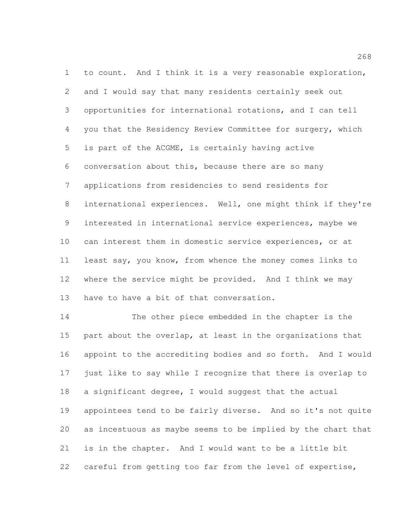to count. And I think it is a very reasonable exploration, and I would say that many residents certainly seek out opportunities for international rotations, and I can tell you that the Residency Review Committee for surgery, which is part of the ACGME, is certainly having active conversation about this, because there are so many applications from residencies to send residents for international experiences. Well, one might think if they're interested in international service experiences, maybe we can interest them in domestic service experiences, or at least say, you know, from whence the money comes links to where the service might be provided. And I think we may 13 have to have a bit of that conversation.

 The other piece embedded in the chapter is the 15 part about the overlap, at least in the organizations that appoint to the accrediting bodies and so forth. And I would just like to say while I recognize that there is overlap to a significant degree, I would suggest that the actual appointees tend to be fairly diverse. And so it's not quite as incestuous as maybe seems to be implied by the chart that is in the chapter. And I would want to be a little bit careful from getting too far from the level of expertise,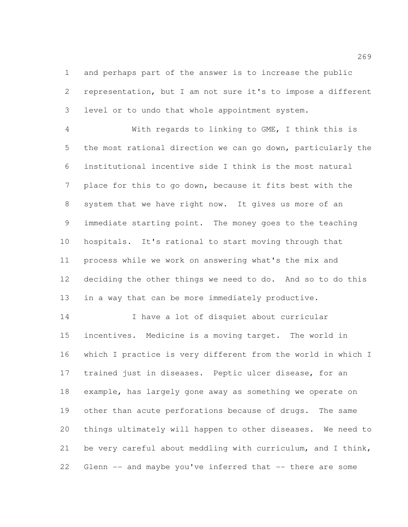and perhaps part of the answer is to increase the public representation, but I am not sure it's to impose a different level or to undo that whole appointment system.

 With regards to linking to GME, I think this is the most rational direction we can go down, particularly the institutional incentive side I think is the most natural place for this to go down, because it fits best with the system that we have right now. It gives us more of an immediate starting point. The money goes to the teaching hospitals. It's rational to start moving through that process while we work on answering what's the mix and deciding the other things we need to do. And so to do this in a way that can be more immediately productive.

 I have a lot of disquiet about curricular incentives. Medicine is a moving target. The world in which I practice is very different from the world in which I trained just in diseases. Peptic ulcer disease, for an example, has largely gone away as something we operate on other than acute perforations because of drugs. The same things ultimately will happen to other diseases. We need to be very careful about meddling with curriculum, and I think, Glenn -- and maybe you've inferred that -- there are some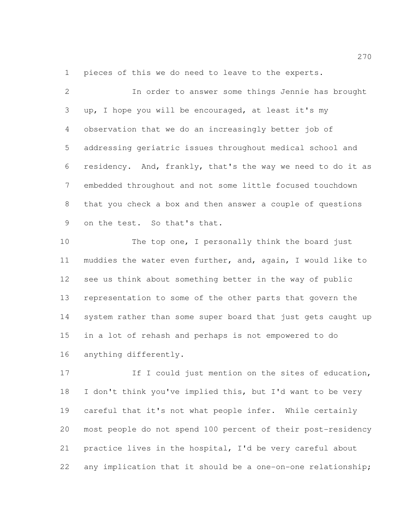pieces of this we do need to leave to the experts.

 In order to answer some things Jennie has brought up, I hope you will be encouraged, at least it's my observation that we do an increasingly better job of addressing geriatric issues throughout medical school and residency. And, frankly, that's the way we need to do it as embedded throughout and not some little focused touchdown that you check a box and then answer a couple of questions on the test. So that's that.

10 The top one, I personally think the board just muddies the water even further, and, again, I would like to see us think about something better in the way of public representation to some of the other parts that govern the system rather than some super board that just gets caught up in a lot of rehash and perhaps is not empowered to do anything differently.

17 If I could just mention on the sites of education, I don't think you've implied this, but I'd want to be very careful that it's not what people infer. While certainly most people do not spend 100 percent of their post-residency practice lives in the hospital, I'd be very careful about any implication that it should be a one-on-one relationship;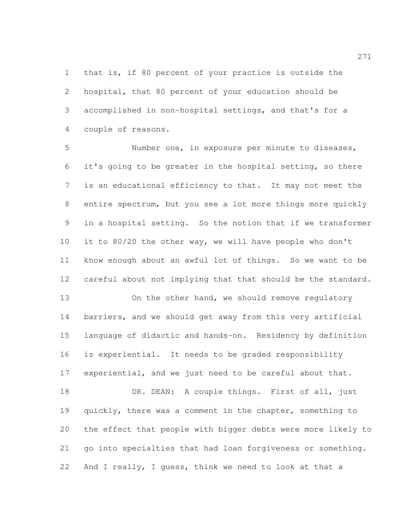that is, if 80 percent of your practice is outside the hospital, that 80 percent of your education should be accomplished in non-hospital settings, and that's for a couple of reasons.

 Number one, in exposure per minute to diseases, it's going to be greater in the hospital setting, so there is an educational efficiency to that. It may not meet the entire spectrum, but you see a lot more things more quickly in a hospital setting. So the notion that if we transformer it to 80/20 the other way, we will have people who don't know enough about an awful lot of things. So we want to be careful about not implying that that should be the standard.

13 On the other hand, we should remove requiatory barriers, and we should get away from this very artificial language of didactic and hands-on. Residency by definition is experiential. It needs to be graded responsibility experiential, and we just need to be careful about that.

18 DR. DEAN: A couple things. First of all, just quickly, there was a comment in the chapter, something to the effect that people with bigger debts were more likely to go into specialties that had loan forgiveness or something. And I really, I guess, think we need to look at that a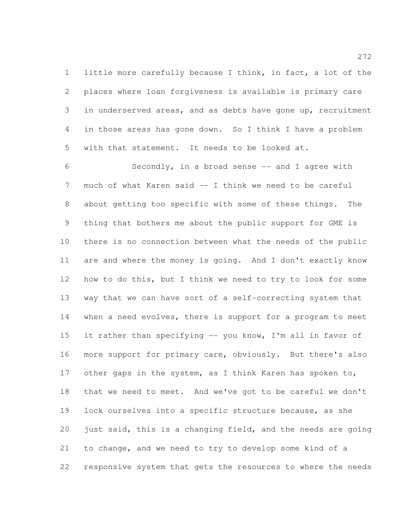little more carefully because I think, in fact, a lot of the places where loan forgiveness is available is primary care in underserved areas, and as debts have gone up, recruitment in those areas has gone down. So I think I have a problem with that statement. It needs to be looked at.

 Secondly, in a broad sense -- and I agree with much of what Karen said -- I think we need to be careful about getting too specific with some of these things. The thing that bothers me about the public support for GME is there is no connection between what the needs of the public are and where the money is going. And I don't exactly know how to do this, but I think we need to try to look for some way that we can have sort of a self-correcting system that 14 when a need evolves, there is support for a program to meet 15 it rather than specifying -- you know, I'm all in favor of more support for primary care, obviously. But there's also other gaps in the system, as I think Karen has spoken to, that we need to meet. And we've got to be careful we don't lock ourselves into a specific structure because, as she just said, this is a changing field, and the needs are going to change, and we need to try to develop some kind of a responsive system that gets the resources to where the needs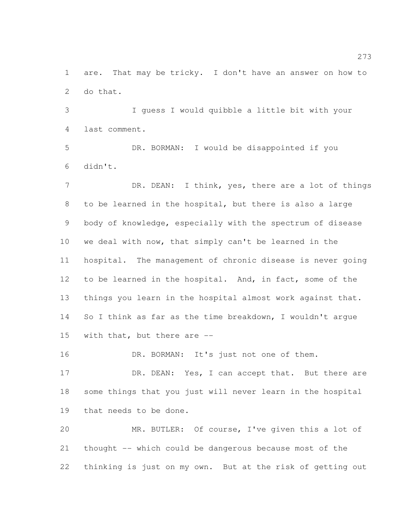are. That may be tricky. I don't have an answer on how to do that.

 I guess I would quibble a little bit with your last comment.

 DR. BORMAN: I would be disappointed if you didn't.

7 DR. DEAN: I think, yes, there are a lot of things to be learned in the hospital, but there is also a large body of knowledge, especially with the spectrum of disease we deal with now, that simply can't be learned in the hospital. The management of chronic disease is never going to be learned in the hospital. And, in fact, some of the things you learn in the hospital almost work against that. So I think as far as the time breakdown, I wouldn't argue with that, but there are --

16 DR. BORMAN: It's just not one of them.

17 DR. DEAN: Yes, I can accept that. But there are some things that you just will never learn in the hospital that needs to be done.

 MR. BUTLER: Of course, I've given this a lot of thought -- which could be dangerous because most of the thinking is just on my own. But at the risk of getting out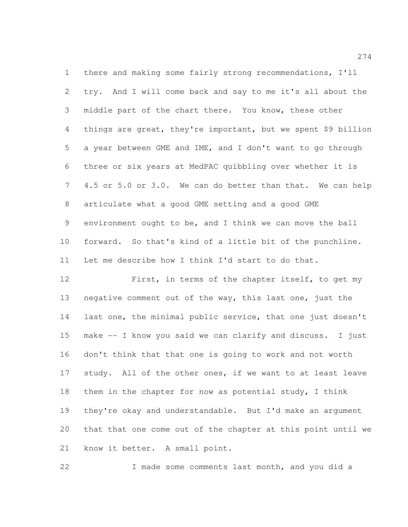there and making some fairly strong recommendations, I'll try. And I will come back and say to me it's all about the middle part of the chart there. You know, these other things are great, they're important, but we spent \$9 billion a year between GME and IME, and I don't want to go through three or six years at MedPAC quibbling over whether it is 4.5 or 5.0 or 3.0. We can do better than that. We can help articulate what a good GME setting and a good GME environment ought to be, and I think we can move the ball forward. So that's kind of a little bit of the punchline. Let me describe how I think I'd start to do that.

 First, in terms of the chapter itself, to get my negative comment out of the way, this last one, just the last one, the minimal public service, that one just doesn't make -- I know you said we can clarify and discuss. I just don't think that that one is going to work and not worth 17 study. All of the other ones, if we want to at least leave them in the chapter for now as potential study, I think they're okay and understandable. But I'd make an argument that that one come out of the chapter at this point until we know it better. A small point.

I made some comments last month, and you did a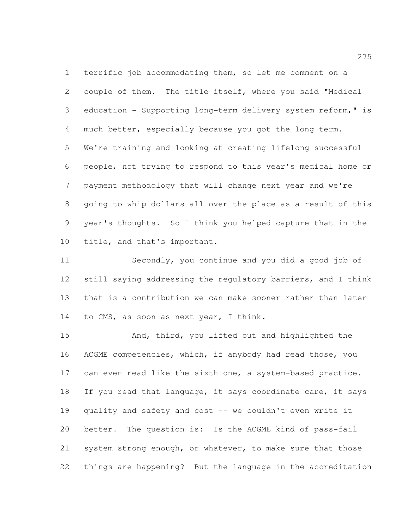terrific job accommodating them, so let me comment on a couple of them. The title itself, where you said "Medical education - Supporting long-term delivery system reform," is much better, especially because you got the long term. We're training and looking at creating lifelong successful people, not trying to respond to this year's medical home or payment methodology that will change next year and we're going to whip dollars all over the place as a result of this year's thoughts. So I think you helped capture that in the title, and that's important.

 Secondly, you continue and you did a good job of still saying addressing the regulatory barriers, and I think that is a contribution we can make sooner rather than later to CMS, as soon as next year, I think.

 And, third, you lifted out and highlighted the ACGME competencies, which, if anybody had read those, you can even read like the sixth one, a system-based practice. 18 If you read that language, it says coordinate care, it says quality and safety and cost -- we couldn't even write it better. The question is: Is the ACGME kind of pass-fail system strong enough, or whatever, to make sure that those things are happening? But the language in the accreditation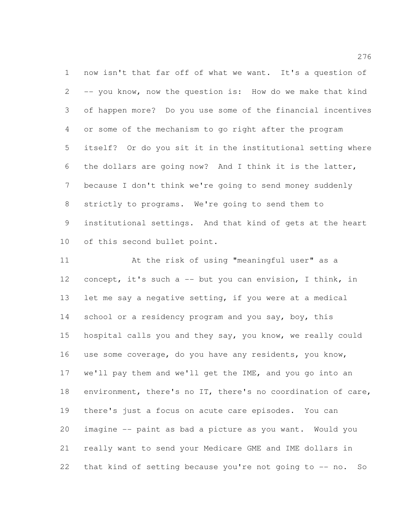now isn't that far off of what we want. It's a question of -- you know, now the question is: How do we make that kind of happen more? Do you use some of the financial incentives or some of the mechanism to go right after the program itself? Or do you sit it in the institutional setting where the dollars are going now? And I think it is the latter, because I don't think we're going to send money suddenly strictly to programs. We're going to send them to institutional settings. And that kind of gets at the heart of this second bullet point.

 At the risk of using "meaningful user" as a concept, it's such a -- but you can envision, I think, in let me say a negative setting, if you were at a medical 14 school or a residency program and you say, boy, this hospital calls you and they say, you know, we really could use some coverage, do you have any residents, you know, we'll pay them and we'll get the IME, and you go into an environment, there's no IT, there's no coordination of care, there's just a focus on acute care episodes. You can imagine -- paint as bad a picture as you want. Would you really want to send your Medicare GME and IME dollars in that kind of setting because you're not going to -- no. So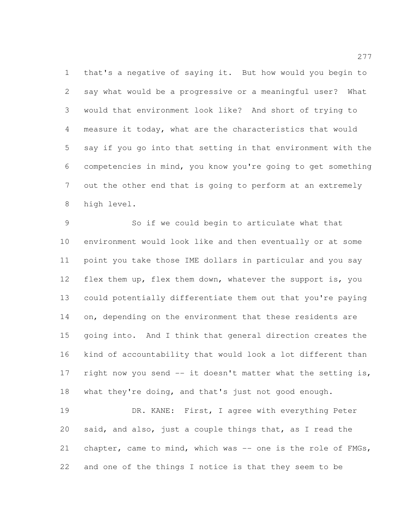that's a negative of saying it. But how would you begin to say what would be a progressive or a meaningful user? What would that environment look like? And short of trying to measure it today, what are the characteristics that would say if you go into that setting in that environment with the competencies in mind, you know you're going to get something out the other end that is going to perform at an extremely high level.

 So if we could begin to articulate what that environment would look like and then eventually or at some point you take those IME dollars in particular and you say 12 flex them up, flex them down, whatever the support is, you could potentially differentiate them out that you're paying 14 on, depending on the environment that these residents are going into. And I think that general direction creates the kind of accountability that would look a lot different than 17 right now you send -- it doesn't matter what the setting is, what they're doing, and that's just not good enough.

 DR. KANE: First, I agree with everything Peter said, and also, just a couple things that, as I read the 21 chapter, came to mind, which was -- one is the role of FMGs, and one of the things I notice is that they seem to be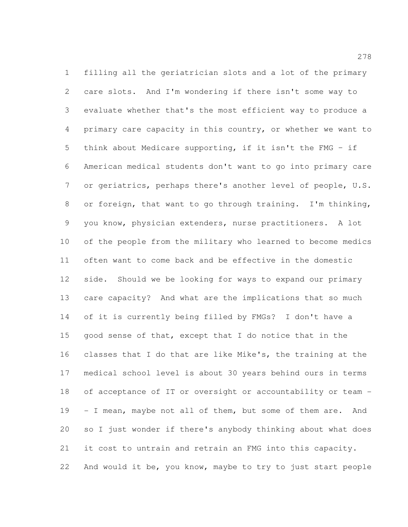filling all the geriatrician slots and a lot of the primary care slots. And I'm wondering if there isn't some way to evaluate whether that's the most efficient way to produce a primary care capacity in this country, or whether we want to think about Medicare supporting, if it isn't the FMG – if American medical students don't want to go into primary care 7 or geriatrics, perhaps there's another level of people, U.S. or foreign, that want to go through training. I'm thinking, you know, physician extenders, nurse practitioners. A lot of the people from the military who learned to become medics often want to come back and be effective in the domestic side. Should we be looking for ways to expand our primary care capacity? And what are the implications that so much of it is currently being filled by FMGs? I don't have a good sense of that, except that I do notice that in the classes that I do that are like Mike's, the training at the medical school level is about 30 years behind ours in terms of acceptance of IT or oversight or accountability or team - - I mean, maybe not all of them, but some of them are. And so I just wonder if there's anybody thinking about what does it cost to untrain and retrain an FMG into this capacity. 22 And would it be, you know, maybe to try to just start people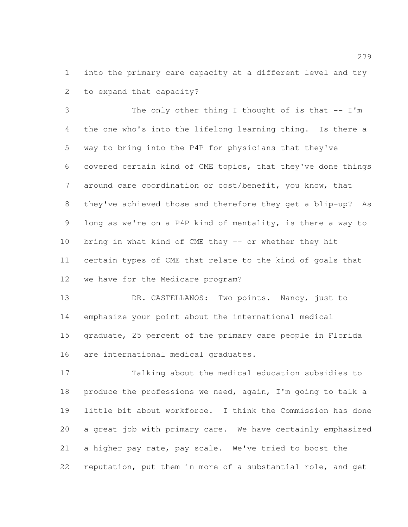into the primary care capacity at a different level and try to expand that capacity?

3 The only other thing I thought of is that -- I'm the one who's into the lifelong learning thing. Is there a way to bring into the P4P for physicians that they've covered certain kind of CME topics, that they've done things around care coordination or cost/benefit, you know, that they've achieved those and therefore they get a blip-up? As long as we're on a P4P kind of mentality, is there a way to bring in what kind of CME they -- or whether they hit certain types of CME that relate to the kind of goals that we have for the Medicare program?

 DR. CASTELLANOS: Two points. Nancy, just to emphasize your point about the international medical graduate, 25 percent of the primary care people in Florida are international medical graduates.

 Talking about the medical education subsidies to produce the professions we need, again, I'm going to talk a little bit about workforce. I think the Commission has done a great job with primary care. We have certainly emphasized a higher pay rate, pay scale. We've tried to boost the reputation, put them in more of a substantial role, and get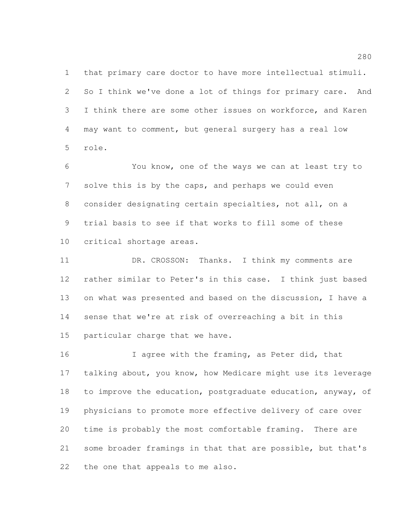that primary care doctor to have more intellectual stimuli. So I think we've done a lot of things for primary care. And I think there are some other issues on workforce, and Karen may want to comment, but general surgery has a real low role.

 You know, one of the ways we can at least try to solve this is by the caps, and perhaps we could even consider designating certain specialties, not all, on a trial basis to see if that works to fill some of these critical shortage areas.

11 DR. CROSSON: Thanks. I think my comments are rather similar to Peter's in this case. I think just based 13 on what was presented and based on the discussion, I have a sense that we're at risk of overreaching a bit in this particular charge that we have.

16 I agree with the framing, as Peter did, that talking about, you know, how Medicare might use its leverage to improve the education, postgraduate education, anyway, of physicians to promote more effective delivery of care over time is probably the most comfortable framing. There are some broader framings in that that are possible, but that's the one that appeals to me also.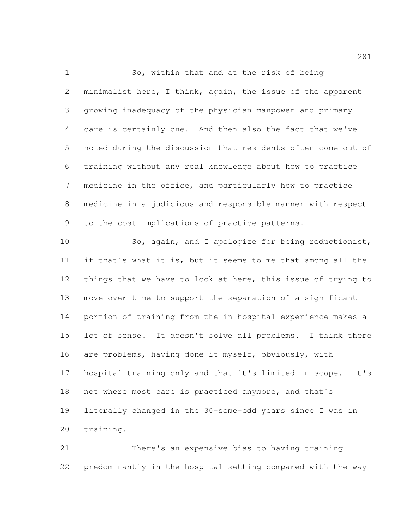So, within that and at the risk of being minimalist here, I think, again, the issue of the apparent growing inadequacy of the physician manpower and primary care is certainly one. And then also the fact that we've noted during the discussion that residents often come out of training without any real knowledge about how to practice medicine in the office, and particularly how to practice medicine in a judicious and responsible manner with respect to the cost implications of practice patterns.

 So, again, and I apologize for being reductionist, if that's what it is, but it seems to me that among all the things that we have to look at here, this issue of trying to move over time to support the separation of a significant portion of training from the in-hospital experience makes a lot of sense. It doesn't solve all problems. I think there are problems, having done it myself, obviously, with hospital training only and that it's limited in scope. It's not where most care is practiced anymore, and that's literally changed in the 30-some-odd years since I was in training.

 There's an expensive bias to having training predominantly in the hospital setting compared with the way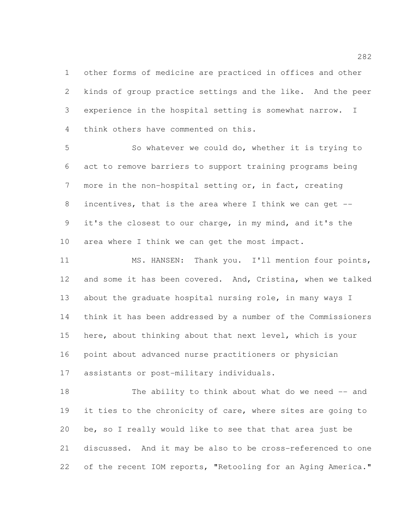other forms of medicine are practiced in offices and other kinds of group practice settings and the like. And the peer experience in the hospital setting is somewhat narrow. I think others have commented on this.

 So whatever we could do, whether it is trying to act to remove barriers to support training programs being more in the non-hospital setting or, in fact, creating incentives, that is the area where I think we can get -- it's the closest to our charge, in my mind, and it's the area where I think we can get the most impact.

 MS. HANSEN: Thank you. I'll mention four points, and some it has been covered. And, Cristina, when we talked 13 about the graduate hospital nursing role, in many ways I think it has been addressed by a number of the Commissioners here, about thinking about that next level, which is your point about advanced nurse practitioners or physician assistants or post-military individuals.

 The ability to think about what do we need -- and 19 it ties to the chronicity of care, where sites are going to be, so I really would like to see that that area just be discussed. And it may be also to be cross-referenced to one 22 of the recent IOM reports, "Retooling for an Aging America."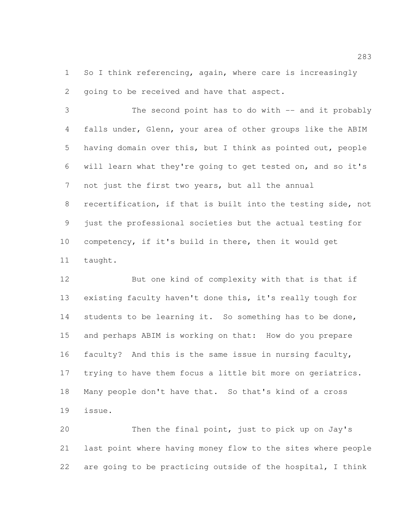So I think referencing, again, where care is increasingly going to be received and have that aspect.

 The second point has to do with -- and it probably falls under, Glenn, your area of other groups like the ABIM having domain over this, but I think as pointed out, people will learn what they're going to get tested on, and so it's not just the first two years, but all the annual recertification, if that is built into the testing side, not just the professional societies but the actual testing for competency, if it's build in there, then it would get taught.

 But one kind of complexity with that is that if existing faculty haven't done this, it's really tough for students to be learning it. So something has to be done, and perhaps ABIM is working on that: How do you prepare faculty? And this is the same issue in nursing faculty, trying to have them focus a little bit more on geriatrics. Many people don't have that. So that's kind of a cross issue.

 Then the final point, just to pick up on Jay's last point where having money flow to the sites where people are going to be practicing outside of the hospital, I think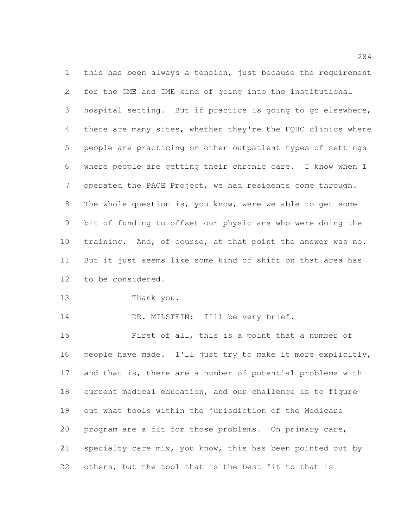this has been always a tension, just because the requirement for the GME and IME kind of going into the institutional hospital setting. But if practice is going to go elsewhere, 4 there are many sites, whether they're the FQHC clinics where people are practicing or other outpatient types of settings where people are getting their chronic care. I know when I operated the PACE Project, we had residents come through. The whole question is, you know, were we able to get some bit of funding to offset our physicians who were doing the training. And, of course, at that point the answer was no. But it just seems like some kind of shift on that area has to be considered.

Thank you.

14 DR. MILSTEIN: I'll be very brief.

 First of all, this is a point that a number of people have made. I'll just try to make it more explicitly, and that is, there are a number of potential problems with current medical education, and our challenge is to figure out what tools within the jurisdiction of the Medicare program are a fit for those problems. On primary care, specialty care mix, you know, this has been pointed out by others, but the tool that is the best fit to that is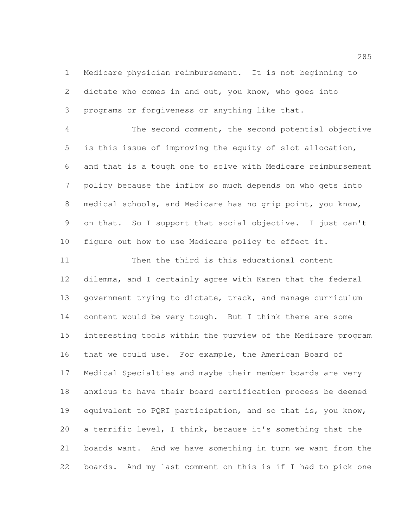Medicare physician reimbursement. It is not beginning to dictate who comes in and out, you know, who goes into programs or forgiveness or anything like that.

 The second comment, the second potential objective is this issue of improving the equity of slot allocation, and that is a tough one to solve with Medicare reimbursement policy because the inflow so much depends on who gets into medical schools, and Medicare has no grip point, you know, on that. So I support that social objective. I just can't figure out how to use Medicare policy to effect it.

 Then the third is this educational content dilemma, and I certainly agree with Karen that the federal 13 government trying to dictate, track, and manage curriculum content would be very tough. But I think there are some interesting tools within the purview of the Medicare program that we could use. For example, the American Board of Medical Specialties and maybe their member boards are very anxious to have their board certification process be deemed 19 equivalent to PQRI participation, and so that is, you know, a terrific level, I think, because it's something that the boards want. And we have something in turn we want from the boards. And my last comment on this is if I had to pick one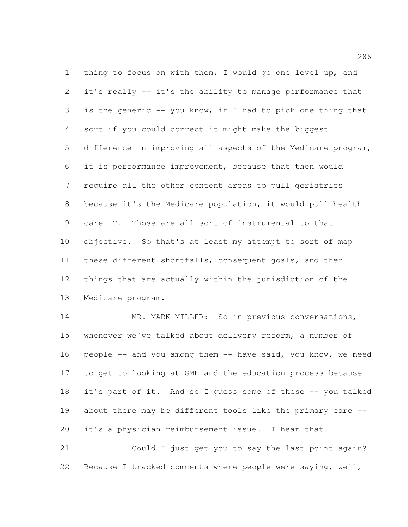thing to focus on with them, I would go one level up, and it's really -- it's the ability to manage performance that is the generic -- you know, if I had to pick one thing that sort if you could correct it might make the biggest difference in improving all aspects of the Medicare program, it is performance improvement, because that then would require all the other content areas to pull geriatrics because it's the Medicare population, it would pull health care IT. Those are all sort of instrumental to that objective. So that's at least my attempt to sort of map these different shortfalls, consequent goals, and then things that are actually within the jurisdiction of the Medicare program.

14 MR. MARK MILLER: So in previous conversations, whenever we've talked about delivery reform, a number of people -- and you among them -- have said, you know, we need to get to looking at GME and the education process because it's part of it. And so I guess some of these -- you talked 19 about there may be different tools like the primary care --it's a physician reimbursement issue. I hear that.

 Could I just get you to say the last point again? Because I tracked comments where people were saying, well,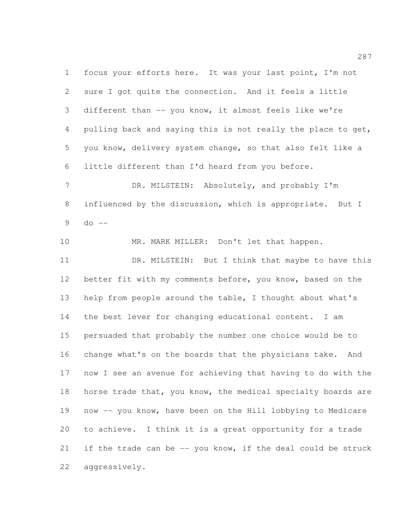focus your efforts here. It was your last point, I'm not sure I got quite the connection. And it feels a little different than -- you know, it almost feels like we're 4 pulling back and saying this is not really the place to get, you know, delivery system change, so that also felt like a little different than I'd heard from you before.

7 DR. MILSTEIN: Absolutely, and probably I'm influenced by the discussion, which is appropriate. But I do  $-$ 

10 MR. MARK MILLER: Don't let that happen. 11 DR. MILSTEIN: But I think that maybe to have this better fit with my comments before, you know, based on the help from people around the table, I thought about what's the best lever for changing educational content. I am persuaded that probably the number one choice would be to change what's on the boards that the physicians take. And now I see an avenue for achieving that having to do with the horse trade that, you know, the medical specialty boards are now -- you know, have been on the Hill lobbying to Medicare to achieve. I think it is a great opportunity for a trade 21 if the trade can be -- you know, if the deal could be struck aggressively.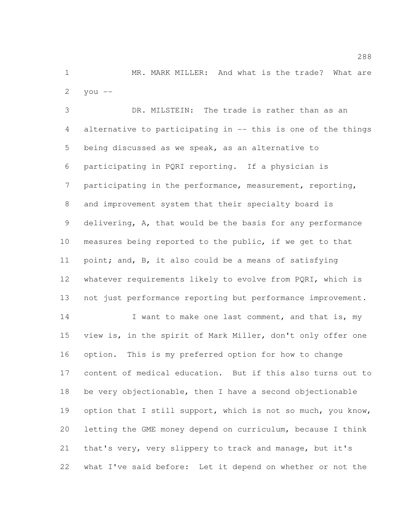MR. MARK MILLER: And what is the trade? What are 2  $you --$ 

 DR. MILSTEIN: The trade is rather than as an alternative to participating in -- this is one of the things being discussed as we speak, as an alternative to participating in PQRI reporting. If a physician is participating in the performance, measurement, reporting, and improvement system that their specialty board is delivering, A, that would be the basis for any performance measures being reported to the public, if we get to that point; and, B, it also could be a means of satisfying whatever requirements likely to evolve from PQRI, which is not just performance reporting but performance improvement. 14 I want to make one last comment, and that is, my view is, in the spirit of Mark Miller, don't only offer one option. This is my preferred option for how to change content of medical education. But if this also turns out to be very objectionable, then I have a second objectionable 19 option that I still support, which is not so much, you know, letting the GME money depend on curriculum, because I think that's very, very slippery to track and manage, but it's what I've said before: Let it depend on whether or not the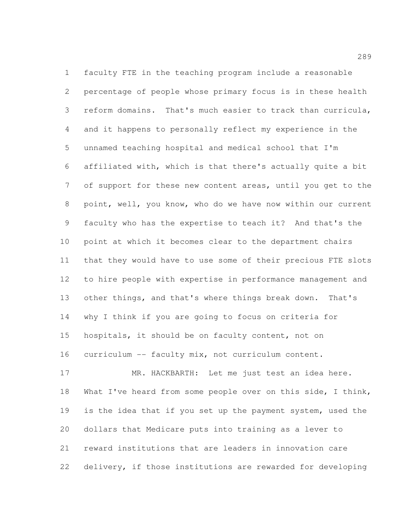faculty FTE in the teaching program include a reasonable percentage of people whose primary focus is in these health reform domains. That's much easier to track than curricula, and it happens to personally reflect my experience in the unnamed teaching hospital and medical school that I'm affiliated with, which is that there's actually quite a bit of support for these new content areas, until you get to the point, well, you know, who do we have now within our current faculty who has the expertise to teach it? And that's the point at which it becomes clear to the department chairs that they would have to use some of their precious FTE slots to hire people with expertise in performance management and other things, and that's where things break down. That's why I think if you are going to focus on criteria for hospitals, it should be on faculty content, not on curriculum -- faculty mix, not curriculum content.

 MR. HACKBARTH: Let me just test an idea here. What I've heard from some people over on this side, I think, is the idea that if you set up the payment system, used the dollars that Medicare puts into training as a lever to reward institutions that are leaders in innovation care delivery, if those institutions are rewarded for developing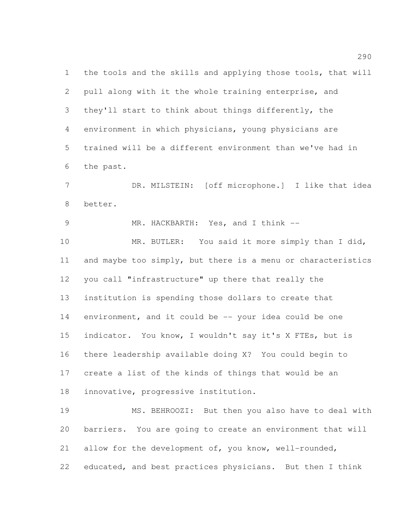the tools and the skills and applying those tools, that will pull along with it the whole training enterprise, and they'll start to think about things differently, the environment in which physicians, young physicians are trained will be a different environment than we've had in the past.

 DR. MILSTEIN: [off microphone.] I like that idea better.

9 MR. HACKBARTH: Yes, and I think --

10 MR. BUTLER: You said it more simply than I did, and maybe too simply, but there is a menu or characteristics you call "infrastructure" up there that really the institution is spending those dollars to create that environment, and it could be -- your idea could be one indicator. You know, I wouldn't say it's X FTEs, but is there leadership available doing X? You could begin to create a list of the kinds of things that would be an innovative, progressive institution.

 MS. BEHROOZI: But then you also have to deal with barriers. You are going to create an environment that will allow for the development of, you know, well-rounded, educated, and best practices physicians. But then I think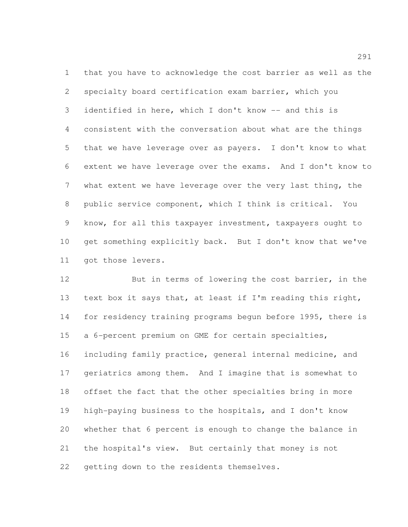that you have to acknowledge the cost barrier as well as the specialty board certification exam barrier, which you identified in here, which I don't know -- and this is consistent with the conversation about what are the things that we have leverage over as payers. I don't know to what extent we have leverage over the exams. And I don't know to what extent we have leverage over the very last thing, the public service component, which I think is critical. You know, for all this taxpayer investment, taxpayers ought to get something explicitly back. But I don't know that we've got those levers.

12 But in terms of lowering the cost barrier, in the text box it says that, at least if I'm reading this right, 14 for residency training programs begun before 1995, there is a 6-percent premium on GME for certain specialties, including family practice, general internal medicine, and geriatrics among them. And I imagine that is somewhat to offset the fact that the other specialties bring in more high-paying business to the hospitals, and I don't know whether that 6 percent is enough to change the balance in the hospital's view. But certainly that money is not 22 getting down to the residents themselves.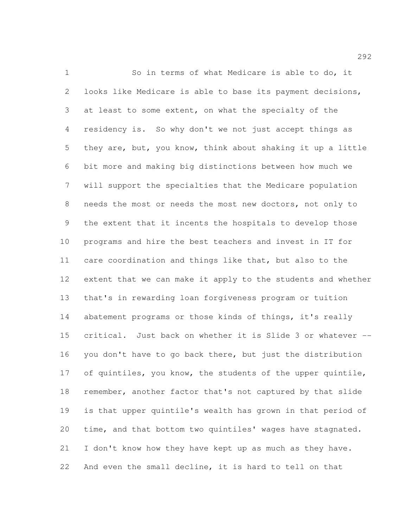So in terms of what Medicare is able to do, it looks like Medicare is able to base its payment decisions, at least to some extent, on what the specialty of the residency is. So why don't we not just accept things as they are, but, you know, think about shaking it up a little bit more and making big distinctions between how much we will support the specialties that the Medicare population needs the most or needs the most new doctors, not only to the extent that it incents the hospitals to develop those programs and hire the best teachers and invest in IT for care coordination and things like that, but also to the extent that we can make it apply to the students and whether that's in rewarding loan forgiveness program or tuition 14 abatement programs or those kinds of things, it's really critical. Just back on whether it is Slide 3 or whatever -- you don't have to go back there, but just the distribution 17 of quintiles, you know, the students of the upper quintile, remember, another factor that's not captured by that slide is that upper quintile's wealth has grown in that period of time, and that bottom two quintiles' wages have stagnated. 21 I don't know how they have kept up as much as they have. And even the small decline, it is hard to tell on that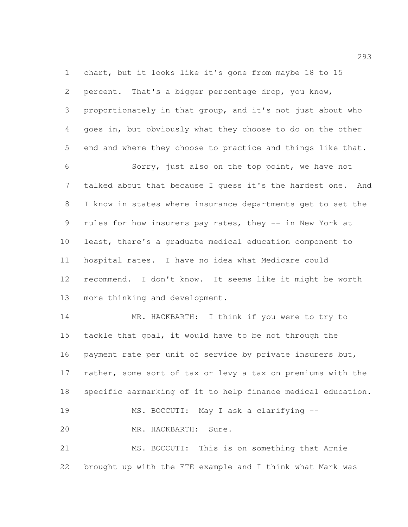chart, but it looks like it's gone from maybe 18 to 15 percent. That's a bigger percentage drop, you know, proportionately in that group, and it's not just about who goes in, but obviously what they choose to do on the other end and where they choose to practice and things like that. Sorry, just also on the top point, we have not talked about that because I guess it's the hardest one. And

 I know in states where insurance departments get to set the rules for how insurers pay rates, they -- in New York at least, there's a graduate medical education component to hospital rates. I have no idea what Medicare could recommend. I don't know. It seems like it might be worth more thinking and development.

 MR. HACKBARTH: I think if you were to try to tackle that goal, it would have to be not through the 16 payment rate per unit of service by private insurers but, 17 rather, some sort of tax or levy a tax on premiums with the specific earmarking of it to help finance medical education. MS. BOCCUTI: May I ask a clarifying -- MR. HACKBARTH: Sure. MS. BOCCUTI: This is on something that Arnie

brought up with the FTE example and I think what Mark was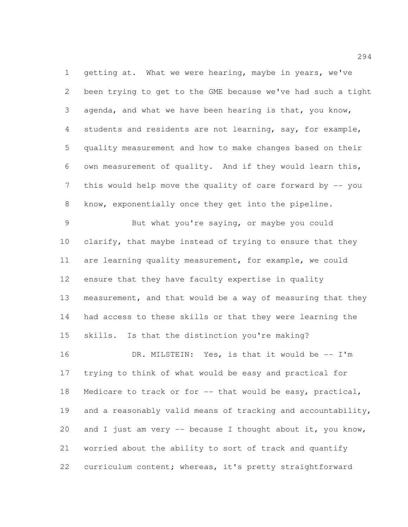1 getting at. What we were hearing, maybe in years, we've been trying to get to the GME because we've had such a tight agenda, and what we have been hearing is that, you know, students and residents are not learning, say, for example, quality measurement and how to make changes based on their own measurement of quality. And if they would learn this, this would help move the quality of care forward by -- you know, exponentially once they get into the pipeline.

 But what you're saying, or maybe you could clarify, that maybe instead of trying to ensure that they are learning quality measurement, for example, we could ensure that they have faculty expertise in quality measurement, and that would be a way of measuring that they had access to these skills or that they were learning the skills. Is that the distinction you're making?

16 DR. MILSTEIN: Yes, is that it would be -- I'm trying to think of what would be easy and practical for 18 Medicare to track or for -- that would be easy, practical, and a reasonably valid means of tracking and accountability, 20 and I just am very  $-$  because I thought about it, you know, worried about the ability to sort of track and quantify curriculum content; whereas, it's pretty straightforward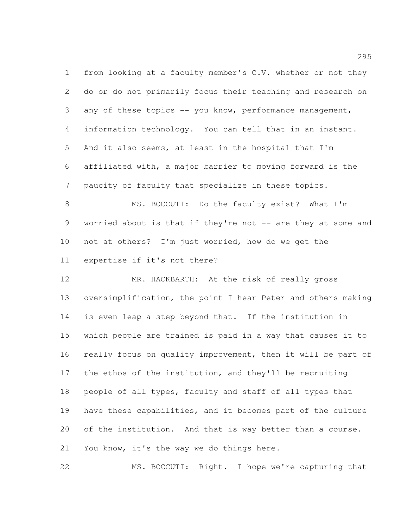from looking at a faculty member's C.V. whether or not they do or do not primarily focus their teaching and research on any of these topics -- you know, performance management, information technology. You can tell that in an instant. And it also seems, at least in the hospital that I'm affiliated with, a major barrier to moving forward is the paucity of faculty that specialize in these topics.

 MS. BOCCUTI: Do the faculty exist? What I'm 9 worried about is that if they're not -- are they at some and not at others? I'm just worried, how do we get the expertise if it's not there?

 MR. HACKBARTH: At the risk of really gross oversimplification, the point I hear Peter and others making is even leap a step beyond that. If the institution in which people are trained is paid in a way that causes it to really focus on quality improvement, then it will be part of the ethos of the institution, and they'll be recruiting people of all types, faculty and staff of all types that have these capabilities, and it becomes part of the culture of the institution. And that is way better than a course. You know, it's the way we do things here.

MS. BOCCUTI: Right. I hope we're capturing that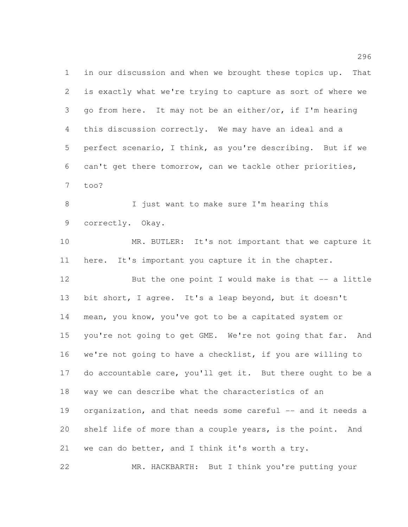in our discussion and when we brought these topics up. That is exactly what we're trying to capture as sort of where we go from here. It may not be an either/or, if I'm hearing this discussion correctly. We may have an ideal and a perfect scenario, I think, as you're describing. But if we can't get there tomorrow, can we tackle other priorities, too?

 I just want to make sure I'm hearing this correctly. Okay.

 MR. BUTLER: It's not important that we capture it here. It's important you capture it in the chapter. But the one point I would make is that -- a little bit short, I agree. It's a leap beyond, but it doesn't mean, you know, you've got to be a capitated system or 15 you're not going to get GME. We're not going that far. And we're not going to have a checklist, if you are willing to do accountable care, you'll get it. But there ought to be a way we can describe what the characteristics of an 19 organization, and that needs some careful -- and it needs a shelf life of more than a couple years, is the point. And we can do better, and I think it's worth a try.

MR. HACKBARTH: But I think you're putting your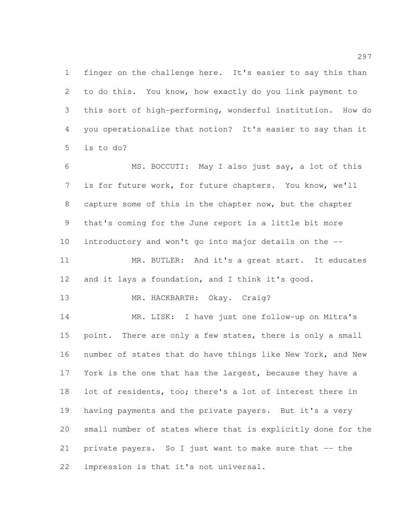finger on the challenge here. It's easier to say this than to do this. You know, how exactly do you link payment to this sort of high-performing, wonderful institution. How do you operationalize that notion? It's easier to say than it is to do?

 MS. BOCCUTI: May I also just say, a lot of this is for future work, for future chapters. You know, we'll capture some of this in the chapter now, but the chapter that's coming for the June report is a little bit more introductory and won't go into major details on the -- 11 MR. BUTLER: And it's a great start. It educates

and it lays a foundation, and I think it's good.

13 MR. HACKBARTH: Okay. Craig?

 MR. LISK: I have just one follow-up on Mitra's 15 point. There are only a few states, there is only a small number of states that do have things like New York, and New 17 York is the one that has the largest, because they have a lot of residents, too; there's a lot of interest there in having payments and the private payers. But it's a very small number of states where that is explicitly done for the private payers. So I just want to make sure that -- the impression is that it's not universal.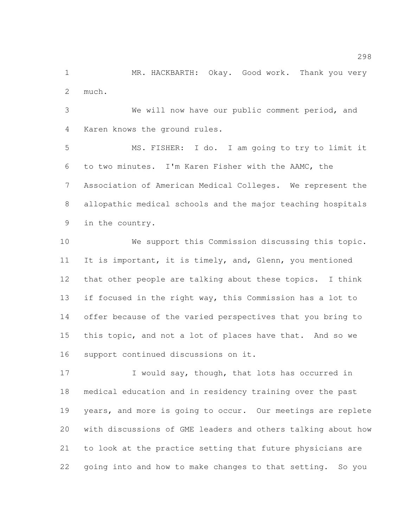MR. HACKBARTH: Okay. Good work. Thank you very much.

 We will now have our public comment period, and Karen knows the ground rules.

 MS. FISHER: I do. I am going to try to limit it to two minutes. I'm Karen Fisher with the AAMC, the Association of American Medical Colleges. We represent the allopathic medical schools and the major teaching hospitals in the country.

 We support this Commission discussing this topic. It is important, it is timely, and, Glenn, you mentioned that other people are talking about these topics. I think if focused in the right way, this Commission has a lot to offer because of the varied perspectives that you bring to this topic, and not a lot of places have that. And so we support continued discussions on it.

17 I would say, though, that lots has occurred in medical education and in residency training over the past years, and more is going to occur. Our meetings are replete with discussions of GME leaders and others talking about how to look at the practice setting that future physicians are going into and how to make changes to that setting. So you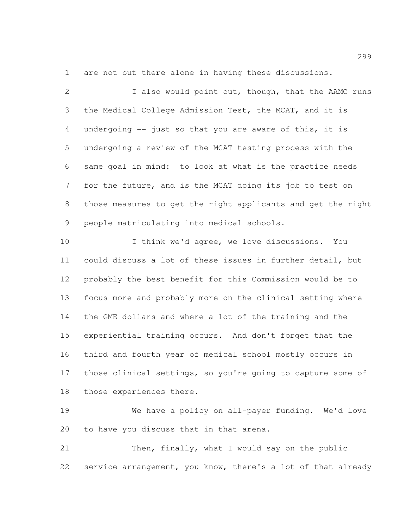are not out there alone in having these discussions.

2 I also would point out, though, that the AAMC runs the Medical College Admission Test, the MCAT, and it is undergoing -- just so that you are aware of this, it is undergoing a review of the MCAT testing process with the same goal in mind: to look at what is the practice needs for the future, and is the MCAT doing its job to test on those measures to get the right applicants and get the right people matriculating into medical schools.

 I think we'd agree, we love discussions. You could discuss a lot of these issues in further detail, but probably the best benefit for this Commission would be to focus more and probably more on the clinical setting where the GME dollars and where a lot of the training and the experiential training occurs. And don't forget that the third and fourth year of medical school mostly occurs in those clinical settings, so you're going to capture some of those experiences there.

 We have a policy on all-payer funding. We'd love to have you discuss that in that arena.

 Then, finally, what I would say on the public service arrangement, you know, there's a lot of that already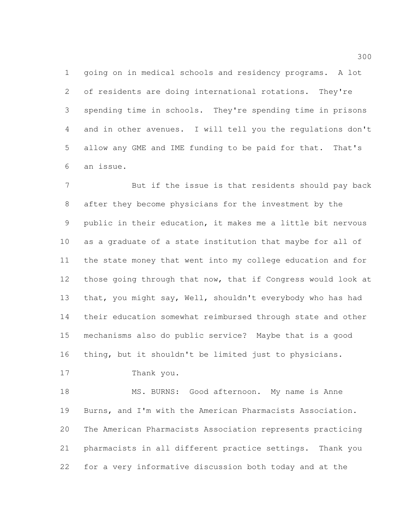going on in medical schools and residency programs. A lot of residents are doing international rotations. They're spending time in schools. They're spending time in prisons and in other avenues. I will tell you the regulations don't allow any GME and IME funding to be paid for that. That's an issue.

 But if the issue is that residents should pay back after they become physicians for the investment by the public in their education, it makes me a little bit nervous as a graduate of a state institution that maybe for all of the state money that went into my college education and for those going through that now, that if Congress would look at that, you might say, Well, shouldn't everybody who has had their education somewhat reimbursed through state and other mechanisms also do public service? Maybe that is a good thing, but it shouldn't be limited just to physicians.

```
17 Thank you.
```
18 MS. BURNS: Good afternoon. My name is Anne Burns, and I'm with the American Pharmacists Association. The American Pharmacists Association represents practicing pharmacists in all different practice settings. Thank you for a very informative discussion both today and at the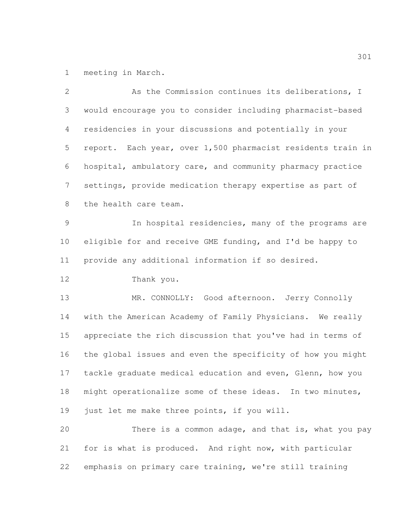meeting in March.

| $\mathbf{2}$   | As the Commission continues its deliberations, I            |
|----------------|-------------------------------------------------------------|
| 3              | would encourage you to consider including pharmacist-based  |
| 4              | residencies in your discussions and potentially in your     |
| 5              | report. Each year, over 1,500 pharmacist residents train in |
| 6              | hospital, ambulatory care, and community pharmacy practice  |
| $\overline{7}$ | settings, provide medication therapy expertise as part of   |
| $8\,$          | the health care team.                                       |
| $\mathcal{G}$  | In hospital residencies, many of the programs are           |
| 10             | eligible for and receive GME funding, and I'd be happy to   |
| 11             | provide any additional information if so desired.           |
| 12             | Thank you.                                                  |
| 13             | MR. CONNOLLY: Good afternoon. Jerry Connolly                |
| 14             | with the American Academy of Family Physicians. We really   |
| 15             | appreciate the rich discussion that you've had in terms of  |
| 16             | the global issues and even the specificity of how you might |
| 17             | tackle graduate medical education and even, Glenn, how you  |
| 18             | might operationalize some of these ideas. In two minutes,   |
| 19             | just let me make three points, if you will.                 |
| 20             | There is a common adage, and that is, what you pay          |
| 21             | for is what is produced. And right now, with particular     |
| 22             | emphasis on primary care training, we're still training     |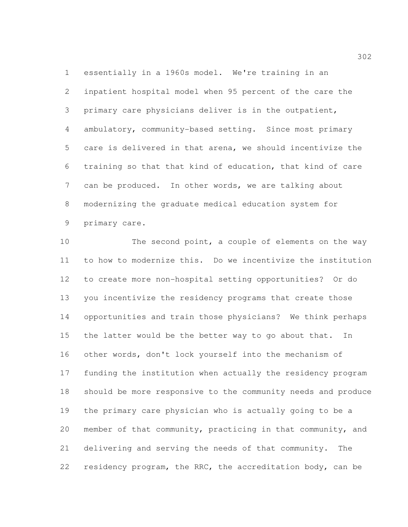essentially in a 1960s model. We're training in an inpatient hospital model when 95 percent of the care the primary care physicians deliver is in the outpatient, ambulatory, community-based setting. Since most primary care is delivered in that arena, we should incentivize the training so that that kind of education, that kind of care can be produced. In other words, we are talking about modernizing the graduate medical education system for primary care.

10 The second point, a couple of elements on the way to how to modernize this. Do we incentivize the institution to create more non-hospital setting opportunities? Or do you incentivize the residency programs that create those opportunities and train those physicians? We think perhaps the latter would be the better way to go about that. In other words, don't lock yourself into the mechanism of funding the institution when actually the residency program should be more responsive to the community needs and produce the primary care physician who is actually going to be a member of that community, practicing in that community, and delivering and serving the needs of that community. The 22 residency program, the RRC, the accreditation body, can be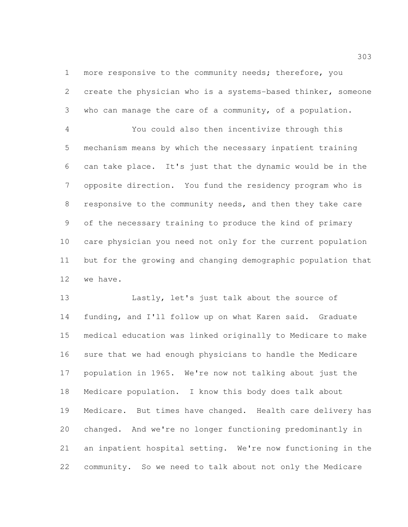1 more responsive to the community needs; therefore, you create the physician who is a systems-based thinker, someone who can manage the care of a community, of a population.

 You could also then incentivize through this mechanism means by which the necessary inpatient training can take place. It's just that the dynamic would be in the opposite direction. You fund the residency program who is responsive to the community needs, and then they take care of the necessary training to produce the kind of primary care physician you need not only for the current population but for the growing and changing demographic population that we have.

 Lastly, let's just talk about the source of funding, and I'll follow up on what Karen said. Graduate medical education was linked originally to Medicare to make sure that we had enough physicians to handle the Medicare population in 1965. We're now not talking about just the Medicare population. I know this body does talk about Medicare. But times have changed. Health care delivery has changed. And we're no longer functioning predominantly in an inpatient hospital setting. We're now functioning in the community. So we need to talk about not only the Medicare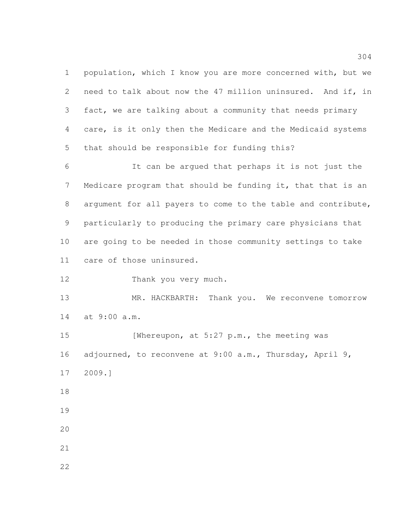population, which I know you are more concerned with, but we need to talk about now the 47 million uninsured. And if, in fact, we are talking about a community that needs primary care, is it only then the Medicare and the Medicaid systems that should be responsible for funding this?

 It can be argued that perhaps it is not just the Medicare program that should be funding it, that that is an argument for all payers to come to the table and contribute, particularly to producing the primary care physicians that are going to be needed in those community settings to take care of those uninsured.

Thank you very much.

13 MR. HACKBARTH: Thank you. We reconvene tomorrow at 9:00 a.m.

15 [Whereupon, at 5:27 p.m., the meeting was adjourned, to reconvene at 9:00 a.m., Thursday, April 9, 2009.]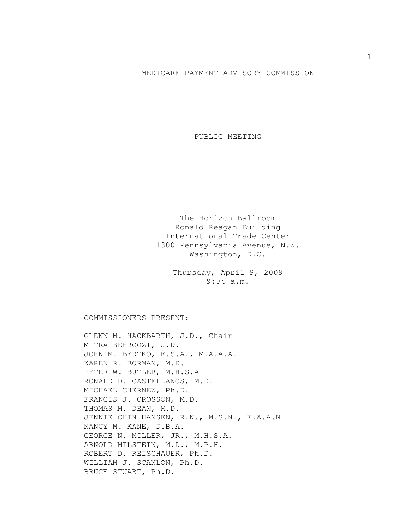## MEDICARE PAYMENT ADVISORY COMMISSION

PUBLIC MEETING

The Horizon Ballroom Ronald Reagan Building International Trade Center 1300 Pennsylvania Avenue, N.W. Washington, D.C.

> Thursday, April 9, 2009 9:04 a.m.

COMMISSIONERS PRESENT:

GLENN M. HACKBARTH, J.D., Chair MITRA BEHROOZI, J.D. JOHN M. BERTKO, F.S.A., M.A.A.A. KAREN R. BORMAN, M.D. PETER W. BUTLER, M.H.S.A RONALD D. CASTELLANOS, M.D. MICHAEL CHERNEW, Ph.D. FRANCIS J. CROSSON, M.D. THOMAS M. DEAN, M.D. JENNIE CHIN HANSEN, R.N., M.S.N., F.A.A.N NANCY M. KANE, D.B.A. GEORGE N. MILLER, JR., M.H.S.A. ARNOLD MILSTEIN, M.D., M.P.H. ROBERT D. REISCHAUER, Ph.D. WILLIAM J. SCANLON, Ph.D. BRUCE STUART, Ph.D.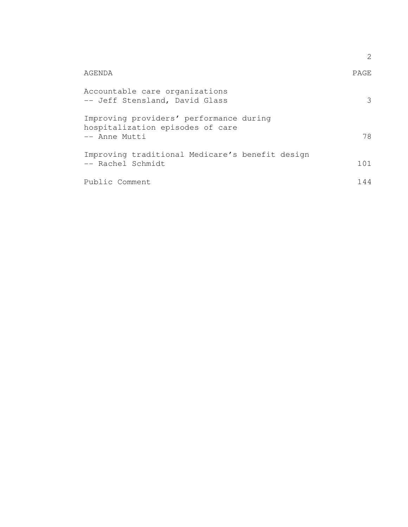|                                                                                              | 2.   |
|----------------------------------------------------------------------------------------------|------|
| AGENDA                                                                                       | PAGE |
| Accountable care organizations<br>-- Jeff Stensland, David Glass                             | 3    |
| Improving providers' performance during<br>hospitalization episodes of care<br>-- Anne Mutti | 78   |
| Improving traditional Medicare's benefit design<br>-- Rachel Schmidt                         | 101  |
| Public Comment                                                                               | 144  |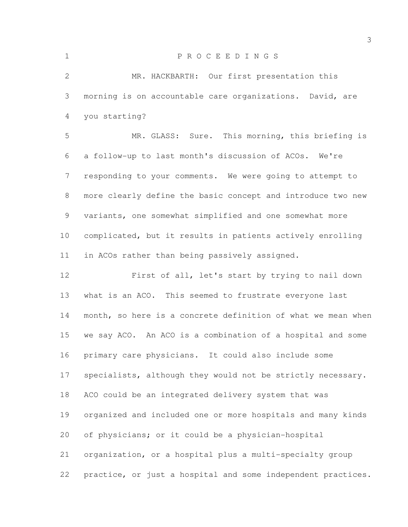| $\mathbf 1$     | PROCEEDINGS                                                  |
|-----------------|--------------------------------------------------------------|
| 2               | MR. HACKBARTH: Our first presentation this                   |
| 3               | morning is on accountable care organizations. David, are     |
| 4               | you starting?                                                |
| 5               | MR. GLASS: Sure. This morning, this briefing is              |
| 6               | a follow-up to last month's discussion of ACOs. We're        |
| 7               | responding to your comments. We were going to attempt to     |
| 8               | more clearly define the basic concept and introduce two new  |
| 9               | variants, one somewhat simplified and one somewhat more      |
| 10 <sub>o</sub> | complicated, but it results in patients actively enrolling   |
| 11              | in ACOs rather than being passively assigned.                |
| 12              | First of all, let's start by trying to nail down             |
| 13              | what is an ACO. This seemed to frustrate everyone last       |
| 14              | month, so here is a concrete definition of what we mean when |
| 15              | we say ACO. An ACO is a combination of a hospital and some   |
| 16              | primary care physicians. It could also include some          |
| 17              | specialists, although they would not be strictly necessary.  |
| 18              | ACO could be an integrated delivery system that was          |
| 19              | organized and included one or more hospitals and many kinds  |
| 20              | of physicians; or it could be a physician-hospital           |
| 21              | organization, or a hospital plus a multi-specialty group     |
| 22              | practice, or just a hospital and some independent practices. |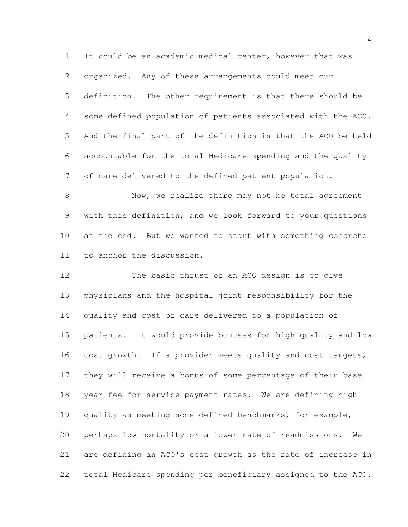It could be an academic medical center, however that was organized. Any of these arrangements could meet our definition. The other requirement is that there should be some defined population of patients associated with the ACO. And the final part of the definition is that the ACO be held accountable for the total Medicare spending and the quality of care delivered to the defined patient population.

8 Now, we realize there may not be total agreement with this definition, and we look forward to your questions at the end. But we wanted to start with something concrete to anchor the discussion.

 The basic thrust of an ACO design is to give physicians and the hospital joint responsibility for the quality and cost of care delivered to a population of patients. It would provide bonuses for high quality and low 16 cost growth. If a provider meets quality and cost targets, they will receive a bonus of some percentage of their base year fee-for-service payment rates. We are defining high quality as meeting some defined benchmarks, for example, perhaps low mortality or a lower rate of readmissions. We are defining an ACO's cost growth as the rate of increase in total Medicare spending per beneficiary assigned to the ACO.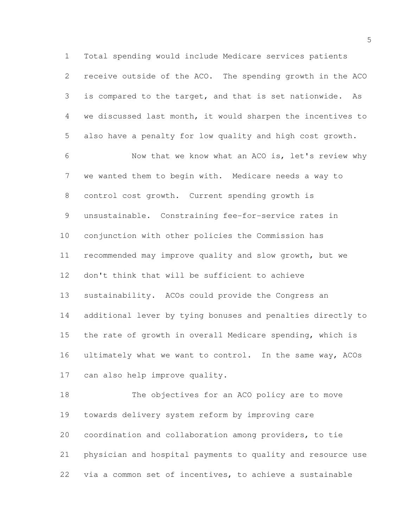Total spending would include Medicare services patients receive outside of the ACO. The spending growth in the ACO is compared to the target, and that is set nationwide. As we discussed last month, it would sharpen the incentives to also have a penalty for low quality and high cost growth.

 Now that we know what an ACO is, let's review why we wanted them to begin with. Medicare needs a way to control cost growth. Current spending growth is unsustainable. Constraining fee-for-service rates in conjunction with other policies the Commission has recommended may improve quality and slow growth, but we don't think that will be sufficient to achieve sustainability. ACOs could provide the Congress an additional lever by tying bonuses and penalties directly to the rate of growth in overall Medicare spending, which is 16 ultimately what we want to control. In the same way, ACOs can also help improve quality.

 The objectives for an ACO policy are to move towards delivery system reform by improving care coordination and collaboration among providers, to tie physician and hospital payments to quality and resource use via a common set of incentives, to achieve a sustainable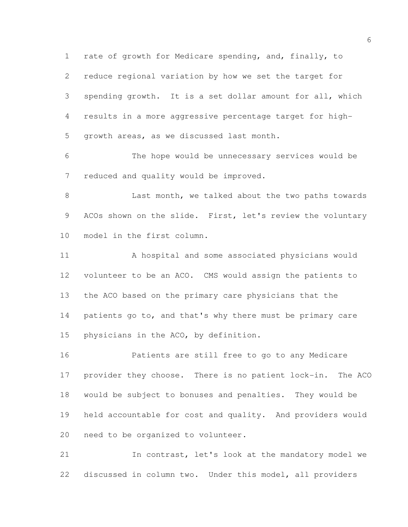rate of growth for Medicare spending, and, finally, to reduce regional variation by how we set the target for spending growth. It is a set dollar amount for all, which results in a more aggressive percentage target for high-growth areas, as we discussed last month.

 The hope would be unnecessary services would be reduced and quality would be improved.

8 Last month, we talked about the two paths towards 9 ACOs shown on the slide. First, let's review the voluntary model in the first column.

 A hospital and some associated physicians would volunteer to be an ACO. CMS would assign the patients to the ACO based on the primary care physicians that the 14 patients go to, and that's why there must be primary care physicians in the ACO, by definition.

 Patients are still free to go to any Medicare provider they choose. There is no patient lock-in. The ACO would be subject to bonuses and penalties. They would be held accountable for cost and quality. And providers would need to be organized to volunteer.

 In contrast, let's look at the mandatory model we discussed in column two. Under this model, all providers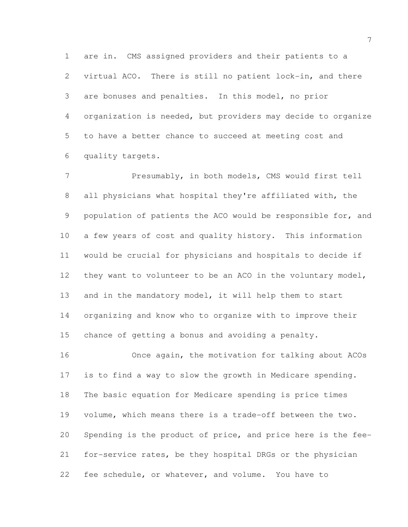are in. CMS assigned providers and their patients to a virtual ACO. There is still no patient lock-in, and there are bonuses and penalties. In this model, no prior organization is needed, but providers may decide to organize to have a better chance to succeed at meeting cost and quality targets.

7 Presumably, in both models, CMS would first tell all physicians what hospital they're affiliated with, the population of patients the ACO would be responsible for, and a few years of cost and quality history. This information would be crucial for physicians and hospitals to decide if 12 they want to volunteer to be an ACO in the voluntary model, and in the mandatory model, it will help them to start organizing and know who to organize with to improve their chance of getting a bonus and avoiding a penalty.

 Once again, the motivation for talking about ACOs is to find a way to slow the growth in Medicare spending. The basic equation for Medicare spending is price times volume, which means there is a trade-off between the two. Spending is the product of price, and price here is the fee- for-service rates, be they hospital DRGs or the physician fee schedule, or whatever, and volume. You have to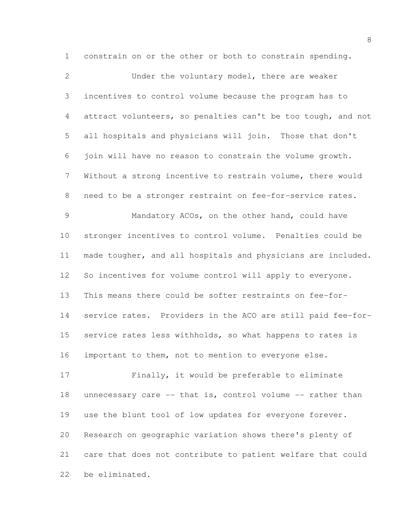constrain on or the other or both to constrain spending.

 Under the voluntary model, there are weaker incentives to control volume because the program has to attract volunteers, so penalties can't be too tough, and not all hospitals and physicians will join. Those that don't join will have no reason to constrain the volume growth. Without a strong incentive to restrain volume, there would need to be a stronger restraint on fee-for-service rates. Mandatory ACOs, on the other hand, could have stronger incentives to control volume. Penalties could be made tougher, and all hospitals and physicians are included. So incentives for volume control will apply to everyone. This means there could be softer restraints on fee-for- service rates. Providers in the ACO are still paid fee-for-15 service rates less withholds, so what happens to rates is important to them, not to mention to everyone else. Finally, it would be preferable to eliminate 18 unnecessary care -- that is, control volume -- rather than use the blunt tool of low updates for everyone forever. Research on geographic variation shows there's plenty of care that does not contribute to patient welfare that could

be eliminated.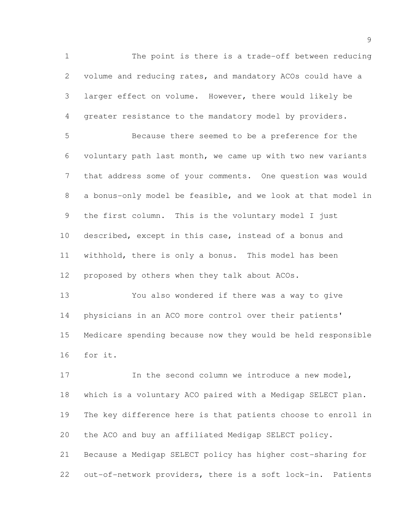The point is there is a trade-off between reducing volume and reducing rates, and mandatory ACOs could have a larger effect on volume. However, there would likely be greater resistance to the mandatory model by providers. Because there seemed to be a preference for the voluntary path last month, we came up with two new variants that address some of your comments. One question was would a bonus-only model be feasible, and we look at that model in the first column. This is the voluntary model I just described, except in this case, instead of a bonus and withhold, there is only a bonus. This model has been proposed by others when they talk about ACOs.

 You also wondered if there was a way to give physicians in an ACO more control over their patients' Medicare spending because now they would be held responsible for it.

17 17 In the second column we introduce a new model, which is a voluntary ACO paired with a Medigap SELECT plan. The key difference here is that patients choose to enroll in the ACO and buy an affiliated Medigap SELECT policy. Because a Medigap SELECT policy has higher cost-sharing for out-of-network providers, there is a soft lock-in. Patients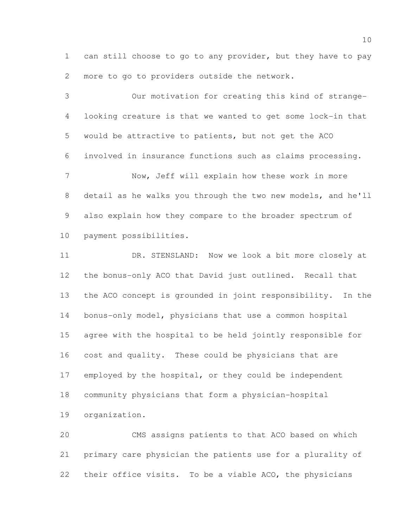can still choose to go to any provider, but they have to pay more to go to providers outside the network.

 Our motivation for creating this kind of strange- looking creature is that we wanted to get some lock-in that would be attractive to patients, but not get the ACO involved in insurance functions such as claims processing. Now, Jeff will explain how these work in more detail as he walks you through the two new models, and he'll also explain how they compare to the broader spectrum of payment possibilities.

 DR. STENSLAND: Now we look a bit more closely at the bonus-only ACO that David just outlined. Recall that the ACO concept is grounded in joint responsibility. In the bonus-only model, physicians that use a common hospital agree with the hospital to be held jointly responsible for cost and quality. These could be physicians that are employed by the hospital, or they could be independent community physicians that form a physician-hospital organization.

 CMS assigns patients to that ACO based on which primary care physician the patients use for a plurality of their office visits. To be a viable ACO, the physicians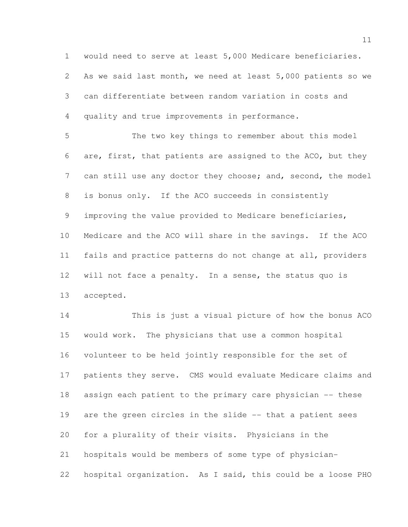would need to serve at least 5,000 Medicare beneficiaries.

 As we said last month, we need at least 5,000 patients so we can differentiate between random variation in costs and quality and true improvements in performance.

 The two key things to remember about this model are, first, that patients are assigned to the ACO, but they 7 can still use any doctor they choose; and, second, the model is bonus only. If the ACO succeeds in consistently improving the value provided to Medicare beneficiaries, Medicare and the ACO will share in the savings. If the ACO fails and practice patterns do not change at all, providers will not face a penalty. In a sense, the status quo is accepted.

 This is just a visual picture of how the bonus ACO would work. The physicians that use a common hospital volunteer to be held jointly responsible for the set of patients they serve. CMS would evaluate Medicare claims and assign each patient to the primary care physician -- these are the green circles in the slide -- that a patient sees for a plurality of their visits. Physicians in the hospitals would be members of some type of physician-hospital organization. As I said, this could be a loose PHO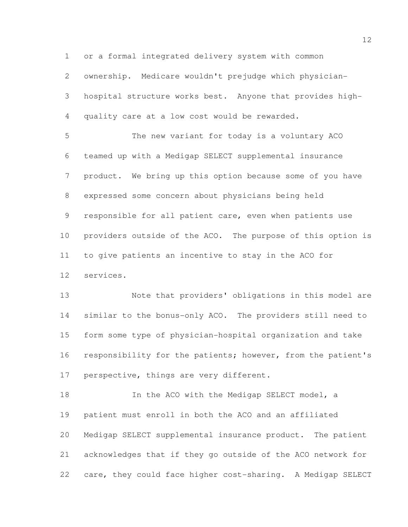or a formal integrated delivery system with common

 ownership. Medicare wouldn't prejudge which physician-hospital structure works best. Anyone that provides high-

quality care at a low cost would be rewarded.

 The new variant for today is a voluntary ACO teamed up with a Medigap SELECT supplemental insurance product. We bring up this option because some of you have expressed some concern about physicians being held responsible for all patient care, even when patients use providers outside of the ACO. The purpose of this option is to give patients an incentive to stay in the ACO for services.

 Note that providers' obligations in this model are similar to the bonus-only ACO. The providers still need to form some type of physician-hospital organization and take 16 responsibility for the patients; however, from the patient's 17 perspective, things are very different.

18 In the ACO with the Medigap SELECT model, a patient must enroll in both the ACO and an affiliated Medigap SELECT supplemental insurance product. The patient acknowledges that if they go outside of the ACO network for care, they could face higher cost-sharing. A Medigap SELECT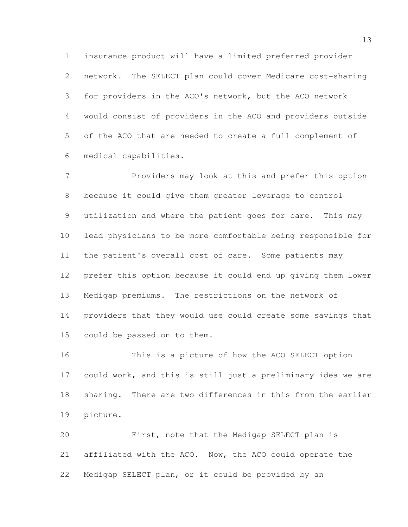insurance product will have a limited preferred provider network. The SELECT plan could cover Medicare cost-sharing for providers in the ACO's network, but the ACO network would consist of providers in the ACO and providers outside of the ACO that are needed to create a full complement of medical capabilities.

 Providers may look at this and prefer this option because it could give them greater leverage to control utilization and where the patient goes for care. This may lead physicians to be more comfortable being responsible for the patient's overall cost of care. Some patients may prefer this option because it could end up giving them lower Medigap premiums. The restrictions on the network of providers that they would use could create some savings that could be passed on to them.

 This is a picture of how the ACO SELECT option could work, and this is still just a preliminary idea we are sharing. There are two differences in this from the earlier picture.

 First, note that the Medigap SELECT plan is affiliated with the ACO. Now, the ACO could operate the Medigap SELECT plan, or it could be provided by an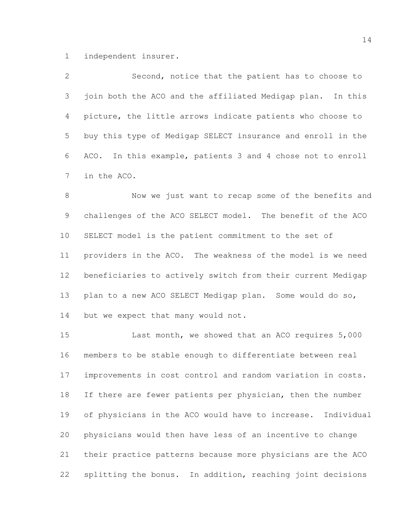independent insurer.

 Second, notice that the patient has to choose to 3 join both the ACO and the affiliated Medigap plan. In this picture, the little arrows indicate patients who choose to buy this type of Medigap SELECT insurance and enroll in the ACO. In this example, patients 3 and 4 chose not to enroll in the ACO.

 Now we just want to recap some of the benefits and challenges of the ACO SELECT model. The benefit of the ACO SELECT model is the patient commitment to the set of providers in the ACO. The weakness of the model is we need beneficiaries to actively switch from their current Medigap plan to a new ACO SELECT Medigap plan. Some would do so, 14 but we expect that many would not.

 Last month, we showed that an ACO requires 5,000 members to be stable enough to differentiate between real improvements in cost control and random variation in costs. 18 If there are fewer patients per physician, then the number of physicians in the ACO would have to increase. Individual physicians would then have less of an incentive to change their practice patterns because more physicians are the ACO splitting the bonus. In addition, reaching joint decisions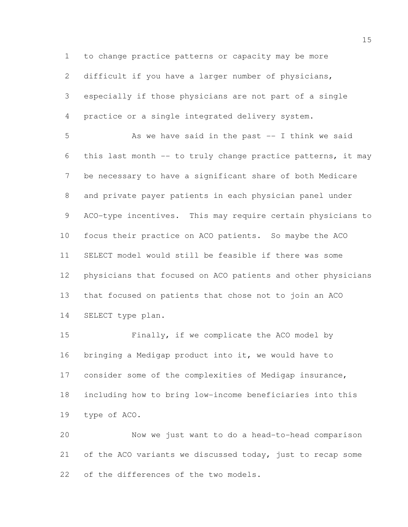to change practice patterns or capacity may be more

difficult if you have a larger number of physicians,

 especially if those physicians are not part of a single practice or a single integrated delivery system.

 As we have said in the past -- I think we said this last month -- to truly change practice patterns, it may be necessary to have a significant share of both Medicare and private payer patients in each physician panel under ACO-type incentives. This may require certain physicians to focus their practice on ACO patients. So maybe the ACO SELECT model would still be feasible if there was some physicians that focused on ACO patients and other physicians that focused on patients that chose not to join an ACO SELECT type plan.

 Finally, if we complicate the ACO model by bringing a Medigap product into it, we would have to consider some of the complexities of Medigap insurance, including how to bring low-income beneficiaries into this type of ACO.

 Now we just want to do a head-to-head comparison 21 of the ACO variants we discussed today, just to recap some of the differences of the two models.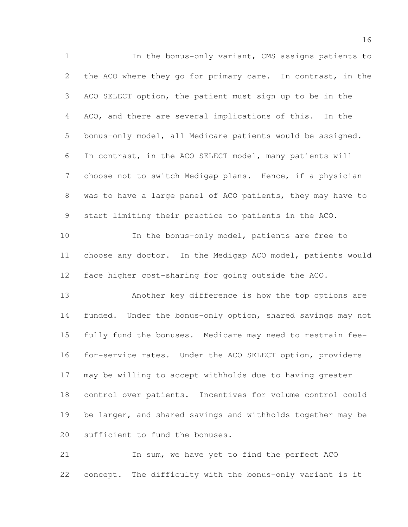In the bonus-only variant, CMS assigns patients to 2 the ACO where they go for primary care. In contrast, in the ACO SELECT option, the patient must sign up to be in the ACO, and there are several implications of this. In the bonus-only model, all Medicare patients would be assigned. In contrast, in the ACO SELECT model, many patients will choose not to switch Medigap plans. Hence, if a physician was to have a large panel of ACO patients, they may have to start limiting their practice to patients in the ACO. In the bonus-only model, patients are free to choose any doctor. In the Medigap ACO model, patients would face higher cost-sharing for going outside the ACO. Another key difference is how the top options are funded. Under the bonus-only option, shared savings may not fully fund the bonuses. Medicare may need to restrain fee- for-service rates. Under the ACO SELECT option, providers may be willing to accept withholds due to having greater control over patients. Incentives for volume control could 19 be larger, and shared savings and withholds together may be sufficient to fund the bonuses. In sum, we have yet to find the perfect ACO

concept. The difficulty with the bonus-only variant is it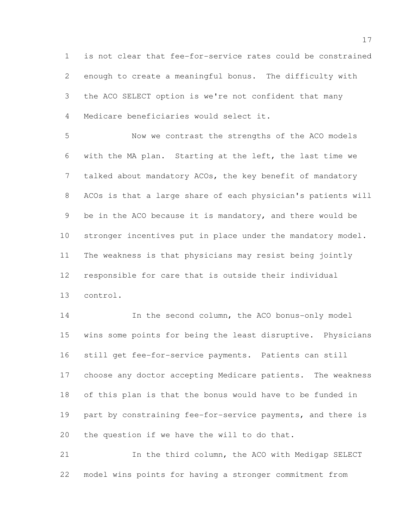is not clear that fee-for-service rates could be constrained enough to create a meaningful bonus. The difficulty with the ACO SELECT option is we're not confident that many Medicare beneficiaries would select it.

 Now we contrast the strengths of the ACO models with the MA plan. Starting at the left, the last time we talked about mandatory ACOs, the key benefit of mandatory ACOs is that a large share of each physician's patients will be in the ACO because it is mandatory, and there would be stronger incentives put in place under the mandatory model. The weakness is that physicians may resist being jointly responsible for care that is outside their individual control.

 In the second column, the ACO bonus-only model wins some points for being the least disruptive. Physicians still get fee-for-service payments. Patients can still choose any doctor accepting Medicare patients. The weakness of this plan is that the bonus would have to be funded in 19 part by constraining fee-for-service payments, and there is the question if we have the will to do that.

 In the third column, the ACO with Medigap SELECT model wins points for having a stronger commitment from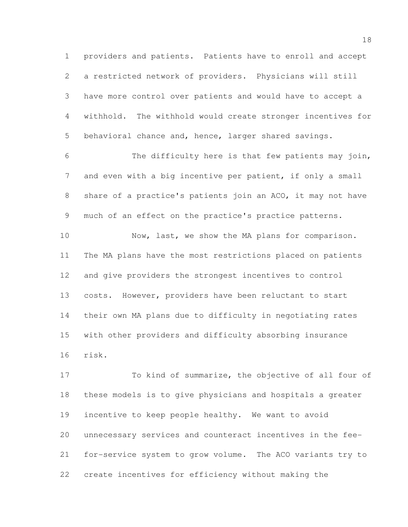providers and patients. Patients have to enroll and accept a restricted network of providers. Physicians will still have more control over patients and would have to accept a withhold. The withhold would create stronger incentives for behavioral chance and, hence, larger shared savings.

 The difficulty here is that few patients may join, and even with a big incentive per patient, if only a small share of a practice's patients join an ACO, it may not have much of an effect on the practice's practice patterns.

 Now, last, we show the MA plans for comparison. The MA plans have the most restrictions placed on patients and give providers the strongest incentives to control costs. However, providers have been reluctant to start their own MA plans due to difficulty in negotiating rates with other providers and difficulty absorbing insurance risk.

 To kind of summarize, the objective of all four of these models is to give physicians and hospitals a greater incentive to keep people healthy. We want to avoid unnecessary services and counteract incentives in the fee- for-service system to grow volume. The ACO variants try to create incentives for efficiency without making the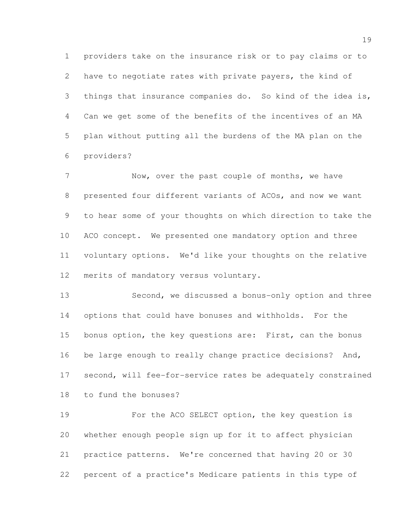providers take on the insurance risk or to pay claims or to have to negotiate rates with private payers, the kind of things that insurance companies do. So kind of the idea is, Can we get some of the benefits of the incentives of an MA plan without putting all the burdens of the MA plan on the providers?

7 Now, over the past couple of months, we have presented four different variants of ACOs, and now we want to hear some of your thoughts on which direction to take the ACO concept. We presented one mandatory option and three voluntary options. We'd like your thoughts on the relative merits of mandatory versus voluntary.

 Second, we discussed a bonus-only option and three options that could have bonuses and withholds. For the bonus option, the key questions are: First, can the bonus be large enough to really change practice decisions? And, second, will fee-for-service rates be adequately constrained to fund the bonuses?

 For the ACO SELECT option, the key question is whether enough people sign up for it to affect physician practice patterns. We're concerned that having 20 or 30 percent of a practice's Medicare patients in this type of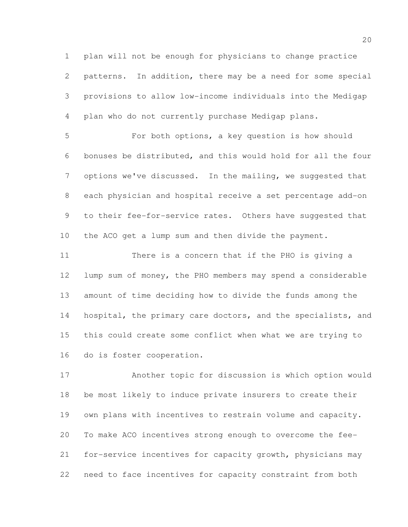plan will not be enough for physicians to change practice patterns. In addition, there may be a need for some special provisions to allow low-income individuals into the Medigap plan who do not currently purchase Medigap plans.

 For both options, a key question is how should bonuses be distributed, and this would hold for all the four options we've discussed. In the mailing, we suggested that each physician and hospital receive a set percentage add-on 9 to their fee-for-service rates. Others have suggested that the ACO get a lump sum and then divide the payment.

 There is a concern that if the PHO is giving a lump sum of money, the PHO members may spend a considerable amount of time deciding how to divide the funds among the 14 hospital, the primary care doctors, and the specialists, and this could create some conflict when what we are trying to do is foster cooperation.

 Another topic for discussion is which option would be most likely to induce private insurers to create their own plans with incentives to restrain volume and capacity. To make ACO incentives strong enough to overcome the fee- for-service incentives for capacity growth, physicians may need to face incentives for capacity constraint from both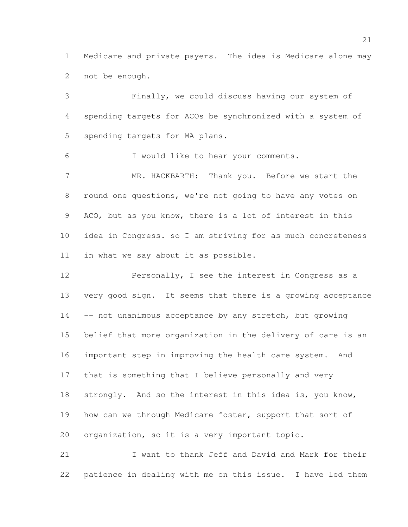Medicare and private payers. The idea is Medicare alone may not be enough.

 Finally, we could discuss having our system of spending targets for ACOs be synchronized with a system of spending targets for MA plans. I would like to hear your comments. MR. HACKBARTH: Thank you. Before we start the round one questions, we're not going to have any votes on ACO, but as you know, there is a lot of interest in this idea in Congress. so I am striving for as much concreteness in what we say about it as possible.

 Personally, I see the interest in Congress as a very good sign. It seems that there is a growing acceptance 14 -- not unanimous acceptance by any stretch, but growing belief that more organization in the delivery of care is an important step in improving the health care system. And that is something that I believe personally and very strongly. And so the interest in this idea is, you know, 19 how can we through Medicare foster, support that sort of organization, so it is a very important topic.

 I want to thank Jeff and David and Mark for their patience in dealing with me on this issue. I have led them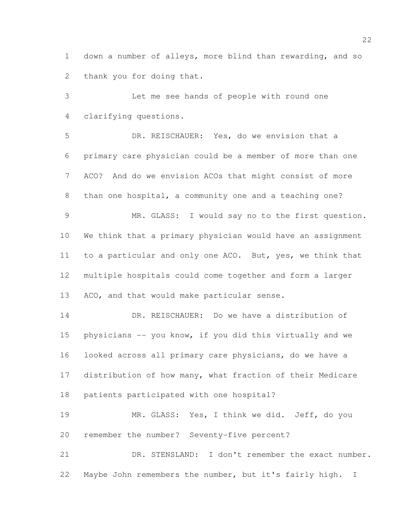down a number of alleys, more blind than rewarding, and so thank you for doing that.

 Let me see hands of people with round one clarifying questions.

 DR. REISCHAUER: Yes, do we envision that a primary care physician could be a member of more than one ACO? And do we envision ACOs that might consist of more than one hospital, a community one and a teaching one? MR. GLASS: I would say no to the first question. We think that a primary physician would have an assignment to a particular and only one ACO. But, yes, we think that multiple hospitals could come together and form a larger ACO, and that would make particular sense.

 DR. REISCHAUER: Do we have a distribution of physicians -- you know, if you did this virtually and we looked across all primary care physicians, do we have a distribution of how many, what fraction of their Medicare patients participated with one hospital?

 MR. GLASS: Yes, I think we did. Jeff, do you remember the number? Seventy-five percent?

 DR. STENSLAND: I don't remember the exact number. Maybe John remembers the number, but it's fairly high. I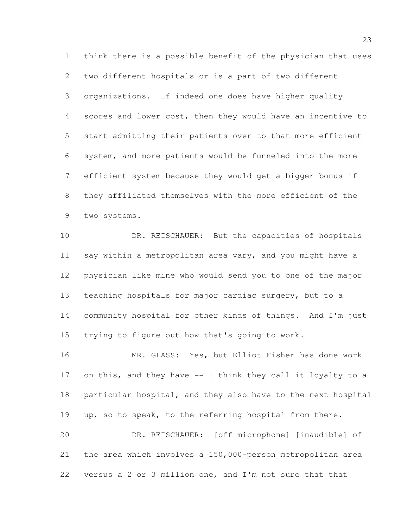think there is a possible benefit of the physician that uses two different hospitals or is a part of two different organizations. If indeed one does have higher quality scores and lower cost, then they would have an incentive to start admitting their patients over to that more efficient system, and more patients would be funneled into the more efficient system because they would get a bigger bonus if they affiliated themselves with the more efficient of the two systems.

 DR. REISCHAUER: But the capacities of hospitals say within a metropolitan area vary, and you might have a physician like mine who would send you to one of the major teaching hospitals for major cardiac surgery, but to a community hospital for other kinds of things. And I'm just trying to figure out how that's going to work.

 MR. GLASS: Yes, but Elliot Fisher has done work on this, and they have -- I think they call it loyalty to a particular hospital, and they also have to the next hospital up, so to speak, to the referring hospital from there. DR. REISCHAUER: [off microphone] [inaudible] of the area which involves a 150,000-person metropolitan area

versus a 2 or 3 million one, and I'm not sure that that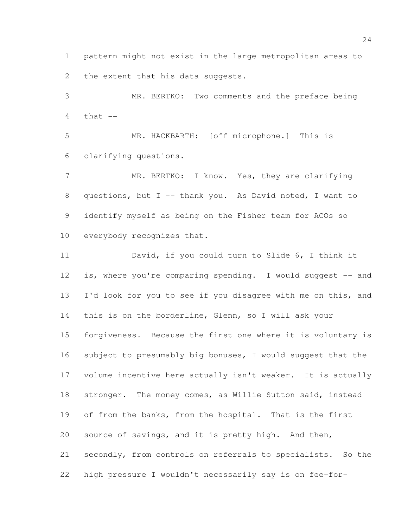pattern might not exist in the large metropolitan areas to 2 the extent that his data suggests.

 MR. BERTKO: Two comments and the preface being 4  $that$   $-$ 

 MR. HACKBARTH: [off microphone.] This is clarifying questions.

7 MR. BERTKO: I know. Yes, they are clarifying questions, but I -- thank you. As David noted, I want to identify myself as being on the Fisher team for ACOs so everybody recognizes that.

 David, if you could turn to Slide 6, I think it 12 is, where you're comparing spending. I would suggest -- and 13 I'd look for you to see if you disagree with me on this, and this is on the borderline, Glenn, so I will ask your forgiveness. Because the first one where it is voluntary is subject to presumably big bonuses, I would suggest that the volume incentive here actually isn't weaker. It is actually stronger. The money comes, as Willie Sutton said, instead of from the banks, from the hospital. That is the first source of savings, and it is pretty high. And then, secondly, from controls on referrals to specialists. So the high pressure I wouldn't necessarily say is on fee-for-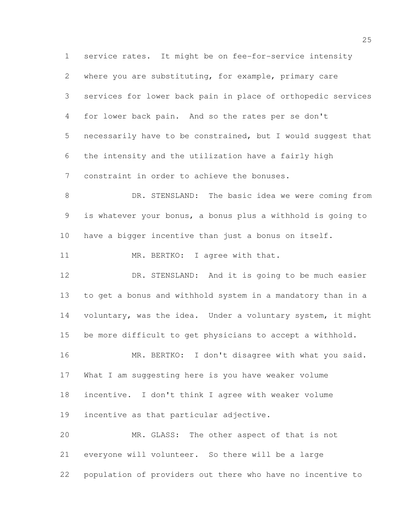service rates. It might be on fee-for-service intensity where you are substituting, for example, primary care services for lower back pain in place of orthopedic services for lower back pain. And so the rates per se don't necessarily have to be constrained, but I would suggest that the intensity and the utilization have a fairly high constraint in order to achieve the bonuses. DR. STENSLAND: The basic idea we were coming from is whatever your bonus, a bonus plus a withhold is going to have a bigger incentive than just a bonus on itself. 11 MR. BERTKO: I agree with that. DR. STENSLAND: And it is going to be much easier to get a bonus and withhold system in a mandatory than in a voluntary, was the idea. Under a voluntary system, it might be more difficult to get physicians to accept a withhold. MR. BERTKO: I don't disagree with what you said. What I am suggesting here is you have weaker volume incentive. I don't think I agree with weaker volume incentive as that particular adjective. MR. GLASS: The other aspect of that is not everyone will volunteer. So there will be a large population of providers out there who have no incentive to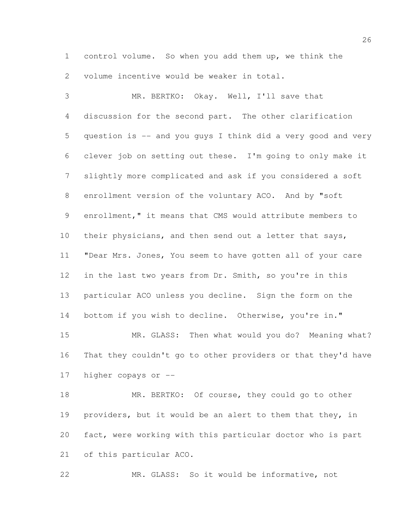control volume. So when you add them up, we think the volume incentive would be weaker in total.

 MR. BERTKO: Okay. Well, I'll save that discussion for the second part. The other clarification question is -- and you guys I think did a very good and very clever job on setting out these. I'm going to only make it slightly more complicated and ask if you considered a soft enrollment version of the voluntary ACO. And by "soft enrollment," it means that CMS would attribute members to their physicians, and then send out a letter that says, "Dear Mrs. Jones, You seem to have gotten all of your care in the last two years from Dr. Smith, so you're in this particular ACO unless you decline. Sign the form on the 14 bottom if you wish to decline. Otherwise, you're in." MR. GLASS: Then what would you do? Meaning what? That they couldn't go to other providers or that they'd have

higher copays or --

 MR. BERTKO: Of course, they could go to other providers, but it would be an alert to them that they, in fact, were working with this particular doctor who is part of this particular ACO.

MR. GLASS: So it would be informative, not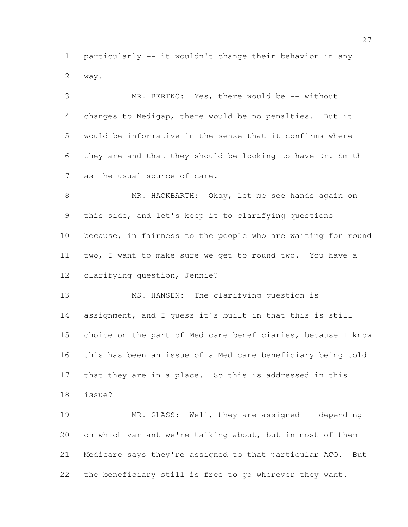particularly -- it wouldn't change their behavior in any way.

 MR. BERTKO: Yes, there would be -- without changes to Medigap, there would be no penalties. But it would be informative in the sense that it confirms where they are and that they should be looking to have Dr. Smith as the usual source of care. MR. HACKBARTH: Okay, let me see hands again on this side, and let's keep it to clarifying questions because, in fairness to the people who are waiting for round two, I want to make sure we get to round two. You have a clarifying question, Jennie?

 MS. HANSEN: The clarifying question is assignment, and I guess it's built in that this is still choice on the part of Medicare beneficiaries, because I know this has been an issue of a Medicare beneficiary being told that they are in a place. So this is addressed in this issue?

19 MR. GLASS: Well, they are assigned -- depending on which variant we're talking about, but in most of them Medicare says they're assigned to that particular ACO. But the beneficiary still is free to go wherever they want.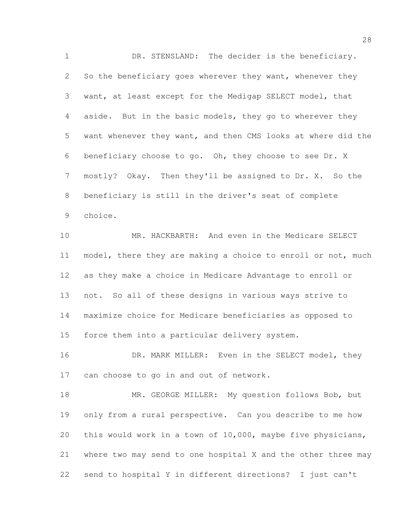DR. STENSLAND: The decider is the beneficiary. So the beneficiary goes wherever they want, whenever they want, at least except for the Medigap SELECT model, that aside. But in the basic models, they go to wherever they want whenever they want, and then CMS looks at where did the beneficiary choose to go. Oh, they choose to see Dr. X mostly? Okay. Then they'll be assigned to Dr. X. So the beneficiary is still in the driver's seat of complete choice.

 MR. HACKBARTH: And even in the Medicare SELECT model, there they are making a choice to enroll or not, much as they make a choice in Medicare Advantage to enroll or not. So all of these designs in various ways strive to maximize choice for Medicare beneficiaries as opposed to force them into a particular delivery system.

16 DR. MARK MILLER: Even in the SELECT model, they 17 can choose to go in and out of network.

18 MR. GEORGE MILLER: My question follows Bob, but only from a rural perspective. Can you describe to me how this would work in a town of 10,000, maybe five physicians, where two may send to one hospital X and the other three may send to hospital Y in different directions? I just can't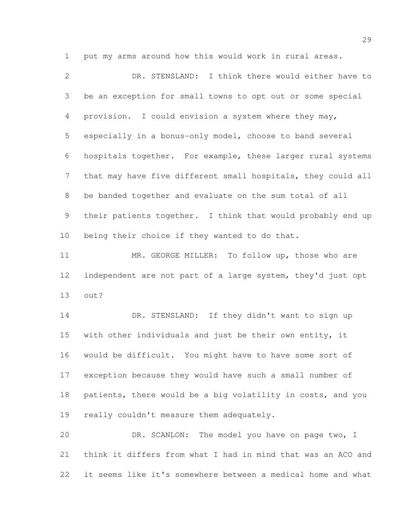put my arms around how this would work in rural areas.

 DR. STENSLAND: I think there would either have to be an exception for small towns to opt out or some special provision. I could envision a system where they may, especially in a bonus-only model, choose to band several hospitals together. For example, these larger rural systems that may have five different small hospitals, they could all be banded together and evaluate on the sum total of all their patients together. I think that would probably end up being their choice if they wanted to do that. MR. GEORGE MILLER: To follow up, those who are independent are not part of a large system, they'd just opt out?

 DR. STENSLAND: If they didn't want to sign up with other individuals and just be their own entity, it would be difficult. You might have to have some sort of exception because they would have such a small number of patients, there would be a big volatility in costs, and you 19 really couldn't measure them adequately.

 DR. SCANLON: The model you have on page two, I think it differs from what I had in mind that was an ACO and it seems like it's somewhere between a medical home and what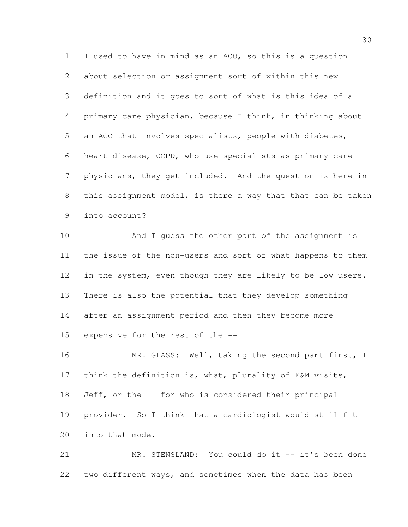I used to have in mind as an ACO, so this is a question about selection or assignment sort of within this new definition and it goes to sort of what is this idea of a primary care physician, because I think, in thinking about an ACO that involves specialists, people with diabetes, heart disease, COPD, who use specialists as primary care physicians, they get included. And the question is here in this assignment model, is there a way that that can be taken into account?

 And I guess the other part of the assignment is the issue of the non-users and sort of what happens to them in the system, even though they are likely to be low users. There is also the potential that they develop something after an assignment period and then they become more expensive for the rest of the --

16 MR. GLASS: Well, taking the second part first, I think the definition is, what, plurality of E&M visits, Jeff, or the -- for who is considered their principal provider. So I think that a cardiologist would still fit into that mode.

 MR. STENSLAND: You could do it -- it's been done two different ways, and sometimes when the data has been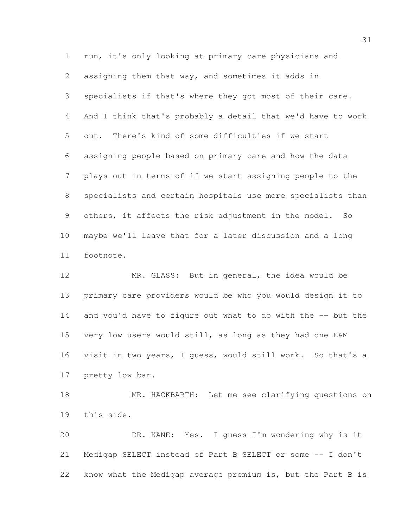run, it's only looking at primary care physicians and assigning them that way, and sometimes it adds in specialists if that's where they got most of their care. And I think that's probably a detail that we'd have to work out. There's kind of some difficulties if we start assigning people based on primary care and how the data plays out in terms of if we start assigning people to the specialists and certain hospitals use more specialists than others, it affects the risk adjustment in the model. So maybe we'll leave that for a later discussion and a long footnote.

 MR. GLASS: But in general, the idea would be primary care providers would be who you would design it to and you'd have to figure out what to do with the -- but the very low users would still, as long as they had one E&M visit in two years, I guess, would still work. So that's a pretty low bar.

 MR. HACKBARTH: Let me see clarifying questions on this side.

 DR. KANE: Yes. I guess I'm wondering why is it Medigap SELECT instead of Part B SELECT or some -- I don't know what the Medigap average premium is, but the Part B is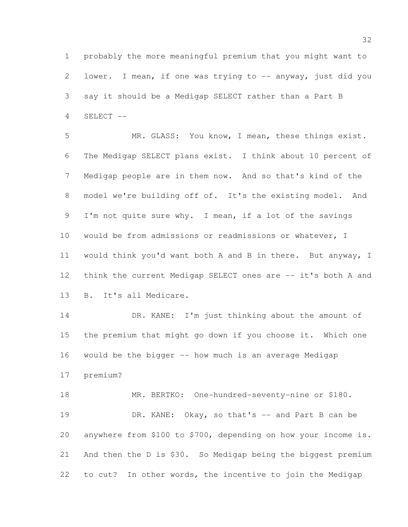probably the more meaningful premium that you might want to 2 lower. I mean, if one was trying to -- anyway, just did you say it should be a Medigap SELECT rather than a Part B SELECT --

 MR. GLASS: You know, I mean, these things exist. The Medigap SELECT plans exist. I think about 10 percent of Medigap people are in them now. And so that's kind of the model we're building off of. It's the existing model. And I'm not quite sure why. I mean, if a lot of the savings would be from admissions or readmissions or whatever, I would think you'd want both A and B in there. But anyway, I think the current Medigap SELECT ones are -- it's both A and B. It's all Medicare.

 DR. KANE: I'm just thinking about the amount of the premium that might go down if you choose it. Which one would be the bigger -- how much is an average Medigap premium?

 MR. BERTKO: One-hundred-seventy-nine or \$180. 19 DR. KANE: Okay, so that's -- and Part B can be anywhere from \$100 to \$700, depending on how your income is. And then the D is \$30. So Medigap being the biggest premium to cut? In other words, the incentive to join the Medigap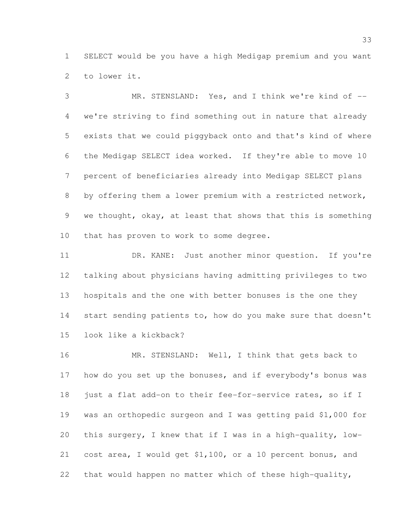SELECT would be you have a high Medigap premium and you want to lower it.

 MR. STENSLAND: Yes, and I think we're kind of -- we're striving to find something out in nature that already exists that we could piggyback onto and that's kind of where the Medigap SELECT idea worked. If they're able to move 10 percent of beneficiaries already into Medigap SELECT plans by offering them a lower premium with a restricted network, we thought, okay, at least that shows that this is something 10 that has proven to work to some degree.

 DR. KANE: Just another minor question. If you're talking about physicians having admitting privileges to two hospitals and the one with better bonuses is the one they 14 start sending patients to, how do you make sure that doesn't look like a kickback?

 MR. STENSLAND: Well, I think that gets back to how do you set up the bonuses, and if everybody's bonus was 18 just a flat add-on to their fee-for-service rates, so if I was an orthopedic surgeon and I was getting paid \$1,000 for this surgery, I knew that if I was in a high-quality, low- cost area, I would get \$1,100, or a 10 percent bonus, and that would happen no matter which of these high-quality,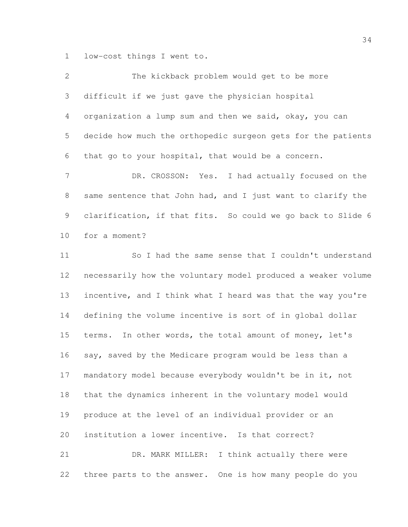low-cost things I went to.

| $\overline{2}$ | The kickback problem would get to be more                    |
|----------------|--------------------------------------------------------------|
| $\mathfrak{Z}$ | difficult if we just gave the physician hospital             |
| 4              | organization a lump sum and then we said, okay, you can      |
| 5              | decide how much the orthopedic surgeon gets for the patients |
| 6              | that go to your hospital, that would be a concern.           |
| 7              | DR. CROSSON: Yes. I had actually focused on the              |
| 8              | same sentence that John had, and I just want to clarify the  |
| 9              | clarification, if that fits. So could we go back to Slide 6  |
| 10             | for a moment?                                                |
| 11             | So I had the same sense that I couldn't understand           |
| 12             | necessarily how the voluntary model produced a weaker volume |
| 13             | incentive, and I think what I heard was that the way you're  |
| 14             | defining the volume incentive is sort of in global dollar    |
| 15             | terms. In other words, the total amount of money, let's      |
| 16             | say, saved by the Medicare program would be less than a      |
| 17             | mandatory model because everybody wouldn't be in it, not     |
| 18             | that the dynamics inherent in the voluntary model would      |
| 19             | produce at the level of an individual provider or an         |
| 20             | institution a lower incentive. Is that correct?              |
| 21             | DR. MARK MILLER:<br>I think actually there were              |
| 22             | three parts to the answer. One is how many people do you     |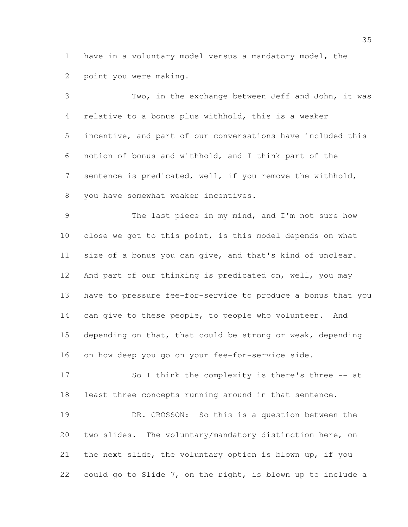have in a voluntary model versus a mandatory model, the point you were making.

 Two, in the exchange between Jeff and John, it was relative to a bonus plus withhold, this is a weaker incentive, and part of our conversations have included this notion of bonus and withhold, and I think part of the sentence is predicated, well, if you remove the withhold, you have somewhat weaker incentives.

 The last piece in my mind, and I'm not sure how close we got to this point, is this model depends on what size of a bonus you can give, and that's kind of unclear. And part of our thinking is predicated on, well, you may have to pressure fee-for-service to produce a bonus that you 14 can give to these people, to people who volunteer. And depending on that, that could be strong or weak, depending on how deep you go on your fee-for-service side.

 So I think the complexity is there's three -- at least three concepts running around in that sentence.

 DR. CROSSON: So this is a question between the two slides. The voluntary/mandatory distinction here, on the next slide, the voluntary option is blown up, if you could go to Slide 7, on the right, is blown up to include a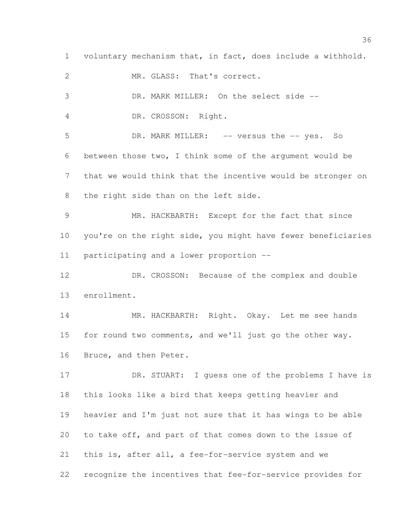voluntary mechanism that, in fact, does include a withhold.

MR. GLASS: That's correct.

DR. MARK MILLER: On the select side --

DR. CROSSON: Right.

 DR. MARK MILLER: -- versus the -- yes. So between those two, I think some of the argument would be that we would think that the incentive would be stronger on the right side than on the left side.

 MR. HACKBARTH: Except for the fact that since you're on the right side, you might have fewer beneficiaries participating and a lower proportion --

 DR. CROSSON: Because of the complex and double enrollment.

 MR. HACKBARTH: Right. Okay. Let me see hands for round two comments, and we'll just go the other way. Bruce, and then Peter.

17 DR. STUART: I guess one of the problems I have is this looks like a bird that keeps getting heavier and heavier and I'm just not sure that it has wings to be able to take off, and part of that comes down to the issue of this is, after all, a fee-for-service system and we recognize the incentives that fee-for-service provides for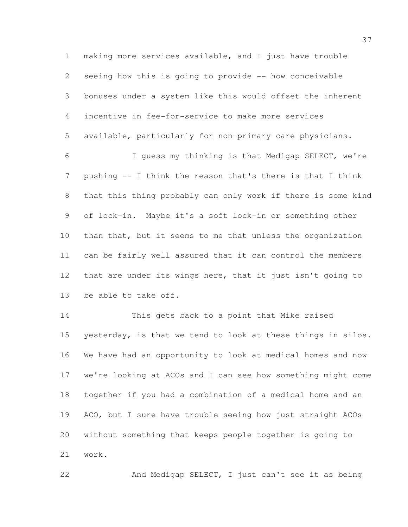making more services available, and I just have trouble seeing how this is going to provide -- how conceivable bonuses under a system like this would offset the inherent incentive in fee-for-service to make more services available, particularly for non-primary care physicians.

 I guess my thinking is that Medigap SELECT, we're pushing -- I think the reason that's there is that I think that this thing probably can only work if there is some kind of lock-in. Maybe it's a soft lock-in or something other than that, but it seems to me that unless the organization can be fairly well assured that it can control the members 12 that are under its wings here, that it just isn't going to be able to take off.

 This gets back to a point that Mike raised yesterday, is that we tend to look at these things in silos. We have had an opportunity to look at medical homes and now we're looking at ACOs and I can see how something might come together if you had a combination of a medical home and an ACO, but I sure have trouble seeing how just straight ACOs without something that keeps people together is going to work.

And Medigap SELECT, I just can't see it as being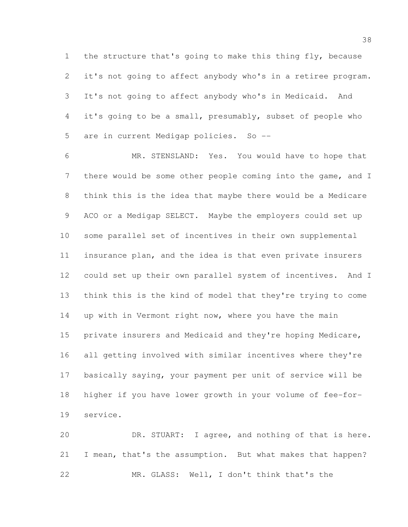the structure that's going to make this thing fly, because it's not going to affect anybody who's in a retiree program. It's not going to affect anybody who's in Medicaid. And it's going to be a small, presumably, subset of people who are in current Medigap policies. So --

 MR. STENSLAND: Yes. You would have to hope that there would be some other people coming into the game, and I think this is the idea that maybe there would be a Medicare ACO or a Medigap SELECT. Maybe the employers could set up some parallel set of incentives in their own supplemental insurance plan, and the idea is that even private insurers could set up their own parallel system of incentives. And I think this is the kind of model that they're trying to come up with in Vermont right now, where you have the main 15 private insurers and Medicaid and they're hoping Medicare, all getting involved with similar incentives where they're basically saying, your payment per unit of service will be higher if you have lower growth in your volume of fee-for-service.

 DR. STUART: I agree, and nothing of that is here. 21 I mean, that's the assumption. But what makes that happen? MR. GLASS: Well, I don't think that's the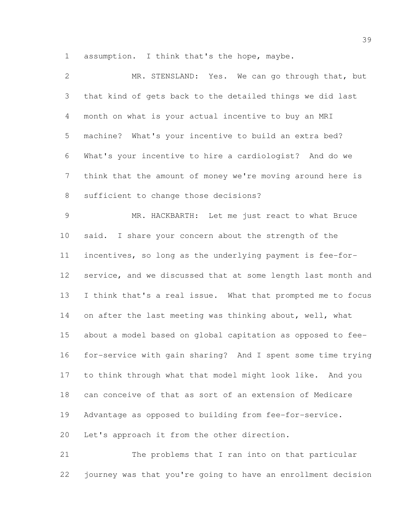assumption. I think that's the hope, maybe.

| $\overline{2}$ | MR. STENSLAND: Yes. We can go through that, but              |
|----------------|--------------------------------------------------------------|
| 3              | that kind of gets back to the detailed things we did last    |
| $\overline{4}$ | month on what is your actual incentive to buy an MRI         |
| 5              | machine? What's your incentive to build an extra bed?        |
| 6              | What's your incentive to hire a cardiologist? And do we      |
| $7\phantom{.}$ | think that the amount of money we're moving around here is   |
| $8\,$          | sufficient to change those decisions?                        |
| $\mathcal{G}$  | MR. HACKBARTH: Let me just react to what Bruce               |
| 10             | said. I share your concern about the strength of the         |
| 11             | incentives, so long as the underlying payment is fee-for-    |
| 12             | service, and we discussed that at some length last month and |
| 13             | I think that's a real issue. What that prompted me to focus  |
| 14             | on after the last meeting was thinking about, well, what     |
| 15             | about a model based on global capitation as opposed to fee-  |
| 16             | for-service with gain sharing? And I spent some time trying  |
| 17             | to think through what that model might look like. And you    |
| 18             | can conceive of that as sort of an extension of Medicare     |
| 19             | Advantage as opposed to building from fee-for-service.       |
| 20             | Let's approach it from the other direction.                  |
| 21             | The problems that I ran into on that particular              |

journey was that you're going to have an enrollment decision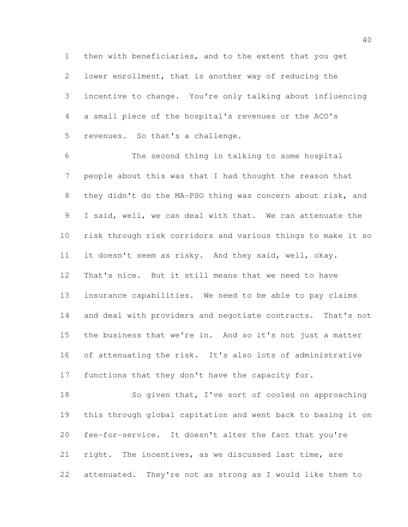then with beneficiaries, and to the extent that you get lower enrollment, that is another way of reducing the incentive to change. You're only talking about influencing a small piece of the hospital's revenues or the ACO's revenues. So that's a challenge.

 The second thing in talking to some hospital people about this was that I had thought the reason that they didn't do the MA-PSO thing was concern about risk, and I said, well, we can deal with that. We can attenuate the risk through risk corridors and various things to make it so it doesn't seem as risky. And they said, well, okay. That's nice. But it still means that we need to have insurance capabilities. We need to be able to pay claims 14 and deal with providers and negotiate contracts. That's not the business that we're in. And so it's not just a matter of attenuating the risk. It's also lots of administrative functions that they don't have the capacity for.

18 So given that, I've sort of cooled on approaching this through global capitation and went back to basing it on fee-for-service. It doesn't alter the fact that you're right. The incentives, as we discussed last time, are attenuated. They're not as strong as I would like them to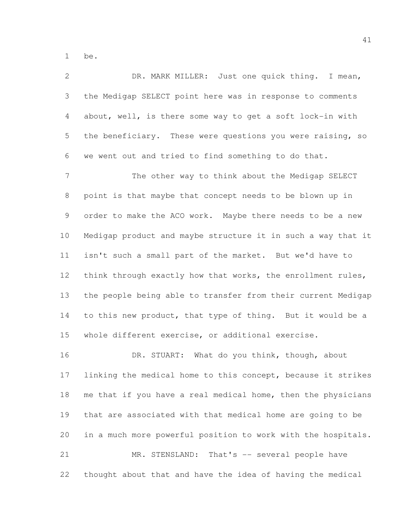be.

| $\overline{2}$ | DR. MARK MILLER: Just one quick thing. I mean,               |
|----------------|--------------------------------------------------------------|
| 3              | the Medigap SELECT point here was in response to comments    |
| 4              | about, well, is there some way to get a soft lock-in with    |
| 5              | the beneficiary. These were questions you were raising, so   |
| 6              | we went out and tried to find something to do that.          |
| 7              | The other way to think about the Medigap SELECT              |
| $\,8\,$        | point is that maybe that concept needs to be blown up in     |
| 9              | order to make the ACO work. Maybe there needs to be a new    |
| 10             | Medigap product and maybe structure it in such a way that it |
| 11             | isn't such a small part of the market. But we'd have to      |
| 12             | think through exactly how that works, the enrollment rules,  |
| 13             | the people being able to transfer from their current Medigap |
| 14             | to this new product, that type of thing. But it would be a   |
| 15             | whole different exercise, or additional exercise.            |
| 16             | DR. STUART: What do you think, though, about                 |
| 17             | linking the medical home to this concept, because it strikes |
| 18             | me that if you have a real medical home, then the physicians |
| 19             | that are associated with that medical home are going to be   |
| 20             | in a much more powerful position to work with the hospitals. |
| 21             | MR. STENSLAND:<br>That's -- several people have              |
| 22             | thought about that and have the idea of having the medical   |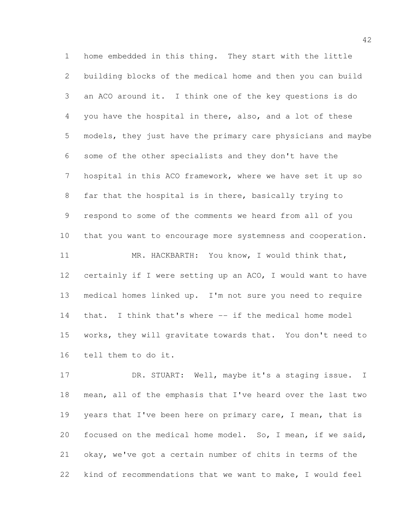home embedded in this thing. They start with the little building blocks of the medical home and then you can build an ACO around it. I think one of the key questions is do you have the hospital in there, also, and a lot of these models, they just have the primary care physicians and maybe some of the other specialists and they don't have the hospital in this ACO framework, where we have set it up so far that the hospital is in there, basically trying to respond to some of the comments we heard from all of you that you want to encourage more systemness and cooperation. MR. HACKBARTH: You know, I would think that, 12 certainly if I were setting up an ACO, I would want to have medical homes linked up. I'm not sure you need to require that. I think that's where -- if the medical home model works, they will gravitate towards that. You don't need to tell them to do it.

17 DR. STUART: Well, maybe it's a staging issue. I mean, all of the emphasis that I've heard over the last two 19 years that I've been here on primary care, I mean, that is focused on the medical home model. So, I mean, if we said, okay, we've got a certain number of chits in terms of the kind of recommendations that we want to make, I would feel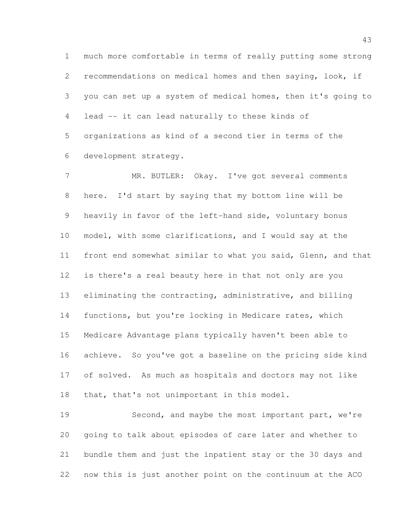much more comfortable in terms of really putting some strong recommendations on medical homes and then saying, look, if you can set up a system of medical homes, then it's going to lead -- it can lead naturally to these kinds of organizations as kind of a second tier in terms of the development strategy.

 MR. BUTLER: Okay. I've got several comments here. I'd start by saying that my bottom line will be heavily in favor of the left-hand side, voluntary bonus model, with some clarifications, and I would say at the front end somewhat similar to what you said, Glenn, and that is there's a real beauty here in that not only are you eliminating the contracting, administrative, and billing functions, but you're locking in Medicare rates, which Medicare Advantage plans typically haven't been able to achieve. So you've got a baseline on the pricing side kind of solved. As much as hospitals and doctors may not like that, that's not unimportant in this model.

 Second, and maybe the most important part, we're going to talk about episodes of care later and whether to bundle them and just the inpatient stay or the 30 days and now this is just another point on the continuum at the ACO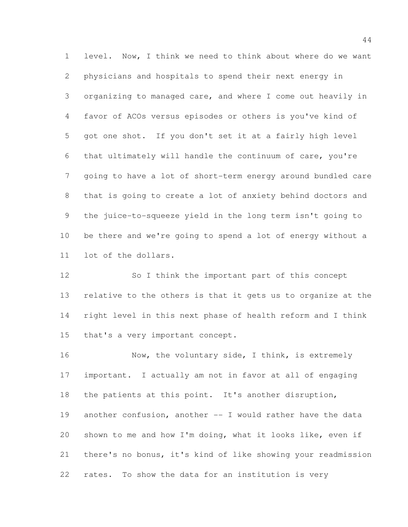level. Now, I think we need to think about where do we want physicians and hospitals to spend their next energy in organizing to managed care, and where I come out heavily in favor of ACOs versus episodes or others is you've kind of got one shot. If you don't set it at a fairly high level that ultimately will handle the continuum of care, you're going to have a lot of short-term energy around bundled care that is going to create a lot of anxiety behind doctors and the juice-to-squeeze yield in the long term isn't going to be there and we're going to spend a lot of energy without a lot of the dollars.

 So I think the important part of this concept relative to the others is that it gets us to organize at the right level in this next phase of health reform and I think that's a very important concept.

16 Now, the voluntary side, I think, is extremely important. I actually am not in favor at all of engaging the patients at this point. It's another disruption, another confusion, another -- I would rather have the data shown to me and how I'm doing, what it looks like, even if there's no bonus, it's kind of like showing your readmission rates. To show the data for an institution is very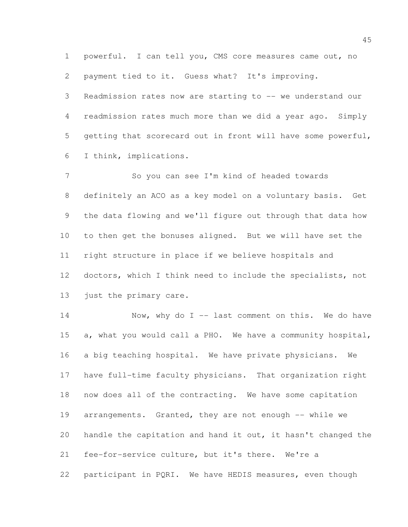powerful. I can tell you, CMS core measures came out, no payment tied to it. Guess what? It's improving. Readmission rates now are starting to -- we understand our readmission rates much more than we did a year ago. Simply getting that scorecard out in front will have some powerful, I think, implications.

 So you can see I'm kind of headed towards definitely an ACO as a key model on a voluntary basis. Get the data flowing and we'll figure out through that data how to then get the bonuses aligned. But we will have set the right structure in place if we believe hospitals and doctors, which I think need to include the specialists, not 13 just the primary care.

14 Now, why do I -- last comment on this. We do have a, what you would call a PHO. We have a community hospital, a big teaching hospital. We have private physicians. We have full-time faculty physicians. That organization right now does all of the contracting. We have some capitation 19 arrangements. Granted, they are not enough -- while we handle the capitation and hand it out, it hasn't changed the fee-for-service culture, but it's there. We're a participant in PQRI. We have HEDIS measures, even though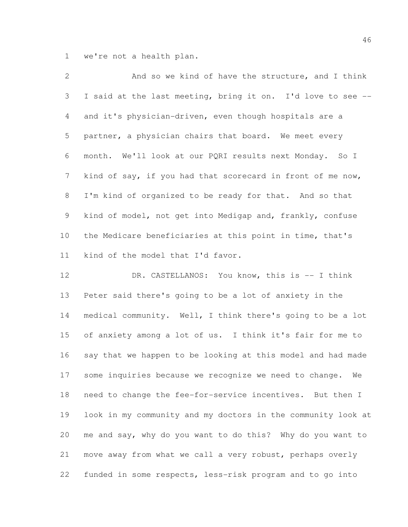we're not a health plan.

| $\overline{2}$  | And so we kind of have the structure, and I think           |
|-----------------|-------------------------------------------------------------|
| 3 <sup>7</sup>  | I said at the last meeting, bring it on. I'd love to see -- |
| $4\overline{ }$ | and it's physician-driven, even though hospitals are a      |
| 5               | partner, a physician chairs that board. We meet every       |
| 6               | month. We'll look at our PQRI results next Monday. So I     |
| $7\overline{ }$ | kind of say, if you had that scorecard in front of me now,  |
| 8               | I'm kind of organized to be ready for that. And so that     |
| 9               | kind of model, not get into Medigap and, frankly, confuse   |
| 10              | the Medicare beneficiaries at this point in time, that's    |
| 11              | kind of the model that I'd favor.                           |

12 DR. CASTELLANOS: You know, this is -- I think Peter said there's going to be a lot of anxiety in the medical community. Well, I think there's going to be a lot of anxiety among a lot of us. I think it's fair for me to say that we happen to be looking at this model and had made some inquiries because we recognize we need to change. We need to change the fee-for-service incentives. But then I look in my community and my doctors in the community look at me and say, why do you want to do this? Why do you want to move away from what we call a very robust, perhaps overly funded in some respects, less-risk program and to go into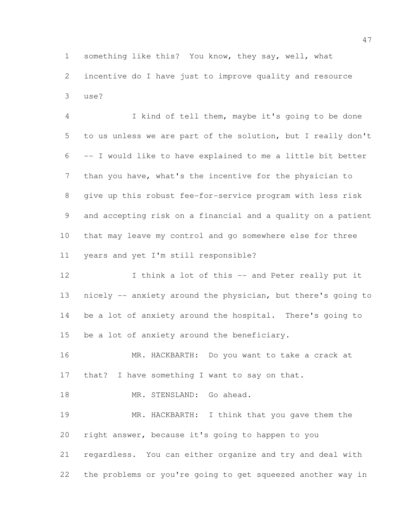something like this? You know, they say, well, what incentive do I have just to improve quality and resource use?

 I kind of tell them, maybe it's going to be done to us unless we are part of the solution, but I really don't -- I would like to have explained to me a little bit better than you have, what's the incentive for the physician to give up this robust fee-for-service program with less risk and accepting risk on a financial and a quality on a patient that may leave my control and go somewhere else for three years and yet I'm still responsible?

12 I think a lot of this -- and Peter really put it nicely -- anxiety around the physician, but there's going to be a lot of anxiety around the hospital. There's going to be a lot of anxiety around the beneficiary.

 MR. HACKBARTH: Do you want to take a crack at 17 that? I have something I want to say on that.

18 MR. STENSLAND: Go ahead.

 MR. HACKBARTH: I think that you gave them the right answer, because it's going to happen to you regardless. You can either organize and try and deal with the problems or you're going to get squeezed another way in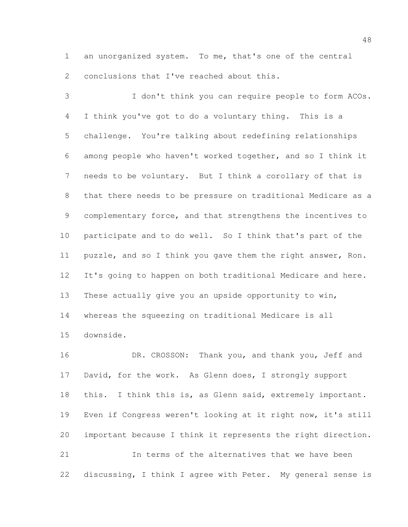an unorganized system. To me, that's one of the central 2 conclusions that I've reached about this.

 I don't think you can require people to form ACOs. I think you've got to do a voluntary thing. This is a challenge. You're talking about redefining relationships among people who haven't worked together, and so I think it needs to be voluntary. But I think a corollary of that is that there needs to be pressure on traditional Medicare as a complementary force, and that strengthens the incentives to participate and to do well. So I think that's part of the puzzle, and so I think you gave them the right answer, Ron. It's going to happen on both traditional Medicare and here. These actually give you an upside opportunity to win, whereas the squeezing on traditional Medicare is all downside.

16 DR. CROSSON: Thank you, and thank you, Jeff and 17 David, for the work. As Glenn does, I strongly support 18 this. I think this is, as Glenn said, extremely important. Even if Congress weren't looking at it right now, it's still important because I think it represents the right direction. In terms of the alternatives that we have been discussing, I think I agree with Peter. My general sense is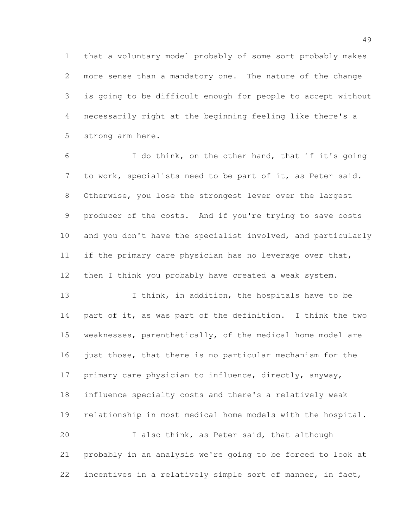that a voluntary model probably of some sort probably makes more sense than a mandatory one. The nature of the change is going to be difficult enough for people to accept without necessarily right at the beginning feeling like there's a strong arm here.

 I do think, on the other hand, that if it's going to work, specialists need to be part of it, as Peter said. Otherwise, you lose the strongest lever over the largest producer of the costs. And if you're trying to save costs and you don't have the specialist involved, and particularly if the primary care physician has no leverage over that, then I think you probably have created a weak system.

13 I think, in addition, the hospitals have to be part of it, as was part of the definition. I think the two weaknesses, parenthetically, of the medical home model are just those, that there is no particular mechanism for the 17 primary care physician to influence, directly, anyway, influence specialty costs and there's a relatively weak relationship in most medical home models with the hospital. I also think, as Peter said, that although probably in an analysis we're going to be forced to look at

incentives in a relatively simple sort of manner, in fact,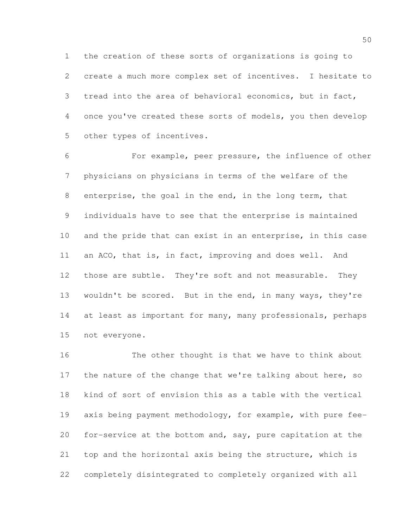the creation of these sorts of organizations is going to create a much more complex set of incentives. I hesitate to tread into the area of behavioral economics, but in fact, once you've created these sorts of models, you then develop other types of incentives.

 For example, peer pressure, the influence of other physicians on physicians in terms of the welfare of the enterprise, the goal in the end, in the long term, that individuals have to see that the enterprise is maintained and the pride that can exist in an enterprise, in this case an ACO, that is, in fact, improving and does well. And those are subtle. They're soft and not measurable. They wouldn't be scored. But in the end, in many ways, they're 14 at least as important for many, many professionals, perhaps not everyone.

 The other thought is that we have to think about 17 the nature of the change that we're talking about here, so kind of sort of envision this as a table with the vertical axis being payment methodology, for example, with pure fee- for-service at the bottom and, say, pure capitation at the top and the horizontal axis being the structure, which is completely disintegrated to completely organized with all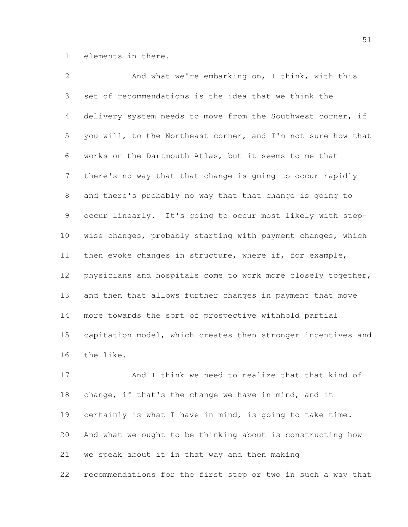elements in there.

 And what we're embarking on, I think, with this set of recommendations is the idea that we think the delivery system needs to move from the Southwest corner, if you will, to the Northeast corner, and I'm not sure how that works on the Dartmouth Atlas, but it seems to me that there's no way that that change is going to occur rapidly and there's probably no way that that change is going to occur linearly. It's going to occur most likely with step- wise changes, probably starting with payment changes, which then evoke changes in structure, where if, for example, physicians and hospitals come to work more closely together, and then that allows further changes in payment that move more towards the sort of prospective withhold partial capitation model, which creates then stronger incentives and the like.

 And I think we need to realize that that kind of change, if that's the change we have in mind, and it certainly is what I have in mind, is going to take time. And what we ought to be thinking about is constructing how we speak about it in that way and then making recommendations for the first step or two in such a way that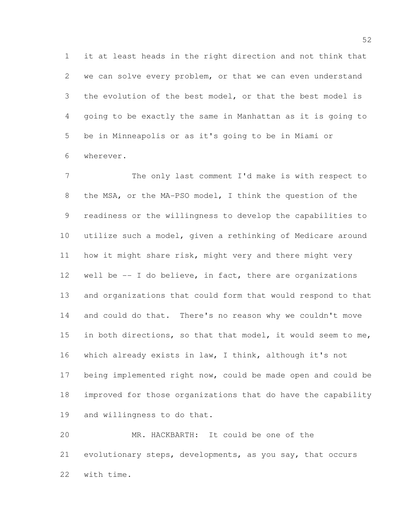it at least heads in the right direction and not think that we can solve every problem, or that we can even understand the evolution of the best model, or that the best model is going to be exactly the same in Manhattan as it is going to be in Minneapolis or as it's going to be in Miami or wherever.

7 The only last comment I'd make is with respect to the MSA, or the MA-PSO model, I think the question of the readiness or the willingness to develop the capabilities to utilize such a model, given a rethinking of Medicare around how it might share risk, might very and there might very well be -- I do believe, in fact, there are organizations and organizations that could form that would respond to that 14 and could do that. There's no reason why we couldn't move 15 in both directions, so that that model, it would seem to me, which already exists in law, I think, although it's not being implemented right now, could be made open and could be improved for those organizations that do have the capability and willingness to do that.

 MR. HACKBARTH: It could be one of the evolutionary steps, developments, as you say, that occurs with time.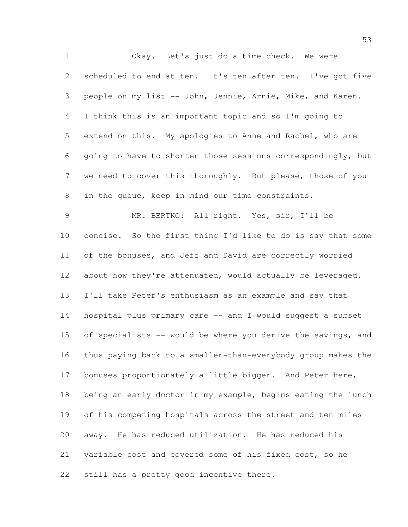Okay. Let's just do a time check. We were scheduled to end at ten. It's ten after ten. I've got five people on my list -- John, Jennie, Arnie, Mike, and Karen. I think this is an important topic and so I'm going to extend on this. My apologies to Anne and Rachel, who are going to have to shorten those sessions correspondingly, but we need to cover this thoroughly. But please, those of you in the queue, keep in mind our time constraints. MR. BERTKO: All right. Yes, sir, I'll be concise. So the first thing I'd like to do is say that some of the bonuses, and Jeff and David are correctly worried 12 about how they're attenuated, would actually be leveraged. I'll take Peter's enthusiasm as an example and say that hospital plus primary care -- and I would suggest a subset 15 of specialists -- would be where you derive the savings, and thus paying back to a smaller-than-everybody group makes the bonuses proportionately a little bigger. And Peter here, being an early doctor in my example, begins eating the lunch of his competing hospitals across the street and ten miles away. He has reduced utilization. He has reduced his

variable cost and covered some of his fixed cost, so he

still has a pretty good incentive there.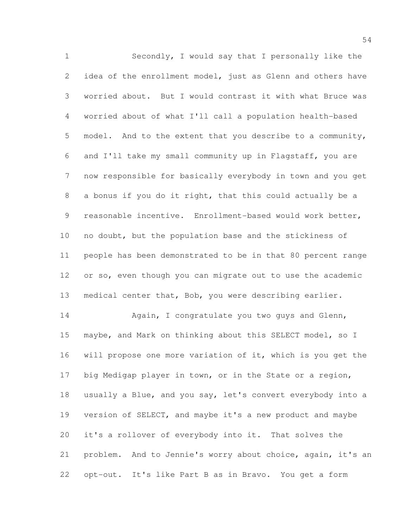Secondly, I would say that I personally like the idea of the enrollment model, just as Glenn and others have worried about. But I would contrast it with what Bruce was worried about of what I'll call a population health-based model. And to the extent that you describe to a community, and I'll take my small community up in Flagstaff, you are now responsible for basically everybody in town and you get a bonus if you do it right, that this could actually be a reasonable incentive. Enrollment-based would work better, no doubt, but the population base and the stickiness of people has been demonstrated to be in that 80 percent range or so, even though you can migrate out to use the academic medical center that, Bob, you were describing earlier. 14 Again, I congratulate you two guys and Glenn, maybe, and Mark on thinking about this SELECT model, so I will propose one more variation of it, which is you get the big Medigap player in town, or in the State or a region, usually a Blue, and you say, let's convert everybody into a version of SELECT, and maybe it's a new product and maybe it's a rollover of everybody into it. That solves the

 problem. And to Jennie's worry about choice, again, it's an opt-out. It's like Part B as in Bravo. You get a form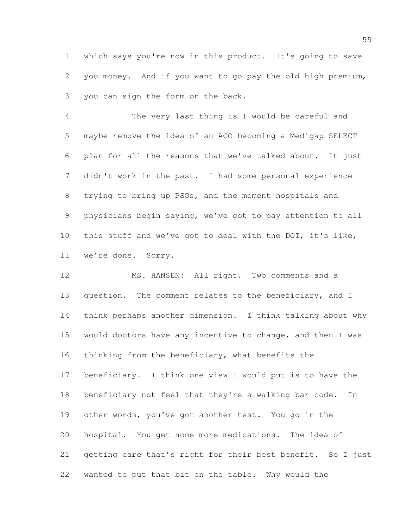which says you're now in this product. It's going to save you money. And if you want to go pay the old high premium, you can sign the form on the back.

 The very last thing is I would be careful and maybe remove the idea of an ACO becoming a Medigap SELECT plan for all the reasons that we've talked about. It just didn't work in the past. I had some personal experience trying to bring up PSOs, and the moment hospitals and physicians begin saying, we've got to pay attention to all this stuff and we've got to deal with the DOI, it's like, we're done. Sorry.

12 MS. HANSEN: All right. Two comments and a 13 question. The comment relates to the beneficiary, and I think perhaps another dimension. I think talking about why 15 would doctors have any incentive to change, and then I was thinking from the beneficiary, what benefits the beneficiary. I think one view I would put is to have the beneficiary not feel that they're a walking bar code. In other words, you've got another test. You go in the hospital. You get some more medications. The idea of getting care that's right for their best benefit. So I just wanted to put that bit on the table. Why would the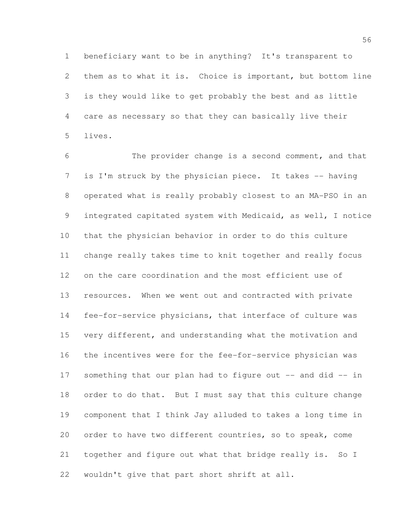beneficiary want to be in anything? It's transparent to them as to what it is. Choice is important, but bottom line is they would like to get probably the best and as little care as necessary so that they can basically live their lives.

 The provider change is a second comment, and that is I'm struck by the physician piece. It takes -- having operated what is really probably closest to an MA-PSO in an integrated capitated system with Medicaid, as well, I notice that the physician behavior in order to do this culture change really takes time to knit together and really focus on the care coordination and the most efficient use of resources. When we went out and contracted with private fee-for-service physicians, that interface of culture was very different, and understanding what the motivation and the incentives were for the fee-for-service physician was something that our plan had to figure out -- and did -- in 18 order to do that. But I must say that this culture change component that I think Jay alluded to takes a long time in order to have two different countries, so to speak, come together and figure out what that bridge really is. So I wouldn't give that part short shrift at all.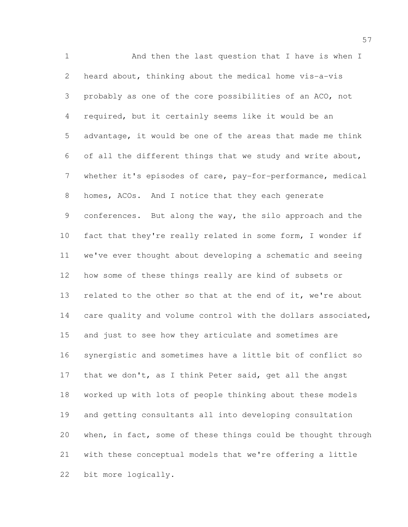1 And then the last question that I have is when I heard about, thinking about the medical home vis-a-vis probably as one of the core possibilities of an ACO, not required, but it certainly seems like it would be an advantage, it would be one of the areas that made me think of all the different things that we study and write about, whether it's episodes of care, pay-for-performance, medical homes, ACOs. And I notice that they each generate conferences. But along the way, the silo approach and the fact that they're really related in some form, I wonder if we've ever thought about developing a schematic and seeing how some of these things really are kind of subsets or 13 related to the other so that at the end of it, we're about 14 care quality and volume control with the dollars associated, and just to see how they articulate and sometimes are synergistic and sometimes have a little bit of conflict so 17 that we don't, as I think Peter said, get all the angst worked up with lots of people thinking about these models and getting consultants all into developing consultation when, in fact, some of these things could be thought through with these conceptual models that we're offering a little bit more logically.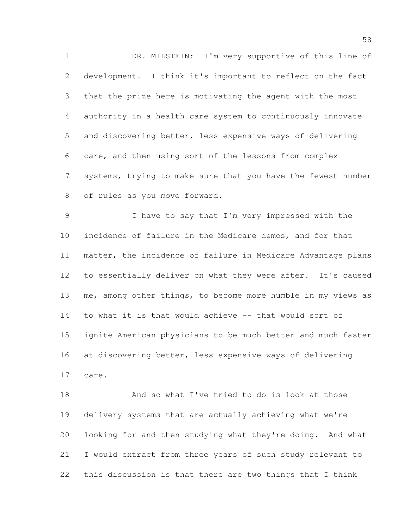DR. MILSTEIN: I'm very supportive of this line of development. I think it's important to reflect on the fact that the prize here is motivating the agent with the most authority in a health care system to continuously innovate and discovering better, less expensive ways of delivering care, and then using sort of the lessons from complex systems, trying to make sure that you have the fewest number of rules as you move forward.

 I have to say that I'm very impressed with the incidence of failure in the Medicare demos, and for that matter, the incidence of failure in Medicare Advantage plans to essentially deliver on what they were after. It's caused me, among other things, to become more humble in my views as to what it is that would achieve -- that would sort of ignite American physicians to be much better and much faster at discovering better, less expensive ways of delivering care.

 And so what I've tried to do is look at those delivery systems that are actually achieving what we're looking for and then studying what they're doing. And what I would extract from three years of such study relevant to this discussion is that there are two things that I think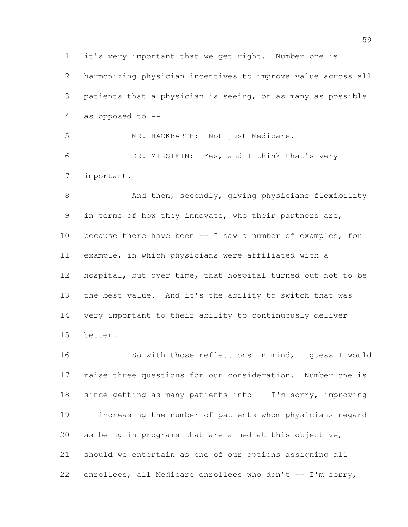harmonizing physician incentives to improve value across all patients that a physician is seeing, or as many as possible as opposed to --

 MR. HACKBARTH: Not just Medicare. DR. MILSTEIN: Yes, and I think that's very important.

it's very important that we get right. Number one is

8 And then, secondly, giving physicians flexibility in terms of how they innovate, who their partners are, because there have been -- I saw a number of examples, for example, in which physicians were affiliated with a hospital, but over time, that hospital turned out not to be the best value. And it's the ability to switch that was very important to their ability to continuously deliver better.

 So with those reflections in mind, I guess I would raise three questions for our consideration. Number one is since getting as many patients into -- I'm sorry, improving -- increasing the number of patients whom physicians regard as being in programs that are aimed at this objective, should we entertain as one of our options assigning all enrollees, all Medicare enrollees who don't -- I'm sorry,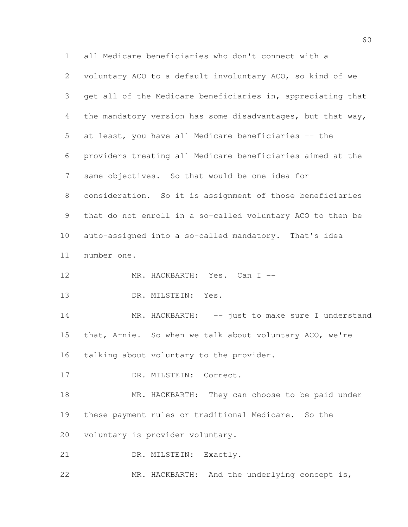all Medicare beneficiaries who don't connect with a voluntary ACO to a default involuntary ACO, so kind of we get all of the Medicare beneficiaries in, appreciating that the mandatory version has some disadvantages, but that way, at least, you have all Medicare beneficiaries -- the providers treating all Medicare beneficiaries aimed at the same objectives. So that would be one idea for consideration. So it is assignment of those beneficiaries that do not enroll in a so-called voluntary ACO to then be auto-assigned into a so-called mandatory. That's idea number one. 12 MR. HACKBARTH: Yes. Can I -- DR. MILSTEIN: Yes. 14 MR. HACKBARTH: -- just to make sure I understand that, Arnie. So when we talk about voluntary ACO, we're 16 talking about voluntary to the provider. 17 DR. MILSTEIN: Correct. 18 MR. HACKBARTH: They can choose to be paid under these payment rules or traditional Medicare. So the voluntary is provider voluntary. 21 DR. MILSTEIN: Exactly. MR. HACKBARTH: And the underlying concept is,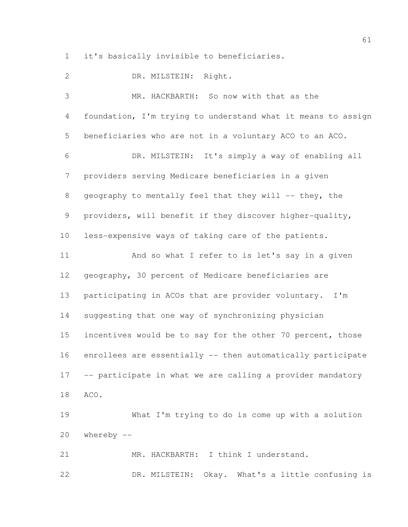it's basically invisible to beneficiaries.

 DR. MILSTEIN: Right. MR. HACKBARTH: So now with that as the foundation, I'm trying to understand what it means to assign beneficiaries who are not in a voluntary ACO to an ACO. DR. MILSTEIN: It's simply a way of enabling all providers serving Medicare beneficiaries in a given 8 geography to mentally feel that they will -- they, the providers, will benefit if they discover higher-quality, less-expensive ways of taking care of the patients. And so what I refer to is let's say in a given geography, 30 percent of Medicare beneficiaries are participating in ACOs that are provider voluntary. I'm suggesting that one way of synchronizing physician 15 incentives would be to say for the other 70 percent, those enrollees are essentially -- then automatically participate -- participate in what we are calling a provider mandatory ACO. What I'm trying to do is come up with a solution whereby -- MR. HACKBARTH: I think I understand. DR. MILSTEIN: Okay. What's a little confusing is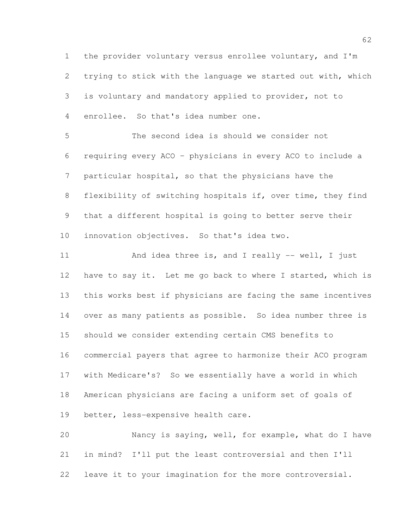the provider voluntary versus enrollee voluntary, and I'm trying to stick with the language we started out with, which is voluntary and mandatory applied to provider, not to enrollee. So that's idea number one.

 The second idea is should we consider not requiring every ACO – physicians in every ACO to include a particular hospital, so that the physicians have the flexibility of switching hospitals if, over time, they find that a different hospital is going to better serve their innovation objectives. So that's idea two.

11 And idea three is, and I really -- well, I just 12 have to say it. Let me go back to where I started, which is this works best if physicians are facing the same incentives over as many patients as possible. So idea number three is should we consider extending certain CMS benefits to commercial payers that agree to harmonize their ACO program with Medicare's? So we essentially have a world in which American physicians are facing a uniform set of goals of better, less-expensive health care.

 Nancy is saying, well, for example, what do I have in mind? I'll put the least controversial and then I'll leave it to your imagination for the more controversial.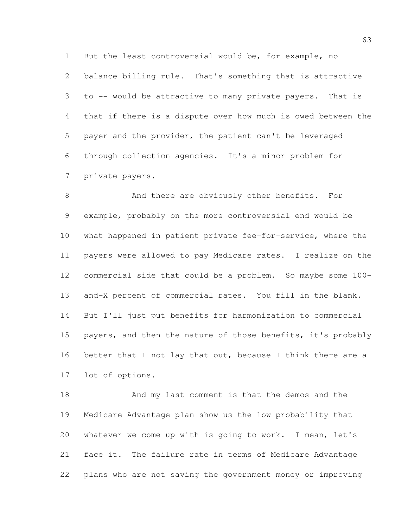But the least controversial would be, for example, no balance billing rule. That's something that is attractive to -- would be attractive to many private payers. That is that if there is a dispute over how much is owed between the payer and the provider, the patient can't be leveraged through collection agencies. It's a minor problem for private payers.

8 And there are obviously other benefits. For example, probably on the more controversial end would be what happened in patient private fee-for-service, where the payers were allowed to pay Medicare rates. I realize on the commercial side that could be a problem. So maybe some 100- and-X percent of commercial rates. You fill in the blank. But I'll just put benefits for harmonization to commercial 15 payers, and then the nature of those benefits, it's probably 16 better that I not lay that out, because I think there are a lot of options.

 And my last comment is that the demos and the Medicare Advantage plan show us the low probability that whatever we come up with is going to work. I mean, let's face it. The failure rate in terms of Medicare Advantage plans who are not saving the government money or improving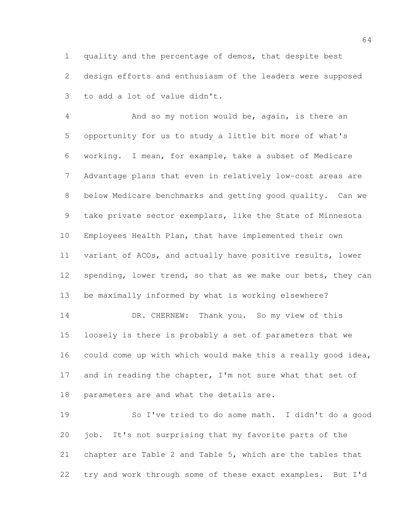quality and the percentage of demos, that despite best design efforts and enthusiasm of the leaders were supposed to add a lot of value didn't.

 And so my notion would be, again, is there an opportunity for us to study a little bit more of what's working. I mean, for example, take a subset of Medicare Advantage plans that even in relatively low-cost areas are below Medicare benchmarks and getting good quality. Can we take private sector exemplars, like the State of Minnesota Employees Health Plan, that have implemented their own variant of ACOs, and actually have positive results, lower 12 spending, lower trend, so that as we make our bets, they can be maximally informed by what is working elsewhere?

 DR. CHERNEW: Thank you. So my view of this loosely is there is probably a set of parameters that we could come up with which would make this a really good idea, 17 and in reading the chapter, I'm not sure what that set of parameters are and what the details are.

 So I've tried to do some math. I didn't do a good job. It's not surprising that my favorite parts of the chapter are Table 2 and Table 5, which are the tables that try and work through some of these exact examples. But I'd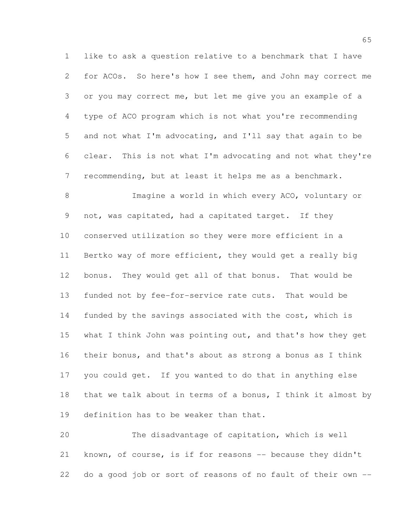like to ask a question relative to a benchmark that I have for ACOs. So here's how I see them, and John may correct me or you may correct me, but let me give you an example of a type of ACO program which is not what you're recommending and not what I'm advocating, and I'll say that again to be clear. This is not what I'm advocating and not what they're recommending, but at least it helps me as a benchmark.

 Imagine a world in which every ACO, voluntary or 9 not, was capitated, had a capitated target. If they conserved utilization so they were more efficient in a Bertko way of more efficient, they would get a really big bonus. They would get all of that bonus. That would be funded not by fee-for-service rate cuts. That would be funded by the savings associated with the cost, which is what I think John was pointing out, and that's how they get their bonus, and that's about as strong a bonus as I think you could get. If you wanted to do that in anything else that we talk about in terms of a bonus, I think it almost by definition has to be weaker than that.

 The disadvantage of capitation, which is well 21 known, of course, is if for reasons -- because they didn't do a good job or sort of reasons of no fault of their own --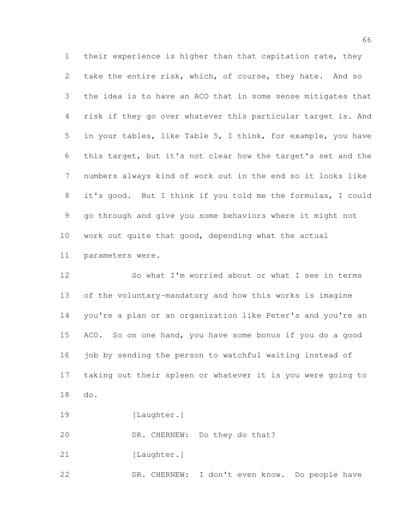their experience is higher than that capitation rate, they take the entire risk, which, of course, they hate. And so the idea is to have an ACO that in some sense mitigates that risk if they go over whatever this particular target is. And in your tables, like Table 5, I think, for example, you have this target, but it's not clear how the target's set and the numbers always kind of work out in the end so it looks like it's good. But I think if you told me the formulas, I could go through and give you some behaviors where it might not work out quite that good, depending what the actual parameters were.

 So what I'm worried about or what I see in terms of the voluntary-mandatory and how this works is imagine you're a plan or an organization like Peter's and you're an ACO. So on one hand, you have some bonus if you do a good 16 job by sending the person to watchful waiting instead of taking out their spleen or whatever it is you were going to do.

19 [Laughter.]

DR. CHERNEW: Do they do that?

21 [Laughter.]

DR. CHERNEW: I don't even know. Do people have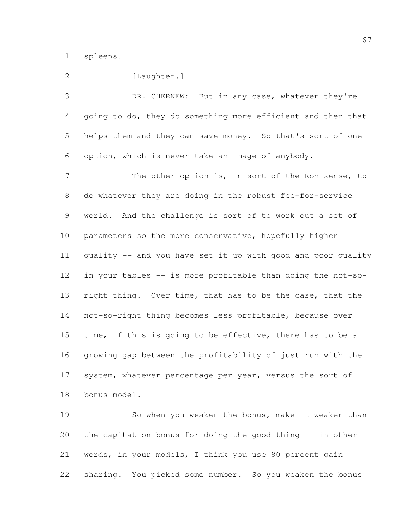spleens?

| $\overline{2}$ | [Laughter.]                                                  |
|----------------|--------------------------------------------------------------|
| 3              | DR. CHERNEW: But in any case, whatever they're               |
| $\overline{4}$ | going to do, they do something more efficient and then that  |
| 5              | helps them and they can save money. So that's sort of one    |
| 6              | option, which is never take an image of anybody.             |
| 7              | The other option is, in sort of the Ron sense, to            |
| 8              | do whatever they are doing in the robust fee-for-service     |
| 9              | world. And the challenge is sort of to work out a set of     |
| 10             | parameters so the more conservative, hopefully higher        |
| 11             | quality -- and you have set it up with good and poor quality |
| 12             | in your tables -- is more profitable than doing the not-so-  |
| 13             | right thing. Over time, that has to be the case, that the    |
| 14             | not-so-right thing becomes less profitable, because over     |
| 15             | time, if this is going to be effective, there has to be a    |
| 16             | growing gap between the profitability of just run with the   |
| 17             | system, whatever percentage per year, versus the sort of     |
| 18             | bonus model.                                                 |
| 19             | So when you weaken the bonus, make it weaker than            |
| 20             | the capitation bonus for doing the good thing -- in other    |

 words, in your models, I think you use 80 percent gain sharing. You picked some number. So you weaken the bonus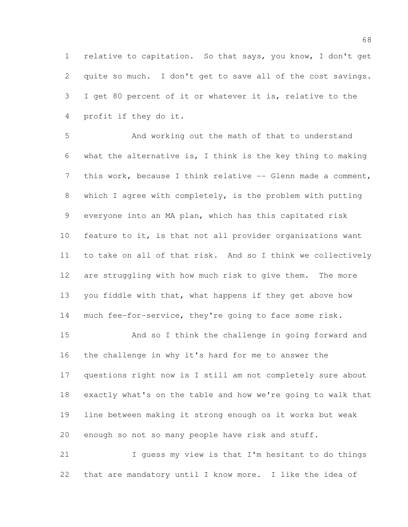relative to capitation. So that says, you know, I don't get quite so much. I don't get to save all of the cost savings. I get 80 percent of it or whatever it is, relative to the profit if they do it.

 And working out the math of that to understand what the alternative is, I think is the key thing to making 7 this work, because I think relative -- Glenn made a comment, which I agree with completely, is the problem with putting everyone into an MA plan, which has this capitated risk feature to it, is that not all provider organizations want to take on all of that risk. And so I think we collectively are struggling with how much risk to give them. The more you fiddle with that, what happens if they get above how much fee-for-service, they're going to face some risk.

 And so I think the challenge in going forward and the challenge in why it's hard for me to answer the questions right now is I still am not completely sure about exactly what's on the table and how we're going to walk that line between making it strong enough os it works but weak enough so not so many people have risk and stuff.

 I guess my view is that I'm hesitant to do things that are mandatory until I know more. I like the idea of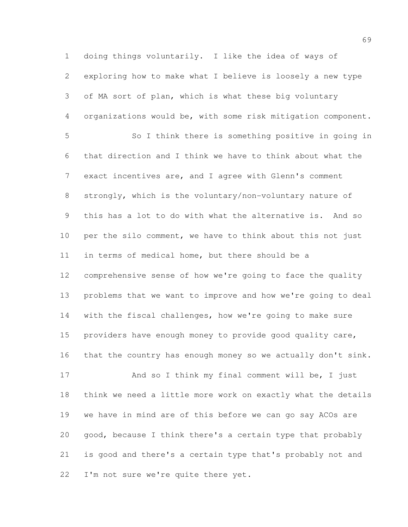doing things voluntarily. I like the idea of ways of exploring how to make what I believe is loosely a new type of MA sort of plan, which is what these big voluntary organizations would be, with some risk mitigation component. So I think there is something positive in going in

 that direction and I think we have to think about what the exact incentives are, and I agree with Glenn's comment strongly, which is the voluntary/non-voluntary nature of this has a lot to do with what the alternative is. And so per the silo comment, we have to think about this not just in terms of medical home, but there should be a comprehensive sense of how we're going to face the quality problems that we want to improve and how we're going to deal with the fiscal challenges, how we're going to make sure providers have enough money to provide good quality care, that the country has enough money so we actually don't sink.

17 And so I think my final comment will be, I just think we need a little more work on exactly what the details we have in mind are of this before we can go say ACOs are good, because I think there's a certain type that probably is good and there's a certain type that's probably not and 22 I'm not sure we're quite there yet.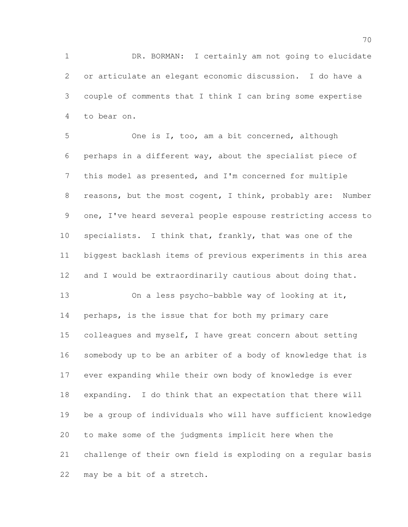DR. BORMAN: I certainly am not going to elucidate or articulate an elegant economic discussion. I do have a couple of comments that I think I can bring some expertise to bear on.

 One is I, too, am a bit concerned, although perhaps in a different way, about the specialist piece of this model as presented, and I'm concerned for multiple reasons, but the most cogent, I think, probably are: Number one, I've heard several people espouse restricting access to specialists. I think that, frankly, that was one of the biggest backlash items of previous experiments in this area and I would be extraordinarily cautious about doing that. On a less psycho-babble way of looking at it,

 perhaps, is the issue that for both my primary care 15 colleagues and myself, I have great concern about setting somebody up to be an arbiter of a body of knowledge that is ever expanding while their own body of knowledge is ever expanding. I do think that an expectation that there will be a group of individuals who will have sufficient knowledge to make some of the judgments implicit here when the challenge of their own field is exploding on a regular basis may be a bit of a stretch.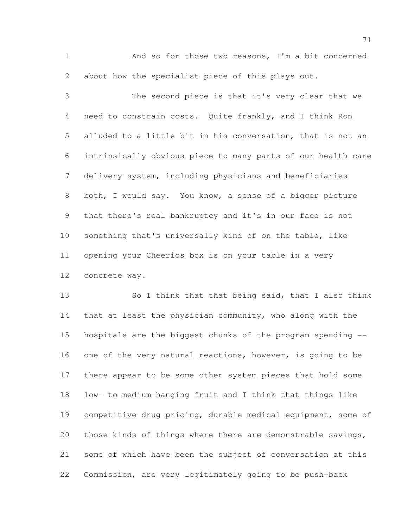And so for those two reasons, I'm a bit concerned about how the specialist piece of this plays out.

 The second piece is that it's very clear that we need to constrain costs. Quite frankly, and I think Ron alluded to a little bit in his conversation, that is not an intrinsically obvious piece to many parts of our health care delivery system, including physicians and beneficiaries both, I would say. You know, a sense of a bigger picture that there's real bankruptcy and it's in our face is not something that's universally kind of on the table, like opening your Cheerios box is on your table in a very concrete way.

13 So I think that that being said, that I also think that at least the physician community, who along with the hospitals are the biggest chunks of the program spending -- 16 one of the very natural reactions, however, is going to be there appear to be some other system pieces that hold some low- to medium-hanging fruit and I think that things like competitive drug pricing, durable medical equipment, some of those kinds of things where there are demonstrable savings, some of which have been the subject of conversation at this Commission, are very legitimately going to be push-back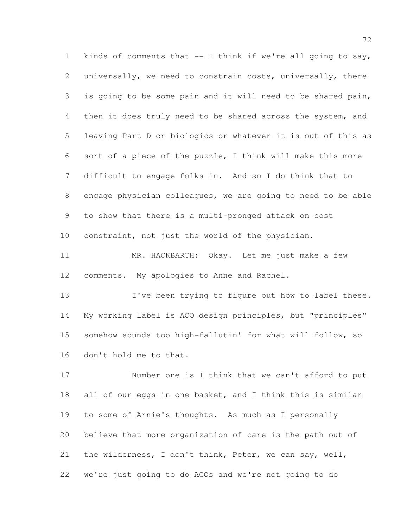kinds of comments that -- I think if we're all going to say, universally, we need to constrain costs, universally, there is going to be some pain and it will need to be shared pain, then it does truly need to be shared across the system, and leaving Part D or biologics or whatever it is out of this as sort of a piece of the puzzle, I think will make this more difficult to engage folks in. And so I do think that to engage physician colleagues, we are going to need to be able to show that there is a multi-pronged attack on cost constraint, not just the world of the physician.

 MR. HACKBARTH: Okay. Let me just make a few comments. My apologies to Anne and Rachel.

13 I've been trying to figure out how to label these. My working label is ACO design principles, but "principles" somehow sounds too high-fallutin' for what will follow, so don't hold me to that.

 Number one is I think that we can't afford to put 18 all of our eggs in one basket, and I think this is similar to some of Arnie's thoughts. As much as I personally believe that more organization of care is the path out of the wilderness, I don't think, Peter, we can say, well, we're just going to do ACOs and we're not going to do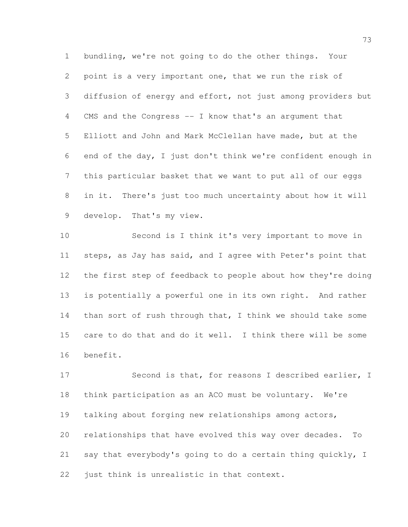bundling, we're not going to do the other things. Your point is a very important one, that we run the risk of diffusion of energy and effort, not just among providers but CMS and the Congress -- I know that's an argument that Elliott and John and Mark McClellan have made, but at the end of the day, I just don't think we're confident enough in this particular basket that we want to put all of our eggs in it. There's just too much uncertainty about how it will develop. That's my view.

 Second is I think it's very important to move in steps, as Jay has said, and I agree with Peter's point that the first step of feedback to people about how they're doing is potentially a powerful one in its own right. And rather 14 than sort of rush through that, I think we should take some care to do that and do it well. I think there will be some benefit.

 Second is that, for reasons I described earlier, I think participation as an ACO must be voluntary. We're talking about forging new relationships among actors, relationships that have evolved this way over decades. To say that everybody's going to do a certain thing quickly, I just think is unrealistic in that context.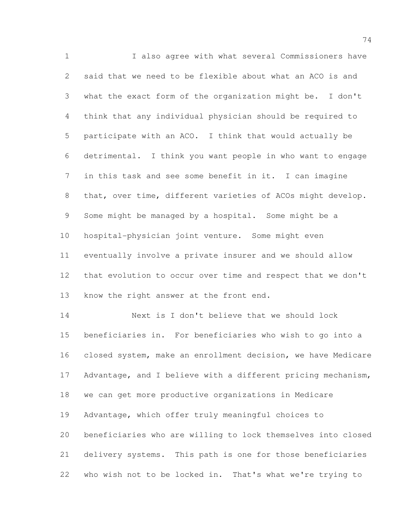I also agree with what several Commissioners have said that we need to be flexible about what an ACO is and what the exact form of the organization might be. I don't think that any individual physician should be required to participate with an ACO. I think that would actually be detrimental. I think you want people in who want to engage in this task and see some benefit in it. I can imagine that, over time, different varieties of ACOs might develop. Some might be managed by a hospital. Some might be a hospital-physician joint venture. Some might even eventually involve a private insurer and we should allow that evolution to occur over time and respect that we don't 13 know the right answer at the front end. Next is I don't believe that we should lock beneficiaries in. For beneficiaries who wish to go into a closed system, make an enrollment decision, we have Medicare Advantage, and I believe with a different pricing mechanism, we can get more productive organizations in Medicare Advantage, which offer truly meaningful choices to

 beneficiaries who are willing to lock themselves into closed delivery systems. This path is one for those beneficiaries who wish not to be locked in. That's what we're trying to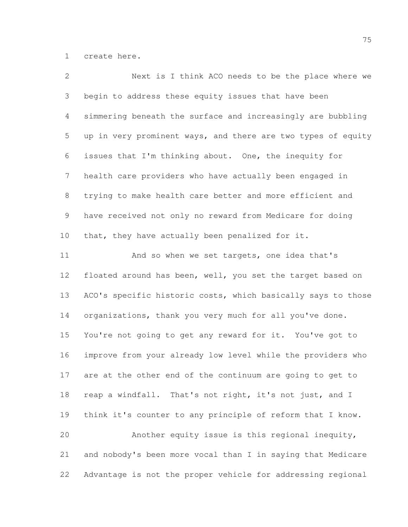create here.

| 2               | Next is I think ACO needs to be the place where we           |
|-----------------|--------------------------------------------------------------|
| 3               | begin to address these equity issues that have been          |
| 4               | simmering beneath the surface and increasingly are bubbling  |
| 5               | up in very prominent ways, and there are two types of equity |
| 6               | issues that I'm thinking about. One, the inequity for        |
| $7\phantom{.0}$ | health care providers who have actually been engaged in      |
| $8\,$           | trying to make health care better and more efficient and     |
| $\mathsf 9$     | have received not only no reward from Medicare for doing     |
| 10              | that, they have actually been penalized for it.              |
| 11              | And so when we set targets, one idea that's                  |
| 12              | floated around has been, well, you set the target based on   |
| 13              | ACO's specific historic costs, which basically says to those |
| 14              | organizations, thank you very much for all you've done.      |
| 15              | You're not going to get any reward for it. You've got to     |
| 16              | improve from your already low level while the providers who  |
| 17              | are at the other end of the continuum are going to get to    |
| 18              | reap a windfall. That's not right, it's not just, and I      |
| 19              | think it's counter to any principle of reform that I know.   |
| 20              | Another equity issue is this regional inequity,              |
| 21              | and nobody's been more vocal than I in saying that Medicare  |
| 22              | Advantage is not the proper vehicle for addressing regional  |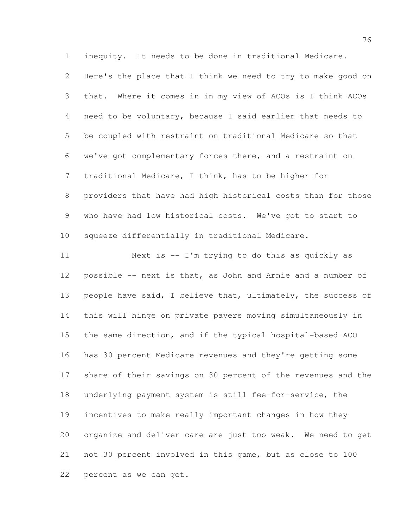inequity. It needs to be done in traditional Medicare.

 Here's the place that I think we need to try to make good on that. Where it comes in in my view of ACOs is I think ACOs need to be voluntary, because I said earlier that needs to be coupled with restraint on traditional Medicare so that we've got complementary forces there, and a restraint on traditional Medicare, I think, has to be higher for providers that have had high historical costs than for those who have had low historical costs. We've got to start to squeeze differentially in traditional Medicare.

 Next is -- I'm trying to do this as quickly as possible -- next is that, as John and Arnie and a number of 13 people have said, I believe that, ultimately, the success of this will hinge on private payers moving simultaneously in the same direction, and if the typical hospital-based ACO has 30 percent Medicare revenues and they're getting some share of their savings on 30 percent of the revenues and the underlying payment system is still fee-for-service, the incentives to make really important changes in how they organize and deliver care are just too weak. We need to get not 30 percent involved in this game, but as close to 100 percent as we can get.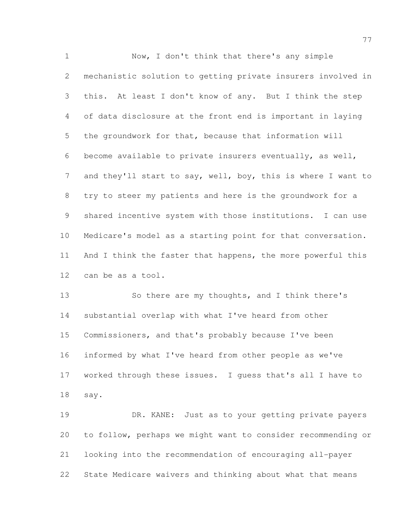1 Now, I don't think that there's any simple mechanistic solution to getting private insurers involved in this. At least I don't know of any. But I think the step of data disclosure at the front end is important in laying the groundwork for that, because that information will become available to private insurers eventually, as well, 7 and they'll start to say, well, boy, this is where I want to try to steer my patients and here is the groundwork for a shared incentive system with those institutions. I can use Medicare's model as a starting point for that conversation. 11 And I think the faster that happens, the more powerful this can be as a tool.

 So there are my thoughts, and I think there's substantial overlap with what I've heard from other Commissioners, and that's probably because I've been informed by what I've heard from other people as we've worked through these issues. I guess that's all I have to say.

 DR. KANE: Just as to your getting private payers to follow, perhaps we might want to consider recommending or looking into the recommendation of encouraging all-payer State Medicare waivers and thinking about what that means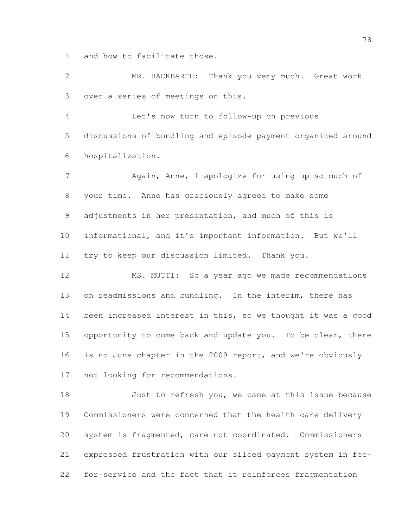and how to facilitate those.

 MR. HACKBARTH: Thank you very much. Great work over a series of meetings on this.

 Let's now turn to follow-up on previous discussions of bundling and episode payment organized around hospitalization.

7 Again, Anne, I apologize for using up so much of your time. Anne has graciously agreed to make some adjustments in her presentation, and much of this is informational, and it's important information. But we'll try to keep our discussion limited. Thank you.

 MS. MUTTI: So a year ago we made recommendations on readmissions and bundling. In the interim, there has been increased interest in this, so we thought it was a good 15 opportunity to come back and update you. To be clear, there is no June chapter in the 2009 report, and we're obviously not looking for recommendations.

 Just to refresh you, we came at this issue because Commissioners were concerned that the health care delivery system is fragmented, care not coordinated. Commissioners expressed frustration with our siloed payment system in fee-for-service and the fact that it reinforces fragmentation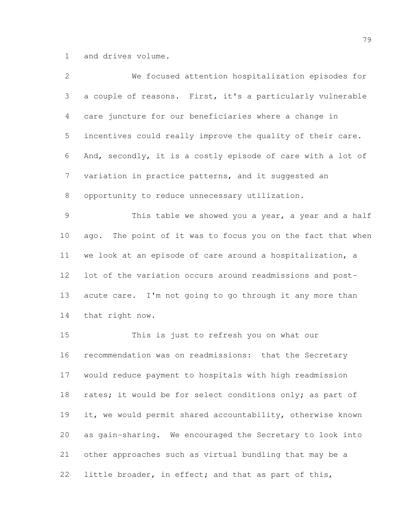and drives volume.

| $\mathbf{2}$    | We focused attention hospitalization episodes for           |
|-----------------|-------------------------------------------------------------|
| 3               | a couple of reasons. First, it's a particularly vulnerable  |
| 4               | care juncture for our beneficiaries where a change in       |
| 5               | incentives could really improve the quality of their care.  |
| 6               | And, secondly, it is a costly episode of care with a lot of |
| $7\phantom{.0}$ | variation in practice patterns, and it suggested an         |
| 8               | opportunity to reduce unnecessary utilization.              |
| $\mathcal{G}$   | This table we showed you a year, a year and a half          |
| 10              | ago. The point of it was to focus you on the fact that when |
| 11              | we look at an episode of care around a hospitalization, a   |
| 12              | lot of the variation occurs around readmissions and post-   |
| 13              | acute care. I'm not going to go through it any more than    |
| 14              | that right now.                                             |
| 15              | This is just to refresh you on what our                     |
| 16              | recommendation was on readmissions: that the Secretary      |
| 17              | would reduce payment to hospitals with high readmission     |
| 18              | rates; it would be for select conditions only; as part of   |
| 19              | it, we would permit shared accountability, otherwise known  |
| 20              | as gain-sharing. We encouraged the Secretary to look into   |
| 21              | other approaches such as virtual bundling that may be a     |
| 22              | little broader, in effect; and that as part of this,        |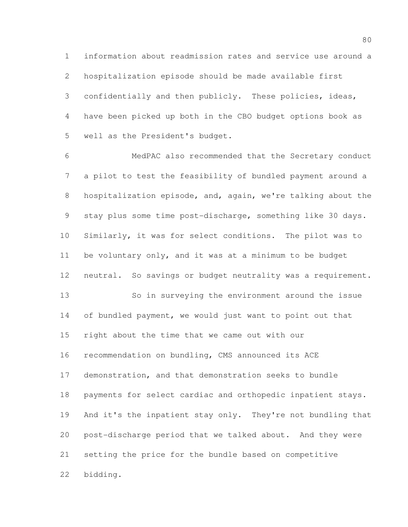information about readmission rates and service use around a hospitalization episode should be made available first confidentially and then publicly. These policies, ideas, have been picked up both in the CBO budget options book as well as the President's budget.

 MedPAC also recommended that the Secretary conduct a pilot to test the feasibility of bundled payment around a hospitalization episode, and, again, we're talking about the stay plus some time post-discharge, something like 30 days. 10 Similarly, it was for select conditions. The pilot was to be voluntary only, and it was at a minimum to be budget neutral. So savings or budget neutrality was a requirement. So in surveying the environment around the issue

 of bundled payment, we would just want to point out that right about the time that we came out with our recommendation on bundling, CMS announced its ACE demonstration, and that demonstration seeks to bundle payments for select cardiac and orthopedic inpatient stays. And it's the inpatient stay only. They're not bundling that post-discharge period that we talked about. And they were setting the price for the bundle based on competitive bidding.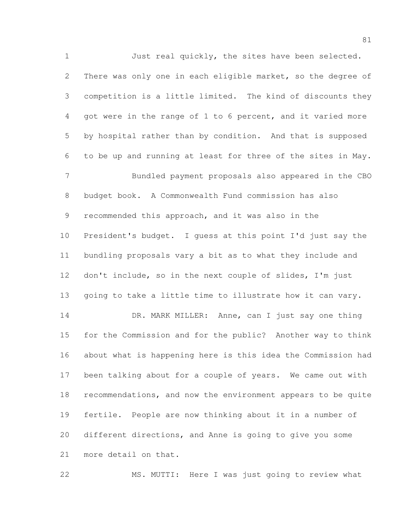Just real quickly, the sites have been selected. There was only one in each eligible market, so the degree of competition is a little limited. The kind of discounts they got were in the range of 1 to 6 percent, and it varied more by hospital rather than by condition. And that is supposed to be up and running at least for three of the sites in May. Bundled payment proposals also appeared in the CBO budget book. A Commonwealth Fund commission has also recommended this approach, and it was also in the President's budget. I guess at this point I'd just say the bundling proposals vary a bit as to what they include and don't include, so in the next couple of slides, I'm just going to take a little time to illustrate how it can vary. DR. MARK MILLER: Anne, can I just say one thing for the Commission and for the public? Another way to think about what is happening here is this idea the Commission had been talking about for a couple of years. We came out with recommendations, and now the environment appears to be quite fertile. People are now thinking about it in a number of different directions, and Anne is going to give you some more detail on that.

MS. MUTTI: Here I was just going to review what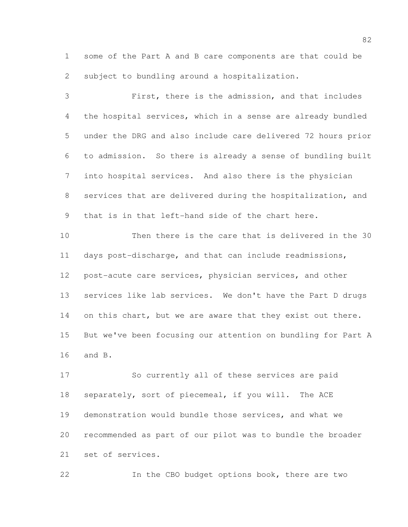some of the Part A and B care components are that could be subject to bundling around a hospitalization.

 First, there is the admission, and that includes the hospital services, which in a sense are already bundled under the DRG and also include care delivered 72 hours prior to admission. So there is already a sense of bundling built into hospital services. And also there is the physician services that are delivered during the hospitalization, and that is in that left-hand side of the chart here.

 Then there is the care that is delivered in the 30 days post-discharge, and that can include readmissions, post-acute care services, physician services, and other services like lab services. We don't have the Part D drugs 14 on this chart, but we are aware that they exist out there. But we've been focusing our attention on bundling for Part A and B.

 So currently all of these services are paid separately, sort of piecemeal, if you will. The ACE demonstration would bundle those services, and what we recommended as part of our pilot was to bundle the broader set of services.

In the CBO budget options book, there are two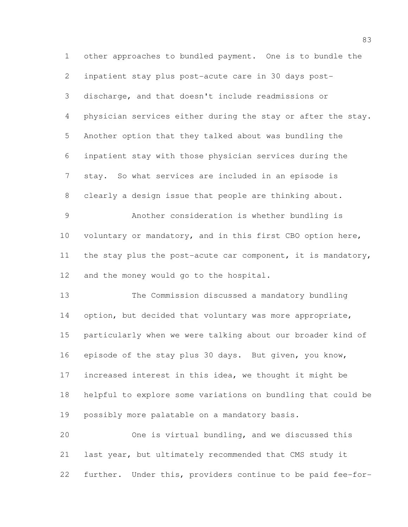other approaches to bundled payment. One is to bundle the inpatient stay plus post-acute care in 30 days post- discharge, and that doesn't include readmissions or physician services either during the stay or after the stay. Another option that they talked about was bundling the inpatient stay with those physician services during the stay. So what services are included in an episode is clearly a design issue that people are thinking about. Another consideration is whether bundling is 10 voluntary or mandatory, and in this first CBO option here, the stay plus the post-acute car component, it is mandatory, 12 and the money would go to the hospital. The Commission discussed a mandatory bundling 14 option, but decided that voluntary was more appropriate, particularly when we were talking about our broader kind of episode of the stay plus 30 days. But given, you know, increased interest in this idea, we thought it might be helpful to explore some variations on bundling that could be possibly more palatable on a mandatory basis. One is virtual bundling, and we discussed this last year, but ultimately recommended that CMS study it

further. Under this, providers continue to be paid fee-for-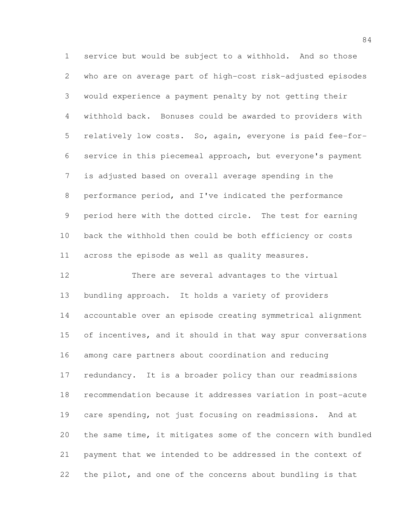service but would be subject to a withhold. And so those who are on average part of high-cost risk-adjusted episodes would experience a payment penalty by not getting their withhold back. Bonuses could be awarded to providers with relatively low costs. So, again, everyone is paid fee-for- service in this piecemeal approach, but everyone's payment is adjusted based on overall average spending in the performance period, and I've indicated the performance period here with the dotted circle. The test for earning back the withhold then could be both efficiency or costs across the episode as well as quality measures.

 There are several advantages to the virtual bundling approach. It holds a variety of providers accountable over an episode creating symmetrical alignment of incentives, and it should in that way spur conversations among care partners about coordination and reducing redundancy. It is a broader policy than our readmissions recommendation because it addresses variation in post-acute care spending, not just focusing on readmissions. And at the same time, it mitigates some of the concern with bundled payment that we intended to be addressed in the context of the pilot, and one of the concerns about bundling is that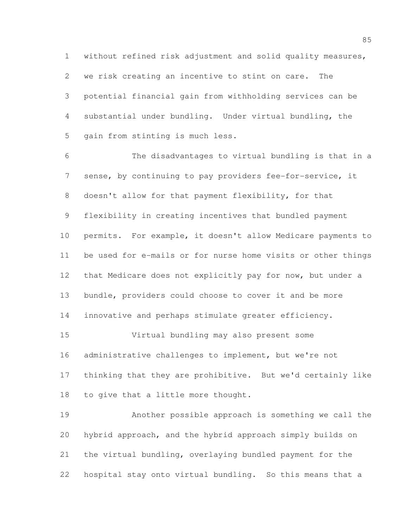without refined risk adjustment and solid quality measures, we risk creating an incentive to stint on care. The potential financial gain from withholding services can be substantial under bundling. Under virtual bundling, the gain from stinting is much less.

 The disadvantages to virtual bundling is that in a sense, by continuing to pay providers fee-for-service, it doesn't allow for that payment flexibility, for that flexibility in creating incentives that bundled payment permits. For example, it doesn't allow Medicare payments to be used for e-mails or for nurse home visits or other things that Medicare does not explicitly pay for now, but under a bundle, providers could choose to cover it and be more innovative and perhaps stimulate greater efficiency. Virtual bundling may also present some

 administrative challenges to implement, but we're not thinking that they are prohibitive. But we'd certainly like to give that a little more thought.

 Another possible approach is something we call the hybrid approach, and the hybrid approach simply builds on the virtual bundling, overlaying bundled payment for the hospital stay onto virtual bundling. So this means that a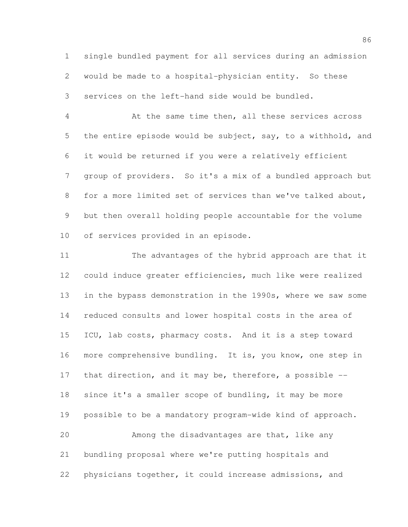single bundled payment for all services during an admission would be made to a hospital-physician entity. So these services on the left-hand side would be bundled.

 At the same time then, all these services across the entire episode would be subject, say, to a withhold, and it would be returned if you were a relatively efficient group of providers. So it's a mix of a bundled approach but for a more limited set of services than we've talked about, but then overall holding people accountable for the volume of services provided in an episode.

 The advantages of the hybrid approach are that it could induce greater efficiencies, much like were realized in the bypass demonstration in the 1990s, where we saw some reduced consults and lower hospital costs in the area of 15 ICU, lab costs, pharmacy costs. And it is a step toward more comprehensive bundling. It is, you know, one step in 17 that direction, and it may be, therefore, a possible -- since it's a smaller scope of bundling, it may be more possible to be a mandatory program-wide kind of approach. Among the disadvantages are that, like any bundling proposal where we're putting hospitals and physicians together, it could increase admissions, and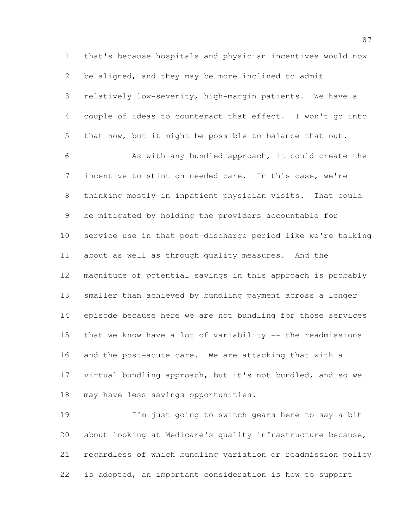that's because hospitals and physician incentives would now be aligned, and they may be more inclined to admit relatively low-severity, high-margin patients. We have a couple of ideas to counteract that effect. I won't go into that now, but it might be possible to balance that out. As with any bundled approach, it could create the incentive to stint on needed care. In this case, we're thinking mostly in inpatient physician visits. That could be mitigated by holding the providers accountable for service use in that post-discharge period like we're talking about as well as through quality measures. And the magnitude of potential savings in this approach is probably smaller than achieved by bundling payment across a longer episode because here we are not bundling for those services that we know have a lot of variability -- the readmissions and the post-acute care. We are attacking that with a virtual bundling approach, but it's not bundled, and so we may have less savings opportunities.

 I'm just going to switch gears here to say a bit about looking at Medicare's quality infrastructure because, regardless of which bundling variation or readmission policy is adopted, an important consideration is how to support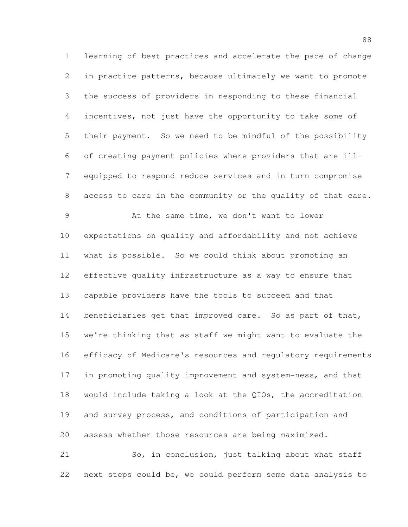learning of best practices and accelerate the pace of change in practice patterns, because ultimately we want to promote the success of providers in responding to these financial incentives, not just have the opportunity to take some of their payment. So we need to be mindful of the possibility of creating payment policies where providers that are ill- equipped to respond reduce services and in turn compromise access to care in the community or the quality of that care. At the same time, we don't want to lower expectations on quality and affordability and not achieve what is possible. So we could think about promoting an effective quality infrastructure as a way to ensure that capable providers have the tools to succeed and that 14 beneficiaries get that improved care. So as part of that, we're thinking that as staff we might want to evaluate the efficacy of Medicare's resources and regulatory requirements in promoting quality improvement and system-ness, and that would include taking a look at the QIOs, the accreditation and survey process, and conditions of participation and

assess whether those resources are being maximized.

 So, in conclusion, just talking about what staff next steps could be, we could perform some data analysis to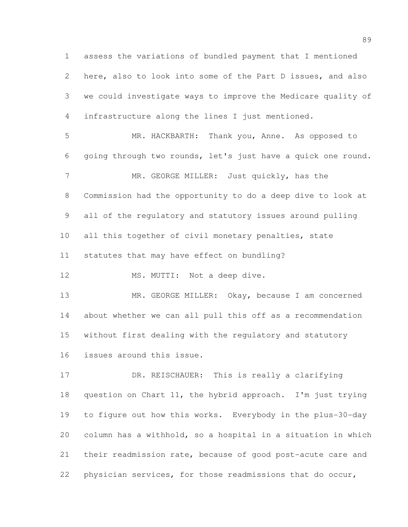assess the variations of bundled payment that I mentioned here, also to look into some of the Part D issues, and also we could investigate ways to improve the Medicare quality of infrastructure along the lines I just mentioned.

 MR. HACKBARTH: Thank you, Anne. As opposed to going through two rounds, let's just have a quick one round. 7 MR. GEORGE MILLER: Just quickly, has the Commission had the opportunity to do a deep dive to look at all of the regulatory and statutory issues around pulling 10 all this together of civil monetary penalties, state statutes that may have effect on bundling?

12 MS. MUTTI: Not a deep dive.

13 MR. GEORGE MILLER: Okay, because I am concerned about whether we can all pull this off as a recommendation without first dealing with the regulatory and statutory issues around this issue.

17 DR. REISCHAUER: This is really a clarifying question on Chart 11, the hybrid approach. I'm just trying to figure out how this works. Everybody in the plus-30-day column has a withhold, so a hospital in a situation in which their readmission rate, because of good post-acute care and physician services, for those readmissions that do occur,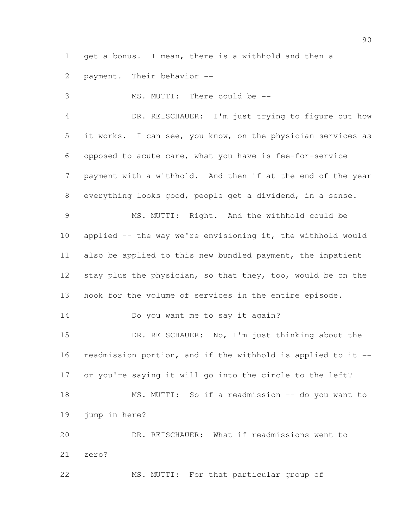get a bonus. I mean, there is a withhold and then a

payment. Their behavior --

 MS. MUTTI: There could be -- DR. REISCHAUER: I'm just trying to figure out how it works. I can see, you know, on the physician services as opposed to acute care, what you have is fee-for-service payment with a withhold. And then if at the end of the year everything looks good, people get a dividend, in a sense. MS. MUTTI: Right. And the withhold could be applied -- the way we're envisioning it, the withhold would also be applied to this new bundled payment, the inpatient stay plus the physician, so that they, too, would be on the hook for the volume of services in the entire episode. Do you want me to say it again? 15 DR. REISCHAUER: No, I'm just thinking about the readmission portion, and if the withhold is applied to it -- or you're saying it will go into the circle to the left? MS. MUTTI: So if a readmission -- do you want to jump in here? DR. REISCHAUER: What if readmissions went to zero? MS. MUTTI: For that particular group of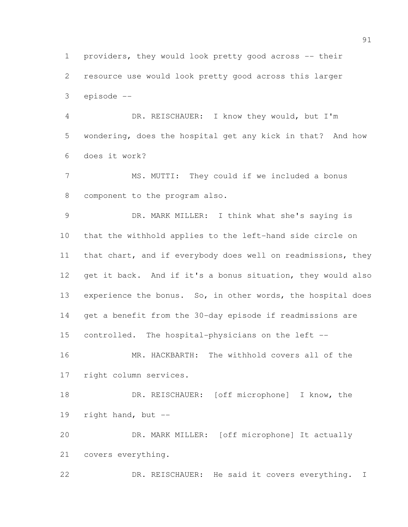providers, they would look pretty good across -- their resource use would look pretty good across this larger episode --

 DR. REISCHAUER: I know they would, but I'm wondering, does the hospital get any kick in that? And how does it work?

 MS. MUTTI: They could if we included a bonus component to the program also.

 DR. MARK MILLER: I think what she's saying is that the withhold applies to the left-hand side circle on that chart, and if everybody does well on readmissions, they get it back. And if it's a bonus situation, they would also 13 experience the bonus. So, in other words, the hospital does get a benefit from the 30-day episode if readmissions are controlled. The hospital-physicians on the left --

 MR. HACKBARTH: The withhold covers all of the right column services.

 DR. REISCHAUER: [off microphone] I know, the right hand, but --

 DR. MARK MILLER: [off microphone] It actually covers everything.

DR. REISCHAUER: He said it covers everything. I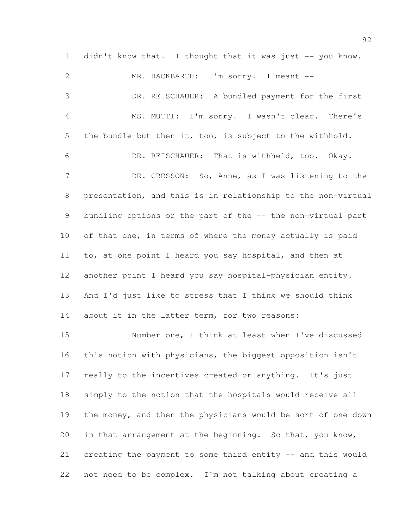1 didn't know that. I thought that it was just -- you know.

 MR. HACKBARTH: I'm sorry. I meant -- DR. REISCHAUER: A bundled payment for the first – MS. MUTTI: I'm sorry. I wasn't clear. There's the bundle but then it, too, is subject to the withhold. DR. REISCHAUER: That is withheld, too. Okay. 7 DR. CROSSON: So, Anne, as I was listening to the presentation, and this is in relationship to the non-virtual 9 bundling options or the part of the -- the non-virtual part of that one, in terms of where the money actually is paid to, at one point I heard you say hospital, and then at another point I heard you say hospital-physician entity. And I'd just like to stress that I think we should think 14 about it in the latter term, for two reasons: Number one, I think at least when I've discussed this notion with physicians, the biggest opposition isn't really to the incentives created or anything. It's just simply to the notion that the hospitals would receive all 19 the money, and then the physicians would be sort of one down in that arrangement at the beginning. So that, you know, creating the payment to some third entity -- and this would not need to be complex. I'm not talking about creating a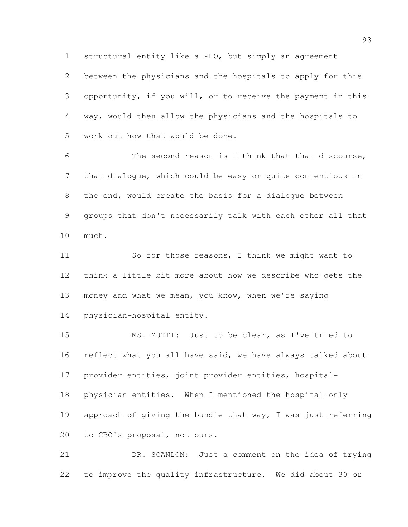between the physicians and the hospitals to apply for this opportunity, if you will, or to receive the payment in this way, would then allow the physicians and the hospitals to work out how that would be done.

structural entity like a PHO, but simply an agreement

 The second reason is I think that that discourse, that dialogue, which could be easy or quite contentious in the end, would create the basis for a dialogue between groups that don't necessarily talk with each other all that much.

11 So for those reasons, I think we might want to think a little bit more about how we describe who gets the money and what we mean, you know, when we're saying physician-hospital entity.

 MS. MUTTI: Just to be clear, as I've tried to reflect what you all have said, we have always talked about provider entities, joint provider entities, hospital- physician entities. When I mentioned the hospital-only approach of giving the bundle that way, I was just referring to CBO's proposal, not ours.

 DR. SCANLON: Just a comment on the idea of trying to improve the quality infrastructure. We did about 30 or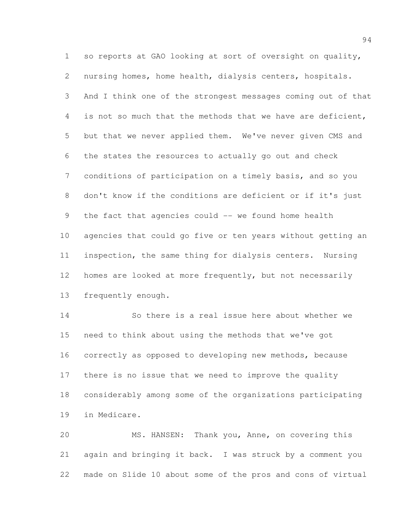so reports at GAO looking at sort of oversight on quality, nursing homes, home health, dialysis centers, hospitals. And I think one of the strongest messages coming out of that is not so much that the methods that we have are deficient, but that we never applied them. We've never given CMS and the states the resources to actually go out and check conditions of participation on a timely basis, and so you don't know if the conditions are deficient or if it's just 9 the fact that agencies could -- we found home health agencies that could go five or ten years without getting an inspection, the same thing for dialysis centers. Nursing homes are looked at more frequently, but not necessarily frequently enough.

 So there is a real issue here about whether we need to think about using the methods that we've got correctly as opposed to developing new methods, because there is no issue that we need to improve the quality considerably among some of the organizations participating in Medicare.

 MS. HANSEN: Thank you, Anne, on covering this again and bringing it back. I was struck by a comment you made on Slide 10 about some of the pros and cons of virtual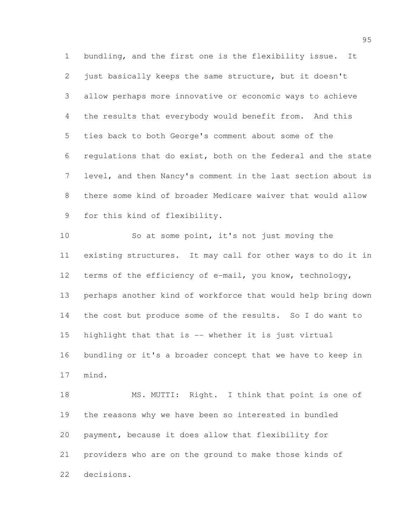bundling, and the first one is the flexibility issue. It just basically keeps the same structure, but it doesn't allow perhaps more innovative or economic ways to achieve the results that everybody would benefit from. And this ties back to both George's comment about some of the regulations that do exist, both on the federal and the state level, and then Nancy's comment in the last section about is there some kind of broader Medicare waiver that would allow for this kind of flexibility.

 So at some point, it's not just moving the existing structures. It may call for other ways to do it in terms of the efficiency of e-mail, you know, technology, perhaps another kind of workforce that would help bring down the cost but produce some of the results. So I do want to highlight that that is -- whether it is just virtual bundling or it's a broader concept that we have to keep in mind.

18 MS. MUTTI: Right. I think that point is one of the reasons why we have been so interested in bundled payment, because it does allow that flexibility for providers who are on the ground to make those kinds of decisions.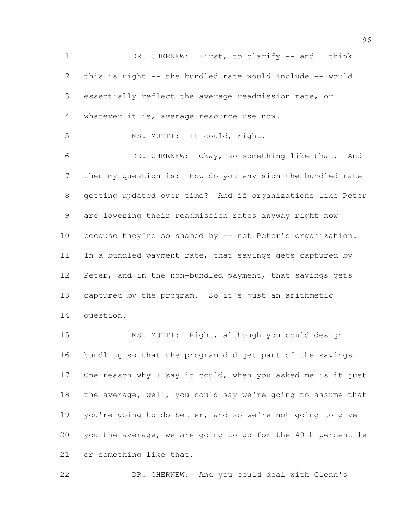DR. CHERNEW: First, to clarify -- and I think this is right -- the bundled rate would include -- would essentially reflect the average readmission rate, or whatever it is, average resource use now. MS. MUTTI: It could, right. DR. CHERNEW: Okay, so something like that. And then my question is: How do you envision the bundled rate getting updated over time? And if organizations like Peter are lowering their readmission rates anyway right now 10 because they're so shamed by -- not Peter's organization. In a bundled payment rate, that savings gets captured by Peter, and in the non-bundled payment, that savings gets captured by the program. So it's just an arithmetic question.

 MS. MUTTI: Right, although you could design bundling so that the program did get part of the savings. 17 One reason why I say it could, when you asked me is it just the average, well, you could say we're going to assume that you're going to do better, and so we're not going to give you the average, we are going to go for the 40th percentile or something like that.

DR. CHERNEW: And you could deal with Glenn's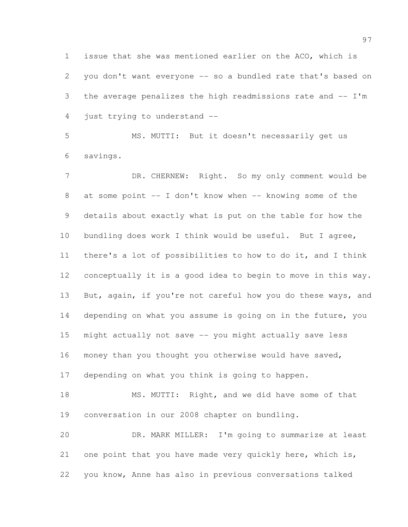issue that she was mentioned earlier on the ACO, which is you don't want everyone -- so a bundled rate that's based on the average penalizes the high readmissions rate and -- I'm just trying to understand --

 MS. MUTTI: But it doesn't necessarily get us savings.

7 DR. CHERNEW: Right. So my only comment would be 8 at some point -- I don't know when -- knowing some of the details about exactly what is put on the table for how the bundling does work I think would be useful. But I agree, there's a lot of possibilities to how to do it, and I think conceptually it is a good idea to begin to move in this way. But, again, if you're not careful how you do these ways, and depending on what you assume is going on in the future, you might actually not save -- you might actually save less money than you thought you otherwise would have saved, depending on what you think is going to happen.

18 MS. MUTTI: Right, and we did have some of that conversation in our 2008 chapter on bundling.

 DR. MARK MILLER: I'm going to summarize at least 21 one point that you have made very quickly here, which is, you know, Anne has also in previous conversations talked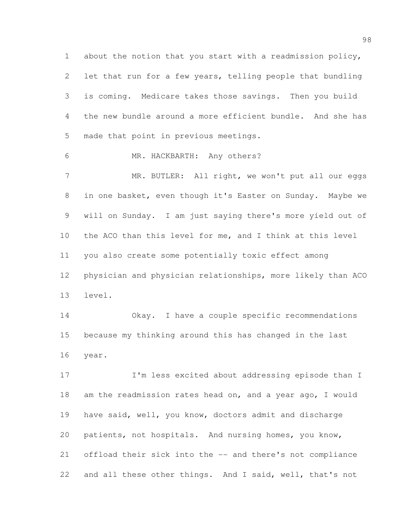about the notion that you start with a readmission policy, let that run for a few years, telling people that bundling is coming. Medicare takes those savings. Then you build the new bundle around a more efficient bundle. And she has made that point in previous meetings.

MR. HACKBARTH: Any others?

7 MR. BUTLER: All right, we won't put all our eggs in one basket, even though it's Easter on Sunday. Maybe we will on Sunday. I am just saying there's more yield out of the ACO than this level for me, and I think at this level you also create some potentially toxic effect among physician and physician relationships, more likely than ACO level.

 Okay. I have a couple specific recommendations because my thinking around this has changed in the last year.

17 I'm less excited about addressing episode than I am the readmission rates head on, and a year ago, I would have said, well, you know, doctors admit and discharge patients, not hospitals. And nursing homes, you know, offload their sick into the -- and there's not compliance and all these other things. And I said, well, that's not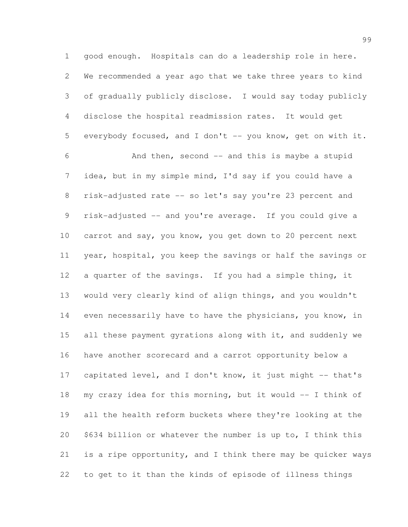good enough. Hospitals can do a leadership role in here. We recommended a year ago that we take three years to kind of gradually publicly disclose. I would say today publicly disclose the hospital readmission rates. It would get 5 everybody focused, and I don't -- you know, get on with it. And then, second -- and this is maybe a stupid idea, but in my simple mind, I'd say if you could have a risk-adjusted rate -- so let's say you're 23 percent and risk-adjusted -- and you're average. If you could give a carrot and say, you know, you get down to 20 percent next year, hospital, you keep the savings or half the savings or a quarter of the savings. If you had a simple thing, it would very clearly kind of align things, and you wouldn't even necessarily have to have the physicians, you know, in 15 all these payment gyrations along with it, and suddenly we have another scorecard and a carrot opportunity below a capitated level, and I don't know, it just might -- that's my crazy idea for this morning, but it would -- I think of all the health reform buckets where they're looking at the \$634 billion or whatever the number is up to, I think this is a ripe opportunity, and I think there may be quicker ways to get to it than the kinds of episode of illness things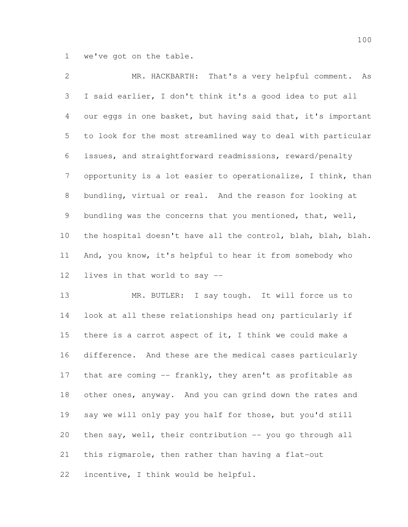we've got on the table.

 MR. HACKBARTH: That's a very helpful comment. As I said earlier, I don't think it's a good idea to put all our eggs in one basket, but having said that, it's important to look for the most streamlined way to deal with particular issues, and straightforward readmissions, reward/penalty opportunity is a lot easier to operationalize, I think, than bundling, virtual or real. And the reason for looking at bundling was the concerns that you mentioned, that, well, the hospital doesn't have all the control, blah, blah, blah. And, you know, it's helpful to hear it from somebody who lives in that world to say --

 MR. BUTLER: I say tough. It will force us to 14 look at all these relationships head on; particularly if there is a carrot aspect of it, I think we could make a difference. And these are the medical cases particularly 17 that are coming -- frankly, they aren't as profitable as other ones, anyway. And you can grind down the rates and say we will only pay you half for those, but you'd still then say, well, their contribution -- you go through all this rigmarole, then rather than having a flat-out incentive, I think would be helpful.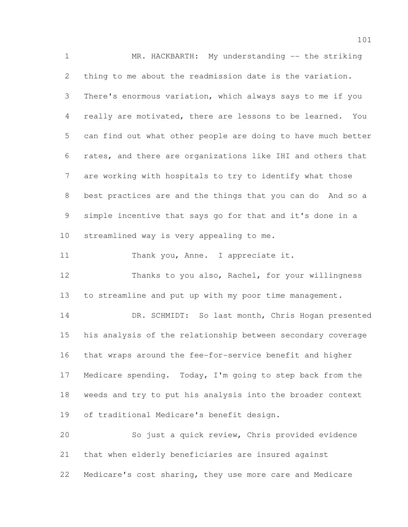MR. HACKBARTH: My understanding -- the striking thing to me about the readmission date is the variation. There's enormous variation, which always says to me if you really are motivated, there are lessons to be learned. You can find out what other people are doing to have much better rates, and there are organizations like IHI and others that are working with hospitals to try to identify what those best practices are and the things that you can do And so a simple incentive that says go for that and it's done in a streamlined way is very appealing to me. 11 Thank you, Anne. I appreciate it. Thanks to you also, Rachel, for your willingness to streamline and put up with my poor time management. DR. SCHMIDT: So last month, Chris Hogan presented his analysis of the relationship between secondary coverage that wraps around the fee-for-service benefit and higher Medicare spending. Today, I'm going to step back from the weeds and try to put his analysis into the broader context of traditional Medicare's benefit design. So just a quick review, Chris provided evidence that when elderly beneficiaries are insured against Medicare's cost sharing, they use more care and Medicare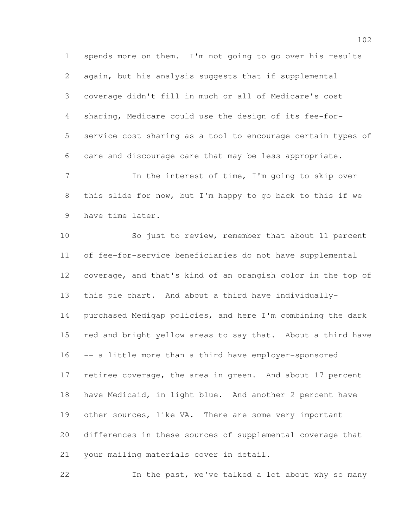spends more on them. I'm not going to go over his results again, but his analysis suggests that if supplemental coverage didn't fill in much or all of Medicare's cost sharing, Medicare could use the design of its fee-for- service cost sharing as a tool to encourage certain types of care and discourage care that may be less appropriate. 7 11 In the interest of time, I'm going to skip over

 this slide for now, but I'm happy to go back to this if we have time later.

 So just to review, remember that about 11 percent of fee-for-service beneficiaries do not have supplemental coverage, and that's kind of an orangish color in the top of this pie chart. And about a third have individually- purchased Medigap policies, and here I'm combining the dark red and bright yellow areas to say that. About a third have -- a little more than a third have employer-sponsored retiree coverage, the area in green. And about 17 percent have Medicaid, in light blue. And another 2 percent have 19 other sources, like VA. There are some very important differences in these sources of supplemental coverage that your mailing materials cover in detail.

In the past, we've talked a lot about why so many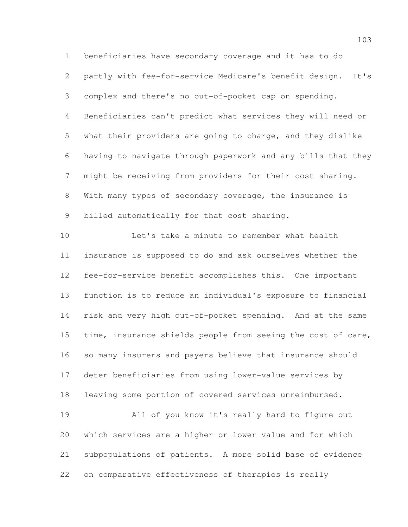beneficiaries have secondary coverage and it has to do partly with fee-for-service Medicare's benefit design. It's complex and there's no out-of-pocket cap on spending. Beneficiaries can't predict what services they will need or what their providers are going to charge, and they dislike having to navigate through paperwork and any bills that they might be receiving from providers for their cost sharing. With many types of secondary coverage, the insurance is billed automatically for that cost sharing.

 Let's take a minute to remember what health insurance is supposed to do and ask ourselves whether the fee-for-service benefit accomplishes this. One important function is to reduce an individual's exposure to financial risk and very high out-of-pocket spending. And at the same 15 time, insurance shields people from seeing the cost of care, so many insurers and payers believe that insurance should deter beneficiaries from using lower-value services by leaving some portion of covered services unreimbursed. All of you know it's really hard to figure out which services are a higher or lower value and for which subpopulations of patients. A more solid base of evidence

on comparative effectiveness of therapies is really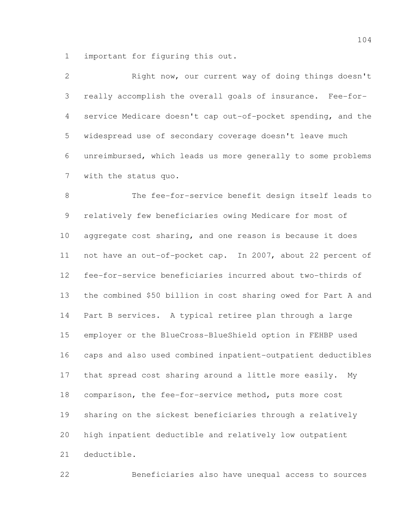important for figuring this out.

| $\mathbf{2}$    | Right now, our current way of doing things doesn't            |
|-----------------|---------------------------------------------------------------|
| 3               | really accomplish the overall goals of insurance. Fee-for-    |
| $\overline{4}$  | service Medicare doesn't cap out-of-pocket spending, and the  |
| 5               | widespread use of secondary coverage doesn't leave much       |
| 6               | unreimbursed, which leads us more generally to some problems  |
| $7\phantom{.0}$ | with the status quo.                                          |
| 8               | The fee-for-service benefit design itself leads to            |
| $\mathcal{G}$   | relatively few beneficiaries owing Medicare for most of       |
| 10              | aggregate cost sharing, and one reason is because it does     |
| 11              | not have an out-of-pocket cap. In 2007, about 22 percent of   |
| 12              | fee-for-service beneficiaries incurred about two-thirds of    |
| 13              | the combined \$50 billion in cost sharing owed for Part A and |
| 14              | Part B services. A typical retiree plan through a large       |
| 15              | employer or the BlueCross-BlueShield option in FEHBP used     |
| 16              | caps and also used combined inpatient-outpatient deductibles  |
| 17              | that spread cost sharing around a little more easily.<br>My   |

 comparison, the fee-for-service method, puts more cost sharing on the sickest beneficiaries through a relatively high inpatient deductible and relatively low outpatient

deductible.

Beneficiaries also have unequal access to sources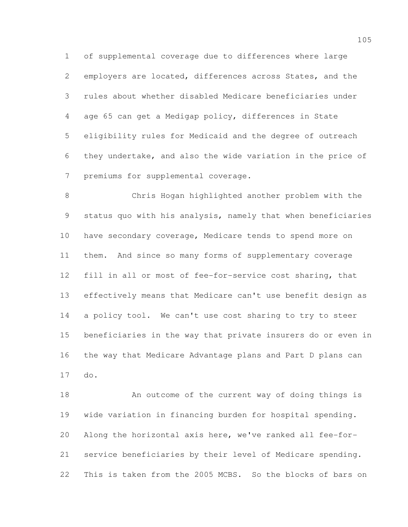of supplemental coverage due to differences where large employers are located, differences across States, and the rules about whether disabled Medicare beneficiaries under age 65 can get a Medigap policy, differences in State eligibility rules for Medicaid and the degree of outreach they undertake, and also the wide variation in the price of premiums for supplemental coverage.

 Chris Hogan highlighted another problem with the status quo with his analysis, namely that when beneficiaries have secondary coverage, Medicare tends to spend more on them. And since so many forms of supplementary coverage fill in all or most of fee-for-service cost sharing, that effectively means that Medicare can't use benefit design as a policy tool. We can't use cost sharing to try to steer beneficiaries in the way that private insurers do or even in the way that Medicare Advantage plans and Part D plans can do.

18 An outcome of the current way of doing things is wide variation in financing burden for hospital spending. Along the horizontal axis here, we've ranked all fee-for- service beneficiaries by their level of Medicare spending. This is taken from the 2005 MCBS. So the blocks of bars on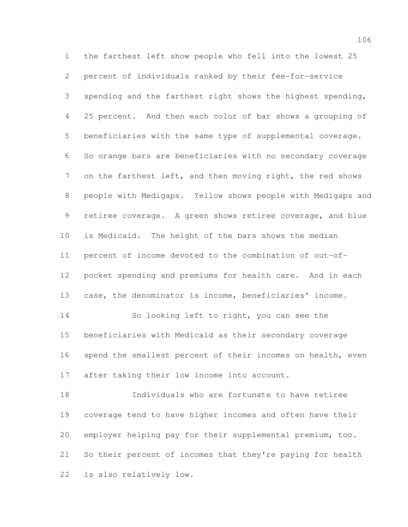the farthest left show people who fell into the lowest 25 percent of individuals ranked by their fee-for-service spending and the farthest right shows the highest spending, 25 percent. And then each color of bar shows a grouping of beneficiaries with the same type of supplemental coverage. So orange bars are beneficiaries with no secondary coverage on the farthest left, and then moving right, the red shows people with Medigaps. Yellow shows people with Medigaps and 9 retiree coverage. A green shows retiree coverage, and blue is Medicaid. The height of the bars shows the median percent of income devoted to the combination of out-of- pocket spending and premiums for health care. And in each case, the denominator is income, beneficiaries' income. So looking left to right, you can see the beneficiaries with Medicaid as their secondary coverage 16 spend the smallest percent of their incomes on health, even after taking their low income into account.

 Individuals who are fortunate to have retiree coverage tend to have higher incomes and often have their employer helping pay for their supplemental premium, too. So their percent of incomes that they're paying for health is also relatively low.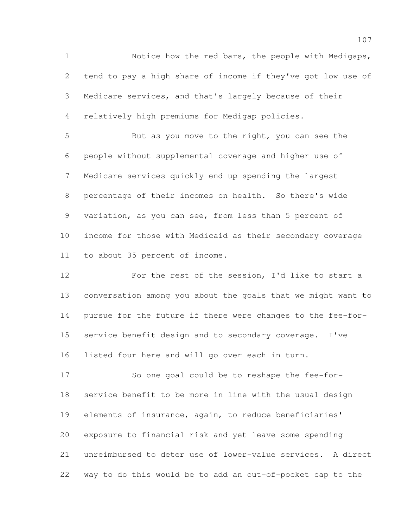Notice how the red bars, the people with Medigaps, tend to pay a high share of income if they've got low use of Medicare services, and that's largely because of their relatively high premiums for Medigap policies.

 But as you move to the right, you can see the people without supplemental coverage and higher use of Medicare services quickly end up spending the largest percentage of their incomes on health. So there's wide variation, as you can see, from less than 5 percent of income for those with Medicaid as their secondary coverage to about 35 percent of income.

 For the rest of the session, I'd like to start a conversation among you about the goals that we might want to pursue for the future if there were changes to the fee-for- service benefit design and to secondary coverage. I've listed four here and will go over each in turn.

 So one goal could be to reshape the fee-for- service benefit to be more in line with the usual design elements of insurance, again, to reduce beneficiaries' exposure to financial risk and yet leave some spending unreimbursed to deter use of lower-value services. A direct way to do this would be to add an out-of-pocket cap to the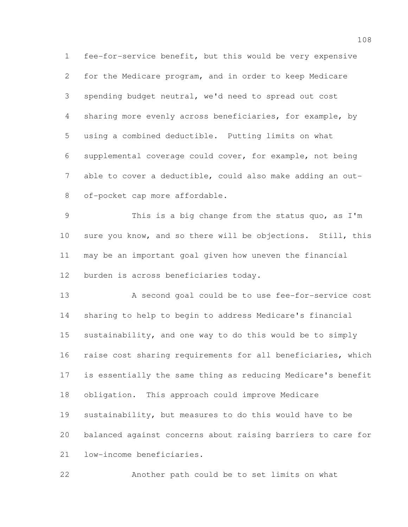fee-for-service benefit, but this would be very expensive for the Medicare program, and in order to keep Medicare spending budget neutral, we'd need to spread out cost sharing more evenly across beneficiaries, for example, by using a combined deductible. Putting limits on what supplemental coverage could cover, for example, not being 7 able to cover a deductible, could also make adding an out-of-pocket cap more affordable.

 This is a big change from the status quo, as I'm sure you know, and so there will be objections. Still, this may be an important goal given how uneven the financial burden is across beneficiaries today.

 A second goal could be to use fee-for-service cost sharing to help to begin to address Medicare's financial sustainability, and one way to do this would be to simply raise cost sharing requirements for all beneficiaries, which is essentially the same thing as reducing Medicare's benefit obligation. This approach could improve Medicare sustainability, but measures to do this would have to be balanced against concerns about raising barriers to care for low-income beneficiaries.

Another path could be to set limits on what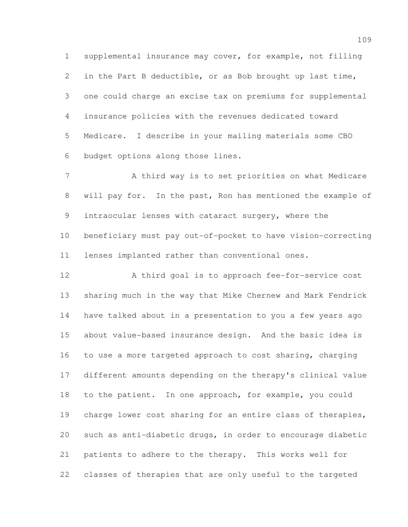supplemental insurance may cover, for example, not filling in the Part B deductible, or as Bob brought up last time, one could charge an excise tax on premiums for supplemental insurance policies with the revenues dedicated toward Medicare. I describe in your mailing materials some CBO budget options along those lines.

7 A third way is to set priorities on what Medicare will pay for. In the past, Ron has mentioned the example of intraocular lenses with cataract surgery, where the beneficiary must pay out-of-pocket to have vision-correcting lenses implanted rather than conventional ones.

 A third goal is to approach fee-for-service cost sharing much in the way that Mike Chernew and Mark Fendrick have talked about in a presentation to you a few years ago about value-based insurance design. And the basic idea is to use a more targeted approach to cost sharing, charging different amounts depending on the therapy's clinical value to the patient. In one approach, for example, you could charge lower cost sharing for an entire class of therapies, such as anti-diabetic drugs, in order to encourage diabetic patients to adhere to the therapy. This works well for classes of therapies that are only useful to the targeted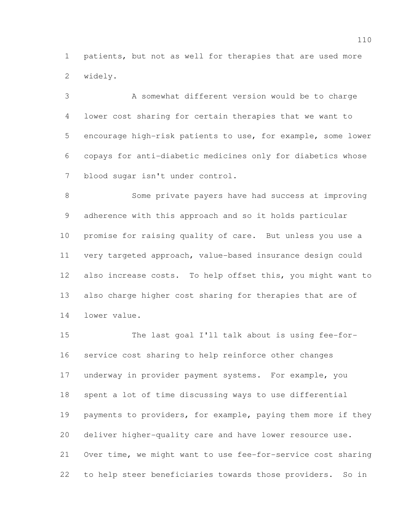patients, but not as well for therapies that are used more widely.

 A somewhat different version would be to charge lower cost sharing for certain therapies that we want to encourage high-risk patients to use, for example, some lower copays for anti-diabetic medicines only for diabetics whose blood sugar isn't under control.

 Some private payers have had success at improving adherence with this approach and so it holds particular promise for raising quality of care. But unless you use a very targeted approach, value-based insurance design could also increase costs. To help offset this, you might want to also charge higher cost sharing for therapies that are of lower value.

 The last goal I'll talk about is using fee-for- service cost sharing to help reinforce other changes underway in provider payment systems. For example, you spent a lot of time discussing ways to use differential payments to providers, for example, paying them more if they deliver higher-quality care and have lower resource use. Over time, we might want to use fee-for-service cost sharing to help steer beneficiaries towards those providers. So in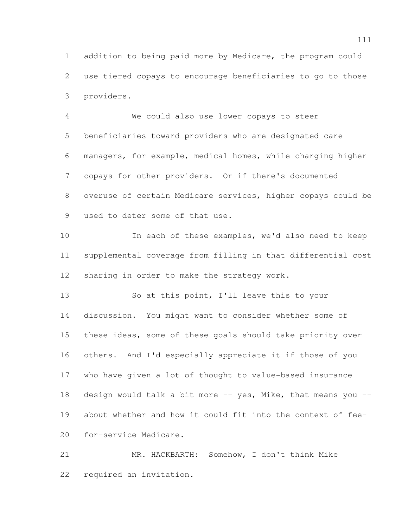addition to being paid more by Medicare, the program could use tiered copays to encourage beneficiaries to go to those providers.

 We could also use lower copays to steer beneficiaries toward providers who are designated care managers, for example, medical homes, while charging higher copays for other providers. Or if there's documented overuse of certain Medicare services, higher copays could be used to deter some of that use.

10 In each of these examples, we'd also need to keep supplemental coverage from filling in that differential cost sharing in order to make the strategy work.

 So at this point, I'll leave this to your discussion. You might want to consider whether some of these ideas, some of these goals should take priority over others. And I'd especially appreciate it if those of you who have given a lot of thought to value-based insurance 18 design would talk a bit more  $-$  yes, Mike, that means you  $-$  about whether and how it could fit into the context of fee-for-service Medicare.

 MR. HACKBARTH: Somehow, I don't think Mike required an invitation.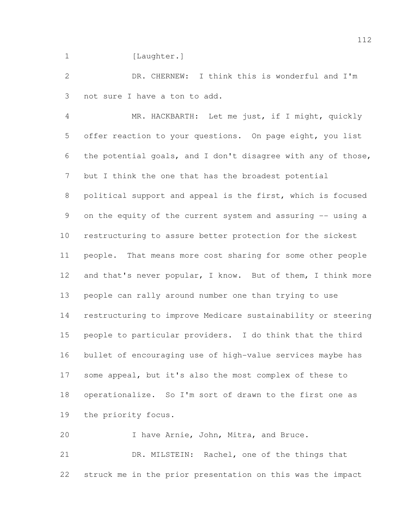1 [Laughter.]

 DR. CHERNEW: I think this is wonderful and I'm not sure I have a ton to add.

 MR. HACKBARTH: Let me just, if I might, quickly offer reaction to your questions. On page eight, you list the potential goals, and I don't disagree with any of those, but I think the one that has the broadest potential political support and appeal is the first, which is focused 9 on the equity of the current system and assuring -- using a restructuring to assure better protection for the sickest people. That means more cost sharing for some other people 12 and that's never popular, I know. But of them, I think more people can rally around number one than trying to use restructuring to improve Medicare sustainability or steering people to particular providers. I do think that the third bullet of encouraging use of high-value services maybe has some appeal, but it's also the most complex of these to operationalize. So I'm sort of drawn to the first one as the priority focus.

 I have Arnie, John, Mitra, and Bruce. DR. MILSTEIN: Rachel, one of the things that struck me in the prior presentation on this was the impact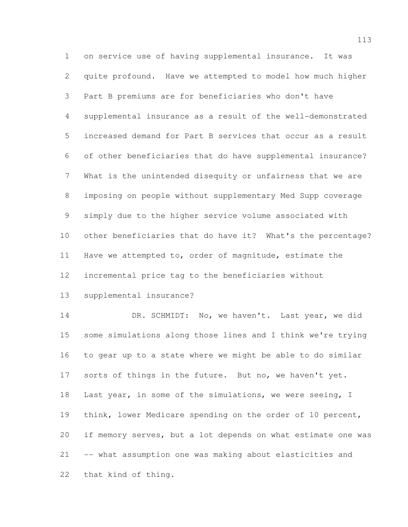on service use of having supplemental insurance. It was quite profound. Have we attempted to model how much higher Part B premiums are for beneficiaries who don't have supplemental insurance as a result of the well-demonstrated increased demand for Part B services that occur as a result of other beneficiaries that do have supplemental insurance? What is the unintended disequity or unfairness that we are imposing on people without supplementary Med Supp coverage simply due to the higher service volume associated with other beneficiaries that do have it? What's the percentage? Have we attempted to, order of magnitude, estimate the incremental price tag to the beneficiaries without

supplemental insurance?

14 DR. SCHMIDT: No, we haven't. Last year, we did some simulations along those lines and I think we're trying to gear up to a state where we might be able to do similar sorts of things in the future. But no, we haven't yet. 18 Last year, in some of the simulations, we were seeing, I think, lower Medicare spending on the order of 10 percent, if memory serves, but a lot depends on what estimate one was -- what assumption one was making about elasticities and that kind of thing.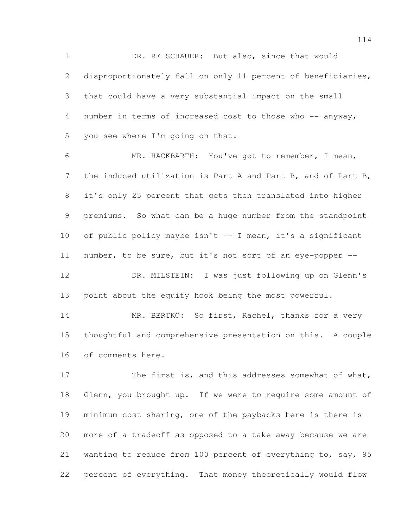1 DR. REISCHAUER: But also, since that would disproportionately fall on only 11 percent of beneficiaries, that could have a very substantial impact on the small number in terms of increased cost to those who -- anyway, you see where I'm going on that.

 MR. HACKBARTH: You've got to remember, I mean, the induced utilization is Part A and Part B, and of Part B, it's only 25 percent that gets then translated into higher premiums. So what can be a huge number from the standpoint of public policy maybe isn't -- I mean, it's a significant number, to be sure, but it's not sort of an eye-popper -- DR. MILSTEIN: I was just following up on Glenn's

point about the equity hook being the most powerful.

14 MR. BERTKO: So first, Rachel, thanks for a very thoughtful and comprehensive presentation on this. A couple of comments here.

17 The first is, and this addresses somewhat of what, 18 Glenn, you brought up. If we were to require some amount of minimum cost sharing, one of the paybacks here is there is more of a tradeoff as opposed to a take-away because we are wanting to reduce from 100 percent of everything to, say, 95 percent of everything. That money theoretically would flow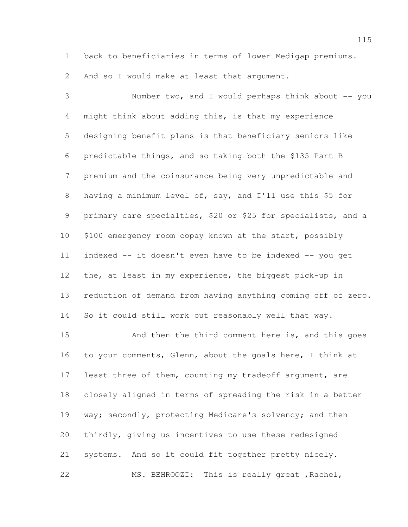back to beneficiaries in terms of lower Medigap premiums.

And so I would make at least that argument.

 Number two, and I would perhaps think about -- you might think about adding this, is that my experience designing benefit plans is that beneficiary seniors like predictable things, and so taking both the \$135 Part B premium and the coinsurance being very unpredictable and having a minimum level of, say, and I'll use this \$5 for primary care specialties, \$20 or \$25 for specialists, and a \$100 emergency room copay known at the start, possibly indexed -- it doesn't even have to be indexed -- you get the, at least in my experience, the biggest pick-up in reduction of demand from having anything coming off of zero. So it could still work out reasonably well that way.

 And then the third comment here is, and this goes to your comments, Glenn, about the goals here, I think at least three of them, counting my tradeoff argument, are closely aligned in terms of spreading the risk in a better 19 way; secondly, protecting Medicare's solvency; and then thirdly, giving us incentives to use these redesigned systems. And so it could fit together pretty nicely. MS. BEHROOZI: This is really great ,Rachel,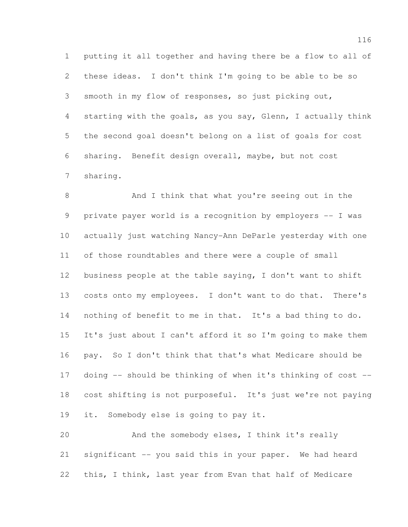putting it all together and having there be a flow to all of these ideas. I don't think I'm going to be able to be so smooth in my flow of responses, so just picking out, starting with the goals, as you say, Glenn, I actually think the second goal doesn't belong on a list of goals for cost sharing. Benefit design overall, maybe, but not cost sharing.

 And I think that what you're seeing out in the private payer world is a recognition by employers -- I was actually just watching Nancy-Ann DeParle yesterday with one of those roundtables and there were a couple of small business people at the table saying, I don't want to shift costs onto my employees. I don't want to do that. There's nothing of benefit to me in that. It's a bad thing to do. It's just about I can't afford it so I'm going to make them pay. So I don't think that that's what Medicare should be doing -- should be thinking of when it's thinking of cost -- cost shifting is not purposeful. It's just we're not paying it. Somebody else is going to pay it.

 And the somebody elses, I think it's really significant -- you said this in your paper. We had heard this, I think, last year from Evan that half of Medicare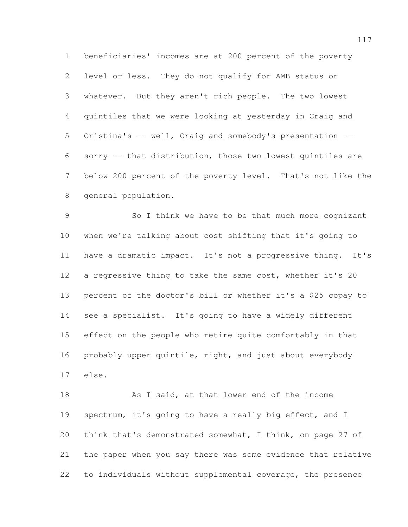beneficiaries' incomes are at 200 percent of the poverty level or less. They do not qualify for AMB status or whatever. But they aren't rich people. The two lowest quintiles that we were looking at yesterday in Craig and Cristina's -- well, Craig and somebody's presentation -- sorry -- that distribution, those two lowest quintiles are below 200 percent of the poverty level. That's not like the general population.

 So I think we have to be that much more cognizant when we're talking about cost shifting that it's going to have a dramatic impact. It's not a progressive thing. It's a regressive thing to take the same cost, whether it's 20 percent of the doctor's bill or whether it's a \$25 copay to see a specialist. It's going to have a widely different effect on the people who retire quite comfortably in that probably upper quintile, right, and just about everybody else.

18 As I said, at that lower end of the income spectrum, it's going to have a really big effect, and I think that's demonstrated somewhat, I think, on page 27 of the paper when you say there was some evidence that relative to individuals without supplemental coverage, the presence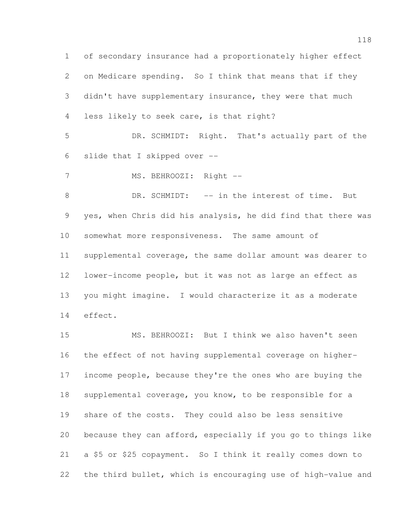of secondary insurance had a proportionately higher effect on Medicare spending. So I think that means that if they didn't have supplementary insurance, they were that much less likely to seek care, is that right? DR. SCHMIDT: Right. That's actually part of the slide that I skipped over -- 7 MS. BEHROOZI: Right --8 DR. SCHMIDT: -- in the interest of time. But yes, when Chris did his analysis, he did find that there was somewhat more responsiveness. The same amount of supplemental coverage, the same dollar amount was dearer to lower-income people, but it was not as large an effect as you might imagine. I would characterize it as a moderate effect.

 MS. BEHROOZI: But I think we also haven't seen the effect of not having supplemental coverage on higher- income people, because they're the ones who are buying the supplemental coverage, you know, to be responsible for a share of the costs. They could also be less sensitive because they can afford, especially if you go to things like a \$5 or \$25 copayment. So I think it really comes down to the third bullet, which is encouraging use of high-value and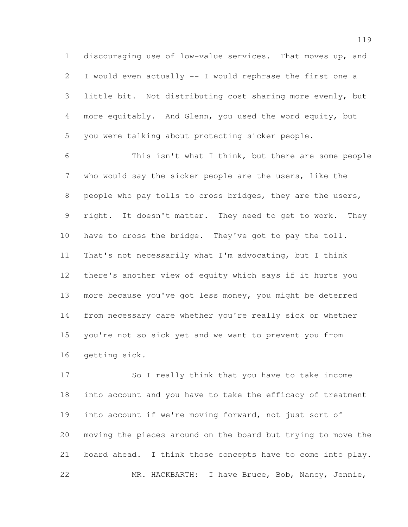discouraging use of low-value services. That moves up, and I would even actually -- I would rephrase the first one a little bit. Not distributing cost sharing more evenly, but more equitably. And Glenn, you used the word equity, but you were talking about protecting sicker people.

 This isn't what I think, but there are some people who would say the sicker people are the users, like the people who pay tolls to cross bridges, they are the users, right. It doesn't matter. They need to get to work. They have to cross the bridge. They've got to pay the toll. That's not necessarily what I'm advocating, but I think there's another view of equity which says if it hurts you more because you've got less money, you might be deterred from necessary care whether you're really sick or whether you're not so sick yet and we want to prevent you from getting sick.

 So I really think that you have to take income into account and you have to take the efficacy of treatment into account if we're moving forward, not just sort of moving the pieces around on the board but trying to move the board ahead. I think those concepts have to come into play. MR. HACKBARTH: I have Bruce, Bob, Nancy, Jennie,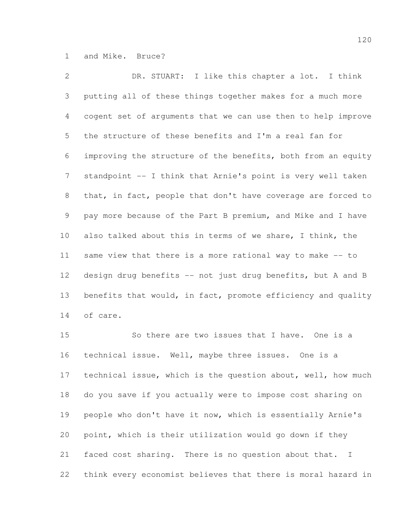and Mike. Bruce?

 DR. STUART: I like this chapter a lot. I think putting all of these things together makes for a much more cogent set of arguments that we can use then to help improve the structure of these benefits and I'm a real fan for improving the structure of the benefits, both from an equity 7 standpoint -- I think that Arnie's point is very well taken that, in fact, people that don't have coverage are forced to pay more because of the Part B premium, and Mike and I have also talked about this in terms of we share, I think, the same view that there is a more rational way to make -- to design drug benefits -- not just drug benefits, but A and B 13 benefits that would, in fact, promote efficiency and quality of care.

 So there are two issues that I have. One is a technical issue. Well, maybe three issues. One is a technical issue, which is the question about, well, how much do you save if you actually were to impose cost sharing on people who don't have it now, which is essentially Arnie's point, which is their utilization would go down if they faced cost sharing. There is no question about that. I think every economist believes that there is moral hazard in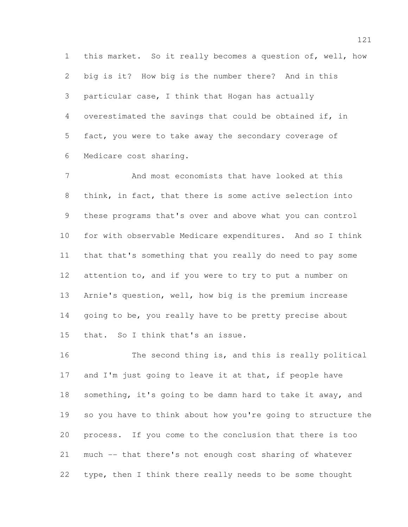this market. So it really becomes a question of, well, how big is it? How big is the number there? And in this particular case, I think that Hogan has actually overestimated the savings that could be obtained if, in fact, you were to take away the secondary coverage of Medicare cost sharing.

 And most economists that have looked at this think, in fact, that there is some active selection into these programs that's over and above what you can control for with observable Medicare expenditures. And so I think that that's something that you really do need to pay some attention to, and if you were to try to put a number on Arnie's question, well, how big is the premium increase 14 going to be, you really have to be pretty precise about that. So I think that's an issue.

16 The second thing is, and this is really political 17 and I'm just going to leave it at that, if people have something, it's going to be damn hard to take it away, and so you have to think about how you're going to structure the process. If you come to the conclusion that there is too much -- that there's not enough cost sharing of whatever type, then I think there really needs to be some thought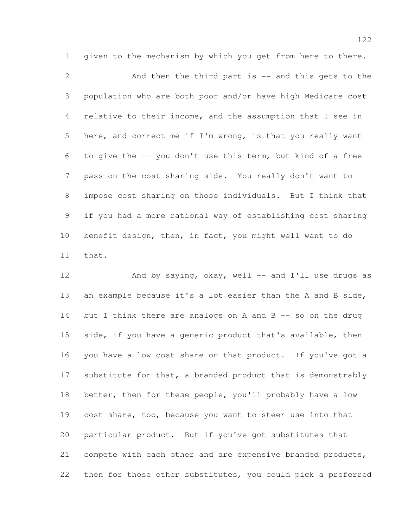1 given to the mechanism by which you get from here to there. And then the third part is -- and this gets to the population who are both poor and/or have high Medicare cost relative to their income, and the assumption that I see in here, and correct me if I'm wrong, is that you really want to give the -- you don't use this term, but kind of a free pass on the cost sharing side. You really don't want to impose cost sharing on those individuals. But I think that if you had a more rational way of establishing cost sharing benefit design, then, in fact, you might well want to do that.

12 And by saying, okay, well -- and I'll use drugs as an example because it's a lot easier than the A and B side, 14 but I think there are analogs on A and B  $-$  so on the drug 15 side, if you have a generic product that's available, then you have a low cost share on that product. If you've got a 17 substitute for that, a branded product that is demonstrably better, then for these people, you'll probably have a low cost share, too, because you want to steer use into that particular product. But if you've got substitutes that compete with each other and are expensive branded products, then for those other substitutes, you could pick a preferred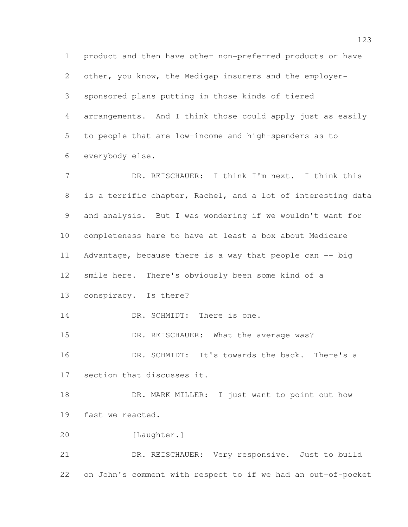product and then have other non-preferred products or have other, you know, the Medigap insurers and the employer- sponsored plans putting in those kinds of tiered arrangements. And I think those could apply just as easily to people that are low-income and high-spenders as to everybody else. DR. REISCHAUER: I think I'm next. I think this is a terrific chapter, Rachel, and a lot of interesting data and analysis. But I was wondering if we wouldn't want for completeness here to have at least a box about Medicare 11 Advantage, because there is a way that people can -- big smile here. There's obviously been some kind of a conspiracy. Is there? 14 DR. SCHMIDT: There is one. 15 DR. REISCHAUER: What the average was? DR. SCHMIDT: It's towards the back. There's a section that discusses it. 18 DR. MARK MILLER: I just want to point out how fast we reacted. [Laughter.] DR. REISCHAUER: Very responsive. Just to build on John's comment with respect to if we had an out-of-pocket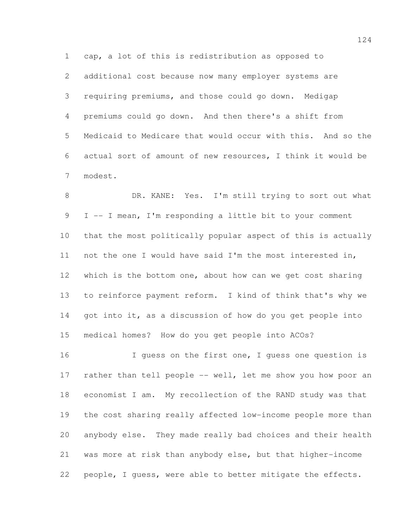cap, a lot of this is redistribution as opposed to additional cost because now many employer systems are requiring premiums, and those could go down. Medigap premiums could go down. And then there's a shift from Medicaid to Medicare that would occur with this. And so the actual sort of amount of new resources, I think it would be modest.

8 DR. KANE: Yes. I'm still trying to sort out what I -- I mean, I'm responding a little bit to your comment that the most politically popular aspect of this is actually not the one I would have said I'm the most interested in, which is the bottom one, about how can we get cost sharing to reinforce payment reform. I kind of think that's why we 14 got into it, as a discussion of how do you get people into medical homes? How do you get people into ACOs?

 I guess on the first one, I guess one question is 17 rather than tell people -- well, let me show you how poor an economist I am. My recollection of the RAND study was that the cost sharing really affected low-income people more than anybody else. They made really bad choices and their health was more at risk than anybody else, but that higher-income people, I guess, were able to better mitigate the effects.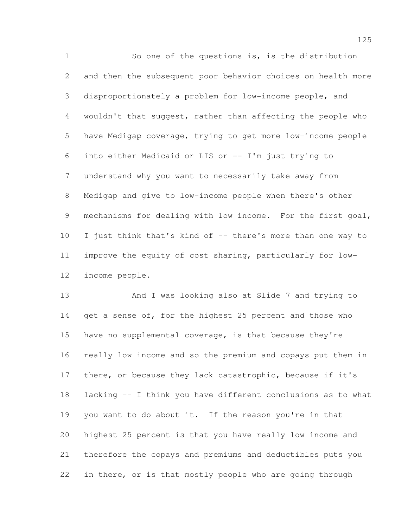So one of the questions is, is the distribution and then the subsequent poor behavior choices on health more disproportionately a problem for low-income people, and wouldn't that suggest, rather than affecting the people who have Medigap coverage, trying to get more low-income people into either Medicaid or LIS or -- I'm just trying to understand why you want to necessarily take away from Medigap and give to low-income people when there's other mechanisms for dealing with low income. For the first goal, I just think that's kind of -- there's more than one way to improve the equity of cost sharing, particularly for low-income people.

 And I was looking also at Slide 7 and trying to 14 get a sense of, for the highest 25 percent and those who have no supplemental coverage, is that because they're really low income and so the premium and copays put them in there, or because they lack catastrophic, because if it's lacking -- I think you have different conclusions as to what you want to do about it. If the reason you're in that highest 25 percent is that you have really low income and therefore the copays and premiums and deductibles puts you in there, or is that mostly people who are going through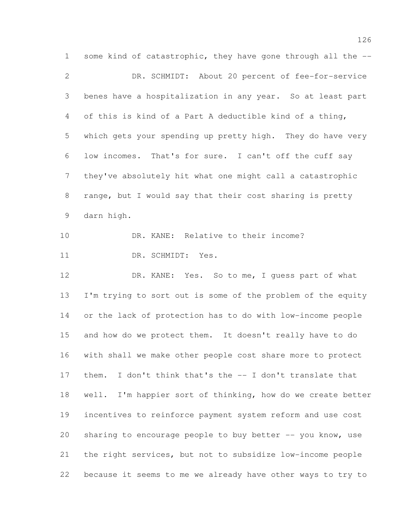some kind of catastrophic, they have gone through all the -- DR. SCHMIDT: About 20 percent of fee-for-service benes have a hospitalization in any year. So at least part of this is kind of a Part A deductible kind of a thing, which gets your spending up pretty high. They do have very low incomes. That's for sure. I can't off the cuff say they've absolutely hit what one might call a catastrophic range, but I would say that their cost sharing is pretty darn high. DR. KANE: Relative to their income? 11 DR. SCHMIDT: Yes. 12 DR. KANE: Yes. So to me, I quess part of what I'm trying to sort out is some of the problem of the equity or the lack of protection has to do with low-income people and how do we protect them. It doesn't really have to do with shall we make other people cost share more to protect 17 them. I don't think that's the -- I don't translate that well. I'm happier sort of thinking, how do we create better incentives to reinforce payment system reform and use cost 20 sharing to encourage people to buy better -- you know, use the right services, but not to subsidize low-income people because it seems to me we already have other ways to try to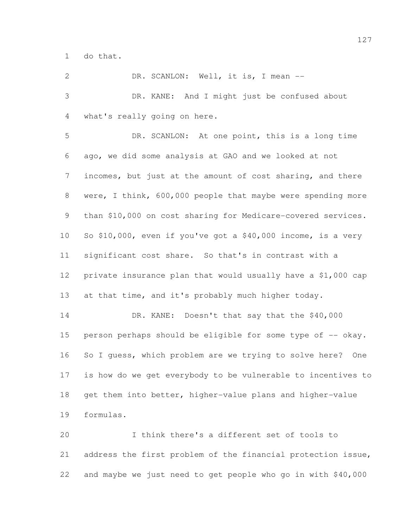do that.

2 DR. SCANLON: Well, it is, I mean -- DR. KANE: And I might just be confused about what's really going on here. DR. SCANLON: At one point, this is a long time ago, we did some analysis at GAO and we looked at not incomes, but just at the amount of cost sharing, and there were, I think, 600,000 people that maybe were spending more than \$10,000 on cost sharing for Medicare-covered services. So \$10,000, even if you've got a \$40,000 income, is a very significant cost share. So that's in contrast with a private insurance plan that would usually have a \$1,000 cap 13 at that time, and it's probably much higher today. 14 DR. KANE: Doesn't that say that the \$40,000 15 person perhaps should be eligible for some type of -- okay. So I guess, which problem are we trying to solve here? One is how do we get everybody to be vulnerable to incentives to get them into better, higher-value plans and higher-value formulas. I think there's a different set of tools to address the first problem of the financial protection issue, and maybe we just need to get people who go in with \$40,000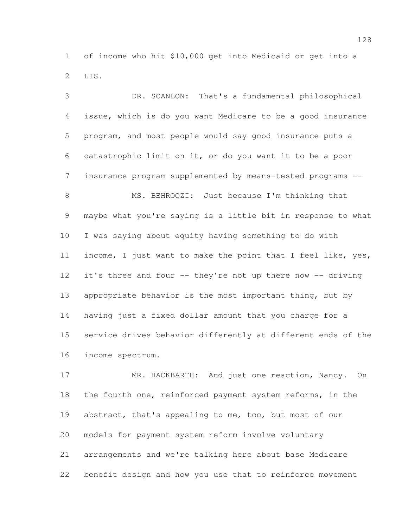of income who hit \$10,000 get into Medicaid or get into a LIS.

 DR. SCANLON: That's a fundamental philosophical issue, which is do you want Medicare to be a good insurance program, and most people would say good insurance puts a catastrophic limit on it, or do you want it to be a poor insurance program supplemented by means-tested programs -- MS. BEHROOZI: Just because I'm thinking that maybe what you're saying is a little bit in response to what I was saying about equity having something to do with income, I just want to make the point that I feel like, yes, it's three and four -- they're not up there now -- driving appropriate behavior is the most important thing, but by having just a fixed dollar amount that you charge for a service drives behavior differently at different ends of the income spectrum.

17 MR. HACKBARTH: And just one reaction, Nancy. On the fourth one, reinforced payment system reforms, in the abstract, that's appealing to me, too, but most of our models for payment system reform involve voluntary arrangements and we're talking here about base Medicare benefit design and how you use that to reinforce movement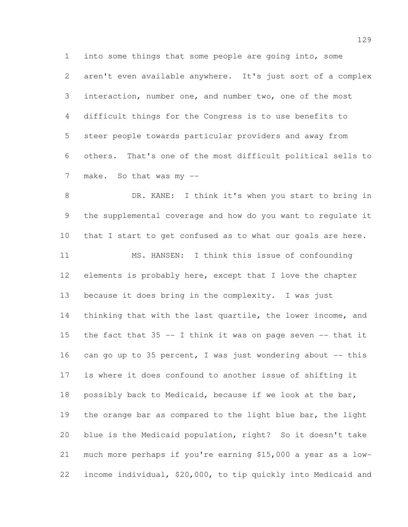into some things that some people are going into, some aren't even available anywhere. It's just sort of a complex interaction, number one, and number two, one of the most difficult things for the Congress is to use benefits to steer people towards particular providers and away from others. That's one of the most difficult political sells to 7 make. So that was my --

 DR. KANE: I think it's when you start to bring in the supplemental coverage and how do you want to regulate it 10 that I start to get confused as to what our goals are here. MS. HANSEN: I think this issue of confounding elements is probably here, except that I love the chapter because it does bring in the complexity. I was just 14 thinking that with the last quartile, the lower income, and 15 the fact that -- I think it was on page seven -- that it 16 can go up to 35 percent, I was just wondering about  $-$  this is where it does confound to another issue of shifting it possibly back to Medicaid, because if we look at the bar, the orange bar as compared to the light blue bar, the light blue is the Medicaid population, right? So it doesn't take much more perhaps if you're earning \$15,000 a year as a low-income individual, \$20,000, to tip quickly into Medicaid and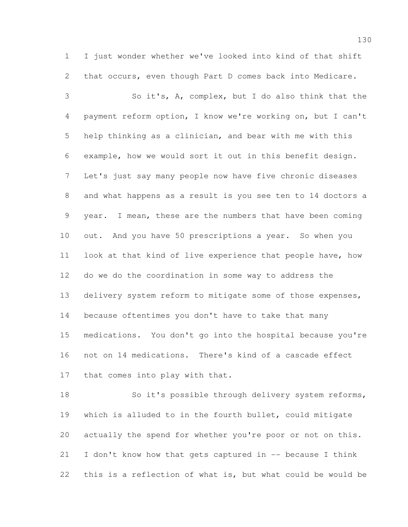I just wonder whether we've looked into kind of that shift that occurs, even though Part D comes back into Medicare.

 So it's, A, complex, but I do also think that the payment reform option, I know we're working on, but I can't help thinking as a clinician, and bear with me with this example, how we would sort it out in this benefit design. Let's just say many people now have five chronic diseases and what happens as a result is you see ten to 14 doctors a year. I mean, these are the numbers that have been coming out. And you have 50 prescriptions a year. So when you look at that kind of live experience that people have, how do we do the coordination in some way to address the delivery system reform to mitigate some of those expenses, because oftentimes you don't have to take that many medications. You don't go into the hospital because you're not on 14 medications. There's kind of a cascade effect 17 that comes into play with that.

 So it's possible through delivery system reforms, which is alluded to in the fourth bullet, could mitigate actually the spend for whether you're poor or not on this. I don't know how that gets captured in -- because I think this is a reflection of what is, but what could be would be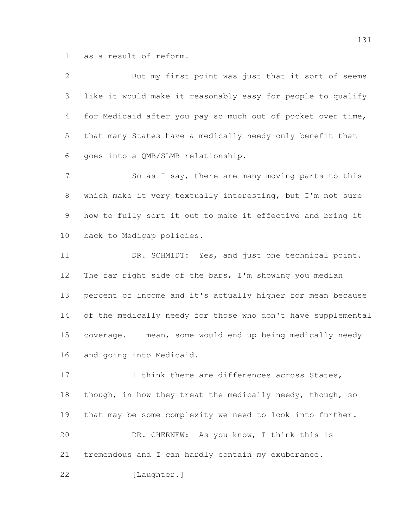as a result of reform.

| $\mathbf{2}$ | But my first point was just that it sort of seems            |
|--------------|--------------------------------------------------------------|
| 3            | like it would make it reasonably easy for people to qualify  |
| 4            | for Medicaid after you pay so much out of pocket over time,  |
| 5            | that many States have a medically needy-only benefit that    |
| 6            | goes into a QMB/SLMB relationship.                           |
| 7            | So as I say, there are many moving parts to this             |
| 8            | which make it very textually interesting, but I'm not sure   |
| 9            | how to fully sort it out to make it effective and bring it   |
| 10           | back to Medigap policies.                                    |
| 11           | DR. SCHMIDT: Yes, and just one technical point.              |
| 12           | The far right side of the bars, I'm showing you median       |
| 13           | percent of income and it's actually higher for mean because  |
| 14           | of the medically needy for those who don't have supplemental |
| 15           | coverage. I mean, some would end up being medically needy    |
| 16           | and going into Medicaid.                                     |
| 17           | I think there are differences across States,                 |
| 18           | though, in how they treat the medically needy, though, so    |
| 19           | that may be some complexity we need to look into further.    |
| 20           | DR. CHERNEW:<br>As you know, I think this is                 |

tremendous and I can hardly contain my exuberance.

22 [Laughter.]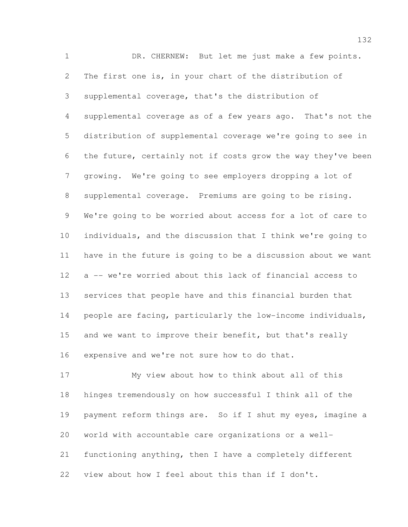DR. CHERNEW: But let me just make a few points. The first one is, in your chart of the distribution of supplemental coverage, that's the distribution of supplemental coverage as of a few years ago. That's not the distribution of supplemental coverage we're going to see in the future, certainly not if costs grow the way they've been growing. We're going to see employers dropping a lot of supplemental coverage. Premiums are going to be rising. We're going to be worried about access for a lot of care to individuals, and the discussion that I think we're going to have in the future is going to be a discussion about we want a -- we're worried about this lack of financial access to services that people have and this financial burden that people are facing, particularly the low-income individuals, and we want to improve their benefit, but that's really expensive and we're not sure how to do that.

 My view about how to think about all of this hinges tremendously on how successful I think all of the payment reform things are. So if I shut my eyes, imagine a world with accountable care organizations or a well- functioning anything, then I have a completely different view about how I feel about this than if I don't.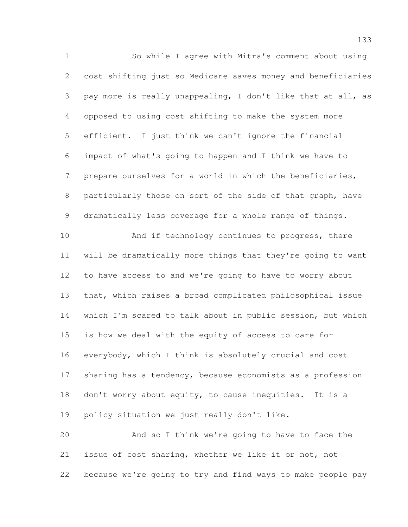So while I agree with Mitra's comment about using cost shifting just so Medicare saves money and beneficiaries pay more is really unappealing, I don't like that at all, as opposed to using cost shifting to make the system more efficient. I just think we can't ignore the financial impact of what's going to happen and I think we have to prepare ourselves for a world in which the beneficiaries, particularly those on sort of the side of that graph, have dramatically less coverage for a whole range of things. 10 And if technology continues to progress, there will be dramatically more things that they're going to want

 to have access to and we're going to have to worry about that, which raises a broad complicated philosophical issue which I'm scared to talk about in public session, but which is how we deal with the equity of access to care for everybody, which I think is absolutely crucial and cost 17 sharing has a tendency, because economists as a profession don't worry about equity, to cause inequities. It is a policy situation we just really don't like.

 And so I think we're going to have to face the issue of cost sharing, whether we like it or not, not because we're going to try and find ways to make people pay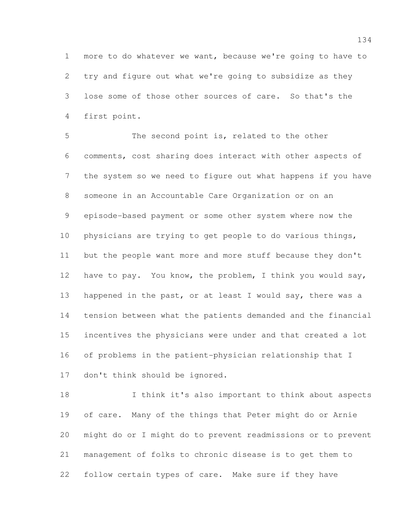more to do whatever we want, because we're going to have to try and figure out what we're going to subsidize as they lose some of those other sources of care. So that's the first point.

 The second point is, related to the other comments, cost sharing does interact with other aspects of the system so we need to figure out what happens if you have someone in an Accountable Care Organization or on an episode-based payment or some other system where now the physicians are trying to get people to do various things, but the people want more and more stuff because they don't have to pay. You know, the problem, I think you would say, 13 happened in the past, or at least I would say, there was a tension between what the patients demanded and the financial incentives the physicians were under and that created a lot of problems in the patient-physician relationship that I don't think should be ignored.

 I think it's also important to think about aspects of care. Many of the things that Peter might do or Arnie might do or I might do to prevent readmissions or to prevent management of folks to chronic disease is to get them to follow certain types of care. Make sure if they have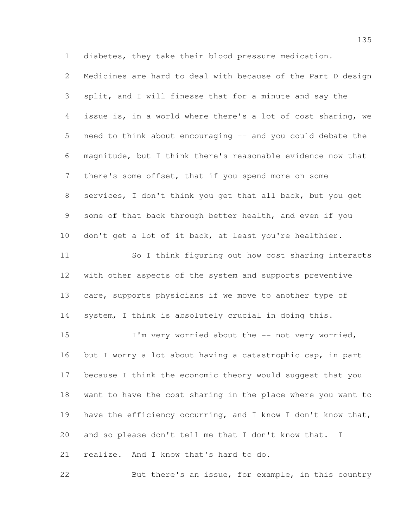diabetes, they take their blood pressure medication.

 Medicines are hard to deal with because of the Part D design split, and I will finesse that for a minute and say the issue is, in a world where there's a lot of cost sharing, we need to think about encouraging -- and you could debate the magnitude, but I think there's reasonable evidence now that there's some offset, that if you spend more on some services, I don't think you get that all back, but you get some of that back through better health, and even if you don't get a lot of it back, at least you're healthier. So I think figuring out how cost sharing interacts with other aspects of the system and supports preventive care, supports physicians if we move to another type of system, I think is absolutely crucial in doing this. 15 I'm very worried about the -- not very worried, 16 but I worry a lot about having a catastrophic cap, in part because I think the economic theory would suggest that you want to have the cost sharing in the place where you want to have the efficiency occurring, and I know I don't know that, and so please don't tell me that I don't know that. I realize. And I know that's hard to do. But there's an issue, for example, in this country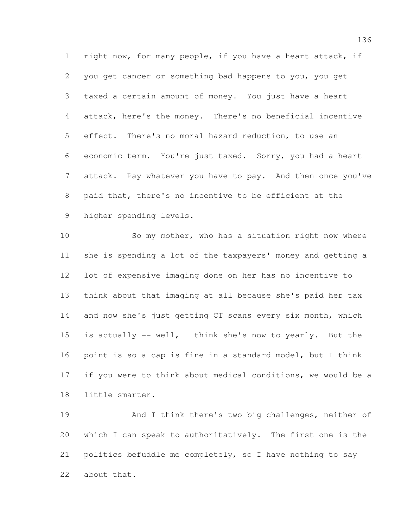right now, for many people, if you have a heart attack, if you get cancer or something bad happens to you, you get taxed a certain amount of money. You just have a heart attack, here's the money. There's no beneficial incentive effect. There's no moral hazard reduction, to use an economic term. You're just taxed. Sorry, you had a heart attack. Pay whatever you have to pay. And then once you've paid that, there's no incentive to be efficient at the higher spending levels.

10 So my mother, who has a situation right now where she is spending a lot of the taxpayers' money and getting a lot of expensive imaging done on her has no incentive to think about that imaging at all because she's paid her tax 14 and now she's just getting CT scans every six month, which is actually -- well, I think she's now to yearly. But the point is so a cap is fine in a standard model, but I think if you were to think about medical conditions, we would be a little smarter.

 And I think there's two big challenges, neither of which I can speak to authoritatively. The first one is the politics befuddle me completely, so I have nothing to say about that.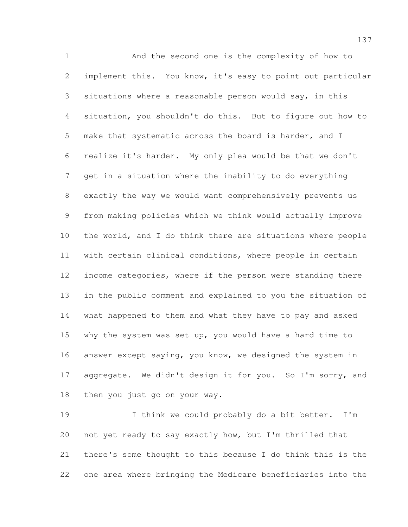And the second one is the complexity of how to implement this. You know, it's easy to point out particular situations where a reasonable person would say, in this situation, you shouldn't do this. But to figure out how to make that systematic across the board is harder, and I realize it's harder. My only plea would be that we don't get in a situation where the inability to do everything exactly the way we would want comprehensively prevents us from making policies which we think would actually improve the world, and I do think there are situations where people with certain clinical conditions, where people in certain 12 income categories, where if the person were standing there in the public comment and explained to you the situation of what happened to them and what they have to pay and asked why the system was set up, you would have a hard time to answer except saying, you know, we designed the system in 17 aggregate. We didn't design it for you. So I'm sorry, and then you just go on your way.

 I think we could probably do a bit better. I'm not yet ready to say exactly how, but I'm thrilled that there's some thought to this because I do think this is the one area where bringing the Medicare beneficiaries into the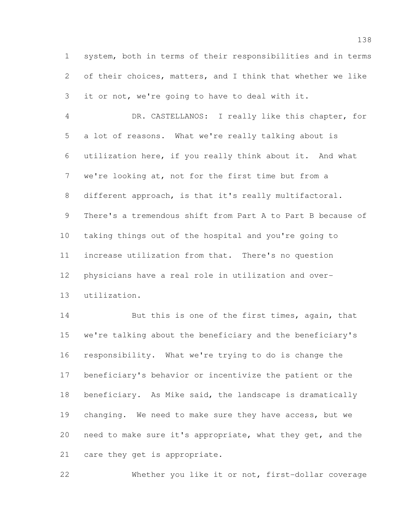system, both in terms of their responsibilities and in terms of their choices, matters, and I think that whether we like it or not, we're going to have to deal with it.

 DR. CASTELLANOS: I really like this chapter, for a lot of reasons. What we're really talking about is utilization here, if you really think about it. And what we're looking at, not for the first time but from a different approach, is that it's really multifactoral. There's a tremendous shift from Part A to Part B because of taking things out of the hospital and you're going to increase utilization from that. There's no question physicians have a real role in utilization and over-utilization.

14 But this is one of the first times, again, that we're talking about the beneficiary and the beneficiary's responsibility. What we're trying to do is change the beneficiary's behavior or incentivize the patient or the beneficiary. As Mike said, the landscape is dramatically changing. We need to make sure they have access, but we need to make sure it's appropriate, what they get, and the care they get is appropriate.

Whether you like it or not, first-dollar coverage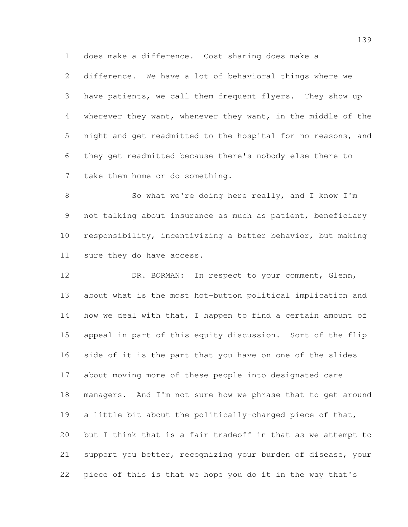does make a difference. Cost sharing does make a

 difference. We have a lot of behavioral things where we have patients, we call them frequent flyers. They show up wherever they want, whenever they want, in the middle of the night and get readmitted to the hospital for no reasons, and they get readmitted because there's nobody else there to take them home or do something.

8 So what we're doing here really, and I know I'm 9 not talking about insurance as much as patient, beneficiary responsibility, incentivizing a better behavior, but making sure they do have access.

12 DR. BORMAN: In respect to your comment, Glenn, about what is the most hot-button political implication and 14 how we deal with that, I happen to find a certain amount of appeal in part of this equity discussion. Sort of the flip side of it is the part that you have on one of the slides about moving more of these people into designated care managers. And I'm not sure how we phrase that to get around a little bit about the politically-charged piece of that, but I think that is a fair tradeoff in that as we attempt to support you better, recognizing your burden of disease, your piece of this is that we hope you do it in the way that's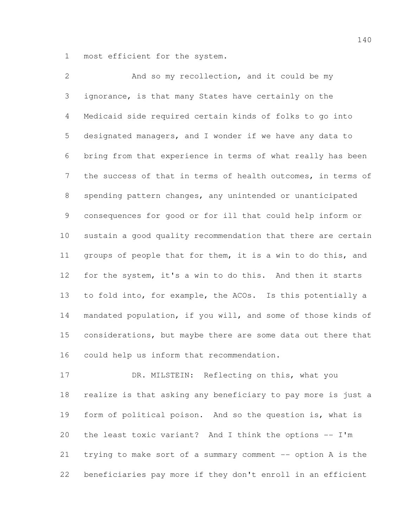most efficient for the system.

 And so my recollection, and it could be my ignorance, is that many States have certainly on the Medicaid side required certain kinds of folks to go into designated managers, and I wonder if we have any data to bring from that experience in terms of what really has been the success of that in terms of health outcomes, in terms of spending pattern changes, any unintended or unanticipated consequences for good or for ill that could help inform or sustain a good quality recommendation that there are certain groups of people that for them, it is a win to do this, and for the system, it's a win to do this. And then it starts to fold into, for example, the ACOs. Is this potentially a mandated population, if you will, and some of those kinds of considerations, but maybe there are some data out there that could help us inform that recommendation.

17 DR. MILSTEIN: Reflecting on this, what you realize is that asking any beneficiary to pay more is just a form of political poison. And so the question is, what is the least toxic variant? And I think the options -- I'm trying to make sort of a summary comment -- option A is the beneficiaries pay more if they don't enroll in an efficient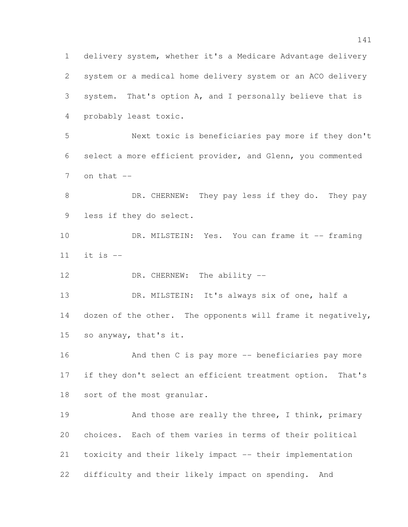delivery system, whether it's a Medicare Advantage delivery system or a medical home delivery system or an ACO delivery system. That's option A, and I personally believe that is probably least toxic. Next toxic is beneficiaries pay more if they don't select a more efficient provider, and Glenn, you commented on that  $-$ 8 DR. CHERNEW: They pay less if they do. They pay less if they do select. 10 DR. MILSTEIN: Yes. You can frame it -- framing it is -- 12 DR. CHERNEW: The ability -- DR. MILSTEIN: It's always six of one, half a 14 dozen of the other. The opponents will frame it negatively, so anyway, that's it. And then C is pay more -- beneficiaries pay more if they don't select an efficient treatment option. That's sort of the most granular. 19 And those are really the three, I think, primary choices. Each of them varies in terms of their political toxicity and their likely impact -- their implementation difficulty and their likely impact on spending. And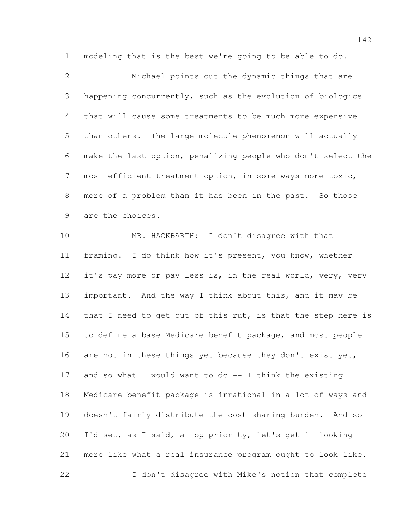modeling that is the best we're going to be able to do.

 Michael points out the dynamic things that are happening concurrently, such as the evolution of biologics that will cause some treatments to be much more expensive than others. The large molecule phenomenon will actually make the last option, penalizing people who don't select the most efficient treatment option, in some ways more toxic, more of a problem than it has been in the past. So those are the choices.

 MR. HACKBARTH: I don't disagree with that framing. I do think how it's present, you know, whether it's pay more or pay less is, in the real world, very, very important. And the way I think about this, and it may be 14 that I need to get out of this rut, is that the step here is to define a base Medicare benefit package, and most people 16 are not in these things yet because they don't exist yet, and so what I would want to do -- I think the existing Medicare benefit package is irrational in a lot of ways and doesn't fairly distribute the cost sharing burden. And so I'd set, as I said, a top priority, let's get it looking more like what a real insurance program ought to look like. I don't disagree with Mike's notion that complete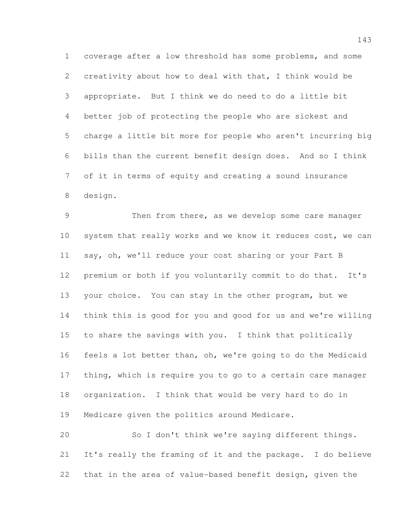coverage after a low threshold has some problems, and some creativity about how to deal with that, I think would be appropriate. But I think we do need to do a little bit better job of protecting the people who are sickest and charge a little bit more for people who aren't incurring big bills than the current benefit design does. And so I think of it in terms of equity and creating a sound insurance design.

 Then from there, as we develop some care manager system that really works and we know it reduces cost, we can say, oh, we'll reduce your cost sharing or your Part B premium or both if you voluntarily commit to do that. It's your choice. You can stay in the other program, but we think this is good for you and good for us and we're willing to share the savings with you. I think that politically feels a lot better than, oh, we're going to do the Medicaid thing, which is require you to go to a certain care manager organization. I think that would be very hard to do in Medicare given the politics around Medicare.

 So I don't think we're saying different things. It's really the framing of it and the package. I do believe that in the area of value-based benefit design, given the